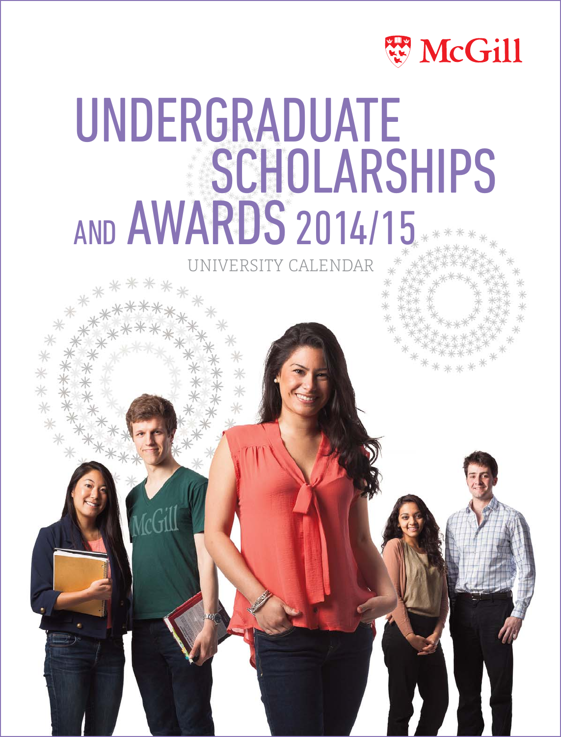

# UNDERGRADUATE **SCHOLARSHIPS** AND AWARDS 2014/15

VERSITY CALENDAR

\*\*\*\*\*\*\*

\*\*\*\*\*\*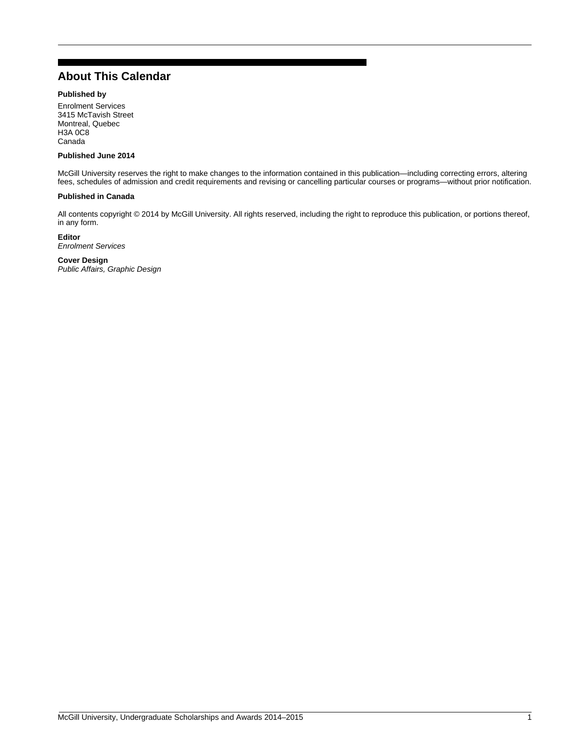# <span id="page-1-0"></span>**About This Calendar**

### **Published by**

Enrolment Services 3415 McTavish Street Montreal, Quebec H3A 0C8 Canada

### **Published June 2014**

McGill University reserves the right to make changes to the information contained in this publication—including correcting errors, altering fees, schedules of admission and credit requirements and revising or cancelling particular courses or programs—without prior notification.

### **Published in Canada**

All contents copyright © 2014 by McGill University. All rights reserved, including the right to reproduce this publication, or portions thereof, in any form.

**Editor**

*Enrolment Services*

### **Cover Design**

*Public Affairs, Graphic Design*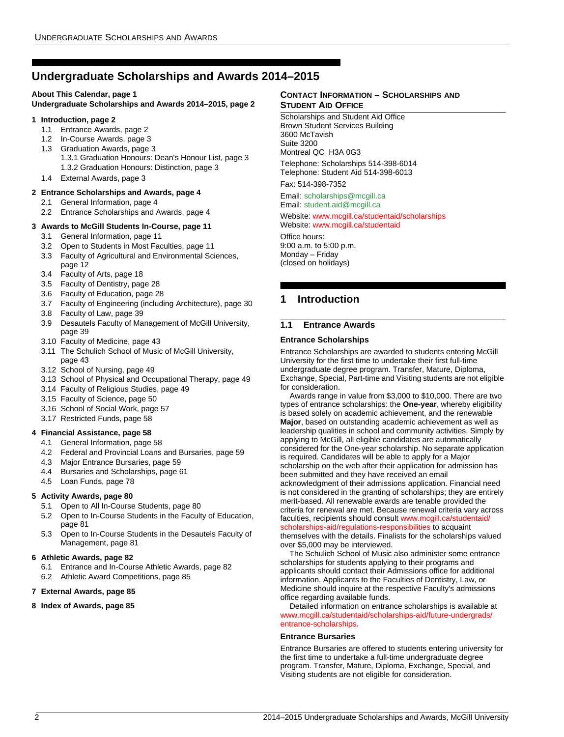# <span id="page-2-0"></span>**Undergraduate Scholarships and Awards 2014–2015**

### **[About This Calendar, page 1](#page-1-0)**

**[Undergraduate Scholarships and Awards 2014–2015, page 2](#page-2-0)**

### **[1 Introduction, page 2](#page-2-1)**

- [1.1](#page-2-2) Entrance Awards, page 2
- [1.2](#page-3-0) In-Course Awards, page 3
- [1.3](#page-3-1) Graduation Awards, page 3 [1.3.1](#page-3-2) Graduation Honours: Dean's Honour List, page 3 [1.3.2](#page-3-3) Graduation Honours: Distinction, page 3
- [1.4](#page-3-4) External Awards, page 3
- **[2 Entrance Scholarships and Awards, page 4](#page-4-0)**
	- [2.1](#page-4-1) General Information, page 4
	- [2.2](#page-4-2) Entrance Scholarships and Awards, page 4

### **[3 Awards to McGill Students In-Course, page 11](#page-11-0)**

- [3.1](#page-11-1) General Information, page 11
- [3.2](#page-11-2) Open to Students in Most Faculties, page 11
- [3.3](#page-12-0) Faculty of Agricultural and Environmental Sciences, page 12
- [3.4](#page-18-0) Faculty of Arts, page 18
- [3.5](#page-28-0) Faculty of Dentistry, page 28
- [3.6](#page-28-1) Faculty of Education, page 28
- [3.7](#page-30-0) Faculty of Engineering (including Architecture), page 30
- [3.8](#page-39-0) Faculty of Law, page 39
- [3.9](#page-39-1) Desautels Faculty of Management of McGill University, page 39
- [3.10](#page-43-0) Faculty of Medicine, page 43
- [3.11](#page-43-1) The Schulich School of Music of McGill University, page 43
- [3.12](#page-49-0) School of Nursing, page 49
- [3.13](#page-49-1) School of Physical and Occupational Therapy, page 49
- [3.14](#page-49-2) Faculty of Religious Studies, page 49
- [3.15](#page-50-0) Faculty of Science, page 50
- [3.16](#page-57-0) School of Social Work, page 57
- [3.17](#page-58-0) Restricted Funds, page 58

### **[4 Financial Assistance, page 58](#page-58-1)**

- [4.1](#page-58-2) General Information, page 58
- [4.2](#page-59-0) Federal and Provincial Loans and Bursaries, page 59
- [4.3](#page-59-1) Major Entrance Bursaries, page 59
- [4.4](#page-61-0) Bursaries and Scholarships, page 61
- [4.5](#page-78-0) Loan Funds, page 78

### **[5 Activity Awards, page 80](#page-80-0)**

- [5.1](#page-80-1) Open to All In-Course Students, page 80
- [5.2](#page-81-0) Open to In-Course Students in the Faculty of Education, page 81
- [5.3](#page-81-1) Open to In-Course Students in the Desautels Faculty of Management, page 81

### **[6 Athletic Awards, page 82](#page-82-0)**

- [6.1](#page-82-1) Entrance and In-Course Athletic Awards, page 82
- [6.2](#page-85-0) Athletic Award Competitions, page 85
- **[7 External Awards, page 85](#page-85-1)**

### **[8 Index of Awards, page 85](#page-85-2)**

### **CONTACT INFORMATION – SCHOLARSHIPS AND STUDENT AID OFFICE**

Scholarships and Student Aid Office Brown Student Services Building 3600 McTavish Suite 3200 Montreal QC H3A 0G3

Telephone: Scholarships 514-398-6014 Telephone: Student Aid 514-398-6013

Fax: 514-398-7352

Email: [scholarships@mcgill.ca](mailto:scholarships@mcgill.ca) Email: [student.aid@mcgill.ca](mailto:student.aid@mcgill.ca)

### Website: [www.mcgill.ca/studentaid/scholarships](http://www.mcgill.ca/studentaid/scholarships/) Website: [www.mcgill.ca/studentaid](http://www.mcgill.ca/studentaid/)

Office hours: 9:00 a.m. to 5:00 p.m. Monday – Friday (closed on holidays)

# <span id="page-2-1"></span>**1 Introduction**

### <span id="page-2-2"></span>**1.1 Entrance Awards**

### **Entrance Scholarships**

Entrance Scholarships are awarded to students entering McGill University for the first time to undertake their first full-time undergraduate degree program. Transfer, Mature, Diploma, Exchange, Special, Part-time and Visiting students are not eligible for consideration.

Awards range in value from \$3,000 to \$10,000. There are two types of entrance scholarships: the **One-year**, whereby eligibility is based solely on academic achievement, and the renewable **Major**, based on outstanding academic achievement as well as leadership qualities in school and community activities. Simply by applying to McGill, all eligible candidates are automatically considered for the One-year scholarship. No separate application is required. Candidates will be able to apply for a Major scholarship on the web after their application for admission has been submitted and they have received an email acknowledgment of their admissions application. Financial need is not considered in the granting of scholarships; they are entirely merit-based. All renewable awards are tenable provided the criteria for renewal are met. Because renewal criteria vary across faculties, recipients should consult [www.mcgill.ca/studentaid/](http://www.mcgill.ca/studentaid/scholarships-aid/regulations-responsibilities/) [scholarships-aid/regulations-responsibilities](http://www.mcgill.ca/studentaid/scholarships-aid/regulations-responsibilities/) to acquaint

themselves with the details. Finalists for the scholarships valued over \$5,000 may be interviewed.

The Schulich School of Music also administer some entrance scholarships for students applying to their programs and applicants should contact their Admissions office for additional information. Applicants to the Faculties of Dentistry, Law, or Medicine should inquire at the respective Faculty's admissions office regarding available funds.

Detailed information on entrance scholarships is available at [www.mcgill.ca/studentaid/scholarships-aid/future-undergrads/](http://www.mcgill.ca/studentaid/scholarships-aid/future-undergrads/entrance-scholarships/) [entrance-scholarships](http://www.mcgill.ca/studentaid/scholarships-aid/future-undergrads/entrance-scholarships/).

### **Entrance Bursaries**

Entrance Bursaries are offered to students entering university for the first time to undertake a full-time undergraduate degree program. Transfer, Mature, Diploma, Exchange, Special, and Visiting students are not eligible for consideration.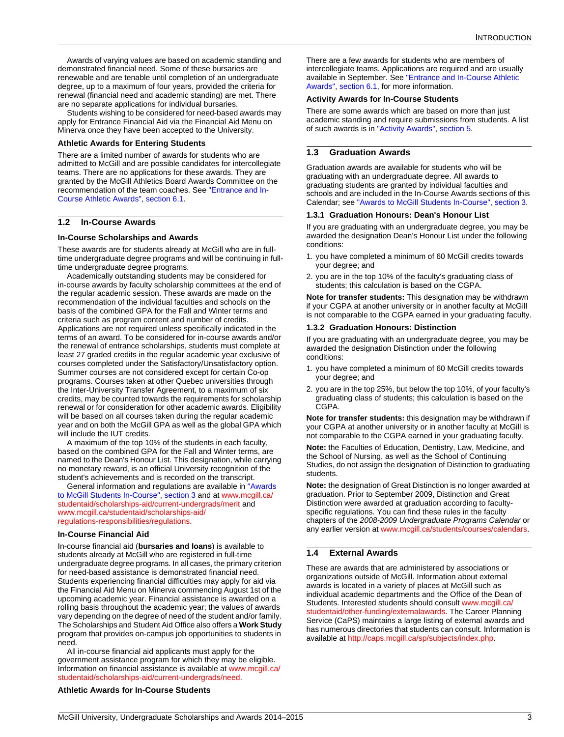Awards of varying values are based on academic standing and demonstrated financial need. Some of these bursaries are renewable and are tenable until completion of an undergraduate degree, up to a maximum of four years, provided the criteria for renewal (financial need and academic standing) are met. There are no separate applications for individual bursaries.

Students wishing to be considered for need-based awards may apply for Entrance Financial Aid via the Financial Aid Menu on Minerva once they have been accepted to the University.

### **Athletic Awards for Entering Students**

There are a limited number of awards for students who are admitted to McGill and are possible candidates for intercollegiate teams. There are no applications for these awards. They are granted by the McGill Athletics Board Awards Committee on the recommendation of the team coaches. See ["Entrance and In-](#page-82-1)[Course Athletic Awards", section 6.1.](#page-82-1)

### <span id="page-3-0"></span>**1.2 In-Course Awards**

### **In-Course Scholarships and Awards**

These awards are for students already at McGill who are in fulltime undergraduate degree programs and will be continuing in fulltime undergraduate degree programs.

Academically outstanding students may be considered for in-course awards by faculty scholarship committees at the end of the regular academic session. These awards are made on the recommendation of the individual faculties and schools on the basis of the combined GPA for the Fall and Winter terms and criteria such as program content and number of credits. Applications are not required unless specifically indicated in the terms of an award. To be considered for in-course awards and/or the renewal of entrance scholarships, students must complete at least 27 graded credits in the regular academic year exclusive of courses completed under the Satisfactory/Unsatisfactory option. Summer courses are not considered except for certain Co-op programs. Courses taken at other Quebec universities through the Inter-University Transfer Agreement, to a maximum of six credits, may be counted towards the requirements for scholarship renewal or for consideration for other academic awards. Eligibility will be based on all courses taken during the regular academic year and on both the McGill GPA as well as the global GPA which will include the IUT credits.

A maximum of the top 10% of the students in each faculty, based on the combined GPA for the Fall and Winter terms, are named to the Dean's Honour List. This designation, while carrying no monetary reward, is an official University recognition of the student's achievements and is recorded on the transcript.

General information and regulations are available in ["Awards](#page-11-0)  [to McGill Students In-Course", section 3](#page-11-0) and at [www.mcgill.ca/](http://www.mcgill.ca/studentaid/scholarships-aid/current-undergrads/merit/) [studentaid/scholarships-aid/current-undergrads/merit](http://www.mcgill.ca/studentaid/scholarships-aid/current-undergrads/merit/) and [www.mcgill.ca/studentaid/scholarships-aid/](http://www.mcgill.ca/studentaid/scholarships-aid/regulations-responsibilities/regulations/) [regulations-responsibilities/regulations](http://www.mcgill.ca/studentaid/scholarships-aid/regulations-responsibilities/regulations/).

### **In-Course Financial Aid**

In-course financial aid (**bursaries and loans**) is available to students already at McGill who are registered in full-time undergraduate degree programs. In all cases, the primary criterion for need-based assistance is demonstrated financial need. Students experiencing financial difficulties may apply for aid via the Financial Aid Menu on Minerva commencing August 1st of the upcoming academic year. Financial assistance is awarded on a rolling basis throughout the academic year; the values of awards vary depending on the degree of need of the student and/or family. The Scholarships and Student Aid Office also offers a **Work Study** program that provides on-campus job opportunities to students in need.

All in-course financial aid applicants must apply for the government assistance program for which they may be eligible. Information on financial assistance is available at [www.mcgill.ca/](http://www.mcgill.ca/studentaid/scholarships-aid/current-undergrads/need/) [studentaid/scholarships-aid/current-undergrads/need](http://www.mcgill.ca/studentaid/scholarships-aid/current-undergrads/need/).

### **Athletic Awards for In-Course Students**

There are a few awards for students who are members of intercollegiate teams. Applications are required and are usually available in September. See ["Entrance and In-Course Athletic](#page-82-1)  [Awards", section 6.1,](#page-82-1) for more information.

### **Activity Awards for In-Course Students**

There are some awards which are based on more than just academic standing and require submissions from students. A list of such awards is in ["Activity Awards", section 5.](#page-80-0)

### <span id="page-3-1"></span>**1.3 Graduation Awards**

Graduation awards are available for students who will be graduating with an undergraduate degree. All awards to graduating students are granted by individual faculties and schools and are included in the In-Course Awards sections of this Calendar; see ["Awards to McGill Students In-Course", section 3.](#page-11-0)

### <span id="page-3-2"></span>**1.3.1 Graduation Honours: Dean's Honour List**

If you are graduating with an undergraduate degree, you may be awarded the designation Dean's Honour List under the following conditions:

- 1. you have completed a minimum of 60 McGill credits towards your degree; and
- 2. you are in the top 10% of the faculty's graduating class of students; this calculation is based on the CGPA.

**Note for transfer students:** This designation may be withdrawn if your CGPA at another university or in another faculty at McGill is not comparable to the CGPA earned in your graduating faculty.

### <span id="page-3-3"></span>**1.3.2 Graduation Honours: Distinction**

If you are graduating with an undergraduate degree, you may be awarded the designation Distinction under the following conditions:

- 1. you have completed a minimum of 60 McGill credits towards your degree; and
- 2. you are in the top 25%, but below the top 10%, of your faculty's graduating class of students; this calculation is based on the CGPA.

**Note for transfer students:** this designation may be withdrawn if your CGPA at another university or in another faculty at McGill is not comparable to the CGPA earned in your graduating faculty.

**Note:** the Faculties of Education, Dentistry, Law, Medicine, and the School of Nursing, as well as the School of Continuing Studies, do not assign the designation of Distinction to graduating students.

**Note:** the designation of Great Distinction is no longer awarded at graduation. Prior to September 2009, Distinction and Great Distinction were awarded at graduation according to facultyspecific regulations. You can find these rules in the faculty chapters of the *2008-2009 Undergraduate Programs Calendar* or any earlier version at [www.mcgill.ca/students/courses/calendars](http://www.mcgill.ca/students/courses/calendars/).

### <span id="page-3-4"></span>**1.4 External Awards**

These are awards that are administered by associations or organizations outside of McGill. Information about external awards is located in a variety of places at McGill such as individual academic departments and the Office of the Dean of Students. Interested students should consult [www.mcgill.ca/](http://www.mcgill.ca/studentaid/other-funding/externalawards/) [studentaid/other-funding/externalawards](http://www.mcgill.ca/studentaid/other-funding/externalawards/). The Career Planning Service (CaPS) maintains a large listing of external awards and has numerous directories that students can consult. Information is available at<http://caps.mcgill.ca/sp/subjects/index.php>.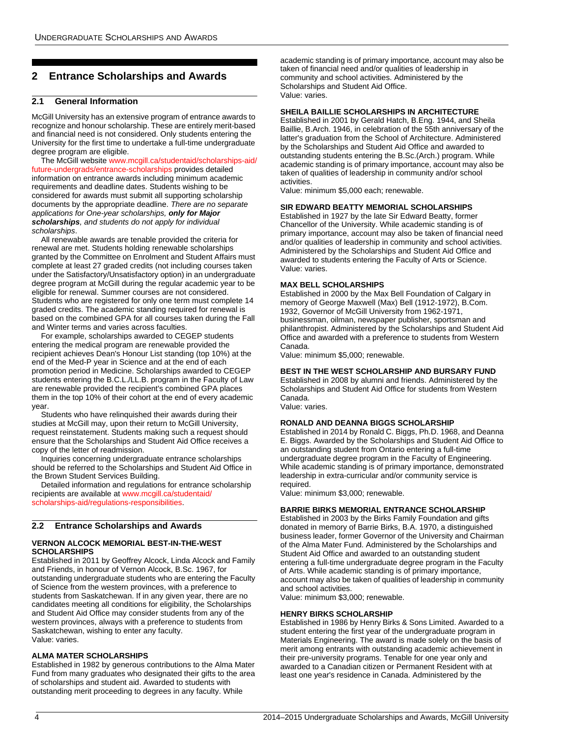# <span id="page-4-0"></span>**2 Entrance Scholarships and Awards**

### <span id="page-4-1"></span>**2.1 General Information**

McGill University has an extensive program of entrance awards to recognize and honour scholarship. These are entirely merit-based and financial need is not considered. Only students entering the University for the first time to undertake a full-time undergraduate degree program are eligible.

The McGill website [www.mcgill.ca/studentaid/scholarships-aid/](http://www.mcgill.ca/studentaid/scholarships-aid/future-undergrads/entrance-scholarships/) [future-undergrads/entrance-scholarships](http://www.mcgill.ca/studentaid/scholarships-aid/future-undergrads/entrance-scholarships/) provides detailed information on entrance awards including minimum academic requirements and deadline dates. Students wishing to be considered for awards must submit all supporting scholarship documents by the appropriate deadline. *There are no separate applications for One-year scholarships, only for Major scholarships, and students do not apply for individual scholarships*.

All renewable awards are tenable provided the criteria for renewal are met. Students holding renewable scholarships granted by the Committee on Enrolment and Student Affairs must complete at least 27 graded credits (not including courses taken under the Satisfactory/Unsatisfactory option) in an undergraduate degree program at McGill during the regular academic year to be eligible for renewal. Summer courses are not considered. Students who are registered for only one term must complete 14 graded credits. The academic standing required for renewal is based on the combined GPA for all courses taken during the Fall and Winter terms and varies across faculties.

For example, scholarships awarded to CEGEP students entering the medical program are renewable provided the recipient achieves Dean's Honour List standing (top 10%) at the end of the Med-P year in Science and at the end of each promotion period in Medicine. Scholarships awarded to CEGEP students entering the B.C.L./LL.B. program in the Faculty of Law are renewable provided the recipient's combined GPA places them in the top 10% of their cohort at the end of every academic year.

Students who have relinquished their awards during their studies at McGill may, upon their return to McGill University, request reinstatement. Students making such a request should ensure that the Scholarships and Student Aid Office receives a copy of the letter of readmission.

Inquiries concerning undergraduate entrance scholarships should be referred to the Scholarships and Student Aid Office in the Brown Student Services Building.

Detailed information and regulations for entrance scholarship recipients are available at [www.mcgill.ca/studentaid/](http://www.mcgill.ca/studentaid/scholarships-aid/regulations-responsibilities/) [scholarships-aid/regulations-responsibilities](http://www.mcgill.ca/studentaid/scholarships-aid/regulations-responsibilities/).

## <span id="page-4-2"></span>**2.2 Entrance Scholarships and Awards**

### **VERNON ALCOCK MEMORIAL BEST-IN-THE-WEST SCHOLARSHIPS**

Established in 2011 by Geoffrey Alcock, Linda Alcock and Family and Friends, in honour of Vernon Alcock, B.Sc. 1967, for outstanding undergraduate students who are entering the Faculty of Science from the western provinces, with a preference to students from Saskatchewan. If in any given year, there are no candidates meeting all conditions for eligibility, the Scholarships and Student Aid Office may consider students from any of the western provinces, always with a preference to students from Saskatchewan, wishing to enter any faculty. Value: varies.

### **ALMA MATER SCHOLARSHIPS**

Established in 1982 by generous contributions to the Alma Mater Fund from many graduates who designated their gifts to the area of scholarships and student aid. Awarded to students with outstanding merit proceeding to degrees in any faculty. While

academic standing is of primary importance, account may also be taken of financial need and/or qualities of leadership in community and school activities. Administered by the Scholarships and Student Aid Office. Value: varies.

### **SHEILA BAILLIE SCHOLARSHIPS IN ARCHITECTURE**

Established in 2001 by Gerald Hatch, B.Eng. 1944, and Sheila Baillie, B.Arch. 1946, in celebration of the 55th anniversary of the latter's graduation from the School of Architecture. Administered by the Scholarships and Student Aid Office and awarded to outstanding students entering the B.Sc.(Arch.) program. While academic standing is of primary importance, account may also be taken of qualities of leadership in community and/or school activities.

Value: minimum \$5,000 each; renewable.

### **SIR EDWARD BEATTY MEMORIAL SCHOLARSHIPS**

Established in 1927 by the late Sir Edward Beatty, former Chancellor of the University. While academic standing is of primary importance, account may also be taken of financial need and/or qualities of leadership in community and school activities. Administered by the Scholarships and Student Aid Office and awarded to students entering the Faculty of Arts or Science. Value: varies.

### **MAX BELL SCHOLARSHIPS**

Established in 2000 by the Max Bell Foundation of Calgary in memory of George Maxwell (Max) Bell (1912-1972), B.Com. 1932, Governor of McGill University from 1962-1971, businessman, oilman, newspaper publisher, sportsman and philanthropist. Administered by the Scholarships and Student Aid Office and awarded with a preference to students from Western Canada.

Value: minimum \$5,000; renewable.

### **BEST IN THE WEST SCHOLARSHIP AND BURSARY FUND**

Established in 2008 by alumni and friends. Administered by the Scholarships and Student Aid Office for students from Western Canada.

Value: varies.

### **RONALD AND DEANNA BIGGS SCHOLARSHIP**

Established in 2014 by Ronald C. Biggs, Ph.D. 1968, and Deanna E. Biggs. Awarded by the Scholarships and Student Aid Office to an outstanding student from Ontario entering a full-time undergraduate degree program in the Faculty of Engineering. While academic standing is of primary importance, demonstrated leadership in extra-curricular and/or community service is required.

Value: minimum \$3,000; renewable.

### **BARRIE BIRKS MEMORIAL ENTRANCE SCHOLARSHIP**

Established in 2003 by the Birks Family Foundation and gifts donated in memory of Barrie Birks, B.A. 1970, a distinguished business leader, former Governor of the University and Chairman of the Alma Mater Fund. Administered by the Scholarships and Student Aid Office and awarded to an outstanding student entering a full-time undergraduate degree program in the Faculty of Arts. While academic standing is of primary importance, account may also be taken of qualities of leadership in community and school activities.

Value: minimum \$3,000; renewable.

### **HENRY BIRKS SCHOLARSHIP**

Established in 1986 by Henry Birks & Sons Limited. Awarded to a student entering the first year of the undergraduate program in Materials Engineering. The award is made solely on the basis of merit among entrants with outstanding academic achievement in their pre-university programs. Tenable for one year only and awarded to a Canadian citizen or Permanent Resident with at least one year's residence in Canada. Administered by the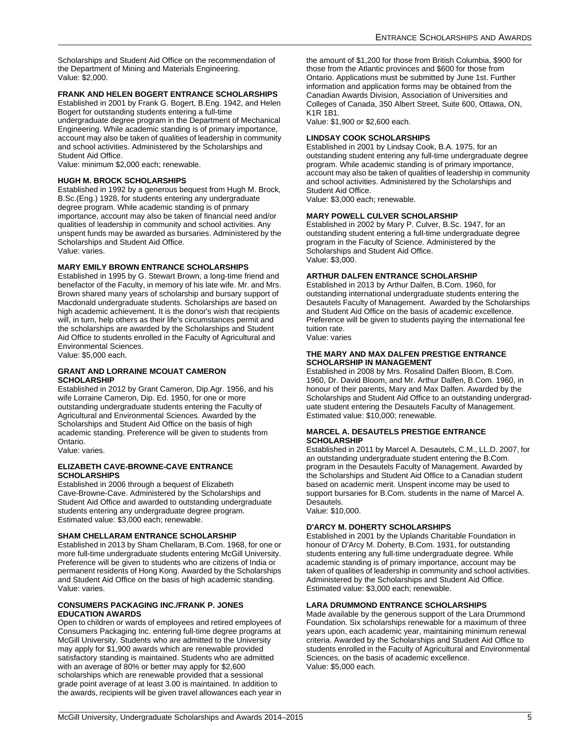Scholarships and Student Aid Office on the recommendation of the Department of Mining and Materials Engineering. Value: \$2,000.

### **FRANK AND HELEN BOGERT ENTRANCE SCHOLARSHIPS**

Established in 2001 by Frank G. Bogert, B.Eng. 1942, and Helen Bogert for outstanding students entering a full-time undergraduate degree program in the Department of Mechanical Engineering. While academic standing is of primary importance, account may also be taken of qualities of leadership in community and school activities. Administered by the Scholarships and Student Aid Office.

Value: minimum \$2,000 each; renewable.

### **HUGH M. BROCK SCHOLARSHIPS**

Established in 1992 by a generous bequest from Hugh M. Brock, B.Sc.(Eng.) 1928, for students entering any undergraduate degree program. While academic standing is of primary importance, account may also be taken of financial need and/or qualities of leadership in community and school activities. Any unspent funds may be awarded as bursaries. Administered by the Scholarships and Student Aid Office. Value: varies.

### **MARY EMILY BROWN ENTRANCE SCHOLARSHIPS**

Established in 1995 by G. Stewart Brown, a long-time friend and benefactor of the Faculty, in memory of his late wife. Mr. and Mrs. Brown shared many years of scholarship and bursary support of Macdonald undergraduate students. Scholarships are based on high academic achievement. It is the donor's wish that recipients will, in turn, help others as their life's circumstances permit and the scholarships are awarded by the Scholarships and Student Aid Office to students enrolled in the Faculty of Agricultural and Environmental Sciences.

Value: \$5,000 each.

### **GRANT AND LORRAINE MCOUAT CAMERON SCHOLARSHIP**

Established in 2012 by Grant Cameron, Dip.Agr. 1956, and his wife Lorraine Cameron, Dip. Ed. 1950, for one or more outstanding undergraduate students entering the Faculty of Agricultural and Environmental Sciences. Awarded by the Scholarships and Student Aid Office on the basis of high academic standing. Preference will be given to students from Ontario.

Value: varies.

### **ELIZABETH CAVE-BROWNE-CAVE ENTRANCE SCHOLARSHIPS**

Established in 2006 through a bequest of Elizabeth Cave-Browne-Cave. Administered by the Scholarships and Student Aid Office and awarded to outstanding undergraduate students entering any undergraduate degree program. Estimated value: \$3,000 each; renewable.

### **SHAM CHELLARAM ENTRANCE SCHOLARSHIP**

Established in 2013 by Sham Chellaram, B.Com. 1968, for one or more full-time undergraduate students entering McGill University. Preference will be given to students who are citizens of India or permanent residents of Hong Kong. Awarded by the Scholarships and Student Aid Office on the basis of high academic standing. Value: varies.

### **CONSUMERS PACKAGING INC./FRANK P. JONES EDUCATION AWARDS**

Open to children or wards of employees and retired employees of Consumers Packaging Inc. entering full-time degree programs at McGill University. Students who are admitted to the University may apply for \$1,900 awards which are renewable provided satisfactory standing is maintained. Students who are admitted with an average of 80% or better may apply for \$2,600 scholarships which are renewable provided that a sessional grade point average of at least 3.00 is maintained. In addition to the awards, recipients will be given travel allowances each year in the amount of \$1,200 for those from British Columbia, \$900 for those from the Atlantic provinces and \$600 for those from Ontario. Applications must be submitted by June 1st. Further information and application forms may be obtained from the Canadian Awards Division, Association of Universities and Colleges of Canada, 350 Albert Street, Suite 600, Ottawa, ON, K1R 1B1.

Value: \$1,900 or \$2,600 each.

### **LINDSAY COOK SCHOLARSHIPS**

Established in 2001 by Lindsay Cook, B.A. 1975, for an outstanding student entering any full-time undergraduate degree program. While academic standing is of primary importance, account may also be taken of qualities of leadership in community and school activities. Administered by the Scholarships and Student Aid Office.

Value: \$3,000 each; renewable.

### **MARY POWELL CULVER SCHOLARSHIP**

Established in 2002 by Mary P. Culver, B.Sc. 1947, for an outstanding student entering a full-time undergraduate degree program in the Faculty of Science. Administered by the Scholarships and Student Aid Office. Value: \$3,000.

### **ARTHUR DALFEN ENTRANCE SCHOLARSHIP**

Established in 2013 by Arthur Dalfen, B.Com. 1960, for outstanding international undergraduate students entering the Desautels Faculty of Management. Awarded by the Scholarships and Student Aid Office on the basis of academic excellence. Preference will be given to students paying the international fee tuition rate.

Value: varies

### **THE MARY AND MAX DALFEN PRESTIGE ENTRANCE SCHOLARSHIP IN MANAGEMENT**

Established in 2008 by Mrs. Rosalind Dalfen Bloom, B.Com. 1960, Dr. David Bloom, and Mr. Arthur Dalfen, B.Com. 1960, in honour of their parents, Mary and Max Dalfen. Awarded by the Scholarships and Student Aid Office to an outstanding undergraduate student entering the Desautels Faculty of Management. Estimated value: \$10,000; renewable.

### **MARCEL A. DESAUTELS PRESTIGE ENTRANCE SCHOLARSHIP**

Established in 2011 by Marcel A. Desautels, C.M., LL.D. 2007, for an outstanding undergraduate student entering the B.Com. program in the Desautels Faculty of Management. Awarded by the Scholarships and Student Aid Office to a Canadian student based on academic merit. Unspent income may be used to support bursaries for B.Com. students in the name of Marcel A. Desautels.

Value: \$10,000.

### **D'ARCY M. DOHERTY SCHOLARSHIPS**

Established in 2001 by the Uplands Charitable Foundation in honour of D'Arcy M. Doherty, B.Com. 1931, for outstanding students entering any full-time undergraduate degree. While academic standing is of primary importance, account may be taken of qualities of leadership in community and school activities. Administered by the Scholarships and Student Aid Office. Estimated value: \$3,000 each; renewable.

### **LARA DRUMMOND ENTRANCE SCHOLARSHIPS**

Made available by the generous support of the Lara Drummond Foundation. Six scholarships renewable for a maximum of three years upon, each academic year, maintaining minimum renewal criteria. Awarded by the Scholarships and Student Aid Office to students enrolled in the Faculty of Agricultural and Environmental Sciences, on the basis of academic excellence. Value: \$5,000 each.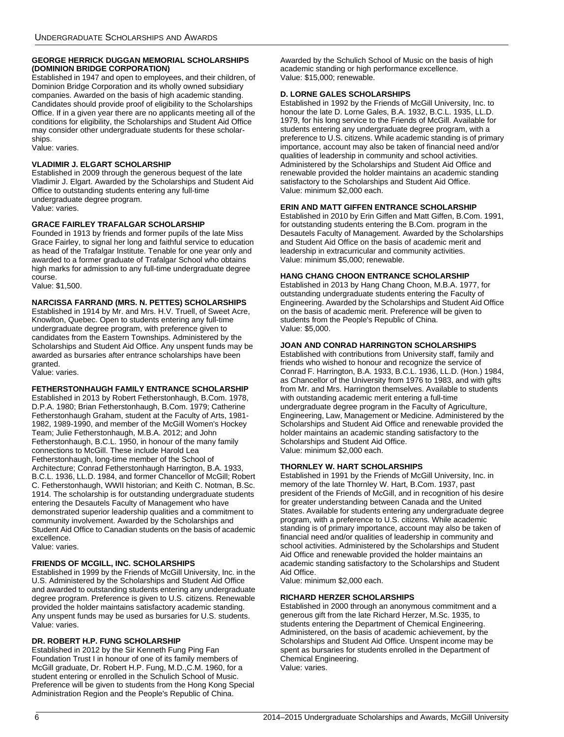### **GEORGE HERRICK DUGGAN MEMORIAL SCHOLARSHIPS (DOMINION BRIDGE CORPORATION)**

Established in 1947 and open to employees, and their children, of Dominion Bridge Corporation and its wholly owned subsidiary companies. Awarded on the basis of high academic standing. Candidates should provide proof of eligibility to the Scholarships Office. If in a given year there are no applicants meeting all of the conditions for eligibility, the Scholarships and Student Aid Office may consider other undergraduate students for these scholarships.

Value: varies.

### **VLADIMIR J. ELGART SCHOLARSHIP**

Established in 2009 through the generous bequest of the late Vladimir J. Elgart. Awarded by the Scholarships and Student Aid Office to outstanding students entering any full-time undergraduate degree program. Value: varies.

### **GRACE FAIRLEY TRAFALGAR SCHOLARSHIP**

Founded in 1913 by friends and former pupils of the late Miss Grace Fairley, to signal her long and faithful service to education as head of the Trafalgar Institute. Tenable for one year only and awarded to a former graduate of Trafalgar School who obtains high marks for admission to any full-time undergraduate degree course.

Value: \$1,500.

### **NARCISSA FARRAND (MRS. N. PETTES) SCHOLARSHIPS**

Established in 1914 by Mr. and Mrs. H.V. Truell, of Sweet Acre, Knowlton, Quebec. Open to students entering any full-time undergraduate degree program, with preference given to candidates from the Eastern Townships. Administered by the Scholarships and Student Aid Office. Any unspent funds may be awarded as bursaries after entrance scholarships have been granted.

Value: varies.

### **FETHERSTONHAUGH FAMILY ENTRANCE SCHOLARSHIP**

Established in 2013 by Robert Fetherstonhaugh, B.Com. 1978, D.P.A. 1980; Brian Fetherstonhaugh, B.Com. 1979; Catherine Fetherstonhaugh Graham, student at the Faculty of Arts, 1981- 1982, 1989-1990, and member of the McGill Women's Hockey Team; Julie Fetherstonhaugh, M.B.A. 2012; and John Fetherstonhaugh, B.C.L. 1950, in honour of the many family connections to McGill. These include Harold Lea Fetherstonhaugh, long-time member of the School of Architecture; Conrad Fetherstonhaugh Harrington, B.A. 1933, B.C.L. 1936, LL.D. 1984, and former Chancellor of McGill; Robert C. Fetherstonhaugh, WWII historian; and Keith C. Notman, B.Sc. 1914. The scholarship is for outstanding undergraduate students entering the Desautels Faculty of Management who have demonstrated superior leadership qualities and a commitment to community involvement. Awarded by the Scholarships and Student Aid Office to Canadian students on the basis of academic excellence.

Value: varies.

### **FRIENDS OF MCGILL, INC. SCHOLARSHIPS**

Established in 1999 by the Friends of McGill University, Inc. in the U.S. Administered by the Scholarships and Student Aid Office and awarded to outstanding students entering any undergraduate degree program. Preference is given to U.S. citizens. Renewable provided the holder maintains satisfactory academic standing. Any unspent funds may be used as bursaries for U.S. students. Value: varies.

### **DR. ROBERT H.P. FUNG SCHOLARSHIP**

Established in 2012 by the Sir Kenneth Fung Ping Fan Foundation Trust I in honour of one of its family members of McGill graduate, Dr. Robert H.P. Fung, M.D.,C.M. 1960, for a student entering or enrolled in the Schulich School of Music. Preference will be given to students from the Hong Kong Special Administration Region and the People's Republic of China.

Awarded by the Schulich School of Music on the basis of high academic standing or high performance excellence. Value: \$15,000; renewable.

### **D. LORNE GALES SCHOLARSHIPS**

Established in 1992 by the Friends of McGill University, Inc. to honour the late D. Lorne Gales, B.A. 1932, B.C.L. 1935, LL.D. 1979, for his long service to the Friends of McGill. Available for students entering any undergraduate degree program, with a preference to U.S. citizens. While academic standing is of primary importance, account may also be taken of financial need and/or qualities of leadership in community and school activities. Administered by the Scholarships and Student Aid Office and renewable provided the holder maintains an academic standing satisfactory to the Scholarships and Student Aid Office. Value: minimum \$2,000 each.

### **ERIN AND MATT GIFFEN ENTRANCE SCHOLARSHIP**

Established in 2010 by Erin Giffen and Matt Giffen, B.Com. 1991, for outstanding students entering the B.Com. program in the Desautels Faculty of Management. Awarded by the Scholarships and Student Aid Office on the basis of academic merit and leadership in extracurricular and community activities. Value: minimum \$5,000; renewable.

### **HANG CHANG CHOON ENTRANCE SCHOLARSHIP**

Established in 2013 by Hang Chang Choon, M.B.A. 1977, for outstanding undergraduate students entering the Faculty of Engineering. Awarded by the Scholarships and Student Aid Office on the basis of academic merit. Preference will be given to students from the People's Republic of China. Value: \$5,000.

### **JOAN AND CONRAD HARRINGTON SCHOLARSHIPS**

Established with contributions from University staff, family and friends who wished to honour and recognize the service of Conrad F. Harrington, B.A. 1933, B.C.L. 1936, LL.D. (Hon.) 1984, as Chancellor of the University from 1976 to 1983, and with gifts from Mr. and Mrs. Harrington themselves. Available to students with outstanding academic merit entering a full-time undergraduate degree program in the Faculty of Agriculture, Engineering, Law, Management or Medicine. Administered by the Scholarships and Student Aid Office and renewable provided the holder maintains an academic standing satisfactory to the Scholarships and Student Aid Office. Value: minimum \$2,000 each.

### **THORNLEY W. HART SCHOLARSHIPS**

Established in 1991 by the Friends of McGill University, Inc. in memory of the late Thornley W. Hart, B.Com. 1937, past president of the Friends of McGill, and in recognition of his desire for greater understanding between Canada and the United States. Available for students entering any undergraduate degree program, with a preference to U.S. citizens. While academic standing is of primary importance, account may also be taken of financial need and/or qualities of leadership in community and school activities. Administered by the Scholarships and Student Aid Office and renewable provided the holder maintains an academic standing satisfactory to the Scholarships and Student Aid Office.

Value: minimum \$2,000 each.

### **RICHARD HERZER SCHOLARSHIPS**

Established in 2000 through an anonymous commitment and a generous gift from the late Richard Herzer, M.Sc. 1935, to students entering the Department of Chemical Engineering. Administered, on the basis of academic achievement, by the Scholarships and Student Aid Office. Unspent income may be spent as bursaries for students enrolled in the Department of Chemical Engineering. Value: varies.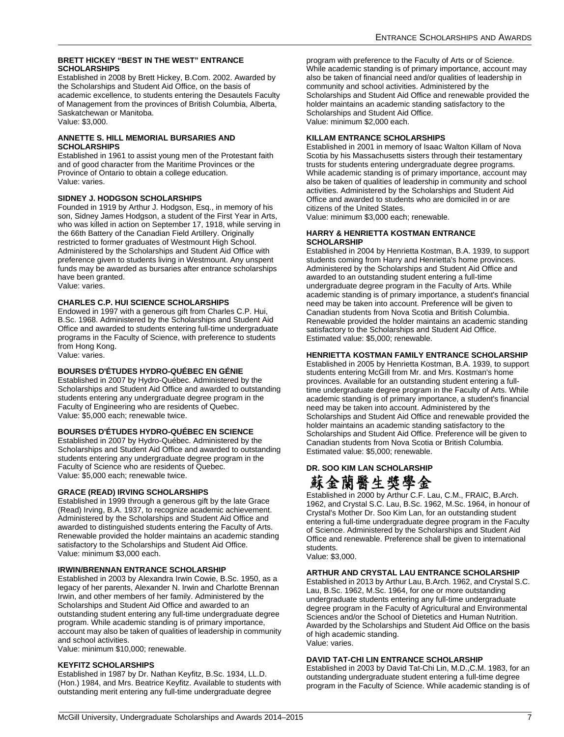### **BRETT HICKEY "BEST IN THE WEST" ENTRANCE SCHOLARSHIPS**

Established in 2008 by Brett Hickey, B.Com. 2002. Awarded by the Scholarships and Student Aid Office, on the basis of academic excellence, to students entering the Desautels Faculty of Management from the provinces of British Columbia, Alberta, Saskatchewan or Manitoba. Value: \$3,000.

### **ANNETTE S. HILL MEMORIAL BURSARIES AND SCHOLARSHIPS**

Established in 1961 to assist young men of the Protestant faith and of good character from the Maritime Provinces or the Province of Ontario to obtain a college education. Value: varies.

### **SIDNEY J. HODGSON SCHOLARSHIPS**

Founded in 1919 by Arthur J. Hodgson, Esq., in memory of his son, Sidney James Hodgson, a student of the First Year in Arts, who was killed in action on September 17, 1918, while serving in the 66th Battery of the Canadian Field Artillery. Originally restricted to former graduates of Westmount High School. Administered by the Scholarships and Student Aid Office with preference given to students living in Westmount. Any unspent funds may be awarded as bursaries after entrance scholarships have been granted.

Value: varies.

### **CHARLES C.P. HUI SCIENCE SCHOLARSHIPS**

Endowed in 1997 with a generous gift from Charles C.P. Hui, B.Sc. 1968. Administered by the Scholarships and Student Aid Office and awarded to students entering full-time undergraduate programs in the Faculty of Science, with preference to students from Hong Kong.

Value: varies.

### **BOURSES D'ÉTUDES HYDRO-QUÉBEC EN GÉNIE**

Established in 2007 by Hydro-Québec. Administered by the Scholarships and Student Aid Office and awarded to outstanding students entering any undergraduate degree program in the Faculty of Engineering who are residents of Quebec. Value: \$5,000 each; renewable twice.

### **BOURSES D'ÉTUDES HYDRO-QUÉBEC EN SCIENCE**

Established in 2007 by Hydro-Québec. Administered by the Scholarships and Student Aid Office and awarded to outstanding students entering any undergraduate degree program in the Faculty of Science who are residents of Quebec. Value: \$5,000 each; renewable twice.

### **GRACE (READ) IRVING SCHOLARSHIPS**

Established in 1999 through a generous gift by the late Grace (Read) Irving, B.A. 1937, to recognize academic achievement. Administered by the Scholarships and Student Aid Office and awarded to distinguished students entering the Faculty of Arts. Renewable provided the holder maintains an academic standing satisfactory to the Scholarships and Student Aid Office. Value: minimum \$3,000 each.

### **IRWIN/BRENNAN ENTRANCE SCHOLARSHIP**

Established in 2003 by Alexandra Irwin Cowie, B.Sc. 1950, as a legacy of her parents, Alexander N. Irwin and Charlotte Brennan Irwin, and other members of her family. Administered by the Scholarships and Student Aid Office and awarded to an outstanding student entering any full-time undergraduate degree program. While academic standing is of primary importance, account may also be taken of qualities of leadership in community and school activities.

Value: minimum \$10,000; renewable.

### **KEYFITZ SCHOLARSHIPS**

Established in 1987 by Dr. Nathan Keyfitz, B.Sc. 1934, LL.D. (Hon.) 1984, and Mrs. Beatrice Keyfitz. Available to students with outstanding merit entering any full-time undergraduate degree

program with preference to the Faculty of Arts or of Science. While academic standing is of primary importance, account may also be taken of financial need and/or qualities of leadership in community and school activities. Administered by the Scholarships and Student Aid Office and renewable provided the holder maintains an academic standing satisfactory to the Scholarships and Student Aid Office. Value: minimum \$2,000 each.

### **KILLAM ENTRANCE SCHOLARSHIPS**

Established in 2001 in memory of Isaac Walton Killam of Nova Scotia by his Massachusetts sisters through their testamentary trusts for students entering undergraduate degree programs. While academic standing is of primary importance, account may also be taken of qualities of leadership in community and school activities. Administered by the Scholarships and Student Aid Office and awarded to students who are domiciled in or are citizens of the United States.

Value: minimum \$3,000 each; renewable.

### **HARRY & HENRIETTA KOSTMAN ENTRANCE SCHOLARSHIP**

Established in 2004 by Henrietta Kostman, B.A. 1939, to support students coming from Harry and Henrietta's home provinces. Administered by the Scholarships and Student Aid Office and awarded to an outstanding student entering a full-time undergraduate degree program in the Faculty of Arts. While academic standing is of primary importance, a student's financial need may be taken into account. Preference will be given to Canadian students from Nova Scotia and British Columbia. Renewable provided the holder maintains an academic standing satisfactory to the Scholarships and Student Aid Office. Estimated value: \$5,000; renewable.

### **HENRIETTA KOSTMAN FAMILY ENTRANCE SCHOLARSHIP**

Established in 2005 by Henrietta Kostman, B.A. 1939, to support students entering McGill from Mr. and Mrs. Kostman's home provinces. Available for an outstanding student entering a fulltime undergraduate degree program in the Faculty of Arts. While academic standing is of primary importance, a student's financial need may be taken into account. Administered by the Scholarships and Student Aid Office and renewable provided the holder maintains an academic standing satisfactory to the Scholarships and Student Aid Office. Preference will be given to Canadian students from Nova Scotia or British Columbia. Estimated value: \$5,000; renewable.

# **DR. SOO KIM LAN SCHOLARSHIP** 蘇金蘭醫生獎學金

Established in 2000 by Arthur C.F. Lau, C.M., FRAIC, B.Arch. 1962, and Crystal S.C. Lau, B.Sc. 1962, M.Sc. 1964, in honour of Crystal's Mother Dr. Soo Kim Lan, for an outstanding student entering a full-time undergraduate degree program in the Faculty of Science. Administered by the Scholarships and Student Aid Office and renewable. Preference shall be given to international students.

Value: \$3,000.

### **ARTHUR AND CRYSTAL LAU ENTRANCE SCHOLARSHIP**

Established in 2013 by Arthur Lau, B.Arch. 1962, and Crystal S.C. Lau, B.Sc. 1962, M.Sc. 1964, for one or more outstanding undergraduate students entering any full-time undergraduate degree program in the Faculty of Agricultural and Environmental Sciences and/or the School of Dietetics and Human Nutrition. Awarded by the Scholarships and Student Aid Office on the basis of high academic standing. Value: varies.

### **DAVID TAT-CHI LIN ENTRANCE SCHOLARSHIP**

Established in 2003 by David Tat-Chi Lin, M.D.,C.M. 1983, for an outstanding undergraduate student entering a full-time degree program in the Faculty of Science. While academic standing is of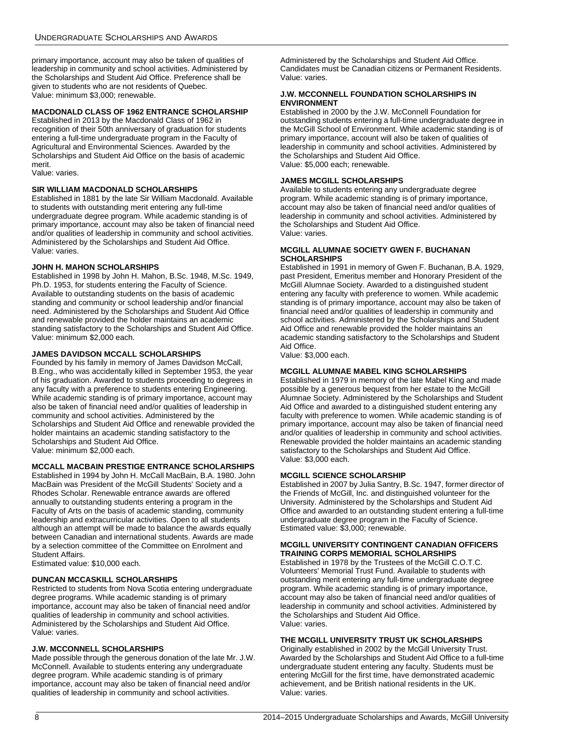primary importance, account may also be taken of qualities of leadership in community and school activities. Administered by the Scholarships and Student Aid Office. Preference shall be given to students who are not residents of Quebec. Value: minimum \$3,000; renewable.

### **MACDONALD CLASS OF 1962 ENTRANCE SCHOLARSHIP**

Established in 2013 by the Macdonald Class of 1962 in recognition of their 50th anniversary of graduation for students entering a full-time undergraduate program in the Faculty of Agricultural and Environmental Sciences. Awarded by the Scholarships and Student Aid Office on the basis of academic merit.

Value: varies.

### **SIR WILLIAM MACDONALD SCHOLARSHIPS**

Established in 1881 by the late Sir William Macdonald. Available to students with outstanding merit entering any full-time undergraduate degree program. While academic standing is of primary importance, account may also be taken of financial need and/or qualities of leadership in community and school activities. Administered by the Scholarships and Student Aid Office. Value: varies.

### **JOHN H. MAHON SCHOLARSHIPS**

Established in 1998 by John H. Mahon, B.Sc. 1948, M.Sc. 1949, Ph.D. 1953, for students entering the Faculty of Science. Available to outstanding students on the basis of academic standing and community or school leadership and/or financial need. Administered by the Scholarships and Student Aid Office and renewable provided the holder maintains an academic standing satisfactory to the Scholarships and Student Aid Office. Value: minimum \$2,000 each.

### **JAMES DAVIDSON MCCALL SCHOLARSHIPS**

Founded by his family in memory of James Davidson McCall, B.Eng., who was accidentally killed in September 1953, the year of his graduation. Awarded to students proceeding to degrees in any faculty with a preference to students entering Engineering. While academic standing is of primary importance, account may also be taken of financial need and/or qualities of leadership in community and school activities. Administered by the Scholarships and Student Aid Office and renewable provided the holder maintains an academic standing satisfactory to the Scholarships and Student Aid Office. Value: minimum \$2,000 each.

### **MCCALL MACBAIN PRESTIGE ENTRANCE SCHOLARSHIPS**

Established in 1994 by John H. McCall MacBain, B.A. 1980. John MacBain was President of the McGill Students' Society and a Rhodes Scholar. Renewable entrance awards are offered annually to outstanding students entering a program in the Faculty of Arts on the basis of academic standing, community leadership and extracurricular activities. Open to all students although an attempt will be made to balance the awards equally between Canadian and international students. Awards are made by a selection committee of the Committee on Enrolment and Student Affairs.

Estimated value: \$10,000 each.

### **DUNCAN MCCASKILL SCHOLARSHIPS**

Restricted to students from Nova Scotia entering undergraduate degree programs. While academic standing is of primary importance, account may also be taken of financial need and/or qualities of leadership in community and school activities. Administered by the Scholarships and Student Aid Office. Value: varies.

### **J.W. MCCONNELL SCHOLARSHIPS**

Made possible through the generous donation of the late Mr. J.W. McConnell. Available to students entering any undergraduate degree program. While academic standing is of primary importance, account may also be taken of financial need and/or qualities of leadership in community and school activities.

Administered by the Scholarships and Student Aid Office. Candidates must be Canadian citizens or Permanent Residents. Value: varies.

### **J.W. MCCONNELL FOUNDATION SCHOLARSHIPS IN ENVIRONMENT**

Established in 2000 by the J.W. McConnell Foundation for outstanding students entering a full-time undergraduate degree in the McGill School of Environment. While academic standing is of primary importance, account will also be taken of qualities of leadership in community and school activities. Administered by the Scholarships and Student Aid Office. Value: \$5,000 each; renewable.

### **JAMES MCGILL SCHOLARSHIPS**

Available to students entering any undergraduate degree program. While academic standing is of primary importance, account may also be taken of financial need and/or qualities of leadership in community and school activities. Administered by the Scholarships and Student Aid Office. Value: varies.

### **MCGILL ALUMNAE SOCIETY GWEN F. BUCHANAN SCHOLARSHIPS**

Established in 1991 in memory of Gwen F. Buchanan, B.A. 1929, past President, Emeritus member and Honorary President of the McGill Alumnae Society. Awarded to a distinguished student entering any faculty with preference to women. While academic standing is of primary importance, account may also be taken of financial need and/or qualities of leadership in community and school activities. Administered by the Scholarships and Student Aid Office and renewable provided the holder maintains an academic standing satisfactory to the Scholarships and Student Aid Office.

Value: \$3,000 each.

### **MCGILL ALUMNAE MABEL KING SCHOLARSHIPS**

Established in 1979 in memory of the late Mabel King and made possible by a generous bequest from her estate to the McGill Alumnae Society. Administered by the Scholarships and Student Aid Office and awarded to a distinguished student entering any faculty with preference to women. While academic standing is of primary importance, account may also be taken of financial need and/or qualities of leadership in community and school activities. Renewable provided the holder maintains an academic standing satisfactory to the Scholarships and Student Aid Office. Value: \$3,000 each.

### **MCGILL SCIENCE SCHOLARSHIP**

Established in 2007 by Julia Santry, B.Sc. 1947, former director of the Friends of McGill, Inc. and distinguished volunteer for the University. Administered by the Scholarships and Student Aid Office and awarded to an outstanding student entering a full-time undergraduate degree program in the Faculty of Science. Estimated value: \$3,000; renewable.

### **MCGILL UNIVERSITY CONTINGENT CANADIAN OFFICERS TRAINING CORPS MEMORIAL SCHOLARSHIPS**

Established in 1978 by the Trustees of the McGill C.O.T.C. Volunteers' Memorial Trust Fund. Available to students with outstanding merit entering any full-time undergraduate degree program. While academic standing is of primary importance, account may also be taken of financial need and/or qualities of leadership in community and school activities. Administered by the Scholarships and Student Aid Office. Value: varies.

### **THE MCGILL UNIVERSITY TRUST UK SCHOLARSHIPS**

Originally established in 2002 by the McGill University Trust. Awarded by the Scholarships and Student Aid Office to a full-time undergraduate student entering any faculty. Students must be entering McGill for the first time, have demonstrated academic achievement, and be British national residents in the UK. Value: varies.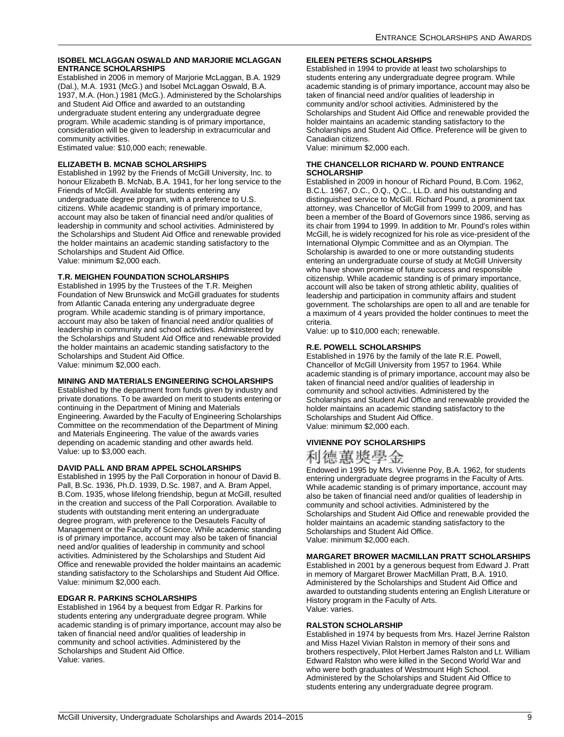### **ISOBEL MCLAGGAN OSWALD AND MARJORIE MCLAGGAN ENTRANCE SCHOLARSHIPS**

Established in 2006 in memory of Marjorie McLaggan, B.A. 1929 (Dal.), M.A. 1931 (McG.) and Isobel McLaggan Oswald, B.A. 1937, M.A. (Hon.) 1981 (McG.). Administered by the Scholarships and Student Aid Office and awarded to an outstanding undergraduate student entering any undergraduate degree program. While academic standing is of primary importance, consideration will be given to leadership in extracurricular and community activities.

Estimated value: \$10,000 each; renewable.

### **ELIZABETH B. MCNAB SCHOLARSHIPS**

Established in 1992 by the Friends of McGill University, Inc. to honour Elizabeth B. McNab, B.A. 1941, for her long service to the Friends of McGill. Available for students entering any undergraduate degree program, with a preference to U.S. citizens. While academic standing is of primary importance, account may also be taken of financial need and/or qualities of leadership in community and school activities. Administered by the Scholarships and Student Aid Office and renewable provided the holder maintains an academic standing satisfactory to the Scholarships and Student Aid Office. Value: minimum \$2,000 each.

### **T.R. MEIGHEN FOUNDATION SCHOLARSHIPS**

Established in 1995 by the Trustees of the T.R. Meighen Foundation of New Brunswick and McGill graduates for students from Atlantic Canada entering any undergraduate degree program. While academic standing is of primary importance, account may also be taken of financial need and/or qualities of leadership in community and school activities. Administered by the Scholarships and Student Aid Office and renewable provided the holder maintains an academic standing satisfactory to the Scholarships and Student Aid Office. Value: minimum \$2,000 each.

### **MINING AND MATERIALS ENGINEERING SCHOLARSHIPS**

Established by the department from funds given by industry and private donations. To be awarded on merit to students entering or continuing in the Department of Mining and Materials Engineering. Awarded by the Faculty of Engineering Scholarships Committee on the recommendation of the Department of Mining and Materials Engineering. The value of the awards varies depending on academic standing and other awards held. Value: up to \$3,000 each.

### **DAVID PALL AND BRAM APPEL SCHOLARSHIPS**

Established in 1995 by the Pall Corporation in honour of David B. Pall, B.Sc. 1936, Ph.D. 1939, D.Sc. 1987, and A. Bram Appel, B.Com. 1935, whose lifelong friendship, begun at McGill, resulted in the creation and success of the Pall Corporation. Available to students with outstanding merit entering an undergraduate degree program, with preference to the Desautels Faculty of Management or the Faculty of Science. While academic standing is of primary importance, account may also be taken of financial need and/or qualities of leadership in community and school activities. Administered by the Scholarships and Student Aid Office and renewable provided the holder maintains an academic standing satisfactory to the Scholarships and Student Aid Office. Value: minimum \$2,000 each.

### **EDGAR R. PARKINS SCHOLARSHIPS**

Established in 1964 by a bequest from Edgar R. Parkins for students entering any undergraduate degree program. While academic standing is of primary importance, account may also be taken of financial need and/or qualities of leadership in community and school activities. Administered by the Scholarships and Student Aid Office. Value: varies.

### **EILEEN PETERS SCHOLARSHIPS**

Established in 1994 to provide at least two scholarships to students entering any undergraduate degree program. While academic standing is of primary importance, account may also be taken of financial need and/or qualities of leadership in community and/or school activities. Administered by the Scholarships and Student Aid Office and renewable provided the holder maintains an academic standing satisfactory to the Scholarships and Student Aid Office. Preference will be given to Canadian citizens.

Value: minimum \$2,000 each.

### **THE CHANCELLOR RICHARD W. POUND ENTRANCE SCHOLARSHIP**

Established in 2009 in honour of Richard Pound, B.Com. 1962, B.C.L. 1967, O.C., O.Q., Q.C., LL.D. and his outstanding and distinguished service to McGill. Richard Pound, a prominent tax attorney, was Chancellor of McGill from 1999 to 2009, and has been a member of the Board of Governors since 1986, serving as its chair from 1994 to 1999. In addition to Mr. Pound's roles within McGill, he is widely recognized for his role as vice-president of the International Olympic Committee and as an Olympian. The Scholarship is awarded to one or more outstanding students entering an undergraduate course of study at McGill University who have shown promise of future success and responsible citizenship. While academic standing is of primary importance, account will also be taken of strong athletic ability, qualities of leadership and participation in community affairs and student government. The scholarships are open to all and are tenable for a maximum of 4 years provided the holder continues to meet the criteria.

Value: up to \$10,000 each; renewable.

### **R.E. POWELL SCHOLARSHIPS**

Established in 1976 by the family of the late R.E. Powell, Chancellor of McGill University from 1957 to 1964. While academic standing is of primary importance, account may also be taken of financial need and/or qualities of leadership in community and school activities. Administered by the Scholarships and Student Aid Office and renewable provided the holder maintains an academic standing satisfactory to the Scholarships and Student Aid Office. Value: minimum \$2,000 each.

### **VIVIENNE POY SCHOLARSHIPS**



Endowed in 1995 by Mrs. Vivienne Poy, B.A. 1962, for students entering undergraduate degree programs in the Faculty of Arts. While academic standing is of primary importance, account may also be taken of financial need and/or qualities of leadership in community and school activities. Administered by the Scholarships and Student Aid Office and renewable provided the holder maintains an academic standing satisfactory to the Scholarships and Student Aid Office. Value: minimum \$2,000 each.

### **MARGARET BROWER MACMILLAN PRATT SCHOLARSHIPS**

Established in 2001 by a generous bequest from Edward J. Pratt in memory of Margaret Brower MacMillan Pratt, B.A. 1910. Administered by the Scholarships and Student Aid Office and awarded to outstanding students entering an English Literature or History program in the Faculty of Arts. Value: varies.

### **RALSTON SCHOLARSHIP**

Established in 1974 by bequests from Mrs. Hazel Jerrine Ralston and Miss Hazel Vivian Ralston in memory of their sons and brothers respectively, Pilot Herbert James Ralston and Lt. William Edward Ralston who were killed in the Second World War and who were both graduates of Westmount High School. Administered by the Scholarships and Student Aid Office to students entering any undergraduate degree program.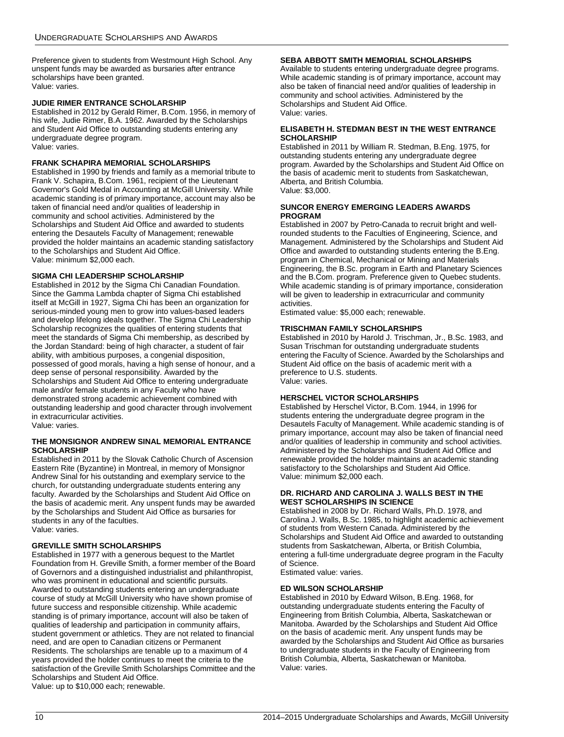Preference given to students from Westmount High School. Any unspent funds may be awarded as bursaries after entrance scholarships have been granted. Value: varies.

### **JUDIE RIMER ENTRANCE SCHOLARSHIP**

Established in 2012 by Gerald Rimer, B.Com. 1956, in memory of his wife, Judie Rimer, B.A. 1962. Awarded by the Scholarships and Student Aid Office to outstanding students entering any undergraduate degree program. Value: varies.

### **FRANK SCHAPIRA MEMORIAL SCHOLARSHIPS**

Established in 1990 by friends and family as a memorial tribute to Frank V. Schapira, B.Com. 1961, recipient of the Lieutenant Governor's Gold Medal in Accounting at McGill University. While academic standing is of primary importance, account may also be taken of financial need and/or qualities of leadership in community and school activities. Administered by the Scholarships and Student Aid Office and awarded to students entering the Desautels Faculty of Management; renewable provided the holder maintains an academic standing satisfactory to the Scholarships and Student Aid Office. Value: minimum \$2,000 each.

### **SIGMA CHI LEADERSHIP SCHOLARSHIP**

Established in 2012 by the Sigma Chi Canadian Foundation. Since the Gamma Lambda chapter of Sigma Chi established itself at McGill in 1927, Sigma Chi has been an organization for serious-minded young men to grow into values-based leaders and develop lifelong ideals together. The Sigma Chi Leadership Scholarship recognizes the qualities of entering students that meet the standards of Sigma Chi membership, as described by the Jordan Standard: being of high character, a student of fair ability, with ambitious purposes, a congenial disposition, possessed of good morals, having a high sense of honour, and a deep sense of personal responsibility. Awarded by the Scholarships and Student Aid Office to entering undergraduate male and/or female students in any Faculty who have demonstrated strong academic achievement combined with outstanding leadership and good character through involvement in extracurricular activities. Value: varies.

### **THE MONSIGNOR ANDREW SINAL MEMORIAL ENTRANCE SCHOLARSHIP**

Established in 2011 by the Slovak Catholic Church of Ascension Eastern Rite (Byzantine) in Montreal, in memory of Monsignor Andrew Sinal for his outstanding and exemplary service to the church, for outstanding undergraduate students entering any faculty. Awarded by the Scholarships and Student Aid Office on the basis of academic merit. Any unspent funds may be awarded by the Scholarships and Student Aid Office as bursaries for students in any of the faculties. Value: varies.

### **GREVILLE SMITH SCHOLARSHIPS**

Established in 1977 with a generous bequest to the Martlet Foundation from H. Greville Smith, a former member of the Board of Governors and a distinguished industrialist and philanthropist, who was prominent in educational and scientific pursuits. Awarded to outstanding students entering an undergraduate course of study at McGill University who have shown promise of future success and responsible citizenship. While academic standing is of primary importance, account will also be taken of qualities of leadership and participation in community affairs, student government or athletics. They are not related to financial need, and are open to Canadian citizens or Permanent Residents. The scholarships are tenable up to a maximum of 4 years provided the holder continues to meet the criteria to the satisfaction of the Greville Smith Scholarships Committee and the Scholarships and Student Aid Office. Value: up to \$10,000 each; renewable.

### **SEBA ABBOTT SMITH MEMORIAL SCHOLARSHIPS**

Available to students entering undergraduate degree programs. While academic standing is of primary importance, account may also be taken of financial need and/or qualities of leadership in community and school activities. Administered by the Scholarships and Student Aid Office. Value: varies.

### **ELISABETH H. STEDMAN BEST IN THE WEST ENTRANCE SCHOLARSHIP**

Established in 2011 by William R. Stedman, B.Eng. 1975, for outstanding students entering any undergraduate degree program. Awarded by the Scholarships and Student Aid Office on the basis of academic merit to students from Saskatchewan, Alberta, and British Columbia. Value: \$3,000.

### **SUNCOR ENERGY EMERGING LEADERS AWARDS PROGRAM**

Established in 2007 by Petro-Canada to recruit bright and wellrounded students to the Faculties of Engineering, Science, and Management. Administered by the Scholarships and Student Aid Office and awarded to outstanding students entering the B.Eng. program in Chemical, Mechanical or Mining and Materials Engineering, the B.Sc. program in Earth and Planetary Sciences and the B.Com. program. Preference given to Quebec students. While academic standing is of primary importance, consideration will be given to leadership in extracurricular and community activities.

Estimated value: \$5,000 each; renewable.

### **TRISCHMAN FAMILY SCHOLARSHIPS**

Established in 2010 by Harold J. Trischman, Jr., B.Sc. 1983, and Susan Trischman for outstanding undergraduate students entering the Faculty of Science. Awarded by the Scholarships and Student Aid office on the basis of academic merit with a preference to U.S. students. Value: varies.

### **HERSCHEL VICTOR SCHOLARSHIPS**

Established by Herschel Victor, B.Com. 1944, in 1996 for students entering the undergraduate degree program in the Desautels Faculty of Management. While academic standing is of primary importance, account may also be taken of financial need and/or qualities of leadership in community and school activities. Administered by the Scholarships and Student Aid Office and renewable provided the holder maintains an academic standing satisfactory to the Scholarships and Student Aid Office. Value: minimum \$2,000 each.

### **DR. RICHARD AND CAROLINA J. WALLS BEST IN THE WEST SCHOLARSHIPS IN SCIENCE**

Established in 2008 by Dr. Richard Walls, Ph.D. 1978, and Carolina J. Walls, B.Sc. 1985, to highlight academic achievement of students from Western Canada. Administered by the Scholarships and Student Aid Office and awarded to outstanding students from Saskatchewan, Alberta, or British Columbia, entering a full-time undergraduate degree program in the Faculty of Science.

Estimated value: varies.

### **ED WILSON SCHOLARSHIP**

Established in 2010 by Edward Wilson, B.Eng. 1968, for outstanding undergraduate students entering the Faculty of Engineering from British Columbia, Alberta, Saskatchewan or Manitoba. Awarded by the Scholarships and Student Aid Office on the basis of academic merit. Any unspent funds may be awarded by the Scholarships and Student Aid Office as bursaries to undergraduate students in the Faculty of Engineering from British Columbia, Alberta, Saskatchewan or Manitoba. Value: varies.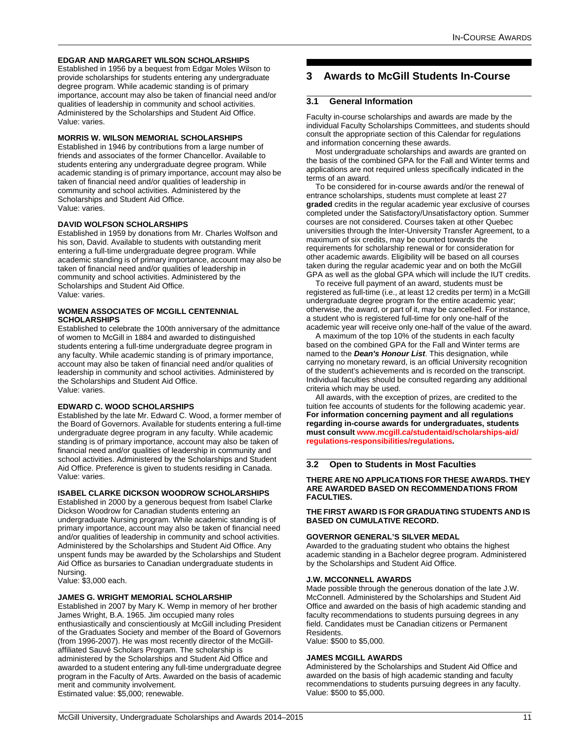### **EDGAR AND MARGARET WILSON SCHOLARSHIPS**

Established in 1956 by a bequest from Edgar Moles Wilson to provide scholarships for students entering any undergraduate degree program. While academic standing is of primary importance, account may also be taken of financial need and/or qualities of leadership in community and school activities. Administered by the Scholarships and Student Aid Office. Value: varies.

### **MORRIS W. WILSON MEMORIAL SCHOLARSHIPS**

Established in 1946 by contributions from a large number of friends and associates of the former Chancellor. Available to students entering any undergraduate degree program. While academic standing is of primary importance, account may also be taken of financial need and/or qualities of leadership in community and school activities. Administered by the Scholarships and Student Aid Office. Value: varies.

### **DAVID WOLFSON SCHOLARSHIPS**

Established in 1959 by donations from Mr. Charles Wolfson and his son, David. Available to students with outstanding merit entering a full-time undergraduate degree program. While academic standing is of primary importance, account may also be taken of financial need and/or qualities of leadership in community and school activities. Administered by the Scholarships and Student Aid Office. Value: varies.

### **WOMEN ASSOCIATES OF MCGILL CENTENNIAL SCHOLARSHIPS**

Established to celebrate the 100th anniversary of the admittance of women to McGill in 1884 and awarded to distinguished students entering a full-time undergraduate degree program in any faculty. While academic standing is of primary importance, account may also be taken of financial need and/or qualities of leadership in community and school activities. Administered by the Scholarships and Student Aid Office. Value: varies.

### **EDWARD C. WOOD SCHOLARSHIPS**

Established by the late Mr. Edward C. Wood, a former member of the Board of Governors. Available for students entering a full-time undergraduate degree program in any faculty. While academic standing is of primary importance, account may also be taken of financial need and/or qualities of leadership in community and school activities. Administered by the Scholarships and Student Aid Office. Preference is given to students residing in Canada. Value: varies.

### **ISABEL CLARKE DICKSON WOODROW SCHOLARSHIPS**

Established in 2000 by a generous bequest from Isabel Clarke Dickson Woodrow for Canadian students entering an undergraduate Nursing program. While academic standing is of primary importance, account may also be taken of financial need and/or qualities of leadership in community and school activities. Administered by the Scholarships and Student Aid Office. Any unspent funds may be awarded by the Scholarships and Student Aid Office as bursaries to Canadian undergraduate students in Nursing.

Value: \$3,000 each.

### **JAMES G. WRIGHT MEMORIAL SCHOLARSHIP**

Established in 2007 by Mary K. Wemp in memory of her brother James Wright, B.A. 1965. Jim occupied many roles enthusiastically and conscientiously at McGill including President of the Graduates Society and member of the Board of Governors (from 1996-2007). He was most recently director of the McGillaffiliated Sauvé Scholars Program. The scholarship is administered by the Scholarships and Student Aid Office and awarded to a student entering any full-time undergraduate degree program in the Faculty of Arts. Awarded on the basis of academic merit and community involvement. Estimated value: \$5,000; renewable.

# <span id="page-11-0"></span>**3 Awards to McGill Students In-Course**

### <span id="page-11-1"></span>**3.1 General Information**

Faculty in-course scholarships and awards are made by the individual Faculty Scholarships Committees, and students should consult the appropriate section of this Calendar for regulations and information concerning these awards.

Most undergraduate scholarships and awards are granted on the basis of the combined GPA for the Fall and Winter terms and applications are not required unless specifically indicated in the terms of an award.

To be considered for in-course awards and/or the renewal of entrance scholarships, students must complete at least 27 **graded** credits in the regular academic year exclusive of courses completed under the Satisfactory/Unsatisfactory option. Summer courses are not considered. Courses taken at other Quebec universities through the Inter-University Transfer Agreement, to a maximum of six credits, may be counted towards the requirements for scholarship renewal or for consideration for other academic awards. Eligibility will be based on all courses taken during the regular academic year and on both the McGill GPA as well as the global GPA which will include the IUT credits.

To receive full payment of an award, students must be registered as full-time (i.e., at least 12 credits per term) in a McGill undergraduate degree program for the entire academic year; otherwise, the award, or part of it, may be cancelled. For instance, a student who is registered full-time for only one-half of the academic year will receive only one-half of the value of the award.

A maximum of the top 10% of the students in each faculty based on the combined GPA for the Fall and Winter terms are named to the *Dean's Honour List*. This designation, while carrying no monetary reward, is an official University recognition of the student's achievements and is recorded on the transcript. Individual faculties should be consulted regarding any additional criteria which may be used.

All awards, with the exception of prizes, are credited to the tuition fee accounts of students for the following academic year. **For information concerning payment and all regulations regarding in-course awards for undergraduates, students must consult [www.mcgill.ca/studentaid/scholarships-aid/](http://www.mcgill.ca/studentaid/scholarships-aid/regulations-responsibilities/regulations/) [regulations-responsibilities/regulations.](http://www.mcgill.ca/studentaid/scholarships-aid/regulations-responsibilities/regulations/)**

### <span id="page-11-2"></span>**3.2 Open to Students in Most Faculties**

### **THERE ARE NO APPLICATIONS FOR THESE AWARDS. THEY ARE AWARDED BASED ON RECOMMENDATIONS FROM FACULTIES.**

### **THE FIRST AWARD IS FOR GRADUATING STUDENTS AND IS BASED ON CUMULATIVE RECORD.**

### **GOVERNOR GENERAL'S SILVER MEDAL**

Awarded to the graduating student who obtains the highest academic standing in a Bachelor degree program. Administered by the Scholarships and Student Aid Office.

### **J.W. MCCONNELL AWARDS**

Made possible through the generous donation of the late J.W. McConnell. Administered by the Scholarships and Student Aid Office and awarded on the basis of high academic standing and faculty recommendations to students pursuing degrees in any field. Candidates must be Canadian citizens or Permanent Residents.

Value: \$500 to \$5,000.

### **JAMES MCGILL AWARDS**

Administered by the Scholarships and Student Aid Office and awarded on the basis of high academic standing and faculty recommendations to students pursuing degrees in any faculty. Value: \$500 to \$5,000.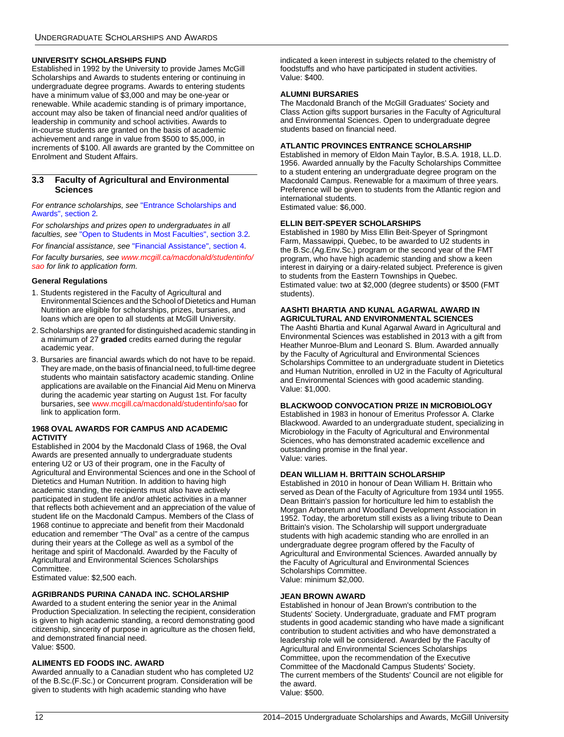### **UNIVERSITY SCHOLARSHIPS FUND**

Established in 1992 by the University to provide James McGill Scholarships and Awards to students entering or continuing in undergraduate degree programs. Awards to entering students have a minimum value of \$3,000 and may be one-year or renewable. While academic standing is of primary importance, account may also be taken of financial need and/or qualities of leadership in community and school activities. Awards to in-course students are granted on the basis of academic achievement and range in value from \$500 to \$5,000, in increments of \$100. All awards are granted by the Committee on Enrolment and Student Affairs.

### <span id="page-12-0"></span>**3.3 Faculty of Agricultural and Environmental Sciences**

*For entrance scholarships, see* ["Entrance Scholarships and](#page-4-0)  [Awards", section 2](#page-4-0)*.*

*For scholarships and prizes open to undergraduates in all faculties, see* ["Open to Students in Most Faculties", section 3.2](#page-11-2)*.*

*For financial assistance, see* ["Financial Assistance", section 4](#page-58-1)*.*

*For faculty bursaries, see [www.mcgill.ca/macdonald/studentinfo/](http://www.mcgill.ca/macdonald/studentinfo/sao/) [sao](http://www.mcgill.ca/macdonald/studentinfo/sao/) for link to application form.*

### **General Regulations**

- 1. Students registered in the Faculty of Agricultural and Environmental Sciences and the School of Dietetics and Human Nutrition are eligible for scholarships, prizes, bursaries, and loans which are open to all students at McGill University.
- 2. Scholarships are granted for distinguished academic standing in a minimum of 27 **graded** credits earned during the regular academic year.
- 3. Bursaries are financial awards which do not have to be repaid. They are made, on the basis of financial need, to full-time degree students who maintain satisfactory academic standing. Online applications are available on the Financial Aid Menu on Minerva during the academic year starting on August 1st. For faculty bursaries, see [www.mcgill.ca/macdonald/studentinfo/sao](http://www.mcgill.ca/macdonald/studentinfo/sao/) for link to application form.

### **1968 OVAL AWARDS FOR CAMPUS AND ACADEMIC ACTIVITY**

Established in 2004 by the Macdonald Class of 1968, the Oval Awards are presented annually to undergraduate students entering U2 or U3 of their program, one in the Faculty of Agricultural and Environmental Sciences and one in the School of Dietetics and Human Nutrition. In addition to having high academic standing, the recipients must also have actively participated in student life and/or athletic activities in a manner that reflects both achievement and an appreciation of the value of student life on the Macdonald Campus. Members of the Class of 1968 continue to appreciate and benefit from their Macdonald education and remember "The Oval" as a centre of the campus during their years at the College as well as a symbol of the heritage and spirit of Macdonald. Awarded by the Faculty of Agricultural and Environmental Sciences Scholarships Committee.

Estimated value: \$2,500 each.

### **AGRIBRANDS PURINA CANADA INC. SCHOLARSHIP**

Awarded to a student entering the senior year in the Animal Production Specialization. In selecting the recipient, consideration is given to high academic standing, a record demonstrating good citizenship, sincerity of purpose in agriculture as the chosen field, and demonstrated financial need. Value: \$500.

### **ALIMENTS ED FOODS INC. AWARD**

Awarded annually to a Canadian student who has completed U2 of the B.Sc.(F.Sc.) or Concurrent program. Consideration will be given to students with high academic standing who have

indicated a keen interest in subjects related to the chemistry of foodstuffs and who have participated in student activities. Value: \$400.

### **ALUMNI BURSARIES**

The Macdonald Branch of the McGill Graduates' Society and Class Action gifts support bursaries in the Faculty of Agricultural and Environmental Sciences. Open to undergraduate degree students based on financial need.

### **ATLANTIC PROVINCES ENTRANCE SCHOLARSHIP**

Established in memory of Eldon Main Taylor, B.S.A. 1918, LL.D. 1956. Awarded annually by the Faculty Scholarships Committee to a student entering an undergraduate degree program on the Macdonald Campus. Renewable for a maximum of three years. Preference will be given to students from the Atlantic region and international students. Estimated value: \$6,000.

### **ELLIN BEIT-SPEYER SCHOLARSHIPS**

Established in 1980 by Miss Ellin Beit-Speyer of Springmont Farm, Massawippi, Quebec, to be awarded to U2 students in the B.Sc.(Ag.Env.Sc.) program or the second year of the FMT program, who have high academic standing and show a keen interest in dairying or a dairy-related subject. Preference is given to students from the Eastern Townships in Quebec. Estimated value: two at \$2,000 (degree students) or \$500 (FMT students).

### **AASHTI BHARTIA AND KUNAL AGARWAL AWARD IN AGRICULTURAL AND ENVIRONMENTAL SCIENCES**

The Aashti Bhartia and Kunal Agarwal Award in Agricultural and Environmental Sciences was established in 2013 with a gift from Heather Munroe-Blum and Leonard S. Blum. Awarded annually by the Faculty of Agricultural and Environmental Sciences Scholarships Committee to an undergraduate student in Dietetics and Human Nutrition, enrolled in U2 in the Faculty of Agricultural and Environmental Sciences with good academic standing. Value: \$1,000.

### **BLACKWOOD CONVOCATION PRIZE IN MICROBIOLOGY**

Established in 1983 in honour of Emeritus Professor A. Clarke Blackwood. Awarded to an undergraduate student, specializing in Microbiology in the Faculty of Agricultural and Environmental Sciences, who has demonstrated academic excellence and outstanding promise in the final year. Value: varies.

### **DEAN WILLIAM H. BRITTAIN SCHOLARSHIP**

Established in 2010 in honour of Dean William H. Brittain who served as Dean of the Faculty of Agriculture from 1934 until 1955. Dean Brittain's passion for horticulture led him to establish the Morgan Arboretum and Woodland Development Association in 1952. Today, the arboretum still exists as a living tribute to Dean Brittain's vision. The Scholarship will support undergraduate students with high academic standing who are enrolled in an undergraduate degree program offered by the Faculty of Agricultural and Environmental Sciences. Awarded annually by the Faculty of Agricultural and Environmental Sciences Scholarships Committee. Value: minimum \$2,000.

### **JEAN BROWN AWARD**

Established in honour of Jean Brown's contribution to the Students' Society. Undergraduate, graduate and FMT program students in good academic standing who have made a significant contribution to student activities and who have demonstrated a leadership role will be considered. Awarded by the Faculty of Agricultural and Environmental Sciences Scholarships Committee, upon the recommendation of the Executive Committee of the Macdonald Campus Students' Society. The current members of the Students' Council are not eligible for the award. Value: \$500.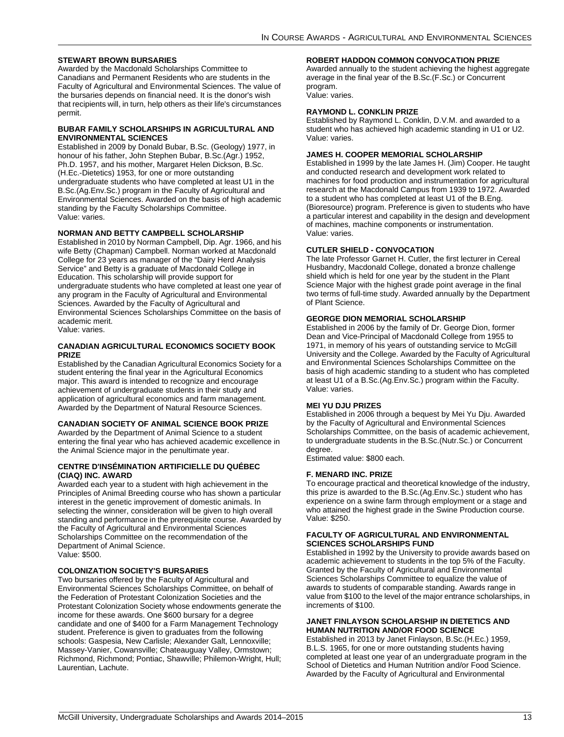### **STEWART BROWN BURSARIES**

Awarded by the Macdonald Scholarships Committee to Canadians and Permanent Residents who are students in the Faculty of Agricultural and Environmental Sciences. The value of the bursaries depends on financial need. It is the donor's wish that recipients will, in turn, help others as their life's circumstances permit.

### **BUBAR FAMILY SCHOLARSHIPS IN AGRICULTURAL AND ENVIRONMENTAL SCIENCES**

Established in 2009 by Donald Bubar, B.Sc. (Geology) 1977, in honour of his father, John Stephen Bubar, B.Sc.(Agr.) 1952, Ph.D. 1957, and his mother, Margaret Helen Dickson, B.Sc. (H.Ec.-Dietetics) 1953, for one or more outstanding undergraduate students who have completed at least U1 in the B.Sc.(Ag.Env.Sc.) program in the Faculty of Agricultural and Environmental Sciences. Awarded on the basis of high academic standing by the Faculty Scholarships Committee. Value: varies.

### **NORMAN AND BETTY CAMPBELL SCHOLARSHIP**

Established in 2010 by Norman Campbell, Dip. Agr. 1966, and his wife Betty (Chapman) Campbell. Norman worked at Macdonald College for 23 years as manager of the "Dairy Herd Analysis Service" and Betty is a graduate of Macdonald College in Education. This scholarship will provide support for undergraduate students who have completed at least one year of any program in the Faculty of Agricultural and Environmental Sciences. Awarded by the Faculty of Agricultural and Environmental Sciences Scholarships Committee on the basis of academic merit. Value: varies.

### **CANADIAN AGRICULTURAL ECONOMICS SOCIETY BOOK PRIZE**

Established by the Canadian Agricultural Economics Society for a student entering the final year in the Agricultural Economics major. This award is intended to recognize and encourage achievement of undergraduate students in their study and application of agricultural economics and farm management. Awarded by the Department of Natural Resource Sciences.

### **CANADIAN SOCIETY OF ANIMAL SCIENCE BOOK PRIZE**

Awarded by the Department of Animal Science to a student entering the final year who has achieved academic excellence in the Animal Science major in the penultimate year.

### **CENTRE D'INSÉMINATION ARTIFICIELLE DU QUÉBEC (CIAQ) INC. AWARD**

Awarded each year to a student with high achievement in the Principles of Animal Breeding course who has shown a particular interest in the genetic improvement of domestic animals. In selecting the winner, consideration will be given to high overall standing and performance in the prerequisite course. Awarded by the Faculty of Agricultural and Environmental Sciences Scholarships Committee on the recommendation of the Department of Animal Science. Value: \$500.

### **COLONIZATION SOCIETY'S BURSARIES**

Two bursaries offered by the Faculty of Agricultural and Environmental Sciences Scholarships Committee, on behalf of the Federation of Protestant Colonization Societies and the Protestant Colonization Society whose endowments generate the income for these awards. One \$600 bursary for a degree candidate and one of \$400 for a Farm Management Technology student. Preference is given to graduates from the following schools: Gaspesia, New Carlisle; Alexander Galt, Lennoxville; Massey-Vanier, Cowansville; Chateauguay Valley, Ormstown; Richmond, Richmond; Pontiac, Shawville; Philemon-Wright, Hull; Laurentian, Lachute.

### **ROBERT HADDON COMMON CONVOCATION PRIZE**

Awarded annually to the student achieving the highest aggregate average in the final year of the B.Sc.(F.Sc.) or Concurrent program.

Value: varies.

### **RAYMOND L. CONKLIN PRIZE**

Established by Raymond L. Conklin, D.V.M. and awarded to a student who has achieved high academic standing in U1 or U2. Value: varies.

### **JAMES H. COOPER MEMORIAL SCHOLARSHIP**

Established in 1999 by the late James H. (Jim) Cooper. He taught and conducted research and development work related to machines for food production and instrumentation for agricultural research at the Macdonald Campus from 1939 to 1972. Awarded to a student who has completed at least U1 of the B.Eng. (Bioresource) program. Preference is given to students who have a particular interest and capability in the design and development of machines, machine components or instrumentation. Value: varies.

### **CUTLER SHIELD - CONVOCATION**

The late Professor Garnet H. Cutler, the first lecturer in Cereal Husbandry, Macdonald College, donated a bronze challenge shield which is held for one year by the student in the Plant Science Major with the highest grade point average in the final two terms of full-time study. Awarded annually by the Department of Plant Science.

### **GEORGE DION MEMORIAL SCHOLARSHIP**

Established in 2006 by the family of Dr. George Dion, former Dean and Vice-Principal of Macdonald College from 1955 to 1971, in memory of his years of outstanding service to McGill University and the College. Awarded by the Faculty of Agricultural and Environmental Sciences Scholarships Committee on the basis of high academic standing to a student who has completed at least U1 of a B.Sc.(Ag.Env.Sc.) program within the Faculty. Value: varies.

### **MEI YU DJU PRIZES**

Established in 2006 through a bequest by Mei Yu Dju. Awarded by the Faculty of Agricultural and Environmental Sciences Scholarships Committee, on the basis of academic achievement, to undergraduate students in the B.Sc.(Nutr.Sc.) or Concurrent degree.

Estimated value: \$800 each.

### **F. MENARD INC. PRIZE**

To encourage practical and theoretical knowledge of the industry, this prize is awarded to the B.Sc.(Ag.Env.Sc.) student who has experience on a swine farm through employment or a stage and who attained the highest grade in the Swine Production course. Value: \$250.

### **FACULTY OF AGRICULTURAL AND ENVIRONMENTAL SCIENCES SCHOLARSHIPS FUND**

Established in 1992 by the University to provide awards based on academic achievement to students in the top 5% of the Faculty. Granted by the Faculty of Agricultural and Environmental Sciences Scholarships Committee to equalize the value of awards to students of comparable standing. Awards range in value from \$100 to the level of the major entrance scholarships, in increments of \$100.

### **JANET FINLAYSON SCHOLARSHIP IN DIETETICS AND HUMAN NUTRITION AND/OR FOOD SCIENCE**

Established in 2013 by Janet Finlayson, B.Sc.(H.Ec.) 1959, B.L.S. 1965, for one or more outstanding students having completed at least one year of an undergraduate program in the School of Dietetics and Human Nutrition and/or Food Science. Awarded by the Faculty of Agricultural and Environmental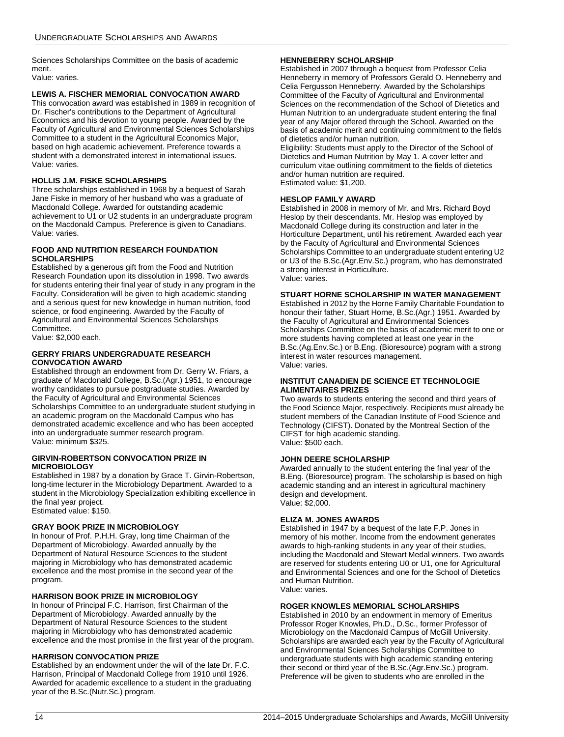Sciences Scholarships Committee on the basis of academic merit.

Value: varies.

### **LEWIS A. FISCHER MEMORIAL CONVOCATION AWARD**

This convocation award was established in 1989 in recognition of Dr. Fischer's contributions to the Department of Agricultural Economics and his devotion to young people. Awarded by the Faculty of Agricultural and Environmental Sciences Scholarships Committee to a student in the Agricultural Economics Major, based on high academic achievement. Preference towards a student with a demonstrated interest in international issues. Value: varies.

### **HOLLIS J.M. FISKE SCHOLARSHIPS**

Three scholarships established in 1968 by a bequest of Sarah Jane Fiske in memory of her husband who was a graduate of Macdonald College. Awarded for outstanding academic achievement to U1 or U2 students in an undergraduate program on the Macdonald Campus. Preference is given to Canadians. Value: varies.

### **FOOD AND NUTRITION RESEARCH FOUNDATION SCHOLARSHIPS**

Established by a generous gift from the Food and Nutrition Research Foundation upon its dissolution in 1998. Two awards for students entering their final year of study in any program in the Faculty. Consideration will be given to high academic standing and a serious quest for new knowledge in human nutrition, food science, or food engineering. Awarded by the Faculty of Agricultural and Environmental Sciences Scholarships Committee.

Value: \$2,000 each.

### **GERRY FRIARS UNDERGRADUATE RESEARCH CONVOCATION AWARD**

Established through an endowment from Dr. Gerry W. Friars, a graduate of Macdonald College, B.Sc.(Agr.) 1951, to encourage worthy candidates to pursue postgraduate studies. Awarded by the Faculty of Agricultural and Environmental Sciences Scholarships Committee to an undergraduate student studying in an academic program on the Macdonald Campus who has demonstrated academic excellence and who has been accepted into an undergraduate summer research program. Value: minimum \$325.

### **GIRVIN-ROBERTSON CONVOCATION PRIZE IN MICROBIOLOGY**

Established in 1987 by a donation by Grace T. Girvin-Robertson, long-time lecturer in the Microbiology Department. Awarded to a student in the Microbiology Specialization exhibiting excellence in the final year project. Estimated value: \$150.

**GRAY BOOK PRIZE IN MICROBIOLOGY** In honour of Prof. P.H.H. Gray, long time Chairman of the Department of Microbiology. Awarded annually by the Department of Natural Resource Sciences to the student majoring in Microbiology who has demonstrated academic excellence and the most promise in the second year of the program.

### **HARRISON BOOK PRIZE IN MICROBIOLOGY**

In honour of Principal F.C. Harrison, first Chairman of the Department of Microbiology. Awarded annually by the Department of Natural Resource Sciences to the student majoring in Microbiology who has demonstrated academic excellence and the most promise in the first year of the program.

### **HARRISON CONVOCATION PRIZE**

Established by an endowment under the will of the late Dr. F.C. Harrison, Principal of Macdonald College from 1910 until 1926. Awarded for academic excellence to a student in the graduating year of the B.Sc.(Nutr.Sc.) program.

### **HENNEBERRY SCHOLARSHIP**

Established in 2007 through a bequest from Professor Celia Henneberry in memory of Professors Gerald O. Henneberry and Celia Fergusson Henneberry. Awarded by the Scholarships Committee of the Faculty of Agricultural and Environmental Sciences on the recommendation of the School of Dietetics and Human Nutrition to an undergraduate student entering the final year of any Major offered through the School. Awarded on the basis of academic merit and continuing commitment to the fields of dietetics and/or human nutrition.

Eligibility: Students must apply to the Director of the School of Dietetics and Human Nutrition by May 1. A cover letter and curriculum vitae outlining commitment to the fields of dietetics and/or human nutrition are required. Estimated value: \$1,200.

### **HESLOP FAMILY AWARD**

Established in 2008 in memory of Mr. and Mrs. Richard Boyd Heslop by their descendants. Mr. Heslop was employed by Macdonald College during its construction and later in the Horticulture Department, until his retirement. Awarded each year by the Faculty of Agricultural and Environmental Sciences Scholarships Committee to an undergraduate student entering U2 or U3 of the B.Sc.(Agr.Env.Sc.) program, who has demonstrated a strong interest in Horticulture. Value: varies.

### **STUART HORNE SCHOLARSHIP IN WATER MANAGEMENT**

Established in 2012 by the Horne Family Charitable Foundation to honour their father, Stuart Horne, B.Sc.(Agr.) 1951. Awarded by the Faculty of Agricultural and Environmental Sciences Scholarships Committee on the basis of academic merit to one or more students having completed at least one year in the B.Sc.(Ag.Env.Sc.) or B.Eng. (Bioresource) pogram with a strong interest in water resources management. Value: varies.

### **INSTITUT CANADIEN DE SCIENCE ET TECHNOLOGIE ALIMENTAIRES PRIZES**

Two awards to students entering the second and third years of the Food Science Major, respectively. Recipients must already be student members of the Canadian Institute of Food Science and Technology (CIFST). Donated by the Montreal Section of the CIFST for high academic standing. Value: \$500 each.

### **JOHN DEERE SCHOLARSHIP**

Awarded annually to the student entering the final year of the B.Eng. (Bioresource) program. The scholarship is based on high academic standing and an interest in agricultural machinery design and development. Value: \$2,000.

### **ELIZA M. JONES AWARDS**

Established in 1947 by a bequest of the late F.P. Jones in memory of his mother. Income from the endowment generates awards to high-ranking students in any year of their studies, including the Macdonald and Stewart Medal winners. Two awards are reserved for students entering U0 or U1, one for Agricultural and Environmental Sciences and one for the School of Dietetics and Human Nutrition. Value: varies.

### **ROGER KNOWLES MEMORIAL SCHOLARSHIPS**

Established in 2010 by an endowment in memory of Emeritus Professor Roger Knowles, Ph.D., D.Sc., former Professor of Microbiology on the Macdonald Campus of McGill University. Scholarships are awarded each year by the Faculty of Agricultural and Environmental Sciences Scholarships Committee to undergraduate students with high academic standing entering their second or third year of the B.Sc.(Agr.Env.Sc.) program. Preference will be given to students who are enrolled in the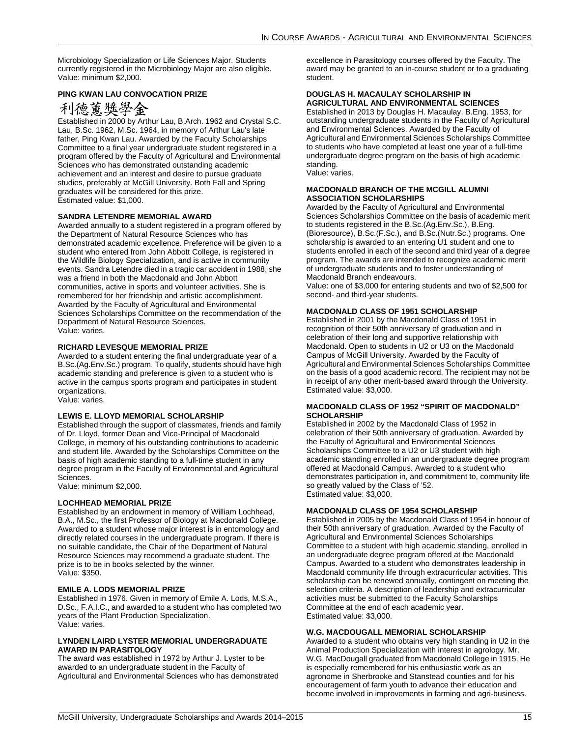Microbiology Specialization or Life Sciences Major. Students currently registered in the Microbiology Major are also eligible. Value: minimum \$2,000.

### **PING KWAN LAU CONVOCATION PRIZE**

# 利德薰獎學金

Established in 2000 by Arthur Lau, B.Arch. 1962 and Crystal S.C. Lau, B.Sc. 1962, M.Sc. 1964, in memory of Arthur Lau's late father, Ping Kwan Lau. Awarded by the Faculty Scholarships Committee to a final year undergraduate student registered in a program offered by the Faculty of Agricultural and Environmental Sciences who has demonstrated outstanding academic achievement and an interest and desire to pursue graduate studies, preferably at McGill University. Both Fall and Spring graduates will be considered for this prize. Estimated value: \$1,000.

### **SANDRA LETENDRE MEMORIAL AWARD**

Awarded annually to a student registered in a program offered by the Department of Natural Resource Sciences who has demonstrated academic excellence. Preference will be given to a student who entered from John Abbott College, is registered in the Wildlife Biology Specialization, and is active in community events. Sandra Letendre died in a tragic car accident in 1988; she was a friend in both the Macdonald and John Abbott communities, active in sports and volunteer activities. She is remembered for her friendship and artistic accomplishment. Awarded by the Faculty of Agricultural and Environmental Sciences Scholarships Committee on the recommendation of the Department of Natural Resource Sciences. Value: varies.

### **RICHARD LEVESQUE MEMORIAL PRIZE**

Awarded to a student entering the final undergraduate year of a B.Sc.(Ag.Env.Sc.) program. To qualify, students should have high academic standing and preference is given to a student who is active in the campus sports program and participates in student organizations.

Value: varies.

### **LEWIS E. LLOYD MEMORIAL SCHOLARSHIP**

Established through the support of classmates, friends and family of Dr. Lloyd, former Dean and Vice-Principal of Macdonald College, in memory of his outstanding contributions to academic and student life. Awarded by the Scholarships Committee on the basis of high academic standing to a full-time student in any degree program in the Faculty of Environmental and Agricultural Sciences.

Value: minimum \$2,000.

### **LOCHHEAD MEMORIAL PRIZE**

Established by an endowment in memory of William Lochhead, B.A., M.Sc., the first Professor of Biology at Macdonald College. Awarded to a student whose major interest is in entomology and directly related courses in the undergraduate program. If there is no suitable candidate, the Chair of the Department of Natural Resource Sciences may recommend a graduate student. The prize is to be in books selected by the winner. Value: \$350.

### **EMILE A. LODS MEMORIAL PRIZE**

Established in 1976. Given in memory of Emile A. Lods, M.S.A., D.Sc., F.A.I.C., and awarded to a student who has completed two years of the Plant Production Specialization. Value: varies.

### **LYNDEN LAIRD LYSTER MEMORIAL UNDERGRADUATE AWARD IN PARASITOLOGY**

The award was established in 1972 by Arthur J. Lyster to be awarded to an undergraduate student in the Faculty of Agricultural and Environmental Sciences who has demonstrated excellence in Parasitology courses offered by the Faculty. The award may be granted to an in-course student or to a graduating student.

### **DOUGLAS H. MACAULAY SCHOLARSHIP IN AGRICULTURAL AND ENVIRONMENTAL SCIENCES**

Established in 2013 by Douglas H. Macaulay, B.Eng. 1953, for outstanding undergraduate students in the Faculty of Agricultural and Environmental Sciences. Awarded by the Faculty of Agricultural and Environmental Sciences Scholarships Committee to students who have completed at least one year of a full-time undergraduate degree program on the basis of high academic standing.

Value: varies.

### **MACDONALD BRANCH OF THE MCGILL ALUMNI ASSOCIATION SCHOLARSHIPS**

Awarded by the Faculty of Agricultural and Environmental Sciences Scholarships Committee on the basis of academic merit to students registered in the B.Sc.(Ag.Env.Sc.), B.Eng. (Bioresource), B.Sc.(F.Sc.), and B.Sc.(Nutr.Sc.) programs. One scholarship is awarded to an entering U1 student and one to students enrolled in each of the second and third year of a degree program. The awards are intended to recognize academic merit of undergraduate students and to foster understanding of Macdonald Branch endeavours.

Value: one of \$3,000 for entering students and two of \$2,500 for second- and third-year students.

### **MACDONALD CLASS OF 1951 SCHOLARSHIP**

Established in 2001 by the Macdonald Class of 1951 in recognition of their 50th anniversary of graduation and in celebration of their long and supportive relationship with Macdonald. Open to students in U2 or U3 on the Macdonald Campus of McGill University. Awarded by the Faculty of Agricultural and Environmental Sciences Scholarships Committee on the basis of a good academic record. The recipient may not be in receipt of any other merit-based award through the University. Estimated value: \$3,000.

### **MACDONALD CLASS OF 1952 "SPIRIT OF MACDONALD" SCHOLARSHIP**

Established in 2002 by the Macdonald Class of 1952 in celebration of their 50th anniversary of graduation. Awarded by the Faculty of Agricultural and Environmental Sciences Scholarships Committee to a U2 or U3 student with high academic standing enrolled in an undergraduate degree program offered at Macdonald Campus. Awarded to a student who demonstrates participation in, and commitment to, community life so greatly valued by the Class of '52. Estimated value: \$3,000.

### **MACDONALD CLASS OF 1954 SCHOLARSHIP**

Established in 2005 by the Macdonald Class of 1954 in honour of their 50th anniversary of graduation. Awarded by the Faculty of Agricultural and Environmental Sciences Scholarships Committee to a student with high academic standing, enrolled in an undergraduate degree program offered at the Macdonald Campus. Awarded to a student who demonstrates leadership in Macdonald community life through extracurricular activities. This scholarship can be renewed annually, contingent on meeting the selection criteria. A description of leadership and extracurricular activities must be submitted to the Faculty Scholarships Committee at the end of each academic year. Estimated value: \$3,000.

### **W.G. MACDOUGALL MEMORIAL SCHOLARSHIP**

Awarded to a student who obtains very high standing in U2 in the Animal Production Specialization with interest in agrology. Mr. W.G. MacDougall graduated from Macdonald College in 1915. He is especially remembered for his enthusiastic work as an agronome in Sherbrooke and Stanstead counties and for his encouragement of farm youth to advance their education and become involved in improvements in farming and agri-business.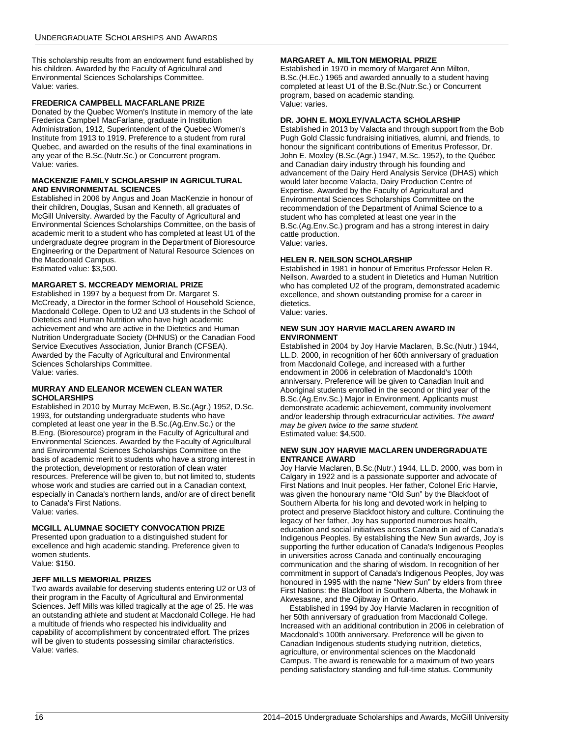This scholarship results from an endowment fund established by his children. Awarded by the Faculty of Agricultural and Environmental Sciences Scholarships Committee. Value: varies.

### **FREDERICA CAMPBELL MACFARLANE PRIZE**

Donated by the Quebec Women's Institute in memory of the late Frederica Campbell MacFarlane, graduate in Institution Administration, 1912, Superintendent of the Quebec Women's Institute from 1913 to 1919. Preference to a student from rural Quebec, and awarded on the results of the final examinations in any year of the B.Sc.(Nutr.Sc.) or Concurrent program. Value: varies.

### **MACKENZIE FAMILY SCHOLARSHIP IN AGRICULTURAL AND ENVIRONMENTAL SCIENCES**

Established in 2006 by Angus and Joan MacKenzie in honour of their children, Douglas, Susan and Kenneth, all graduates of McGill University. Awarded by the Faculty of Agricultural and Environmental Sciences Scholarships Committee, on the basis of academic merit to a student who has completed at least U1 of the undergraduate degree program in the Department of Bioresource Engineering or the Department of Natural Resource Sciences on the Macdonald Campus.

Estimated value: \$3,500.

### **MARGARET S. MCCREADY MEMORIAL PRIZE**

Established in 1997 by a bequest from Dr. Margaret S. McCready, a Director in the former School of Household Science, Macdonald College. Open to U2 and U3 students in the School of Dietetics and Human Nutrition who have high academic achievement and who are active in the Dietetics and Human Nutrition Undergraduate Society (DHNUS) or the Canadian Food Service Executives Association, Junior Branch (CFSEA). Awarded by the Faculty of Agricultural and Environmental Sciences Scholarships Committee. Value: varies.

### **MURRAY AND ELEANOR MCEWEN CLEAN WATER SCHOLARSHIPS**

Established in 2010 by Murray McEwen, B.Sc.(Agr.) 1952, D.Sc. 1993, for outstanding undergraduate students who have completed at least one year in the B.Sc.(Ag.Env.Sc.) or the B.Eng. (Bioresource) program in the Faculty of Agricultural and Environmental Sciences. Awarded by the Faculty of Agricultural and Environmental Sciences Scholarships Committee on the basis of academic merit to students who have a strong interest in the protection, development or restoration of clean water resources. Preference will be given to, but not limited to, students whose work and studies are carried out in a Canadian context, especially in Canada's northern lands, and/or are of direct benefit to Canada's First Nations. Value: varies.

### **MCGILL ALUMNAE SOCIETY CONVOCATION PRIZE**

Presented upon graduation to a distinguished student for excellence and high academic standing. Preference given to women students.

# Value: \$150.

## **JEFF MILLS MEMORIAL PRIZES**

Two awards available for deserving students entering U2 or U3 of their program in the Faculty of Agricultural and Environmental Sciences. Jeff Mills was killed tragically at the age of 25. He was an outstanding athlete and student at Macdonald College. He had a multitude of friends who respected his individuality and capability of accomplishment by concentrated effort. The prizes will be given to students possessing similar characteristics. Value: varies.

### **MARGARET A. MILTON MEMORIAL PRIZE**

Established in 1970 in memory of Margaret Ann Milton, B.Sc.(H.Ec.) 1965 and awarded annually to a student having completed at least U1 of the B.Sc.(Nutr.Sc.) or Concurrent program, based on academic standing. Value: varies.

### **DR. JOHN E. MOXLEY/VALACTA SCHOLARSHIP**

Established in 2013 by Valacta and through support from the Bob Pugh Gold Classic fundraising initiatives, alumni, and friends, to honour the significant contributions of Emeritus Professor, Dr. John E. Moxley (B.Sc.(Agr.) 1947, M.Sc. 1952), to the Québec and Canadian dairy industry through his founding and advancement of the Dairy Herd Analysis Service (DHAS) which would later become Valacta, Dairy Production Centre of Expertise. Awarded by the Faculty of Agricultural and Environmental Sciences Scholarships Committee on the recommendation of the Department of Animal Science to a student who has completed at least one year in the B.Sc.(Ag.Env.Sc.) program and has a strong interest in dairy cattle production. Value: varies.

### **HELEN R. NEILSON SCHOLARSHIP**

Established in 1981 in honour of Emeritus Professor Helen R. Neilson. Awarded to a student in Dietetics and Human Nutrition who has completed U2 of the program, demonstrated academic excellence, and shown outstanding promise for a career in dietetics.

Value: varies.

### **NEW SUN JOY HARVIE MACLAREN AWARD IN ENVIRONMENT**

Established in 2004 by Joy Harvie Maclaren, B.Sc.(Nutr.) 1944, LL.D. 2000, in recognition of her 60th anniversary of graduation from Macdonald College, and increased with a further endowment in 2006 in celebration of Macdonald's 100th anniversary. Preference will be given to Canadian Inuit and Aboriginal students enrolled in the second or third year of the B.Sc.(Ag.Env.Sc.) Major in Environment. Applicants must demonstrate academic achievement, community involvement and/or leadership through extracurricular activities. *The award may be given twice to the same student.* Estimated value: \$4,500.

### **NEW SUN JOY HARVIE MACLAREN UNDERGRADUATE ENTRANCE AWARD**

Joy Harvie Maclaren, B.Sc.(Nutr.) 1944, LL.D. 2000, was born in Calgary in 1922 and is a passionate supporter and advocate of First Nations and Inuit peoples. Her father, Colonel Eric Harvie, was given the honourary name "Old Sun" by the Blackfoot of Southern Alberta for his long and devoted work in helping to protect and preserve Blackfoot history and culture. Continuing the legacy of her father, Joy has supported numerous health, education and social initiatives across Canada in aid of Canada's Indigenous Peoples. By establishing the New Sun awards, Joy is supporting the further education of Canada's Indigenous Peoples in universities across Canada and continually encouraging communication and the sharing of wisdom. In recognition of her commitment in support of Canada's Indigenous Peoples, Joy was honoured in 1995 with the name "New Sun" by elders from three First Nations: the Blackfoot in Southern Alberta, the Mohawk in Akwesasne, and the Ojibway in Ontario.

Established in 1994 by Joy Harvie Maclaren in recognition of her 50th anniversary of graduation from Macdonald College. Increased with an additional contribution in 2006 in celebration of Macdonald's 100th anniversary. Preference will be given to Canadian Indigenous students studying nutrition, dietetics, agriculture, or environmental sciences on the Macdonald Campus. The award is renewable for a maximum of two years pending satisfactory standing and full-time status. Community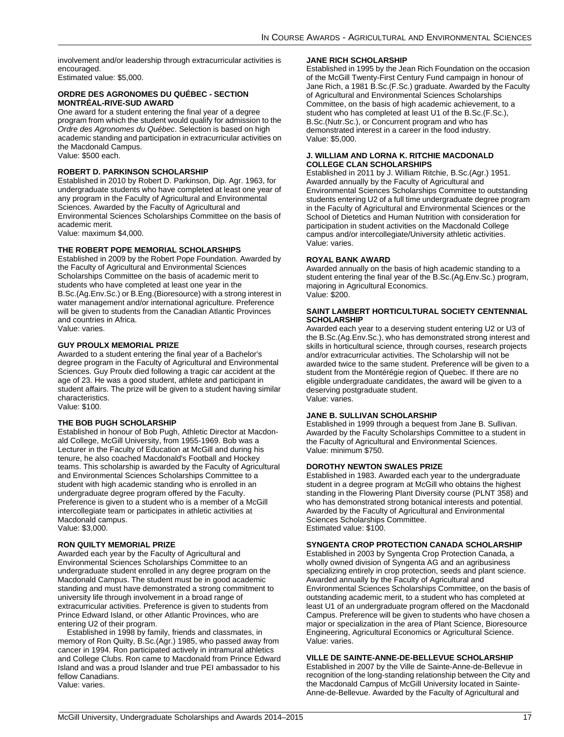involvement and/or leadership through extracurricular activities is encouraged. Estimated value: \$5,000.

### **ORDRE DES AGRONOMES DU QUÉBEC - SECTION MONTRÉAL-RIVE-SUD AWARD**

One award for a student entering the final year of a degree program from which the student would qualify for admission to the *Ordre des Agronomes du Québec*. Selection is based on high academic standing and participation in extracurricular activities on the Macdonald Campus. Value: \$500 each.

### **ROBERT D. PARKINSON SCHOLARSHIP**

Established in 2010 by Robert D. Parkinson, Dip. Agr. 1963, for undergraduate students who have completed at least one year of any program in the Faculty of Agricultural and Environmental Sciences. Awarded by the Faculty of Agricultural and Environmental Sciences Scholarships Committee on the basis of academic merit.

Value: maximum \$4,000.

### **THE ROBERT POPE MEMORIAL SCHOLARSHIPS**

Established in 2009 by the Robert Pope Foundation. Awarded by the Faculty of Agricultural and Environmental Sciences Scholarships Committee on the basis of academic merit to students who have completed at least one year in the B.Sc.(Ag.Env.Sc.) or B.Eng.(Bioresource) with a strong interest in water management and/or international agriculture. Preference will be given to students from the Canadian Atlantic Provinces and countries in Africa. Value: varies.

### **GUY PROULX MEMORIAL PRIZE**

Awarded to a student entering the final year of a Bachelor's degree program in the Faculty of Agricultural and Environmental Sciences. Guy Proulx died following a tragic car accident at the age of 23. He was a good student, athlete and participant in student affairs. The prize will be given to a student having similar characteristics.

Value: \$100.

### **THE BOB PUGH SCHOLARSHIP**

Established in honour of Bob Pugh, Athletic Director at Macdonald College, McGill University, from 1955-1969. Bob was a Lecturer in the Faculty of Education at McGill and during his tenure, he also coached Macdonald's Football and Hockey teams. This scholarship is awarded by the Faculty of Agricultural and Environmental Sciences Scholarships Committee to a student with high academic standing who is enrolled in an undergraduate degree program offered by the Faculty. Preference is given to a student who is a member of a McGill intercollegiate team or participates in athletic activities at Macdonald campus. Value: \$3,000.

### **RON QUILTY MEMORIAL PRIZE**

Awarded each year by the Faculty of Agricultural and Environmental Sciences Scholarships Committee to an undergraduate student enrolled in any degree program on the Macdonald Campus. The student must be in good academic standing and must have demonstrated a strong commitment to university life through involvement in a broad range of extracurricular activities. Preference is given to students from Prince Edward Island, or other Atlantic Provinces, who are entering U2 of their program.

Established in 1998 by family, friends and classmates, in memory of Ron Quilty, B.Sc.(Agr.) 1985, who passed away from cancer in 1994. Ron participated actively in intramural athletics and College Clubs. Ron came to Macdonald from Prince Edward Island and was a proud Islander and true PEI ambassador to his fellow Canadians. Value: varies.

### **JANE RICH SCHOLARSHIP**

Established in 1995 by the Jean Rich Foundation on the occasion of the McGill Twenty-First Century Fund campaign in honour of Jane Rich, a 1981 B.Sc.(F.Sc.) graduate. Awarded by the Faculty of Agricultural and Environmental Sciences Scholarships Committee, on the basis of high academic achievement, to a student who has completed at least U1 of the B.Sc.(F.Sc.), B.Sc.(Nutr.Sc.), or Concurrent program and who has demonstrated interest in a career in the food industry. Value: \$5,000.

### **J. WILLIAM AND LORNA K. RITCHIE MACDONALD COLLEGE CLAN SCHOLARSHIPS**

Established in 2011 by J. William Ritchie, B.Sc.(Agr.) 1951. Awarded annually by the Faculty of Agricultural and Environmental Sciences Scholarships Committee to outstanding students entering U2 of a full time undergraduate degree program in the Faculty of Agricultural and Environmental Sciences or the School of Dietetics and Human Nutrition with consideration for participation in student activities on the Macdonald College campus and/or intercollegiate/University athletic activities. Value: varies.

### **ROYAL BANK AWARD**

Awarded annually on the basis of high academic standing to a student entering the final year of the B.Sc.(Ag.Env.Sc.) program, majoring in Agricultural Economics. Value: \$200.

### **SAINT LAMBERT HORTICULTURAL SOCIETY CENTENNIAL SCHOLARSHIP**

Awarded each year to a deserving student entering U2 or U3 of the B.Sc.(Ag.Env.Sc.), who has demonstrated strong interest and skills in horticultural science, through courses, research projects and/or extracurricular activities. The Scholarship will not be awarded twice to the same student. Preference will be given to a student from the Montérégie region of Quebec. If there are no eligible undergraduate candidates, the award will be given to a deserving postgraduate student. Value: varies.

### **JANE B. SULLIVAN SCHOLARSHIP**

Established in 1999 through a bequest from Jane B. Sullivan. Awarded by the Faculty Scholarships Committee to a student in the Faculty of Agricultural and Environmental Sciences. Value: minimum \$750.

### **DOROTHY NEWTON SWALES PRIZE**

Established in 1983. Awarded each year to the undergraduate student in a degree program at McGill who obtains the highest standing in the Flowering Plant Diversity course (PLNT 358) and who has demonstrated strong botanical interests and potential. Awarded by the Faculty of Agricultural and Environmental Sciences Scholarships Committee. Estimated value: \$100.

### **SYNGENTA CROP PROTECTION CANADA SCHOLARSHIP**

Established in 2003 by Syngenta Crop Protection Canada, a wholly owned division of Syngenta AG and an agribusiness specializing entirely in crop protection, seeds and plant science. Awarded annually by the Faculty of Agricultural and Environmental Sciences Scholarships Committee, on the basis of outstanding academic merit, to a student who has completed at least U1 of an undergraduate program offered on the Macdonald Campus. Preference will be given to students who have chosen a major or specialization in the area of Plant Science, Bioresource Engineering, Agricultural Economics or Agricultural Science. Value: varies.

### **VILLE DE SAINTE-ANNE-DE-BELLEVUE SCHOLARSHIP**

Established in 2007 by the Ville de Sainte-Anne-de-Bellevue in recognition of the long-standing relationship between the City and the Macdonald Campus of McGill University located in Sainte-Anne-de-Bellevue. Awarded by the Faculty of Agricultural and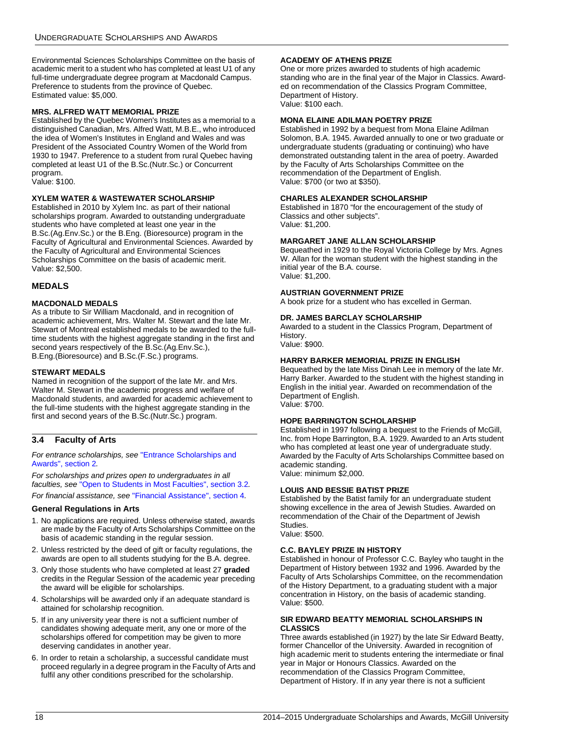Environmental Sciences Scholarships Committee on the basis of academic merit to a student who has completed at least U1 of any full-time undergraduate degree program at Macdonald Campus. Preference to students from the province of Quebec. Estimated value: \$5,000.

### **MRS. ALFRED WATT MEMORIAL PRIZE**

Established by the Quebec Women's Institutes as a memorial to a distinguished Canadian, Mrs. Alfred Watt, M.B.E., who introduced the idea of Women's Institutes in England and Wales and was President of the Associated Country Women of the World from 1930 to 1947. Preference to a student from rural Quebec having completed at least U1 of the B.Sc.(Nutr.Sc.) or Concurrent program.

Value: \$100.

### **XYLEM WATER & WASTEWATER SCHOLARSHIP**

Established in 2010 by Xylem Inc. as part of their national scholarships program. Awarded to outstanding undergraduate students who have completed at least one year in the B.Sc.(Ag.Env.Sc.) or the B.Eng. (Bioresource) program in the Faculty of Agricultural and Environmental Sciences. Awarded by the Faculty of Agricultural and Environmental Sciences Scholarships Committee on the basis of academic merit. Value: \$2,500.

### **MEDALS**

### **MACDONALD MEDALS**

As a tribute to Sir William Macdonald, and in recognition of academic achievement, Mrs. Walter M. Stewart and the late Mr. Stewart of Montreal established medals to be awarded to the fulltime students with the highest aggregate standing in the first and second years respectively of the B.Sc.(Ag.Env.Sc.), B.Eng.(Bioresource) and B.Sc.(F.Sc.) programs.

### **STEWART MEDALS**

Named in recognition of the support of the late Mr. and Mrs. Walter M. Stewart in the academic progress and welfare of Macdonald students, and awarded for academic achievement to the full-time students with the highest aggregate standing in the first and second years of the B.Sc.(Nutr.Sc.) program.

### <span id="page-18-0"></span>**3.4 Faculty of Arts**

*For entrance scholarships, see* ["Entrance Scholarships and](#page-4-0)  [Awards", section 2](#page-4-0)*.*

*For scholarships and prizes open to undergraduates in all faculties, see* ["Open to Students in Most Faculties", section 3.2](#page-11-2)*.*

*For financial assistance, see* ["Financial Assistance", section 4](#page-58-1)*.*

### **General Regulations in Arts**

- 1. No applications are required. Unless otherwise stated, awards are made by the Faculty of Arts Scholarships Committee on the basis of academic standing in the regular session.
- 2. Unless restricted by the deed of gift or faculty regulations, the awards are open to all students studying for the B.A. degree.
- 3. Only those students who have completed at least 27 **graded**  credits in the Regular Session of the academic year preceding the award will be eligible for scholarships.
- 4. Scholarships will be awarded only if an adequate standard is attained for scholarship recognition.
- 5. If in any university year there is not a sufficient number of candidates showing adequate merit, any one or more of the scholarships offered for competition may be given to more deserving candidates in another year.
- 6. In order to retain a scholarship, a successful candidate must proceed regularly in a degree program in the Faculty of Arts and fulfil any other conditions prescribed for the scholarship.

### **ACADEMY OF ATHENS PRIZE**

One or more prizes awarded to students of high academic standing who are in the final year of the Major in Classics. Awarded on recommendation of the Classics Program Committee, Department of History. Value: \$100 each.

### **MONA ELAINE ADILMAN POETRY PRIZE**

Established in 1992 by a bequest from Mona Elaine Adilman Solomon, B.A. 1945. Awarded annually to one or two graduate or undergraduate students (graduating or continuing) who have demonstrated outstanding talent in the area of poetry. Awarded by the Faculty of Arts Scholarships Committee on the recommendation of the Department of English. Value: \$700 (or two at \$350).

### **CHARLES ALEXANDER SCHOLARSHIP**

Established in 1870 "for the encouragement of the study of Classics and other subjects". Value: \$1,200.

### **MARGARET JANE ALLAN SCHOLARSHIP**

Bequeathed in 1929 to the Royal Victoria College by Mrs. Agnes W. Allan for the woman student with the highest standing in the initial year of the B.A. course. Value: \$1,200.

### **AUSTRIAN GOVERNMENT PRIZE**

A book prize for a student who has excelled in German.

### **DR. JAMES BARCLAY SCHOLARSHIP**

Awarded to a student in the Classics Program, Department of History.

Value: \$900.

### **HARRY BARKER MEMORIAL PRIZE IN ENGLISH**

Bequeathed by the late Miss Dinah Lee in memory of the late Mr. Harry Barker. Awarded to the student with the highest standing in English in the initial year. Awarded on recommendation of the Department of English. Value: \$700.

### **HOPE BARRINGTON SCHOLARSHIP**

Established in 1997 following a bequest to the Friends of McGill, Inc. from Hope Barrington, B.A. 1929. Awarded to an Arts student who has completed at least one year of undergraduate study. Awarded by the Faculty of Arts Scholarships Committee based on academic standing. Value: minimum \$2,000.

### **LOUIS AND BESSIE BATIST PRIZE**

Established by the Batist family for an undergraduate student showing excellence in the area of Jewish Studies. Awarded on recommendation of the Chair of the Department of Jewish Studies. Value: \$500.

### **C.C. BAYLEY PRIZE IN HISTORY**

Established in honour of Professor C.C. Bayley who taught in the Department of History between 1932 and 1996. Awarded by the Faculty of Arts Scholarships Committee, on the recommendation of the History Department, to a graduating student with a major concentration in History, on the basis of academic standing. Value: \$500.

### **SIR EDWARD BEATTY MEMORIAL SCHOLARSHIPS IN CLASSICS**

Three awards established (in 1927) by the late Sir Edward Beatty, former Chancellor of the University. Awarded in recognition of high academic merit to students entering the intermediate or final year in Major or Honours Classics. Awarded on the recommendation of the Classics Program Committee, Department of History. If in any year there is not a sufficient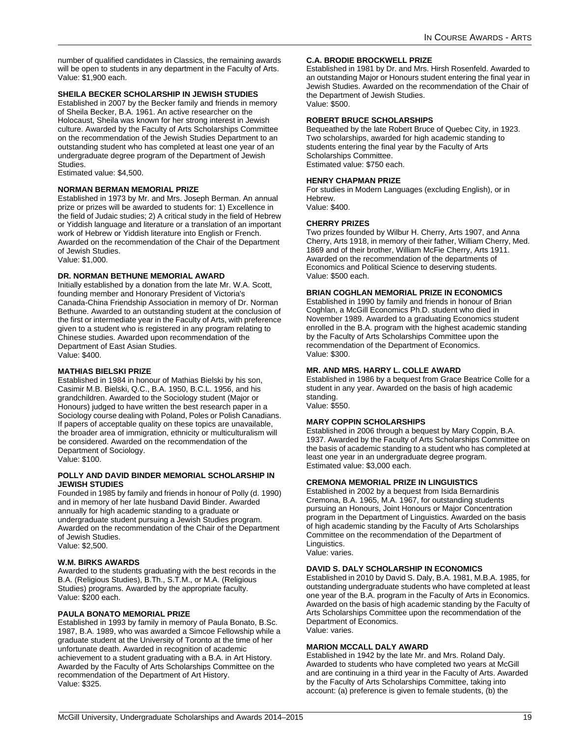number of qualified candidates in Classics, the remaining awards will be open to students in any department in the Faculty of Arts. Value: \$1,900 each.

### **SHEILA BECKER SCHOLARSHIP IN JEWISH STUDIES**

Established in 2007 by the Becker family and friends in memory of Sheila Becker, B.A. 1961. An active researcher on the Holocaust, Sheila was known for her strong interest in Jewish culture. Awarded by the Faculty of Arts Scholarships Committee on the recommendation of the Jewish Studies Department to an outstanding student who has completed at least one year of an undergraduate degree program of the Department of Jewish Studies.

Estimated value: \$4,500.

### **NORMAN BERMAN MEMORIAL PRIZE**

Established in 1973 by Mr. and Mrs. Joseph Berman. An annual prize or prizes will be awarded to students for: 1) Excellence in the field of Judaic studies; 2) A critical study in the field of Hebrew or Yiddish language and literature or a translation of an important work of Hebrew or Yiddish literature into English or French. Awarded on the recommendation of the Chair of the Department of Jewish Studies. Value: \$1,000.

### **DR. NORMAN BETHUNE MEMORIAL AWARD**

Initially established by a donation from the late Mr. W.A. Scott, founding member and Honorary President of Victoria's Canada-China Friendship Association in memory of Dr. Norman Bethune. Awarded to an outstanding student at the conclusion of the first or intermediate year in the Faculty of Arts, with preference given to a student who is registered in any program relating to Chinese studies. Awarded upon recommendation of the Department of East Asian Studies. Value: \$400.

### **MATHIAS BIELSKI PRIZE**

Established in 1984 in honour of Mathias Bielski by his son, Casimir M.B. Bielski, Q.C., B.A. 1950, B.C.L. 1956, and his grandchildren. Awarded to the Sociology student (Major or Honours) judged to have written the best research paper in a Sociology course dealing with Poland, Poles or Polish Canadians. If papers of acceptable quality on these topics are unavailable, the broader area of immigration, ethnicity or multiculturalism will be considered. Awarded on the recommendation of the Department of Sociology. Value: \$100.

### **POLLY AND DAVID BINDER MEMORIAL SCHOLARSHIP IN JEWISH STUDIES**

Founded in 1985 by family and friends in honour of Polly (d. 1990) and in memory of her late husband David Binder. Awarded annually for high academic standing to a graduate or undergraduate student pursuing a Jewish Studies program. Awarded on the recommendation of the Chair of the Department of Jewish Studies. Value: \$2,500.

### **W.M. BIRKS AWARDS**

Awarded to the students graduating with the best records in the B.A. (Religious Studies), B.Th., S.T.M., or M.A. (Religious Studies) programs. Awarded by the appropriate faculty. Value: \$200 each.

### **PAULA BONATO MEMORIAL PRIZE**

Established in 1993 by family in memory of Paula Bonato, B.Sc. 1987, B.A. 1989, who was awarded a Simcoe Fellowship while a graduate student at the University of Toronto at the time of her unfortunate death. Awarded in recognition of academic achievement to a student graduating with a B.A. in Art History. Awarded by the Faculty of Arts Scholarships Committee on the recommendation of the Department of Art History. Value: \$325.

### **C.A. BRODIE BROCKWELL PRIZE**

Established in 1981 by Dr. and Mrs. Hirsh Rosenfeld. Awarded to an outstanding Major or Honours student entering the final year in Jewish Studies. Awarded on the recommendation of the Chair of the Department of Jewish Studies. Value: \$500.

### **ROBERT BRUCE SCHOLARSHIPS**

Bequeathed by the late Robert Bruce of Quebec City, in 1923. Two scholarships, awarded for high academic standing to students entering the final year by the Faculty of Arts Scholarships Committee. Estimated value: \$750 each.

### **HENRY CHAPMAN PRIZE**

For studies in Modern Languages (excluding English), or in Hebrew. Value: \$400.

### **CHERRY PRIZES**

Two prizes founded by Wilbur H. Cherry, Arts 1907, and Anna Cherry, Arts 1918, in memory of their father, William Cherry, Med. 1869 and of their brother, William McFie Cherry, Arts 1911. Awarded on the recommendation of the departments of Economics and Political Science to deserving students. Value: \$500 each.

### **BRIAN COGHLAN MEMORIAL PRIZE IN ECONOMICS**

Established in 1990 by family and friends in honour of Brian Coghlan, a McGill Economics Ph.D. student who died in November 1989. Awarded to a graduating Economics student enrolled in the B.A. program with the highest academic standing by the Faculty of Arts Scholarships Committee upon the recommendation of the Department of Economics. Value: \$300.

### **MR. AND MRS. HARRY L. COLLE AWARD**

Established in 1986 by a bequest from Grace Beatrice Colle for a student in any year. Awarded on the basis of high academic standing. Value: \$550.

### **MARY COPPIN SCHOLARSHIPS**

Established in 2006 through a bequest by Mary Coppin, B.A. 1937. Awarded by the Faculty of Arts Scholarships Committee on the basis of academic standing to a student who has completed at least one year in an undergraduate degree program. Estimated value: \$3,000 each.

### **CREMONA MEMORIAL PRIZE IN LINGUISTICS**

Established in 2002 by a bequest from Isida Bernardinis Cremona, B.A. 1965, M.A. 1967, for outstanding students pursuing an Honours, Joint Honours or Major Concentration program in the Department of Linguistics. Awarded on the basis of high academic standing by the Faculty of Arts Scholarships Committee on the recommendation of the Department of Linguistics.

Value: varies.

### **DAVID S. DALY SCHOLARSHIP IN ECONOMICS**

Established in 2010 by David S. Daly, B.A. 1981, M.B.A. 1985, for outstanding undergraduate students who have completed at least one year of the B.A. program in the Faculty of Arts in Economics. Awarded on the basis of high academic standing by the Faculty of Arts Scholarships Committee upon the recommendation of the Department of Economics. Value: varies.

### **MARION MCCALL DALY AWARD**

Established in 1942 by the late Mr. and Mrs. Roland Daly. Awarded to students who have completed two years at McGill and are continuing in a third year in the Faculty of Arts. Awarded by the Faculty of Arts Scholarships Committee, taking into account: (a) preference is given to female students, (b) the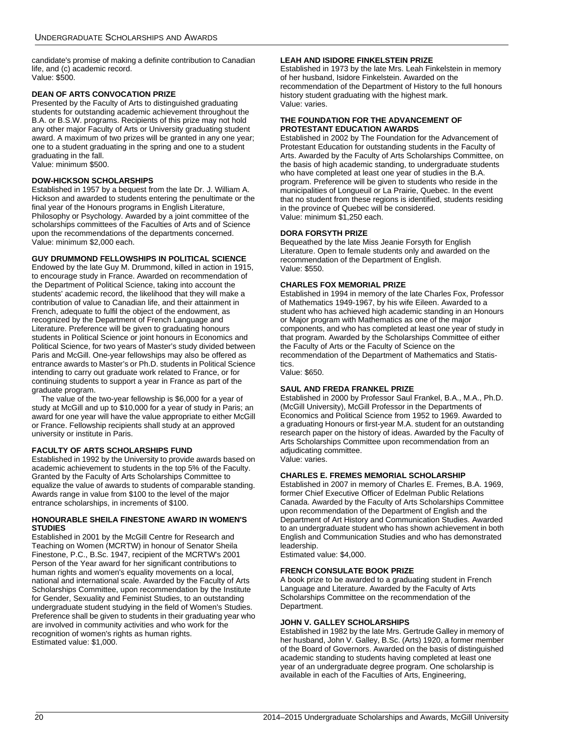candidate's promise of making a definite contribution to Canadian life, and (c) academic record. Value: \$500.

### **DEAN OF ARTS CONVOCATION PRIZE**

Presented by the Faculty of Arts to distinguished graduating students for outstanding academic achievement throughout the B.A. or B.S.W. programs. Recipients of this prize may not hold any other major Faculty of Arts or University graduating student award. A maximum of two prizes will be granted in any one year; one to a student graduating in the spring and one to a student graduating in the fall. Value: minimum \$500.

### **DOW-HICKSON SCHOLARSHIPS**

Established in 1957 by a bequest from the late Dr. J. William A. Hickson and awarded to students entering the penultimate or the final year of the Honours programs in English Literature, Philosophy or Psychology. Awarded by a joint committee of the scholarships committees of the Faculties of Arts and of Science upon the recommendations of the departments concerned. Value: minimum \$2,000 each.

### **GUY DRUMMOND FELLOWSHIPS IN POLITICAL SCIENCE**

Endowed by the late Guy M. Drummond, killed in action in 1915, to encourage study in France. Awarded on recommendation of the Department of Political Science, taking into account the students' academic record, the likelihood that they will make a contribution of value to Canadian life, and their attainment in French, adequate to fulfil the object of the endowment, as recognized by the Department of French Language and Literature. Preference will be given to graduating honours students in Political Science or joint honours in Economics and Political Science, for two years of Master's study divided between Paris and McGill. One-year fellowships may also be offered as entrance awards to Master's or Ph.D. students in Political Science intending to carry out graduate work related to France, or for continuing students to support a year in France as part of the graduate program.

The value of the two-year fellowship is \$6,000 for a year of study at McGill and up to \$10,000 for a year of study in Paris; an award for one year will have the value appropriate to either McGill or France. Fellowship recipients shall study at an approved university or institute in Paris.

### **FACULTY OF ARTS SCHOLARSHIPS FUND**

Established in 1992 by the University to provide awards based on academic achievement to students in the top 5% of the Faculty. Granted by the Faculty of Arts Scholarships Committee to equalize the value of awards to students of comparable standing. Awards range in value from \$100 to the level of the major entrance scholarships, in increments of \$100.

### **HONOURABLE SHEILA FINESTONE AWARD IN WOMEN'S STUDIES**

Established in 2001 by the McGill Centre for Research and Teaching on Women (MCRTW) in honour of Senator Sheila Finestone, P.C., B.Sc. 1947, recipient of the MCRTW's 2001 Person of the Year award for her significant contributions to human rights and women's equality movements on a local, national and international scale. Awarded by the Faculty of Arts Scholarships Committee, upon recommendation by the Institute for Gender, Sexuality and Feminist Studies, to an outstanding undergraduate student studying in the field of Women's Studies. Preference shall be given to students in their graduating year who are involved in community activities and who work for the recognition of women's rights as human rights. Estimated value: \$1,000.

### **LEAH AND ISIDORE FINKELSTEIN PRIZE**

Established in 1973 by the late Mrs. Leah Finkelstein in memory of her husband, Isidore Finkelstein. Awarded on the recommendation of the Department of History to the full honours history student graduating with the highest mark. Value: varies.

### **THE FOUNDATION FOR THE ADVANCEMENT OF PROTESTANT EDUCATION AWARDS**

Established in 2002 by The Foundation for the Advancement of Protestant Education for outstanding students in the Faculty of Arts. Awarded by the Faculty of Arts Scholarships Committee, on the basis of high academic standing, to undergraduate students who have completed at least one year of studies in the B.A. program. Preference will be given to students who reside in the municipalities of Longueuil or La Prairie, Quebec. In the event that no student from these regions is identified, students residing in the province of Quebec will be considered. Value: minimum \$1,250 each.

### **DORA FORSYTH PRIZE**

Bequeathed by the late Miss Jeanie Forsyth for English Literature. Open to female students only and awarded on the recommendation of the Department of English. Value: \$550.

### **CHARLES FOX MEMORIAL PRIZE**

Established in 1994 in memory of the late Charles Fox, Professor of Mathematics 1949-1967, by his wife Eileen. Awarded to a student who has achieved high academic standing in an Honours or Major program with Mathematics as one of the major components, and who has completed at least one year of study in that program. Awarded by the Scholarships Committee of either the Faculty of Arts or the Faculty of Science on the recommendation of the Department of Mathematics and Statistics.

Value: \$650.

### **SAUL AND FREDA FRANKEL PRIZE**

Established in 2000 by Professor Saul Frankel, B.A., M.A., Ph.D. (McGill University), McGill Professor in the Departments of Economics and Political Science from 1952 to 1969. Awarded to a graduating Honours or first-year M.A. student for an outstanding research paper on the history of ideas. Awarded by the Faculty of Arts Scholarships Committee upon recommendation from an adjudicating committee. Value: varies.

## **CHARLES E. FREMES MEMORIAL SCHOLARSHIP**

Established in 2007 in memory of Charles E. Fremes, B.A. 1969, former Chief Executive Officer of Edelman Public Relations Canada. Awarded by the Faculty of Arts Scholarships Committee upon recommendation of the Department of English and the Department of Art History and Communication Studies. Awarded to an undergraduate student who has shown achievement in both English and Communication Studies and who has demonstrated leadership.

Estimated value: \$4,000.

### **FRENCH CONSULATE BOOK PRIZE**

A book prize to be awarded to a graduating student in French Language and Literature. Awarded by the Faculty of Arts Scholarships Committee on the recommendation of the Department.

### **JOHN V. GALLEY SCHOLARSHIPS**

Established in 1982 by the late Mrs. Gertrude Galley in memory of her husband, John V. Galley, B.Sc. (Arts) 1920, a former member of the Board of Governors. Awarded on the basis of distinguished academic standing to students having completed at least one year of an undergraduate degree program. One scholarship is available in each of the Faculties of Arts, Engineering,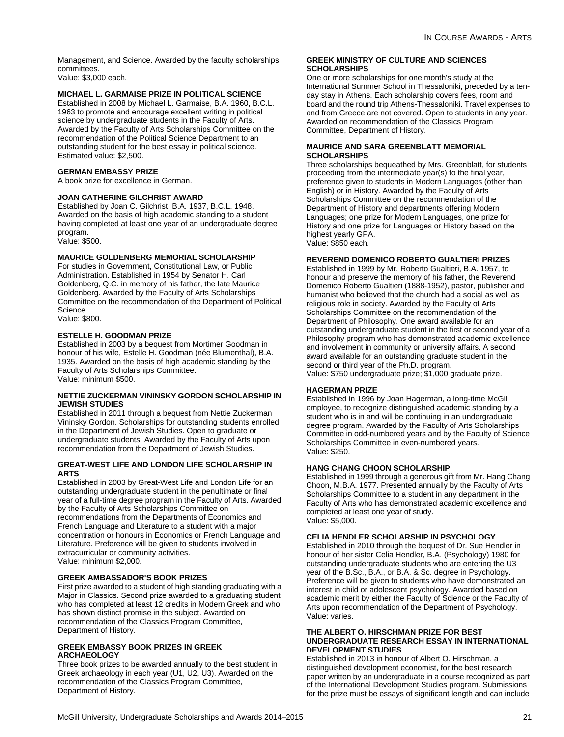Management, and Science. Awarded by the faculty scholarships committees.

Value: \$3,000 each.

### **MICHAEL L. GARMAISE PRIZE IN POLITICAL SCIENCE**

Established in 2008 by Michael L. Garmaise, B.A. 1960, B.C.L. 1963 to promote and encourage excellent writing in political science by undergraduate students in the Faculty of Arts. Awarded by the Faculty of Arts Scholarships Committee on the recommendation of the Political Science Department to an outstanding student for the best essay in political science. Estimated value: \$2,500.

### **GERMAN EMBASSY PRIZE**

A book prize for excellence in German.

### **JOAN CATHERINE GILCHRIST AWARD**

Established by Joan C. Gilchrist, B.A. 1937, B.C.L. 1948. Awarded on the basis of high academic standing to a student having completed at least one year of an undergraduate degree program.

Value: \$500.

### **MAURICE GOLDENBERG MEMORIAL SCHOLARSHIP**

For studies in Government, Constitutional Law, or Public Administration. Established in 1954 by Senator H. Carl Goldenberg, Q.C. in memory of his father, the late Maurice Goldenberg. Awarded by the Faculty of Arts Scholarships Committee on the recommendation of the Department of Political Science. Value: \$800.

### **ESTELLE H. GOODMAN PRIZE**

Established in 2003 by a bequest from Mortimer Goodman in honour of his wife, Estelle H. Goodman (née Blumenthal), B.A. 1935. Awarded on the basis of high academic standing by the Faculty of Arts Scholarships Committee. Value: minimum \$500.

### **NETTIE ZUCKERMAN VININSKY GORDON SCHOLARSHIP IN JEWISH STUDIES**

Established in 2011 through a bequest from Nettie Zuckerman Vininsky Gordon. Scholarships for outstanding students enrolled in the Department of Jewish Studies. Open to graduate or undergraduate students. Awarded by the Faculty of Arts upon recommendation from the Department of Jewish Studies.

### **GREAT-WEST LIFE AND LONDON LIFE SCHOLARSHIP IN ARTS**

Established in 2003 by Great-West Life and London Life for an outstanding undergraduate student in the penultimate or final year of a full-time degree program in the Faculty of Arts. Awarded by the Faculty of Arts Scholarships Committee on recommendations from the Departments of Economics and French Language and Literature to a student with a major concentration or honours in Economics or French Language and Literature. Preference will be given to students involved in extracurricular or community activities. Value: minimum \$2,000.

### **GREEK AMBASSADOR'S BOOK PRIZES**

First prize awarded to a student of high standing graduating with a Major in Classics. Second prize awarded to a graduating student who has completed at least 12 credits in Modern Greek and who has shown distinct promise in the subject. Awarded on recommendation of the Classics Program Committee, Department of History.

### **GREEK EMBASSY BOOK PRIZES IN GREEK ARCHAEOLOGY**

Three book prizes to be awarded annually to the best student in Greek archaeology in each year (U1, U2, U3). Awarded on the recommendation of the Classics Program Committee, Department of History.

### **GREEK MINISTRY OF CULTURE AND SCIENCES SCHOLARSHIPS**

One or more scholarships for one month's study at the International Summer School in Thessaloniki, preceded by a tenday stay in Athens. Each scholarship covers fees, room and board and the round trip Athens-Thessaloniki. Travel expenses to and from Greece are not covered. Open to students in any year. Awarded on recommendation of the Classics Program Committee, Department of History.

### **MAURICE AND SARA GREENBLATT MEMORIAL SCHOLARSHIPS**

Three scholarships bequeathed by Mrs. Greenblatt, for students proceeding from the intermediate year(s) to the final year, preference given to students in Modern Languages (other than English) or in History. Awarded by the Faculty of Arts Scholarships Committee on the recommendation of the Department of History and departments offering Modern Languages; one prize for Modern Languages, one prize for History and one prize for Languages or History based on the highest yearly GPA. Value: \$850 each.

### **REVEREND DOMENICO ROBERTO GUALTIERI PRIZES**

Established in 1999 by Mr. Roberto Gualtieri, B.A. 1957, to honour and preserve the memory of his father, the Reverend Domenico Roberto Gualtieri (1888-1952), pastor, publisher and humanist who believed that the church had a social as well as religious role in society. Awarded by the Faculty of Arts Scholarships Committee on the recommendation of the Department of Philosophy. One award available for an outstanding undergraduate student in the first or second year of a Philosophy program who has demonstrated academic excellence and involvement in community or university affairs. A second award available for an outstanding graduate student in the second or third year of the Ph.D. program. Value: \$750 undergraduate prize; \$1,000 graduate prize.

### **HAGERMAN PRIZE**

Established in 1996 by Joan Hagerman, a long-time McGill employee, to recognize distinguished academic standing by a student who is in and will be continuing in an undergraduate degree program. Awarded by the Faculty of Arts Scholarships Committee in odd-numbered years and by the Faculty of Science Scholarships Committee in even-numbered years. Value: \$250.

### **HANG CHANG CHOON SCHOLARSHIP**

Established in 1999 through a generous gift from Mr. Hang Chang Choon, M.B.A. 1977. Presented annually by the Faculty of Arts Scholarships Committee to a student in any department in the Faculty of Arts who has demonstrated academic excellence and completed at least one year of study. Value: \$5,000.

### **CELIA HENDLER SCHOLARSHIP IN PSYCHOLOGY**

Established in 2010 through the bequest of Dr. Sue Hendler in honour of her sister Celia Hendler, B.A. (Psychology) 1980 for outstanding undergraduate students who are entering the U3 year of the B.Sc., B.A., or B.A. & Sc. degree in Psychology. Preference will be given to students who have demonstrated an interest in child or adolescent psychology. Awarded based on academic merit by either the Faculty of Science or the Faculty of Arts upon recommendation of the Department of Psychology. Value: varies.

### **THE ALBERT O. HIRSCHMAN PRIZE FOR BEST UNDERGRADUATE RESEARCH ESSAY IN INTERNATIONAL DEVELOPMENT STUDIES**

Established in 2013 in honour of Albert O. Hirschman, a distinguished development economist, for the best research paper written by an undergraduate in a course recognized as part of the International Development Studies program. Submissions for the prize must be essays of significant length and can include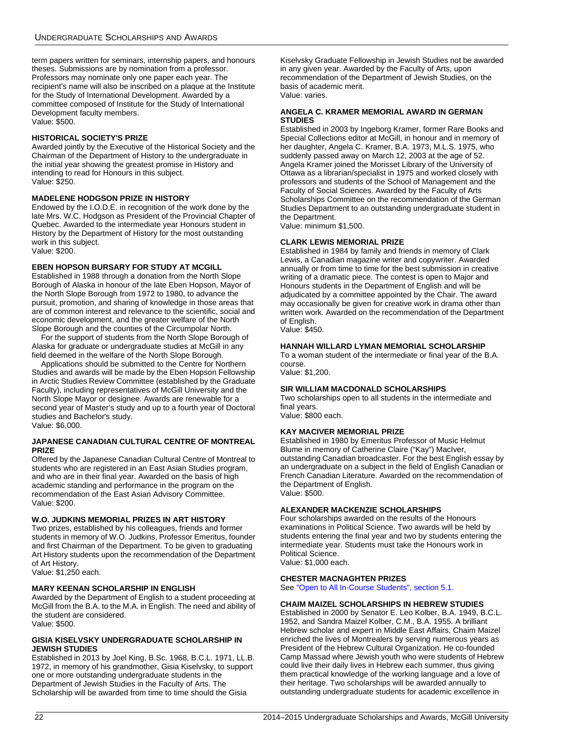term papers written for seminars, internship papers, and honours theses. Submissions are by nomination from a professor. Professors may nominate only one paper each year. The recipient's name will also be inscribed on a plaque at the Institute for the Study of International Development. Awarded by a committee composed of Institute for the Study of International Development faculty members. Value: \$500.

### **HISTORICAL SOCIETY'S PRIZE**

Awarded jointly by the Executive of the Historical Society and the Chairman of the Department of History to the undergraduate in the initial year showing the greatest promise in History and intending to read for Honours in this subject. Value: \$250.

### **MADELENE HODGSON PRIZE IN HISTORY**

Endowed by the I.O.D.E. in recognition of the work done by the late Mrs. W.C. Hodgson as President of the Provincial Chapter of Quebec. Awarded to the intermediate year Honours student in History by the Department of History for the most outstanding work in this subject. Value: \$200.

**EBEN HOPSON BURSARY FOR STUDY AT MCGILL**

Established in 1988 through a donation from the North Slope Borough of Alaska in honour of the late Eben Hopson, Mayor of the North Slope Borough from 1972 to 1980, to advance the pursuit, promotion, and sharing of knowledge in those areas that are of common interest and relevance to the scientific, social and economic development, and the greater welfare of the North Slope Borough and the counties of the Circumpolar North.

For the support of students from the North Slope Borough of Alaska for graduate or undergraduate studies at McGill in any field deemed in the welfare of the North Slope Borough.

Applications should be submitted to the Centre for Northern Studies and awards will be made by the Eben Hopson Fellowship in Arctic Studies Review Committee (established by the Graduate Faculty), including representatives of McGill University and the North Slope Mayor or designee. Awards are renewable for a second year of Master's study and up to a fourth year of Doctoral studies and Bachelor's study. Value: \$6,000.

### **JAPANESE CANADIAN CULTURAL CENTRE OF MONTREAL PRIZE**

Offered by the Japanese Canadian Cultural Centre of Montreal to students who are registered in an East Asian Studies program, and who are in their final year. Awarded on the basis of high academic standing and performance in the program on the recommendation of the East Asian Advisory Committee. Value: \$200.

### **W.O. JUDKINS MEMORIAL PRIZES IN ART HISTORY**

Two prizes, established by his colleagues, friends and former students in memory of W.O. Judkins, Professor Emeritus, founder and first Chairman of the Department. To be given to graduating Art History students upon the recommendation of the Department of Art History.

Value: \$1,250 each.

### **MARY KEENAN SCHOLARSHIP IN ENGLISH**

Awarded by the Department of English to a student proceeding at McGill from the B.A. to the M.A. in English. The need and ability of the student are considered. Value: \$500.

### **GISIA KISELVSKY UNDERGRADUATE SCHOLARSHIP IN JEWISH STUDIES**

Established in 2013 by Joel King, B.Sc. 1968, B.C.L. 1971, LL.B. 1972, in memory of his grandmother, Gisia Kiselvsky, to support one or more outstanding undergraduate students in the Department of Jewish Studies in the Faculty of Arts. The Scholarship will be awarded from time to time should the Gisia

Kiselvsky Graduate Fellowship in Jewish Studies not be awarded in any given year. Awarded by the Faculty of Arts, upon recommendation of the Department of Jewish Studies, on the basis of academic merit. Value: varies.

### **ANGELA C. KRAMER MEMORIAL AWARD IN GERMAN STUDIES**

Established in 2003 by Ingeborg Kramer, former Rare Books and Special Collections editor at McGill, in honour and in memory of her daughter, Angela C. Kramer, B.A. 1973, M.L.S. 1975, who suddenly passed away on March 12, 2003 at the age of 52. Angela Kramer joined the Morisset Library of the University of Ottawa as a librarian/specialist in 1975 and worked closely with professors and students of the School of Management and the Faculty of Social Sciences. Awarded by the Faculty of Arts Scholarships Committee on the recommendation of the German Studies Department to an outstanding undergraduate student in the Department.

Value: minimum \$1,500.

### **CLARK LEWIS MEMORIAL PRIZE**

Established in 1984 by family and friends in memory of Clark Lewis, a Canadian magazine writer and copywriter. Awarded annually or from time to time for the best submission in creative writing of a dramatic piece. The contest is open to Major and Honours students in the Department of English and will be adjudicated by a committee appointed by the Chair. The award may occasionally be given for creative work in drama other than written work. Awarded on the recommendation of the Department of English. Value: \$450.

# **HANNAH WILLARD LYMAN MEMORIAL SCHOLARSHIP**

To a woman student of the intermediate or final year of the B.A. course.

Value: \$1,200.

### **SIR WILLIAM MACDONALD SCHOLARSHIPS**

Two scholarships open to all students in the intermediate and final years. Value: \$800 each.

### **KAY MACIVER MEMORIAL PRIZE**

Established in 1980 by Emeritus Professor of Music Helmut Blume in memory of Catherine Claire ("Kay") MacIver, outstanding Canadian broadcaster. For the best English essay by an undergraduate on a subject in the field of English Canadian or French Canadian Literature. Awarded on the recommendation of the Department of English. Value: \$500.

### **ALEXANDER MACKENZIE SCHOLARSHIPS**

Four scholarships awarded on the results of the Honours examinations in Political Science. Two awards will be held by students entering the final year and two by students entering the intermediate year. Students must take the Honours work in Political Science. Value: \$1,000 each.

### **CHESTER MACNAGHTEN PRIZES**

See ["Open to All In-Course Students", section 5.1.](#page-80-1)

### **CHAIM MAIZEL SCHOLARSHIPS IN HEBREW STUDIES**

Established in 2000 by Senator E. Leo Kolber, B.A. 1949, B.C.L. 1952, and Sandra Maizel Kolber, C.M., B.A. 1955. A brilliant Hebrew scholar and expert in Middle East Affairs, Chaim Maizel enriched the lives of Montrealers by serving numerous years as President of the Hebrew Cultural Organization. He co-founded Camp Massad where Jewish youth who were students of Hebrew could live their daily lives in Hebrew each summer, thus giving them practical knowledge of the working language and a love of their heritage. Two scholarships will be awarded annually to outstanding undergraduate students for academic excellence in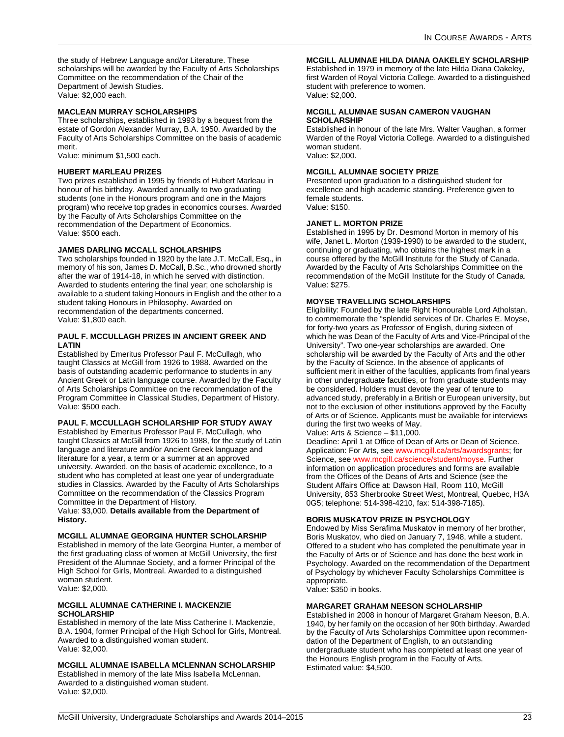the study of Hebrew Language and/or Literature. These scholarships will be awarded by the Faculty of Arts Scholarships Committee on the recommendation of the Chair of the Department of Jewish Studies. Value: \$2,000 each.

### **MACLEAN MURRAY SCHOLARSHIPS**

Three scholarships, established in 1993 by a bequest from the estate of Gordon Alexander Murray, B.A. 1950. Awarded by the Faculty of Arts Scholarships Committee on the basis of academic merit.

Value: minimum \$1,500 each.

### **HUBERT MARLEAU PRIZES**

Two prizes established in 1995 by friends of Hubert Marleau in honour of his birthday. Awarded annually to two graduating students (one in the Honours program and one in the Majors program) who receive top grades in economics courses. Awarded by the Faculty of Arts Scholarships Committee on the recommendation of the Department of Economics. Value: \$500 each.

### **JAMES DARLING MCCALL SCHOLARSHIPS**

Two scholarships founded in 1920 by the late J.T. McCall, Esq., in memory of his son, James D. McCall, B.Sc., who drowned shortly after the war of 1914-18, in which he served with distinction. Awarded to students entering the final year; one scholarship is available to a student taking Honours in English and the other to a student taking Honours in Philosophy. Awarded on recommendation of the departments concerned. Value: \$1,800 each.

### **PAUL F. MCCULLAGH PRIZES IN ANCIENT GREEK AND LATIN**

Established by Emeritus Professor Paul F. McCullagh, who taught Classics at McGill from 1926 to 1988. Awarded on the basis of outstanding academic performance to students in any Ancient Greek or Latin language course. Awarded by the Faculty of Arts Scholarships Committee on the recommendation of the Program Committee in Classical Studies, Department of History. Value: \$500 each.

### **PAUL F. MCCULLAGH SCHOLARSHIP FOR STUDY AWAY**

Established by Emeritus Professor Paul F. McCullagh, who taught Classics at McGill from 1926 to 1988, for the study of Latin language and literature and/or Ancient Greek language and literature for a year, a term or a summer at an approved university. Awarded, on the basis of academic excellence, to a student who has completed at least one year of undergraduate studies in Classics. Awarded by the Faculty of Arts Scholarships Committee on the recommendation of the Classics Program Committee in the Department of History.

Value: \$3,000. **Details available from the Department of History.**

### **MCGILL ALUMNAE GEORGINA HUNTER SCHOLARSHIP**

Established in memory of the late Georgina Hunter, a member of the first graduating class of women at McGill University, the first President of the Alumnae Society, and a former Principal of the High School for Girls, Montreal. Awarded to a distinguished woman student. Value: \$2,000.

### **MCGILL ALUMNAE CATHERINE I. MACKENZIE SCHOLARSHIP**

Established in memory of the late Miss Catherine I. Mackenzie, B.A. 1904, former Principal of the High School for Girls, Montreal. Awarded to a distinguished woman student. Value: \$2,000.

**MCGILL ALUMNAE ISABELLA MCLENNAN SCHOLARSHIP**

Established in memory of the late Miss Isabella McLennan. Awarded to a distinguished woman student. Value: \$2,000.

**MCGILL ALUMNAE HILDA DIANA OAKELEY SCHOLARSHIP**

Established in 1979 in memory of the late Hilda Diana Oakeley, first Warden of Royal Victoria College. Awarded to a distinguished student with preference to women. Value: \$2,000.

### **MCGILL ALUMNAE SUSAN CAMERON VAUGHAN SCHOLARSHIP**

Established in honour of the late Mrs. Walter Vaughan, a former Warden of the Royal Victoria College. Awarded to a distinguished woman student. Value: \$2,000.

### **MCGILL ALUMNAE SOCIETY PRIZE**

Presented upon graduation to a distinguished student for excellence and high academic standing. Preference given to female students. Value: \$150.

### **JANET L. MORTON PRIZE**

Established in 1995 by Dr. Desmond Morton in memory of his wife, Janet L. Morton (1939-1990) to be awarded to the student, continuing or graduating, who obtains the highest mark in a course offered by the McGill Institute for the Study of Canada. Awarded by the Faculty of Arts Scholarships Committee on the recommendation of the McGill Institute for the Study of Canada. Value: \$275.

### **MOYSE TRAVELLING SCHOLARSHIPS**

Eligibility: Founded by the late Right Honourable Lord Atholstan, to commemorate the "splendid services of Dr. Charles E. Moyse, for forty-two years as Professor of English, during sixteen of which he was Dean of the Faculty of Arts and Vice-Principal of the University". Two one-year scholarships are awarded. One scholarship will be awarded by the Faculty of Arts and the other by the Faculty of Science. In the absence of applicants of sufficient merit in either of the faculties, applicants from final years in other undergraduate faculties, or from graduate students may be considered. Holders must devote the year of tenure to advanced study, preferably in a British or European university, but not to the exclusion of other institutions approved by the Faculty of Arts or of Science. Applicants must be available for interviews during the first two weeks of May.

Value: Arts & Science – \$11,000.

Deadline: April 1 at Office of Dean of Arts or Dean of Science. Application: For Arts, see [www.mcgill.ca/arts/awardsgrants](http://www.mcgill.ca/arts/awardsgrants/); for Science, see [www.mcgill.ca/science/student/moyse](http://www.mcgill.ca/science/student/moyse/). Further information on application procedures and forms are available from the Offices of the Deans of Arts and Science (see the Student Affairs Office at: Dawson Hall, Room 110, McGill University, 853 Sherbrooke Street West, Montreal, Quebec, H3A 0G5; telephone: 514-398-4210, fax: 514-398-7185).

### **BORIS MUSKATOV PRIZE IN PSYCHOLOGY**

Endowed by Miss Serafima Muskatov in memory of her brother, Boris Muskatov, who died on January 7, 1948, while a student. Offered to a student who has completed the penultimate year in the Faculty of Arts or of Science and has done the best work in Psychology. Awarded on the recommendation of the Department of Psychology by whichever Faculty Scholarships Committee is appropriate.

Value: \$350 in books.

### **MARGARET GRAHAM NEESON SCHOLARSHIP**

Established in 2008 in honour of Margaret Graham Neeson, B.A. 1940, by her family on the occasion of her 90th birthday. Awarded by the Faculty of Arts Scholarships Committee upon recommendation of the Department of English, to an outstanding undergraduate student who has completed at least one year of the Honours English program in the Faculty of Arts. Estimated value: \$4,500.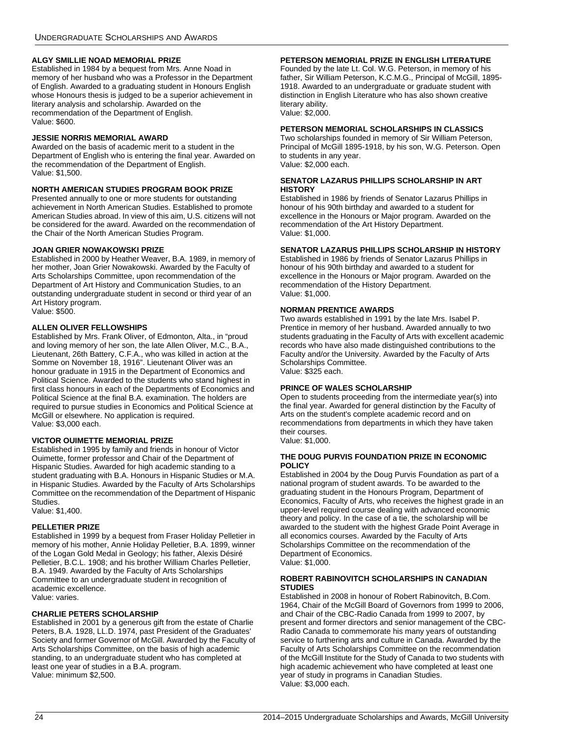### **ALGY SMILLIE NOAD MEMORIAL PRIZE**

Established in 1984 by a bequest from Mrs. Anne Noad in memory of her husband who was a Professor in the Department of English. Awarded to a graduating student in Honours English whose Honours thesis is judged to be a superior achievement in literary analysis and scholarship. Awarded on the recommendation of the Department of English. Value: \$600.

### **JESSIE NORRIS MEMORIAL AWARD**

Awarded on the basis of academic merit to a student in the Department of English who is entering the final year. Awarded on the recommendation of the Department of English. Value: \$1,500.

### **NORTH AMERICAN STUDIES PROGRAM BOOK PRIZE**

Presented annually to one or more students for outstanding achievement in North American Studies. Established to promote American Studies abroad. In view of this aim, U.S. citizens will not be considered for the award. Awarded on the recommendation of the Chair of the North American Studies Program.

### **JOAN GRIER NOWAKOWSKI PRIZE**

Established in 2000 by Heather Weaver, B.A. 1989, in memory of her mother, Joan Grier Nowakowski. Awarded by the Faculty of Arts Scholarships Committee, upon recommendation of the Department of Art History and Communication Studies, to an outstanding undergraduate student in second or third year of an Art History program. Value: \$500.

### **ALLEN OLIVER FELLOWSHIPS**

Established by Mrs. Frank Oliver, of Edmonton, Alta., in "proud and loving memory of her son, the late Allen Oliver, M.C., B.A., Lieutenant, 26th Battery, C.F.A., who was killed in action at the Somme on November 18, 1916". Lieutenant Oliver was an honour graduate in 1915 in the Department of Economics and Political Science. Awarded to the students who stand highest in first class honours in each of the Departments of Economics and Political Science at the final B.A. examination. The holders are required to pursue studies in Economics and Political Science at McGill or elsewhere. No application is required. Value: \$3,000 each.

### **VICTOR OUIMETTE MEMORIAL PRIZE**

Established in 1995 by family and friends in honour of Victor Ouimette, former professor and Chair of the Department of Hispanic Studies. Awarded for high academic standing to a student graduating with B.A. Honours in Hispanic Studies or M.A. in Hispanic Studies. Awarded by the Faculty of Arts Scholarships Committee on the recommendation of the Department of Hispanic Studies.

Value: \$1,400.

### **PELLETIER PRIZE**

Established in 1999 by a bequest from Fraser Holiday Pelletier in memory of his mother, Annie Holiday Pelletier, B.A. 1899, winner of the Logan Gold Medal in Geology; his father, Alexis Désiré Pelletier, B.C.L. 1908; and his brother William Charles Pelletier, B.A. 1949. Awarded by the Faculty of Arts Scholarships Committee to an undergraduate student in recognition of academic excellence. Value: varies.

### **CHARLIE PETERS SCHOLARSHIP**

Established in 2001 by a generous gift from the estate of Charlie Peters, B.A. 1928, LL.D. 1974, past President of the Graduates' Society and former Governor of McGill. Awarded by the Faculty of Arts Scholarships Committee, on the basis of high academic standing, to an undergraduate student who has completed at least one year of studies in a B.A. program. Value: minimum \$2,500.

### **PETERSON MEMORIAL PRIZE IN ENGLISH LITERATURE**

Founded by the late Lt. Col. W.G. Peterson, in memory of his father, Sir William Peterson, K.C.M.G., Principal of McGill, 1895- 1918. Awarded to an undergraduate or graduate student with distinction in English Literature who has also shown creative literary ability. Value: \$2,000.

### **PETERSON MEMORIAL SCHOLARSHIPS IN CLASSICS**

Two scholarships founded in memory of Sir William Peterson, Principal of McGill 1895-1918, by his son, W.G. Peterson. Open to students in any year. Value: \$2,000 each.

### **SENATOR LAZARUS PHILLIPS SCHOLARSHIP IN ART HISTORY**

Established in 1986 by friends of Senator Lazarus Phillips in honour of his 90th birthday and awarded to a student for excellence in the Honours or Major program. Awarded on the recommendation of the Art History Department. Value: \$1,000.

### **SENATOR LAZARUS PHILLIPS SCHOLARSHIP IN HISTORY**

Established in 1986 by friends of Senator Lazarus Phillips in honour of his 90th birthday and awarded to a student for excellence in the Honours or Major program. Awarded on the recommendation of the History Department. Value: \$1,000.

### **NORMAN PRENTICE AWARDS**

Two awards established in 1991 by the late Mrs. Isabel P. Prentice in memory of her husband. Awarded annually to two students graduating in the Faculty of Arts with excellent academic records who have also made distinguished contributions to the Faculty and/or the University. Awarded by the Faculty of Arts Scholarships Committee. Value: \$325 each.

### **PRINCE OF WALES SCHOLARSHIP**

Open to students proceeding from the intermediate year(s) into the final year. Awarded for general distinction by the Faculty of Arts on the student's complete academic record and on recommendations from departments in which they have taken their courses. Value: \$1,000.

# **THE DOUG PURVIS FOUNDATION PRIZE IN ECONOMIC**

**POLICY**

Established in 2004 by the Doug Purvis Foundation as part of a national program of student awards. To be awarded to the graduating student in the Honours Program, Department of Economics, Faculty of Arts, who receives the highest grade in an upper-level required course dealing with advanced economic theory and policy. In the case of a tie, the scholarship will be awarded to the student with the highest Grade Point Average in all economics courses. Awarded by the Faculty of Arts Scholarships Committee on the recommendation of the Department of Economics. Value: \$1,000.

### **ROBERT RABINOVITCH SCHOLARSHIPS IN CANADIAN STUDIES**

Established in 2008 in honour of Robert Rabinovitch, B.Com. 1964, Chair of the McGill Board of Governors from 1999 to 2006, and Chair of the CBC-Radio Canada from 1999 to 2007, by present and former directors and senior management of the CBC-Radio Canada to commemorate his many years of outstanding service to furthering arts and culture in Canada. Awarded by the Faculty of Arts Scholarships Committee on the recommendation of the McGill Institute for the Study of Canada to two students with high academic achievement who have completed at least one year of study in programs in Canadian Studies. .<br>Value: \$3,000 each.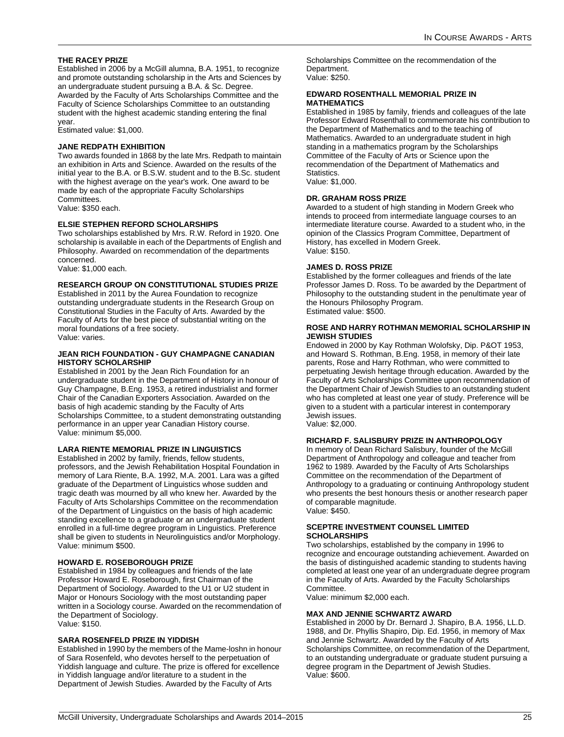### **THE RACEY PRIZE**

Established in 2006 by a McGill alumna, B.A. 1951, to recognize and promote outstanding scholarship in the Arts and Sciences by an undergraduate student pursuing a B.A. & Sc. Degree. Awarded by the Faculty of Arts Scholarships Committee and the Faculty of Science Scholarships Committee to an outstanding student with the highest academic standing entering the final year.

Estimated value: \$1,000.

### **JANE REDPATH EXHIBITION**

Two awards founded in 1868 by the late Mrs. Redpath to maintain an exhibition in Arts and Science. Awarded on the results of the initial year to the B.A. or B.S.W. student and to the B.Sc. student with the highest average on the year's work. One award to be made by each of the appropriate Faculty Scholarships Committees.

Value: \$350 each.

### **ELSIE STEPHEN REFORD SCHOLARSHIPS**

Two scholarships established by Mrs. R.W. Reford in 1920. One scholarship is available in each of the Departments of English and Philosophy. Awarded on recommendation of the departments concerned.

Value: \$1,000 each.

### **RESEARCH GROUP ON CONSTITUTIONAL STUDIES PRIZE**

Established in 2011 by the Aurea Foundation to recognize outstanding undergraduate students in the Research Group on Constitutional Studies in the Faculty of Arts. Awarded by the Faculty of Arts for the best piece of substantial writing on the moral foundations of a free society. Value: varies.

### **JEAN RICH FOUNDATION - GUY CHAMPAGNE CANADIAN HISTORY SCHOLARSHIP**

Established in 2001 by the Jean Rich Foundation for an undergraduate student in the Department of History in honour of Guy Champagne, B.Eng. 1953, a retired industrialist and former Chair of the Canadian Exporters Association. Awarded on the basis of high academic standing by the Faculty of Arts Scholarships Committee, to a student demonstrating outstanding performance in an upper year Canadian History course. Value: minimum \$5,000.

### **LARA RIENTE MEMORIAL PRIZE IN LINGUISTICS**

Established in 2002 by family, friends, fellow students, professors, and the Jewish Rehabilitation Hospital Foundation in memory of Lara Riente, B.A. 1992, M.A. 2001. Lara was a gifted graduate of the Department of Linguistics whose sudden and tragic death was mourned by all who knew her. Awarded by the Faculty of Arts Scholarships Committee on the recommendation of the Department of Linguistics on the basis of high academic standing excellence to a graduate or an undergraduate student enrolled in a full-time degree program in Linguistics. Preference shall be given to students in Neurolinguistics and/or Morphology. Value: minimum \$500.

### **HOWARD E. ROSEBOROUGH PRIZE**

Established in 1984 by colleagues and friends of the late Professor Howard E. Roseborough, first Chairman of the Department of Sociology. Awarded to the U1 or U2 student in Major or Honours Sociology with the most outstanding paper written in a Sociology course. Awarded on the recommendation of the Department of Sociology. Value: \$150.

### **SARA ROSENFELD PRIZE IN YIDDISH**

Established in 1990 by the members of the Mame-loshn in honour of Sara Rosenfeld, who devotes herself to the perpetuation of Yiddish language and culture. The prize is offered for excellence in Yiddish language and/or literature to a student in the Department of Jewish Studies. Awarded by the Faculty of Arts

Scholarships Committee on the recommendation of the Department. Value: \$250.

### **EDWARD ROSENTHALL MEMORIAL PRIZE IN MATHEMATICS**

Established in 1985 by family, friends and colleagues of the late Professor Edward Rosenthall to commemorate his contribution to the Department of Mathematics and to the teaching of Mathematics. Awarded to an undergraduate student in high standing in a mathematics program by the Scholarships Committee of the Faculty of Arts or Science upon the recommendation of the Department of Mathematics and **Statistics** Value: \$1,000.

### **DR. GRAHAM ROSS PRIZE**

Awarded to a student of high standing in Modern Greek who intends to proceed from intermediate language courses to an intermediate literature course. Awarded to a student who, in the opinion of the Classics Program Committee, Department of History, has excelled in Modern Greek. Value: \$150.

### **JAMES D. ROSS PRIZE**

Established by the former colleagues and friends of the late Professor James D. Ross. To be awarded by the Department of Philosophy to the outstanding student in the penultimate year of the Honours Philosophy Program. Estimated value: \$500.

### **ROSE AND HARRY ROTHMAN MEMORIAL SCHOLARSHIP IN JEWISH STUDIES**

Endowed in 2000 by Kay Rothman Wolofsky, Dip. P&OT 1953, and Howard S. Rothman, B.Eng. 1958, in memory of their late parents, Rose and Harry Rothman, who were committed to perpetuating Jewish heritage through education. Awarded by the Faculty of Arts Scholarships Committee upon recommendation of the Department Chair of Jewish Studies to an outstanding student who has completed at least one year of study. Preference will be given to a student with a particular interest in contemporary Jewish issues. Value: \$2,000.

### **RICHARD F. SALISBURY PRIZE IN ANTHROPOLOGY**

In memory of Dean Richard Salisbury, founder of the McGill Department of Anthropology and colleague and teacher from 1962 to 1989. Awarded by the Faculty of Arts Scholarships Committee on the recommendation of the Department of Anthropology to a graduating or continuing Anthropology student who presents the best honours thesis or another research paper of comparable magnitude. Value: \$450.

### **SCEPTRE INVESTMENT COUNSEL LIMITED SCHOLARSHIPS**

Two scholarships, established by the company in 1996 to recognize and encourage outstanding achievement. Awarded on the basis of distinguished academic standing to students having completed at least one year of an undergraduate degree program in the Faculty of Arts. Awarded by the Faculty Scholarships **Committee.** 

Value: minimum \$2,000 each.

### **MAX AND JENNIE SCHWARTZ AWARD**

Established in 2000 by Dr. Bernard J. Shapiro, B.A. 1956, LL.D. 1988, and Dr. Phyllis Shapiro, Dip. Ed. 1956, in memory of Max and Jennie Schwartz. Awarded by the Faculty of Arts Scholarships Committee, on recommendation of the Department, to an outstanding undergraduate or graduate student pursuing a degree program in the Department of Jewish Studies. Value: \$600.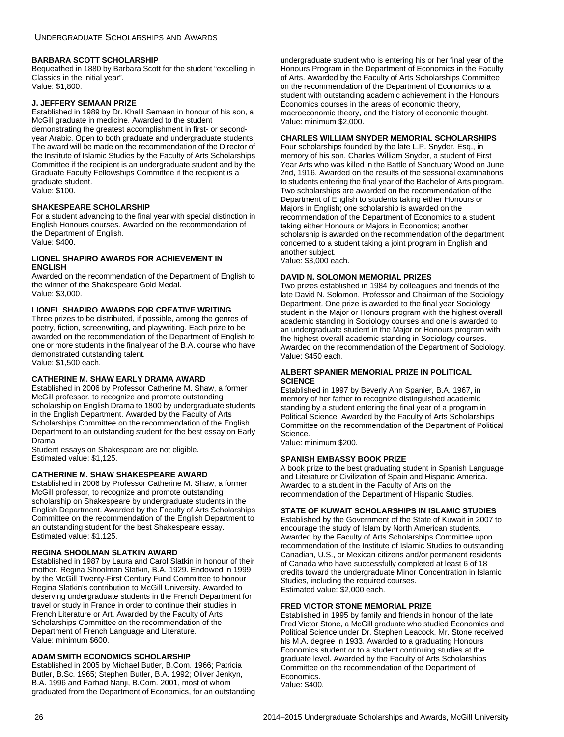### **BARBARA SCOTT SCHOLARSHIP**

Bequeathed in 1880 by Barbara Scott for the student "excelling in Classics in the initial year". Value: \$1,800.

### **J. JEFFERY SEMAAN PRIZE**

Established in 1989 by Dr. Khalil Semaan in honour of his son, a McGill graduate in medicine. Awarded to the student demonstrating the greatest accomplishment in first- or secondyear Arabic. Open to both graduate and undergraduate students. The award will be made on the recommendation of the Director of the Institute of Islamic Studies by the Faculty of Arts Scholarships Committee if the recipient is an undergraduate student and by the Graduate Faculty Fellowships Committee if the recipient is a graduate student.

Value: \$100.

### **SHAKESPEARE SCHOLARSHIP**

For a student advancing to the final year with special distinction in English Honours courses. Awarded on the recommendation of the Department of English. Value: \$400.

### **LIONEL SHAPIRO AWARDS FOR ACHIEVEMENT IN ENGLISH**

Awarded on the recommendation of the Department of English to the winner of the Shakespeare Gold Medal. Value: \$3,000.

### **LIONEL SHAPIRO AWARDS FOR CREATIVE WRITING**

Three prizes to be distributed, if possible, among the genres of poetry, fiction, screenwriting, and playwriting. Each prize to be awarded on the recommendation of the Department of English to one or more students in the final year of the B.A. course who have demonstrated outstanding talent. Value: \$1,500 each.

### **CATHERINE M. SHAW EARLY DRAMA AWARD**

Established in 2006 by Professor Catherine M. Shaw, a former McGill professor, to recognize and promote outstanding scholarship on English Drama to 1800 by undergraduate students in the English Department. Awarded by the Faculty of Arts Scholarships Committee on the recommendation of the English Department to an outstanding student for the best essay on Early Drama.

Student essays on Shakespeare are not eligible. Estimated value: \$1,125.

### **CATHERINE M. SHAW SHAKESPEARE AWARD**

Established in 2006 by Professor Catherine M. Shaw, a former McGill professor, to recognize and promote outstanding scholarship on Shakespeare by undergraduate students in the English Department. Awarded by the Faculty of Arts Scholarships Committee on the recommendation of the English Department to an outstanding student for the best Shakespeare essay. Estimated value: \$1,125.

### **REGINA SHOOLMAN SLATKIN AWARD**

Established in 1987 by Laura and Carol Slatkin in honour of their mother, Regina Shoolman Slatkin, B.A. 1929. Endowed in 1999 by the McGill Twenty-First Century Fund Committee to honour Regina Slatkin's contribution to McGill University. Awarded to deserving undergraduate students in the French Department for travel or study in France in order to continue their studies in French Literature or Art. Awarded by the Faculty of Arts Scholarships Committee on the recommendation of the Department of French Language and Literature. Value: minimum \$600.

### **ADAM SMITH ECONOMICS SCHOLARSHIP**

Established in 2005 by Michael Butler, B.Com. 1966; Patricia Butler, B.Sc. 1965; Stephen Butler, B.A. 1992; Oliver Jenkyn, B.A. 1996 and Farhad Nanji, B.Com. 2001, most of whom graduated from the Department of Economics, for an outstanding undergraduate student who is entering his or her final year of the Honours Program in the Department of Economics in the Faculty of Arts. Awarded by the Faculty of Arts Scholarships Committee on the recommendation of the Department of Economics to a student with outstanding academic achievement in the Honours Economics courses in the areas of economic theory, macroeconomic theory, and the history of economic thought. Value: minimum \$2,000.

### **CHARLES WILLIAM SNYDER MEMORIAL SCHOLARSHIPS**

Four scholarships founded by the late L.P. Snyder, Esq., in memory of his son, Charles William Snyder, a student of First Year Arts who was killed in the Battle of Sanctuary Wood on June 2nd, 1916. Awarded on the results of the sessional examinations to students entering the final year of the Bachelor of Arts program. Two scholarships are awarded on the recommendation of the Department of English to students taking either Honours or Majors in English; one scholarship is awarded on the recommendation of the Department of Economics to a student taking either Honours or Majors in Economics; another scholarship is awarded on the recommendation of the department concerned to a student taking a joint program in English and another subject.

Value: \$3,000 each.

### **DAVID N. SOLOMON MEMORIAL PRIZES**

Two prizes established in 1984 by colleagues and friends of the late David N. Solomon, Professor and Chairman of the Sociology Department. One prize is awarded to the final year Sociology student in the Major or Honours program with the highest overall academic standing in Sociology courses and one is awarded to an undergraduate student in the Major or Honours program with the highest overall academic standing in Sociology courses. Awarded on the recommendation of the Department of Sociology. Value: \$450 each.

### **ALBERT SPANIER MEMORIAL PRIZE IN POLITICAL SCIENCE**

Established in 1997 by Beverly Ann Spanier, B.A. 1967, in memory of her father to recognize distinguished academic standing by a student entering the final year of a program in Political Science. Awarded by the Faculty of Arts Scholarships Committee on the recommendation of the Department of Political Science.

Value: minimum \$200.

### **SPANISH EMBASSY BOOK PRIZE**

A book prize to the best graduating student in Spanish Language and Literature or Civilization of Spain and Hispanic America. Awarded to a student in the Faculty of Arts on the recommendation of the Department of Hispanic Studies.

### **STATE OF KUWAIT SCHOLARSHIPS IN ISLAMIC STUDIES**

Established by the Government of the State of Kuwait in 2007 to encourage the study of Islam by North American students. Awarded by the Faculty of Arts Scholarships Committee upon recommendation of the Institute of Islamic Studies to outstanding Canadian, U.S., or Mexican citizens and/or permanent residents of Canada who have successfully completed at least 6 of 18 credits toward the undergraduate Minor Concentration in Islamic Studies, including the required courses. Estimated value: \$2,000 each.

### **FRED VICTOR STONE MEMORIAL PRIZE**

Established in 1995 by family and friends in honour of the late Fred Victor Stone, a McGill graduate who studied Economics and Political Science under Dr. Stephen Leacock. Mr. Stone received his M.A. degree in 1933. Awarded to a graduating Honours Economics student or to a student continuing studies at the graduate level. Awarded by the Faculty of Arts Scholarships Committee on the recommendation of the Department of Economics. Value: \$400.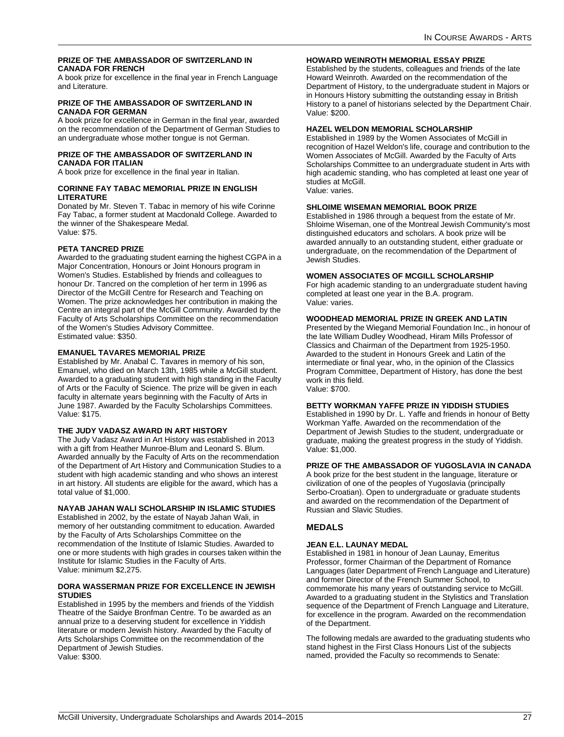### **PRIZE OF THE AMBASSADOR OF SWITZERLAND IN CANADA FOR FRENCH**

A book prize for excellence in the final year in French Language and Literature.

### **PRIZE OF THE AMBASSADOR OF SWITZERLAND IN CANADA FOR GERMAN**

A book prize for excellence in German in the final year, awarded on the recommendation of the Department of German Studies to an undergraduate whose mother tongue is not German.

### **PRIZE OF THE AMBASSADOR OF SWITZERLAND IN CANADA FOR ITALIAN**

A book prize for excellence in the final year in Italian.

### **CORINNE FAY TABAC MEMORIAL PRIZE IN ENGLISH LITERATURE**

Donated by Mr. Steven T. Tabac in memory of his wife Corinne Fay Tabac, a former student at Macdonald College. Awarded to the winner of the Shakespeare Medal. Value: \$75.

### **PETA TANCRED PRIZE**

Awarded to the graduating student earning the highest CGPA in a Major Concentration, Honours or Joint Honours program in Women's Studies. Established by friends and colleagues to honour Dr. Tancred on the completion of her term in 1996 as Director of the McGill Centre for Research and Teaching on Women. The prize acknowledges her contribution in making the Centre an integral part of the McGill Community. Awarded by the Faculty of Arts Scholarships Committee on the recommendation of the Women's Studies Advisory Committee. Estimated value: \$350.

### **EMANUEL TAVARES MEMORIAL PRIZE**

Established by Mr. Anabal C. Tavares in memory of his son, Emanuel, who died on March 13th, 1985 while a McGill student. Awarded to a graduating student with high standing in the Faculty of Arts or the Faculty of Science. The prize will be given in each faculty in alternate years beginning with the Faculty of Arts in June 1987. Awarded by the Faculty Scholarships Committees. Value: \$175.

### **THE JUDY VADASZ AWARD IN ART HISTORY**

The Judy Vadasz Award in Art History was established in 2013 with a gift from Heather Munroe-Blum and Leonard S. Blum. Awarded annually by the Faculty of Arts on the recommendation of the Department of Art History and Communication Studies to a student with high academic standing and who shows an interest in art history. All students are eligible for the award, which has a total value of \$1,000.

### **NAYAB JAHAN WALI SCHOLARSHIP IN ISLAMIC STUDIES**

Established in 2002, by the estate of Nayab Jahan Wali, in memory of her outstanding commitment to education. Awarded by the Faculty of Arts Scholarships Committee on the recommendation of the Institute of Islamic Studies. Awarded to one or more students with high grades in courses taken within the Institute for Islamic Studies in the Faculty of Arts. Value: minimum \$2,275.

### **DORA WASSERMAN PRIZE FOR EXCELLENCE IN JEWISH STUDIES**

Established in 1995 by the members and friends of the Yiddish Theatre of the Saidye Bronfman Centre. To be awarded as an annual prize to a deserving student for excellence in Yiddish literature or modern Jewish history. Awarded by the Faculty of Arts Scholarships Committee on the recommendation of the Department of Jewish Studies. Value: \$300.

### **HOWARD WEINROTH MEMORIAL ESSAY PRIZE**

Established by the students, colleagues and friends of the late Howard Weinroth. Awarded on the recommendation of the Department of History, to the undergraduate student in Majors or in Honours History submitting the outstanding essay in British History to a panel of historians selected by the Department Chair. Value: \$200.

### **HAZEL WELDON MEMORIAL SCHOLARSHIP**

Established in 1989 by the Women Associates of McGill in recognition of Hazel Weldon's life, courage and contribution to the Women Associates of McGill. Awarded by the Faculty of Arts Scholarships Committee to an undergraduate student in Arts with high academic standing, who has completed at least one year of studies at McGill.

Value: varies.

### **SHLOIME WISEMAN MEMORIAL BOOK PRIZE**

Established in 1986 through a bequest from the estate of Mr. Shloime Wiseman, one of the Montreal Jewish Community's most distinguished educators and scholars. A book prize will be awarded annually to an outstanding student, either graduate or undergraduate, on the recommendation of the Department of Jewish Studies.

### **WOMEN ASSOCIATES OF MCGILL SCHOLARSHIP**

For high academic standing to an undergraduate student having completed at least one year in the B.A. program. Value: varies.

### **WOODHEAD MEMORIAL PRIZE IN GREEK AND LATIN**

Presented by the Wiegand Memorial Foundation Inc., in honour of the late William Dudley Woodhead, Hiram Mills Professor of Classics and Chairman of the Department from 1925-1950. Awarded to the student in Honours Greek and Latin of the intermediate or final year, who, in the opinion of the Classics Program Committee, Department of History, has done the best work in this field. Value: \$700.

### **BETTY WORKMAN YAFFE PRIZE IN YIDDISH STUDIES**

Established in 1990 by Dr. L. Yaffe and friends in honour of Betty Workman Yaffe. Awarded on the recommendation of the Department of Jewish Studies to the student, undergraduate or graduate, making the greatest progress in the study of Yiddish. Value: \$1,000.

### **PRIZE OF THE AMBASSADOR OF YUGOSLAVIA IN CANADA**

A book prize for the best student in the language, literature or civilization of one of the peoples of Yugoslavia (principally Serbo-Croatian). Open to undergraduate or graduate students and awarded on the recommendation of the Department of Russian and Slavic Studies.

### **MEDALS**

### **JEAN E.L. LAUNAY MEDAL**

Established in 1981 in honour of Jean Launay, Emeritus Professor, former Chairman of the Department of Romance Languages (later Department of French Language and Literature) and former Director of the French Summer School, to commemorate his many years of outstanding service to McGill. Awarded to a graduating student in the Stylistics and Translation sequence of the Department of French Language and Literature, for excellence in the program. Awarded on the recommendation of the Department.

The following medals are awarded to the graduating students who stand highest in the First Class Honours List of the subjects named, provided the Faculty so recommends to Senate: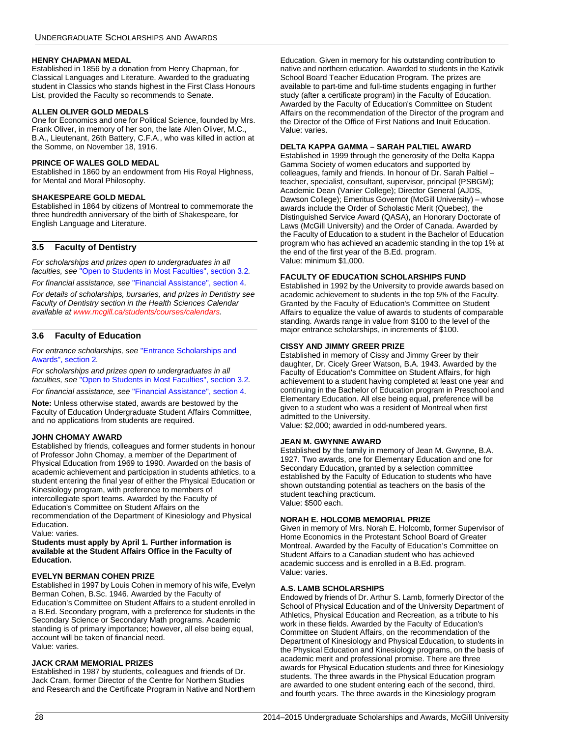### **HENRY CHAPMAN MEDAL**

Established in 1856 by a donation from Henry Chapman, for Classical Languages and Literature. Awarded to the graduating student in Classics who stands highest in the First Class Honours List, provided the Faculty so recommends to Senate.

### **ALLEN OLIVER GOLD MEDALS**

One for Economics and one for Political Science, founded by Mrs. Frank Oliver, in memory of her son, the late Allen Oliver, M.C., B.A., Lieutenant, 26th Battery, C.F.A., who was killed in action at the Somme, on November 18, 1916.

### **PRINCE OF WALES GOLD MEDAL**

Established in 1860 by an endowment from His Royal Highness, for Mental and Moral Philosophy.

### **SHAKESPEARE GOLD MEDAL**

Established in 1864 by citizens of Montreal to commemorate the three hundredth anniversary of the birth of Shakespeare, for English Language and Literature.

### <span id="page-28-0"></span>**3.5 Faculty of Dentistry**

*For scholarships and prizes open to undergraduates in all faculties, see* ["Open to Students in Most Faculties", section 3.2](#page-11-2)*.*

*For financial assistance, see* ["Financial Assistance", section 4](#page-58-1)*.*

*For details of scholarships, bursaries, and prizes in Dentistry see Faculty of Dentistry section in the Health Sciences Calendar available at [www.mcgill.ca/students/courses/calendars](http://www.mcgill.ca/students/courses/calendars/).*

### <span id="page-28-1"></span>**3.6 Faculty of Education**

*For entrance scholarships, see* ["Entrance Scholarships and](#page-4-0)  [Awards", section 2](#page-4-0)*.*

*For scholarships and prizes open to undergraduates in all faculties, see* ["Open to Students in Most Faculties", section 3.2](#page-11-2)*.*

*For financial assistance, see* ["Financial Assistance", section 4](#page-58-1)*.*

**Note:** Unless otherwise stated, awards are bestowed by the Faculty of Education Undergraduate Student Affairs Committee, and no applications from students are required.

### **JOHN CHOMAY AWARD**

Established by friends, colleagues and former students in honour of Professor John Chomay, a member of the Department of Physical Education from 1969 to 1990. Awarded on the basis of academic achievement and participation in students athletics, to a student entering the final year of either the Physical Education or Kinesiology program, with preference to members of intercollegiate sport teams. Awarded by the Faculty of Education's Committee on Student Affairs on the recommendation of the Department of Kinesiology and Physical Education.

Value: varies.

### **Students must apply by April 1. Further information is available at the Student Affairs Office in the Faculty of Education.**

### **EVELYN BERMAN COHEN PRIZE**

Established in 1997 by Louis Cohen in memory of his wife, Evelyn Berman Cohen, B.Sc. 1946. Awarded by the Faculty of Education's Committee on Student Affairs to a student enrolled in a B.Ed. Secondary program, with a preference for students in the Secondary Science or Secondary Math programs. Academic standing is of primary importance; however, all else being equal, account will be taken of financial need. Value: varies.

### **JACK CRAM MEMORIAL PRIZES**

Established in 1987 by students, colleagues and friends of Dr. Jack Cram, former Director of the Centre for Northern Studies and Research and the Certificate Program in Native and Northern Education. Given in memory for his outstanding contribution to native and northern education. Awarded to students in the Kativik School Board Teacher Education Program. The prizes are available to part-time and full-time students engaging in further study (after a certificate program) in the Faculty of Education. Awarded by the Faculty of Education's Committee on Student Affairs on the recommendation of the Director of the program and the Director of the Office of First Nations and Inuit Education. Value: varies.

### **DELTA KAPPA GAMMA – SARAH PALTIEL AWARD**

Established in 1999 through the generosity of the Delta Kappa Gamma Society of women educators and supported by colleagues, family and friends. In honour of Dr. Sarah Paltiel teacher, specialist, consultant, supervisor, principal (PSBGM); Academic Dean (Vanier College); Director General (AJDS, Dawson College); Emeritus Governor (McGill University) – whose awards include the Order of Scholastic Merit (Quebec), the Distinguished Service Award (QASA), an Honorary Doctorate of Laws (McGill University) and the Order of Canada. Awarded by the Faculty of Education to a student in the Bachelor of Education program who has achieved an academic standing in the top 1% at the end of the first year of the B.Ed. program. Value: minimum \$1,000.

### **FACULTY OF EDUCATION SCHOLARSHIPS FUND**

Established in 1992 by the University to provide awards based on academic achievement to students in the top 5% of the Faculty. Granted by the Faculty of Education's Committee on Student Affairs to equalize the value of awards to students of comparable standing. Awards range in value from \$100 to the level of the major entrance scholarships, in increments of \$100.

### **CISSY AND JIMMY GREER PRIZE**

Established in memory of Cissy and Jimmy Greer by their daughter, Dr. Cicely Greer Watson, B.A. 1943. Awarded by the Faculty of Education's Committee on Student Affairs, for high achievement to a student having completed at least one year and continuing in the Bachelor of Education program in Preschool and Elementary Education. All else being equal, preference will be given to a student who was a resident of Montreal when first admitted to the University.

Value: \$2,000; awarded in odd-numbered years.

### **JEAN M. GWYNNE AWARD**

Established by the family in memory of Jean M. Gwynne, B.A. 1927. Two awards, one for Elementary Education and one for Secondary Education, granted by a selection committee established by the Faculty of Education to students who have shown outstanding potential as teachers on the basis of the student teaching practicum. Value: \$500 each.

### **NORAH E. HOLCOMB MEMORIAL PRIZE**

Given in memory of Mrs. Norah E. Holcomb, former Supervisor of Home Economics in the Protestant School Board of Greater Montreal. Awarded by the Faculty of Education's Committee on Student Affairs to a Canadian student who has achieved academic success and is enrolled in a B.Ed. program. Value: varies.

### **A.S. LAMB SCHOLARSHIPS**

Endowed by friends of Dr. Arthur S. Lamb, formerly Director of the School of Physical Education and of the University Department of Athletics, Physical Education and Recreation, as a tribute to his work in these fields. Awarded by the Faculty of Education's Committee on Student Affairs, on the recommendation of the Department of Kinesiology and Physical Education, to students in the Physical Education and Kinesiology programs, on the basis of academic merit and professional promise. There are three awards for Physical Education students and three for Kinesiology students. The three awards in the Physical Education program are awarded to one student entering each of the second, third, and fourth years. The three awards in the Kinesiology program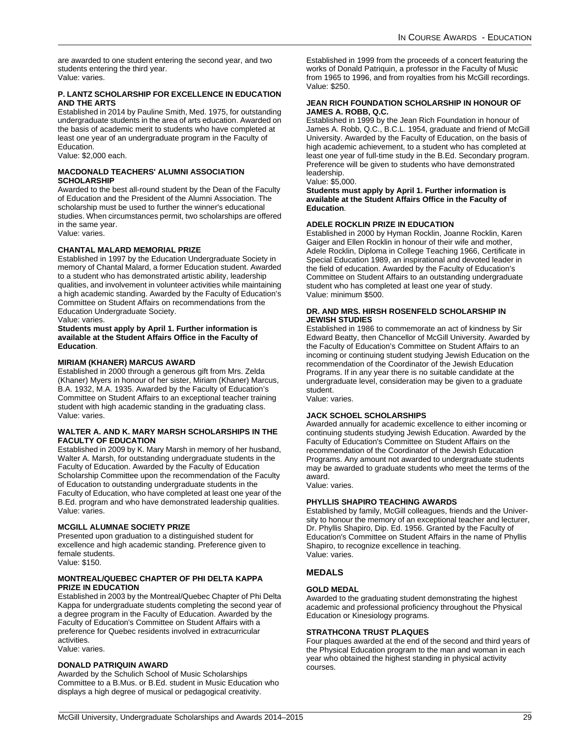are awarded to one student entering the second year, and two students entering the third year. Value: varies.

### **P. LANTZ SCHOLARSHIP FOR EXCELLENCE IN EDUCATION AND THE ARTS**

Established in 2014 by Pauline Smith, Med. 1975, for outstanding undergraduate students in the area of arts education. Awarded on the basis of academic merit to students who have completed at least one year of an undergraduate program in the Faculty of Education.

Value: \$2,000 each.

### **MACDONALD TEACHERS' ALUMNI ASSOCIATION SCHOLARSHIP**

Awarded to the best all-round student by the Dean of the Faculty of Education and the President of the Alumni Association. The scholarship must be used to further the winner's educational studies. When circumstances permit, two scholarships are offered in the same year.

Value: varies.

### **CHANTAL MALARD MEMORIAL PRIZE**

Established in 1997 by the Education Undergraduate Society in memory of Chantal Malard, a former Education student. Awarded to a student who has demonstrated artistic ability, leadership qualities, and involvement in volunteer activities while maintaining a high academic standing. Awarded by the Faculty of Education's Committee on Student Affairs on recommendations from the Education Undergraduate Society.

Value: varies.

**Students must apply by April 1. Further information is available at the Student Affairs Office in the Faculty of Education**.

### **MIRIAM (KHANER) MARCUS AWARD**

Established in 2000 through a generous gift from Mrs. Zelda (Khaner) Myers in honour of her sister, Miriam (Khaner) Marcus, B.A. 1932, M.A. 1935. Awarded by the Faculty of Education's Committee on Student Affairs to an exceptional teacher training student with high academic standing in the graduating class. Value: varies.

### **WALTER A. AND K. MARY MARSH SCHOLARSHIPS IN THE FACULTY OF EDUCATION**

Established in 2009 by K. Mary Marsh in memory of her husband, Walter A. Marsh, for outstanding undergraduate students in the Faculty of Education. Awarded by the Faculty of Education Scholarship Committee upon the recommendation of the Faculty of Education to outstanding undergraduate students in the Faculty of Education, who have completed at least one year of the B.Ed. program and who have demonstrated leadership qualities. Value: varies.

### **MCGILL ALUMNAE SOCIETY PRIZE**

Presented upon graduation to a distinguished student for excellence and high academic standing. Preference given to female students. Value: \$150.

### **MONTREAL/QUEBEC CHAPTER OF PHI DELTA KAPPA PRIZE IN EDUCATION**

Established in 2003 by the Montreal/Quebec Chapter of Phi Delta Kappa for undergraduate students completing the second year of a degree program in the Faculty of Education. Awarded by the Faculty of Education's Committee on Student Affairs with a preference for Quebec residents involved in extracurricular activities.

### Value: varies.

### **DONALD PATRIQUIN AWARD**

Awarded by the Schulich School of Music Scholarships Committee to a B.Mus. or B.Ed. student in Music Education who displays a high degree of musical or pedagogical creativity.

Established in 1999 from the proceeds of a concert featuring the works of Donald Patriquin, a professor in the Faculty of Music from 1965 to 1996, and from royalties from his McGill recordings. Value: \$250.

### **JEAN RICH FOUNDATION SCHOLARSHIP IN HONOUR OF JAMES A. ROBB, Q.C.**

Established in 1999 by the Jean Rich Foundation in honour of James A. Robb, Q.C., B.C.L. 1954, graduate and friend of McGill University. Awarded by the Faculty of Education, on the basis of high academic achievement, to a student who has completed at least one year of full-time study in the B.Ed. Secondary program. Preference will be given to students who have demonstrated leadership.

Value: \$5,000.

**Students must apply by April 1. Further information is available at the Student Affairs Office in the Faculty of Education**.

### **ADELE ROCKLIN PRIZE IN EDUCATION**

Established in 2000 by Hyman Rocklin, Joanne Rocklin, Karen Gaiger and Ellen Rocklin in honour of their wife and mother, Adele Rocklin, Diploma in College Teaching 1966, Certificate in Special Education 1989, an inspirational and devoted leader in the field of education. Awarded by the Faculty of Education's Committee on Student Affairs to an outstanding undergraduate student who has completed at least one year of study. Value: minimum \$500.

### **DR. AND MRS. HIRSH ROSENFELD SCHOLARSHIP IN JEWISH STUDIES**

Established in 1986 to commemorate an act of kindness by Sir Edward Beatty, then Chancellor of McGill University. Awarded by the Faculty of Education's Committee on Student Affairs to an incoming or continuing student studying Jewish Education on the recommendation of the Coordinator of the Jewish Education Programs. If in any year there is no suitable candidate at the undergraduate level, consideration may be given to a graduate student.

Value: varies.

### **JACK SCHOEL SCHOLARSHIPS**

Awarded annually for academic excellence to either incoming or continuing students studying Jewish Education. Awarded by the Faculty of Education's Committee on Student Affairs on the recommendation of the Coordinator of the Jewish Education Programs. Any amount not awarded to undergraduate students may be awarded to graduate students who meet the terms of the award.

Value: varies.

### **PHYLLIS SHAPIRO TEACHING AWARDS**

Established by family, McGill colleagues, friends and the University to honour the memory of an exceptional teacher and lecturer, Dr. Phyllis Shapiro, Dip. Ed. 1956. Granted by the Faculty of Education's Committee on Student Affairs in the name of Phyllis Shapiro, to recognize excellence in teaching. Value: varies.

### **MEDALS**

### **GOLD MEDAL**

Awarded to the graduating student demonstrating the highest academic and professional proficiency throughout the Physical Education or Kinesiology programs.

### **STRATHCONA TRUST PLAQUES**

Four plaques awarded at the end of the second and third years of the Physical Education program to the man and woman in each year who obtained the highest standing in physical activity courses.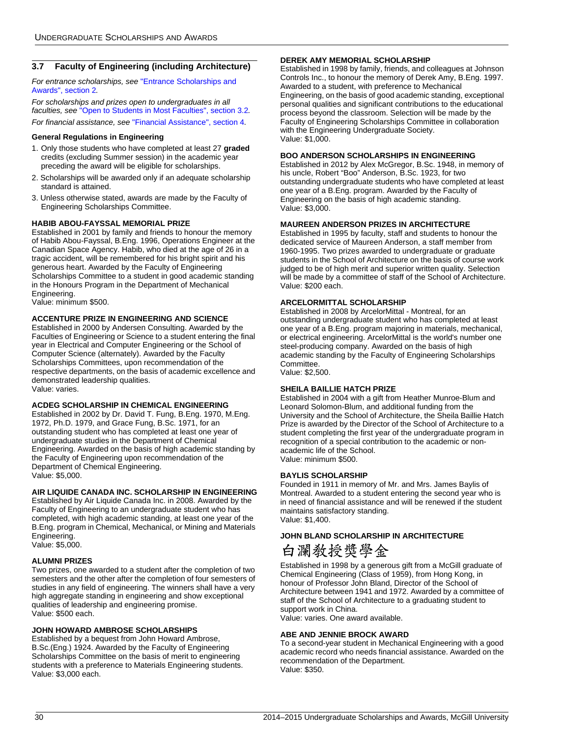### <span id="page-30-0"></span>**3.7 Faculty of Engineering (including Architecture)**

*For entrance scholarships, see* ["Entrance Scholarships and](#page-4-0)  [Awards", section 2](#page-4-0)*.*

*For scholarships and prizes open to undergraduates in all faculties, see* ["Open to Students in Most Faculties", section 3.2](#page-11-2)*. For financial assistance, see* ["Financial Assistance", section 4](#page-58-1)*.*

### **General Regulations in Engineering**

- 1. Only those students who have completed at least 27 **graded** credits (excluding Summer session) in the academic year preceding the award will be eligible for scholarships.
- 2. Scholarships will be awarded only if an adequate scholarship standard is attained.
- 3. Unless otherwise stated, awards are made by the Faculty of Engineering Scholarships Committee.

### **HABIB ABOU-FAYSSAL MEMORIAL PRIZE**

Established in 2001 by family and friends to honour the memory of Habib Abou-Fayssal, B.Eng. 1996, Operations Engineer at the Canadian Space Agency. Habib, who died at the age of 26 in a tragic accident, will be remembered for his bright spirit and his generous heart. Awarded by the Faculty of Engineering Scholarships Committee to a student in good academic standing in the Honours Program in the Department of Mechanical Engineering.

Value: minimum \$500.

### **ACCENTURE PRIZE IN ENGINEERING AND SCIENCE**

Established in 2000 by Andersen Consulting. Awarded by the Faculties of Engineering or Science to a student entering the final year in Electrical and Computer Engineering or the School of Computer Science (alternately). Awarded by the Faculty Scholarships Committees, upon recommendation of the respective departments, on the basis of academic excellence and demonstrated leadership qualities. Value: varies.

### **ACDEG SCHOLARSHIP IN CHEMICAL ENGINEERING**

Established in 2002 by Dr. David T. Fung, B.Eng. 1970, M.Eng. 1972, Ph.D. 1979, and Grace Fung, B.Sc. 1971, for an outstanding student who has completed at least one year of undergraduate studies in the Department of Chemical Engineering. Awarded on the basis of high academic standing by the Faculty of Engineering upon recommendation of the Department of Chemical Engineering. Value: \$5,000.

### **AIR LIQUIDE CANADA INC. SCHOLARSHIP IN ENGINEERING**

Established by Air Liquide Canada Inc. in 2008. Awarded by the Faculty of Engineering to an undergraduate student who has completed, with high academic standing, at least one year of the B.Eng. program in Chemical, Mechanical, or Mining and Materials Engineering.

Value: \$5,000.

### **ALUMNI PRIZES**

Two prizes, one awarded to a student after the completion of two semesters and the other after the completion of four semesters of studies in any field of engineering. The winners shall have a very high aggregate standing in engineering and show exceptional qualities of leadership and engineering promise. Value: \$500 each.

### **JOHN HOWARD AMBROSE SCHOLARSHIPS**

Established by a bequest from John Howard Ambrose, B.Sc.(Eng.) 1924. Awarded by the Faculty of Engineering Scholarships Committee on the basis of merit to engineering students with a preference to Materials Engineering students. Value: \$3,000 each.

### **DEREK AMY MEMORIAL SCHOLARSHIP**

Established in 1998 by family, friends, and colleagues at Johnson Controls Inc., to honour the memory of Derek Amy, B.Eng. 1997. Awarded to a student, with preference to Mechanical Engineering, on the basis of good academic standing, exceptional personal qualities and significant contributions to the educational process beyond the classroom. Selection will be made by the Faculty of Engineering Scholarships Committee in collaboration with the Engineering Undergraduate Society. Value: \$1,000.

### **BOO ANDERSON SCHOLARSHIPS IN ENGINEERING**

Established in 2012 by Alex McGregor, B.Sc. 1948, in memory of his uncle, Robert "Boo" Anderson, B.Sc. 1923, for two outstanding undergraduate students who have completed at least one year of a B.Eng. program. Awarded by the Faculty of Engineering on the basis of high academic standing. Value: \$3,000.

### **MAUREEN ANDERSON PRIZES IN ARCHITECTURE**

Established in 1995 by faculty, staff and students to honour the dedicated service of Maureen Anderson, a staff member from 1960-1995. Two prizes awarded to undergraduate or graduate students in the School of Architecture on the basis of course work judged to be of high merit and superior written quality. Selection will be made by a committee of staff of the School of Architecture. Value: \$200 each.

### **ARCELORMITTAL SCHOLARSHIP**

Established in 2008 by ArcelorMittal - Montreal, for an outstanding undergraduate student who has completed at least one year of a B.Eng. program majoring in materials, mechanical, or electrical engineering. ArcelorMittal is the world's number one steel-producing company. Awarded on the basis of high academic standing by the Faculty of Engineering Scholarships Committee. Value: \$2,500.

### **SHEILA BAILLIE HATCH PRIZE**

Established in 2004 with a gift from Heather Munroe-Blum and Leonard Solomon-Blum, and additional funding from the University and the School of Architecture, the Sheila Baillie Hatch Prize is awarded by the Director of the School of Architecture to a student completing the first year of the undergraduate program in recognition of a special contribution to the academic or nonacademic life of the School. Value: minimum \$500.

### **BAYLIS SCHOLARSHIP**

Founded in 1911 in memory of Mr. and Mrs. James Baylis of Montreal. Awarded to a student entering the second year who is in need of financial assistance and will be renewed if the student maintains satisfactory standing. Value: \$1,400.

### **JOHN BLAND SCHOLARSHIP IN ARCHITECTURE**

白瀾敎授獎學金

Established in 1998 by a generous gift from a McGill graduate of Chemical Engineering (Class of 1959), from Hong Kong, in honour of Professor John Bland, Director of the School of Architecture between 1941 and 1972. Awarded by a committee of staff of the School of Architecture to a graduating student to support work in China.

Value: varies. One award available.

### **ABE AND JENNIE BROCK AWARD**

To a second-year student in Mechanical Engineering with a good academic record who needs financial assistance. Awarded on the recommendation of the Department. Value: \$350.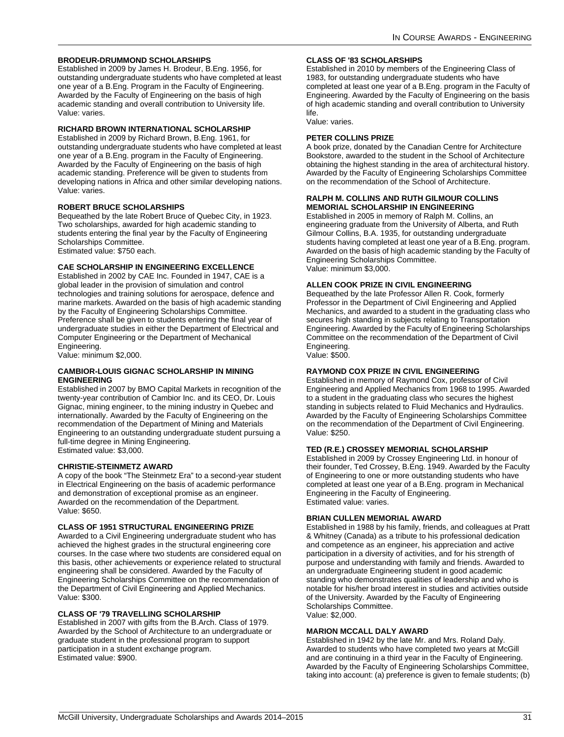### **BRODEUR-DRUMMOND SCHOLARSHIPS**

Established in 2009 by James H. Brodeur, B.Eng. 1956, for outstanding undergraduate students who have completed at least one year of a B.Eng. Program in the Faculty of Engineering. Awarded by the Faculty of Engineering on the basis of high academic standing and overall contribution to University life. Value: varies.

### **RICHARD BROWN INTERNATIONAL SCHOLARSHIP**

Established in 2009 by Richard Brown, B.Eng. 1961, for outstanding undergraduate students who have completed at least one year of a B.Eng. program in the Faculty of Engineering. Awarded by the Faculty of Engineering on the basis of high academic standing. Preference will be given to students from developing nations in Africa and other similar developing nations. Value: varies.

### **ROBERT BRUCE SCHOLARSHIPS**

Bequeathed by the late Robert Bruce of Quebec City, in 1923. Two scholarships, awarded for high academic standing to students entering the final year by the Faculty of Engineering Scholarships Committee.

Estimated value: \$750 each.

### **CAE SCHOLARSHIP IN ENGINEERING EXCELLENCE**

Established in 2002 by CAE Inc. Founded in 1947, CAE is a global leader in the provision of simulation and control technologies and training solutions for aerospace, defence and marine markets. Awarded on the basis of high academic standing by the Faculty of Engineering Scholarships Committee. Preference shall be given to students entering the final year of undergraduate studies in either the Department of Electrical and Computer Engineering or the Department of Mechanical Engineering.

Value: minimum \$2,000.

### **CAMBIOR-LOUIS GIGNAC SCHOLARSHIP IN MINING ENGINEERING**

Established in 2007 by BMO Capital Markets in recognition of the twenty-year contribution of Cambior Inc. and its CEO, Dr. Louis Gignac, mining engineer, to the mining industry in Quebec and internationally. Awarded by the Faculty of Engineering on the recommendation of the Department of Mining and Materials Engineering to an outstanding undergraduate student pursuing a full-time degree in Mining Engineering. Estimated value: \$3,000.

### **CHRISTIE-STEINMETZ AWARD**

A copy of the book "The Steinmetz Era" to a second-year student in Electrical Engineering on the basis of academic performance and demonstration of exceptional promise as an engineer. Awarded on the recommendation of the Department. Value: \$650.

### **CLASS OF 1951 STRUCTURAL ENGINEERING PRIZE**

Awarded to a Civil Engineering undergraduate student who has achieved the highest grades in the structural engineering core courses. In the case where two students are considered equal on this basis, other achievements or experience related to structural engineering shall be considered. Awarded by the Faculty of Engineering Scholarships Committee on the recommendation of the Department of Civil Engineering and Applied Mechanics. Value: \$300.

### **CLASS OF '79 TRAVELLING SCHOLARSHIP**

Established in 2007 with gifts from the B.Arch. Class of 1979. Awarded by the School of Architecture to an undergraduate or graduate student in the professional program to support participation in a student exchange program. Estimated value: \$900.

### **CLASS OF '83 SCHOLARSHIPS**

Established in 2010 by members of the Engineering Class of 1983, for outstanding undergraduate students who have completed at least one year of a B.Eng. program in the Faculty of Engineering. Awarded by the Faculty of Engineering on the basis of high academic standing and overall contribution to University life.

Value: varies.

### **PETER COLLINS PRIZE**

A book prize, donated by the Canadian Centre for Architecture Bookstore, awarded to the student in the School of Architecture obtaining the highest standing in the area of architectural history. Awarded by the Faculty of Engineering Scholarships Committee on the recommendation of the School of Architecture.

### **RALPH M. COLLINS AND RUTH GILMOUR COLLINS MEMORIAL SCHOLARSHIP IN ENGINEERING**

Established in 2005 in memory of Ralph M. Collins, an engineering graduate from the University of Alberta, and Ruth Gilmour Collins, B.A. 1935, for outstanding undergraduate students having completed at least one year of a B.Eng. program. Awarded on the basis of high academic standing by the Faculty of Engineering Scholarships Committee. Value: minimum \$3,000.

### **ALLEN COOK PRIZE IN CIVIL ENGINEERING**

Bequeathed by the late Professor Allen R. Cook, formerly Professor in the Department of Civil Engineering and Applied Mechanics, and awarded to a student in the graduating class who secures high standing in subjects relating to Transportation Engineering. Awarded by the Faculty of Engineering Scholarships Committee on the recommendation of the Department of Civil Engineering. Value: \$500.

### **RAYMOND COX PRIZE IN CIVIL ENGINEERING**

Established in memory of Raymond Cox, professor of Civil Engineering and Applied Mechanics from 1968 to 1995. Awarded to a student in the graduating class who secures the highest standing in subjects related to Fluid Mechanics and Hydraulics. Awarded by the Faculty of Engineering Scholarships Committee on the recommendation of the Department of Civil Engineering. Value: \$250.

### **TED (R.E.) CROSSEY MEMORIAL SCHOLARSHIP**

Established in 2009 by Crossey Engineering Ltd. in honour of their founder, Ted Crossey, B.Eng. 1949. Awarded by the Faculty of Engineering to one or more outstanding students who have completed at least one year of a B.Eng. program in Mechanical Engineering in the Faculty of Engineering. Estimated value: varies.

### **BRIAN CULLEN MEMORIAL AWARD**

Established in 1988 by his family, friends, and colleagues at Pratt & Whitney (Canada) as a tribute to his professional dedication and competence as an engineer, his appreciation and active participation in a diversity of activities, and for his strength of purpose and understanding with family and friends. Awarded to an undergraduate Engineering student in good academic standing who demonstrates qualities of leadership and who is notable for his/her broad interest in studies and activities outside of the University. Awarded by the Faculty of Engineering Scholarships Committee. Value: \$2,000.

### **MARION MCCALL DALY AWARD**

Established in 1942 by the late Mr. and Mrs. Roland Daly. Awarded to students who have completed two years at McGill and are continuing in a third year in the Faculty of Engineering. Awarded by the Faculty of Engineering Scholarships Committee, taking into account: (a) preference is given to female students; (b)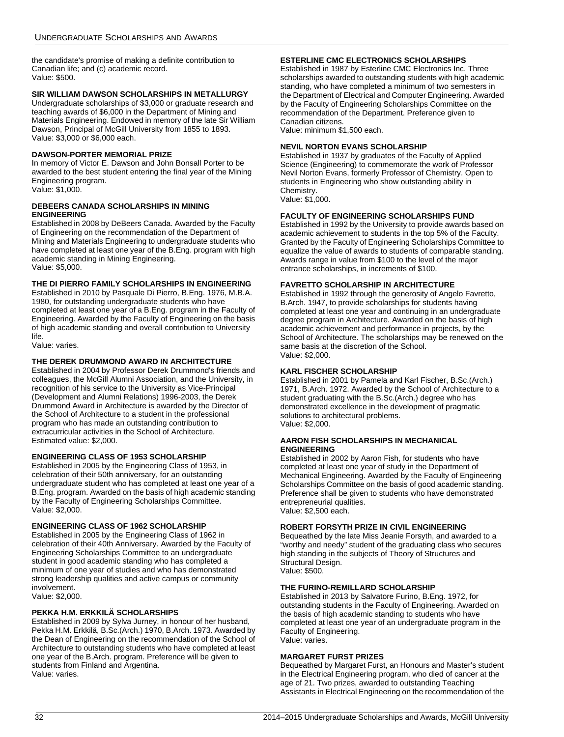the candidate's promise of making a definite contribution to Canadian life; and (c) academic record. Value: \$500.

### **SIR WILLIAM DAWSON SCHOLARSHIPS IN METALLURGY**

Undergraduate scholarships of \$3,000 or graduate research and teaching awards of \$6,000 in the Department of Mining and Materials Engineering. Endowed in memory of the late Sir William Dawson, Principal of McGill University from 1855 to 1893. Value: \$3,000 or \$6,000 each.

### **DAWSON-PORTER MEMORIAL PRIZE**

In memory of Victor E. Dawson and John Bonsall Porter to be awarded to the best student entering the final year of the Mining Engineering program. Value: \$1,000.

### **DEBEERS CANADA SCHOLARSHIPS IN MINING ENGINEERING**

Established in 2008 by DeBeers Canada. Awarded by the Faculty of Engineering on the recommendation of the Department of Mining and Materials Engineering to undergraduate students who have completed at least one year of the B.Eng. program with high academic standing in Mining Engineering. Value: \$5,000.

### **THE DI PIERRO FAMILY SCHOLARSHIPS IN ENGINEERING**

Established in 2010 by Pasquale Di Pierro, B.Eng. 1976, M.B.A. 1980, for outstanding undergraduate students who have completed at least one year of a B.Eng. program in the Faculty of Engineering. Awarded by the Faculty of Engineering on the basis of high academic standing and overall contribution to University life.

Value: varies.

### **THE DEREK DRUMMOND AWARD IN ARCHITECTURE**

Established in 2004 by Professor Derek Drummond's friends and colleagues, the McGill Alumni Association, and the University, in recognition of his service to the University as Vice-Principal (Development and Alumni Relations) 1996-2003, the Derek Drummond Award in Architecture is awarded by the Director of the School of Architecture to a student in the professional program who has made an outstanding contribution to extracurricular activities in the School of Architecture. Estimated value: \$2,000.

### **ENGINEERING CLASS OF 1953 SCHOLARSHIP**

Established in 2005 by the Engineering Class of 1953, in celebration of their 50th anniversary, for an outstanding undergraduate student who has completed at least one year of a B.Eng. program. Awarded on the basis of high academic standing by the Faculty of Engineering Scholarships Committee. Value: \$2,000.

### **ENGINEERING CLASS OF 1962 SCHOLARSHIP**

Established in 2005 by the Engineering Class of 1962 in celebration of their 40th Anniversary. Awarded by the Faculty of Engineering Scholarships Committee to an undergraduate student in good academic standing who has completed a minimum of one year of studies and who has demonstrated strong leadership qualities and active campus or community involvement. Value: \$2,000.

### **PEKKA H.M. ERKKILÄ SCHOLARSHIPS**

Established in 2009 by Sylva Jurney, in honour of her husband, Pekka H.M. Erkkilä, B.Sc.(Arch.) 1970, B.Arch. 1973. Awarded by the Dean of Engineering on the recommendation of the School of Architecture to outstanding students who have completed at least one year of the B.Arch. program. Preference will be given to students from Finland and Argentina. Value: varies.

### **ESTERLINE CMC ELECTRONICS SCHOLARSHIPS**

Established in 1987 by Esterline CMC Electronics Inc. Three scholarships awarded to outstanding students with high academic standing, who have completed a minimum of two semesters in the Department of Electrical and Computer Engineering. Awarded by the Faculty of Engineering Scholarships Committee on the recommendation of the Department. Preference given to Canadian citizens.

Value: minimum \$1,500 each.

### **NEVIL NORTON EVANS SCHOLARSHIP**

Established in 1937 by graduates of the Faculty of Applied Science (Engineering) to commemorate the work of Professor Nevil Norton Evans, formerly Professor of Chemistry. Open to students in Engineering who show outstanding ability in Chemistry. Value: \$1,000.

### **FACULTY OF ENGINEERING SCHOLARSHIPS FUND**

Established in 1992 by the University to provide awards based on academic achievement to students in the top 5% of the Faculty. Granted by the Faculty of Engineering Scholarships Committee to equalize the value of awards to students of comparable standing. Awards range in value from \$100 to the level of the major entrance scholarships, in increments of \$100.

### **FAVRETTO SCHOLARSHIP IN ARCHITECTURE**

Established in 1992 through the generosity of Angelo Favretto, B.Arch. 1947, to provide scholarships for students having completed at least one year and continuing in an undergraduate degree program in Architecture. Awarded on the basis of high academic achievement and performance in projects, by the School of Architecture. The scholarships may be renewed on the same basis at the discretion of the School. Value: \$2,000.

### **KARL FISCHER SCHOLARSHIP**

Established in 2001 by Pamela and Karl Fischer, B.Sc.(Arch.) 1971, B.Arch. 1972. Awarded by the School of Architecture to a student graduating with the B.Sc.(Arch.) degree who has demonstrated excellence in the development of pragmatic solutions to architectural problems. Value: \$2,000.

### **AARON FISH SCHOLARSHIPS IN MECHANICAL ENGINEERING**

Established in 2002 by Aaron Fish, for students who have completed at least one year of study in the Department of Mechanical Engineering. Awarded by the Faculty of Engineering Scholarships Committee on the basis of good academic standing. Preference shall be given to students who have demonstrated entrepreneurial qualities. Value: \$2,500 each.

### **ROBERT FORSYTH PRIZE IN CIVIL ENGINEERING**

Bequeathed by the late Miss Jeanie Forsyth, and awarded to a "worthy and needy" student of the graduating class who secures high standing in the subjects of Theory of Structures and Structural Design. Value: \$500.

### **THE FURINO-REMILLARD SCHOLARSHIP**

Established in 2013 by Salvatore Furino, B.Eng. 1972, for outstanding students in the Faculty of Engineering. Awarded on the basis of high academic standing to students who have completed at least one year of an undergraduate program in the Faculty of Engineering. Value: varies.

### **MARGARET FURST PRIZES**

Bequeathed by Margaret Furst, an Honours and Master's student in the Electrical Engineering program, who died of cancer at the age of 21. Two prizes, awarded to outstanding Teaching Assistants in Electrical Engineering on the recommendation of the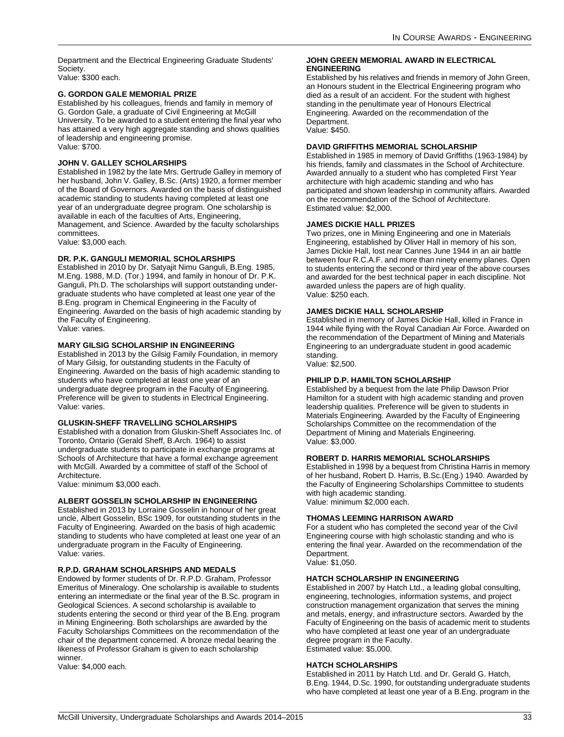Department and the Electrical Engineering Graduate Students' Society.

Value: \$300 each.

### **G. GORDON GALE MEMORIAL PRIZE**

Established by his colleagues, friends and family in memory of G. Gordon Gale, a graduate of Civil Engineering at McGill University. To be awarded to a student entering the final year who has attained a very high aggregate standing and shows qualities of leadership and engineering promise. Value: \$700.

### **JOHN V. GALLEY SCHOLARSHIPS**

Established in 1982 by the late Mrs. Gertrude Galley in memory of her husband, John V. Galley, B.Sc. (Arts) 1920, a former member of the Board of Governors. Awarded on the basis of distinguished academic standing to students having completed at least one year of an undergraduate degree program. One scholarship is available in each of the faculties of Arts, Engineering, Management, and Science. Awarded by the faculty scholarships committees.

Value: \$3,000 each.

### **DR. P.K. GANGULI MEMORIAL SCHOLARSHIPS**

Established in 2010 by Dr. Satyajit Nimu Ganguli, B.Eng. 1985, M.Eng. 1988, M.D. (Tor.) 1994, and family in honour of Dr. P.K. Ganguli, Ph.D. The scholarships will support outstanding undergraduate students who have completed at least one year of the B.Eng. program in Chemical Engineering in the Faculty of Engineering. Awarded on the basis of high academic standing by the Faculty of Engineering. Value: varies.

**MARY GILSIG SCHOLARSHIP IN ENGINEERING**

Established in 2013 by the Gilsig Family Foundation, in memory of Mary Gilsig, for outstanding students in the Faculty of Engineering. Awarded on the basis of high academic standing to students who have completed at least one year of an undergraduate degree program in the Faculty of Engineering. Preference will be given to students in Electrical Engineering. Value: varies.

### **GLUSKIN-SHEFF TRAVELLING SCHOLARSHIPS**

Established with a donation from Gluskin-Sheff Associates Inc. of Toronto, Ontario (Gerald Sheff, B.Arch. 1964) to assist undergraduate students to participate in exchange programs at Schools of Architecture that have a formal exchange agreement with McGill. Awarded by a committee of staff of the School of Architecture.

Value: minimum \$3,000 each.

### **ALBERT GOSSELIN SCHOLARSHIP IN ENGINEERING**

Established in 2013 by Lorraine Gosselin in honour of her great uncle, Albert Gosselin, BSc 1909, for outstanding students in the Faculty of Engineering. Awarded on the basis of high academic standing to students who have completed at least one year of an undergraduate program in the Faculty of Engineering. Value: varies.

### **R.P.D. GRAHAM SCHOLARSHIPS AND MEDALS**

Endowed by former students of Dr. R.P.D. Graham, Professor Emeritus of Mineralogy. One scholarship is available to students entering an intermediate or the final year of the B.Sc. program in Geological Sciences. A second scholarship is available to students entering the second or third year of the B.Eng. program in Mining Engineering. Both scholarships are awarded by the Faculty Scholarships Committees on the recommendation of the chair of the department concerned. A bronze medal bearing the likeness of Professor Graham is given to each scholarship winner.

Value: \$4,000 each.

### **JOHN GREEN MEMORIAL AWARD IN ELECTRICAL ENGINEERING**

Established by his relatives and friends in memory of John Green, an Honours student in the Electrical Engineering program who died as a result of an accident. For the student with highest standing in the penultimate year of Honours Electrical Engineering. Awarded on the recommendation of the Department. Value: \$450.

### **DAVID GRIFFITHS MEMORIAL SCHOLARSHIP**

Established in 1985 in memory of David Griffiths (1963-1984) by his friends, family and classmates in the School of Architecture. Awarded annually to a student who has completed First Year architecture with high academic standing and who has participated and shown leadership in community affairs. Awarded on the recommendation of the School of Architecture. Estimated value: \$2,000.

### **JAMES DICKIE HALL PRIZES**

Two prizes, one in Mining Engineering and one in Materials Engineering, established by Oliver Hall in memory of his son, James Dickie Hall, lost near Cannes June 1944 in an air battle between four R.C.A.F. and more than ninety enemy planes. Open to students entering the second or third year of the above courses and awarded for the best technical paper in each discipline. Not awarded unless the papers are of high quality. Value: \$250 each.

### **JAMES DICKIE HALL SCHOLARSHIP**

Established in memory of James Dickie Hall, killed in France in 1944 while flying with the Royal Canadian Air Force. Awarded on the recommendation of the Department of Mining and Materials Engineering to an undergraduate student in good academic standing.

Value: \$2,500.

### **PHILIP D.P. HAMILTON SCHOLARSHIP**

Established by a bequest from the late Philip Dawson Prior Hamilton for a student with high academic standing and proven leadership qualities. Preference will be given to students in Materials Engineering. Awarded by the Faculty of Engineering Scholarships Committee on the recommendation of the Department of Mining and Materials Engineering. Value: \$3,000.

### **ROBERT D. HARRIS MEMORIAL SCHOLARSHIPS**

Established in 1998 by a bequest from Christina Harris in memory of her husband, Robert D. Harris, B.Sc.(Eng.) 1940. Awarded by the Faculty of Engineering Scholarships Committee to students with high academic standing. Value: minimum \$2,000 each.

### **THOMAS LEEMING HARRISON AWARD**

For a student who has completed the second year of the Civil Engineering course with high scholastic standing and who is entering the final year. Awarded on the recommendation of the Department. Value: \$1,050.

### **HATCH SCHOLARSHIP IN ENGINEERING**

Established in 2007 by Hatch Ltd., a leading global consulting, engineering, technologies, information systems, and project construction management organization that serves the mining and metals, energy, and infrastructure sectors. Awarded by the Faculty of Engineering on the basis of academic merit to students who have completed at least one year of an undergraduate degree program in the Faculty. Estimated value: \$5,000.

### **HATCH SCHOLARSHIPS**

Established in 2011 by Hatch Ltd. and Dr. Gerald G. Hatch, B.Eng. 1944, D.Sc. 1990, for outstanding undergraduate students who have completed at least one year of a B.Eng. program in the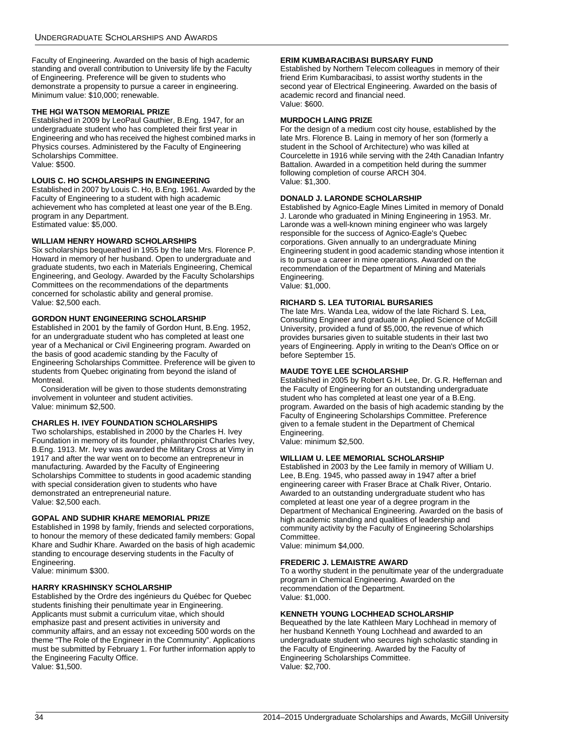Faculty of Engineering. Awarded on the basis of high academic standing and overall contribution to University life by the Faculty of Engineering. Preference will be given to students who demonstrate a propensity to pursue a career in engineering. Minimum value: \$10,000; renewable.

### **THE HGI WATSON MEMORIAL PRIZE**

Established in 2009 by LeoPaul Gauthier, B.Eng. 1947, for an undergraduate student who has completed their first year in Engineering and who has received the highest combined marks in Physics courses. Administered by the Faculty of Engineering Scholarships Committee. Value: \$500.

### **LOUIS C. HO SCHOLARSHIPS IN ENGINEERING**

Established in 2007 by Louis C. Ho, B.Eng. 1961. Awarded by the Faculty of Engineering to a student with high academic achievement who has completed at least one year of the B.Eng. program in any Department. Estimated value: \$5,000.

### **WILLIAM HENRY HOWARD SCHOLARSHIPS**

Six scholarships bequeathed in 1955 by the late Mrs. Florence P. Howard in memory of her husband. Open to undergraduate and graduate students, two each in Materials Engineering, Chemical Engineering, and Geology. Awarded by the Faculty Scholarships Committees on the recommendations of the departments concerned for scholastic ability and general promise. Value: \$2,500 each.

### **GORDON HUNT ENGINEERING SCHOLARSHIP**

Established in 2001 by the family of Gordon Hunt, B.Eng. 1952, for an undergraduate student who has completed at least one year of a Mechanical or Civil Engineering program. Awarded on the basis of good academic standing by the Faculty of Engineering Scholarships Committee. Preference will be given to students from Quebec originating from beyond the island of Montreal.

Consideration will be given to those students demonstrating involvement in volunteer and student activities. Value: minimum \$2,500.

### **CHARLES H. IVEY FOUNDATION SCHOLARSHIPS**

Two scholarships, established in 2000 by the Charles H. Ivey Foundation in memory of its founder, philanthropist Charles Ivey, B.Eng. 1913. Mr. Ivey was awarded the Military Cross at Vimy in 1917 and after the war went on to become an entrepreneur in manufacturing. Awarded by the Faculty of Engineering Scholarships Committee to students in good academic standing with special consideration given to students who have demonstrated an entrepreneurial nature. Value: \$2,500 each.

### **GOPAL AND SUDHIR KHARE MEMORIAL PRIZE**

Established in 1998 by family, friends and selected corporations, to honour the memory of these dedicated family members: Gopal Khare and Sudhir Khare. Awarded on the basis of high academic standing to encourage deserving students in the Faculty of Engineering.

Value: minimum \$300.

### **HARRY KRASHINSKY SCHOLARSHIP**

Established by the Ordre des ingénieurs du Québec for Quebec students finishing their penultimate year in Engineering. Applicants must submit a curriculum vitae, which should emphasize past and present activities in university and community affairs, and an essay not exceeding 500 words on the theme "The Role of the Engineer in the Community". Applications must be submitted by February 1. For further information apply to the Engineering Faculty Office. Value: \$1,500.

### **ERIM KUMBARACIBASI BURSARY FUND**

Established by Northern Telecom colleagues in memory of their friend Erim Kumbaracibasi, to assist worthy students in the second year of Electrical Engineering. Awarded on the basis of academic record and financial need. Value: \$600.

### **MURDOCH LAING PRIZE**

For the design of a medium cost city house, established by the late Mrs. Florence B. Laing in memory of her son (formerly a student in the School of Architecture) who was killed at Courcelette in 1916 while serving with the 24th Canadian Infantry Battalion. Awarded in a competition held during the summer following completion of course ARCH 304. Value: \$1,300.

### **DONALD J. LARONDE SCHOLARSHIP**

Established by Agnico-Eagle Mines Limited in memory of Donald J. Laronde who graduated in Mining Engineering in 1953. Mr. Laronde was a well-known mining engineer who was largely responsible for the success of Agnico-Eagle's Quebec corporations. Given annually to an undergraduate Mining Engineering student in good academic standing whose intention it is to pursue a career in mine operations. Awarded on the recommendation of the Department of Mining and Materials Engineering.

Value: \$1,000.

### **RICHARD S. LEA TUTORIAL BURSARIES**

The late Mrs. Wanda Lea, widow of the late Richard S. Lea, Consulting Engineer and graduate in Applied Science of McGill University, provided a fund of \$5,000, the revenue of which provides bursaries given to suitable students in their last two years of Engineering. Apply in writing to the Dean's Office on or before September 15.

### **MAUDE TOYE LEE SCHOLARSHIP**

Established in 2005 by Robert G.H. Lee, Dr. G.R. Heffernan and the Faculty of Engineering for an outstanding undergraduate student who has completed at least one year of a B.Eng. program. Awarded on the basis of high academic standing by the Faculty of Engineering Scholarships Committee. Preference given to a female student in the Department of Chemical Engineering.

Value: minimum \$2,500.

### **WILLIAM U. LEE MEMORIAL SCHOLARSHIP**

Established in 2003 by the Lee family in memory of William U. Lee, B.Eng. 1945, who passed away in 1947 after a brief engineering career with Fraser Brace at Chalk River, Ontario. Awarded to an outstanding undergraduate student who has completed at least one year of a degree program in the Department of Mechanical Engineering. Awarded on the basis of high academic standing and qualities of leadership and community activity by the Faculty of Engineering Scholarships Committee.

Value: minimum \$4,000.

### **FREDERIC J. LEMAISTRE AWARD**

To a worthy student in the penultimate year of the undergraduate program in Chemical Engineering. Awarded on the recommendation of the Department. Value: \$1,000.

### **KENNETH YOUNG LOCHHEAD SCHOLARSHIP**

Bequeathed by the late Kathleen Mary Lochhead in memory of her husband Kenneth Young Lochhead and awarded to an undergraduate student who secures high scholastic standing in the Faculty of Engineering. Awarded by the Faculty of Engineering Scholarships Committee. Value: \$2,700.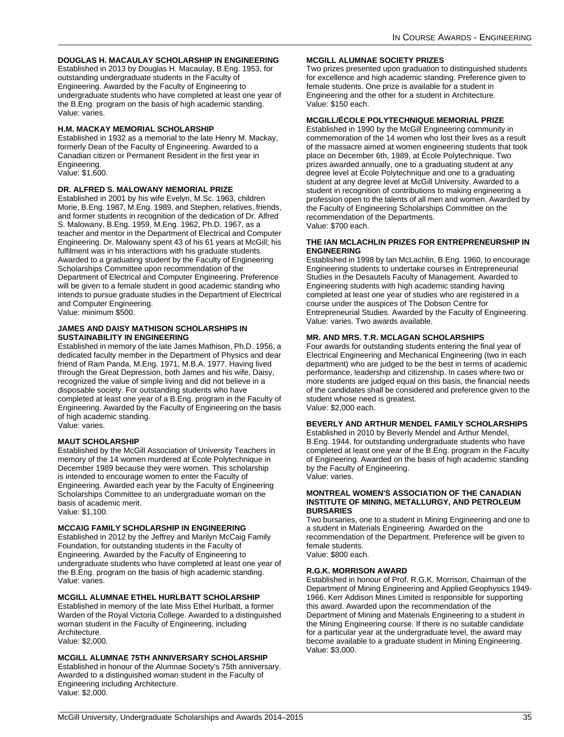### **DOUGLAS H. MACAULAY SCHOLARSHIP IN ENGINEERING**

Established in 2013 by Douglas H. Macaulay, B.Eng. 1953, for outstanding undergraduate students in the Faculty of Engineering. Awarded by the Faculty of Engineering to undergraduate students who have completed at least one year of the B.Eng. program on the basis of high academic standing. Value: varies.

### **H.M. MACKAY MEMORIAL SCHOLARSHIP**

Established in 1932 as a memorial to the late Henry M. Mackay, formerly Dean of the Faculty of Engineering. Awarded to a Canadian citizen or Permanent Resident in the first year in Engineering. Value: \$1,600.

### **DR. ALFRED S. MALOWANY MEMORIAL PRIZE**

Established in 2001 by his wife Evelyn, M.Sc. 1963, children Morie, B.Eng. 1987, M.Eng. 1989, and Stephen, relatives, friends, and former students in recognition of the dedication of Dr. Alfred S. Malowany, B.Eng. 1959, M.Eng. 1962, Ph.D. 1967, as a teacher and mentor in the Department of Electrical and Computer Engineering. Dr. Malowany spent 43 of his 61 years at McGill; his fulfilment was in his interactions with his graduate students. Awarded to a graduating student by the Faculty of Engineering Scholarships Committee upon recommendation of the Department of Electrical and Computer Engineering. Preference will be given to a female student in good academic standing who intends to pursue graduate studies in the Department of Electrical and Computer Engineering. Value: minimum \$500.

### **JAMES AND DAISY MATHISON SCHOLARSHIPS IN SUSTAINABILITY IN ENGINEERING**

Established in memory of the late James Mathison, Ph.D. 1956, a dedicated faculty member in the Department of Physics and dear friend of Ram Panda, M.Eng. 1971, M.B.A. 1977. Having lived through the Great Depression, both James and his wife, Daisy, recognized the value of simple living and did not believe in a disposable society. For outstanding students who have completed at least one year of a B.Eng. program in the Faculty of Engineering. Awarded by the Faculty of Engineering on the basis of high academic standing. Value: varies.

### **MAUT SCHOLARSHIP**

Established by the McGill Association of University Teachers in memory of the 14 women murdered at École Polytechnique in December 1989 because they were women. This scholarship is intended to encourage women to enter the Faculty of Engineering. Awarded each year by the Faculty of Engineering Scholarships Committee to an undergraduate woman on the basis of academic merit. Value: \$1,100.

### **MCCAIG FAMILY SCHOLARSHIP IN ENGINEERING**

Established in 2012 by the Jeffrey and Marilyn McCaig Family Foundation, for outstanding students in the Faculty of Engineering. Awarded by the Faculty of Engineering to undergraduate students who have completed at least one year of the B.Eng. program on the basis of high academic standing. Value: varies.

### **MCGILL ALUMNAE ETHEL HURLBATT SCHOLARSHIP**

Established in memory of the late Miss Ethel Hurlbatt, a former Warden of the Royal Victoria College. Awarded to a distinguished woman student in the Faculty of Engineering, including Architecture.

Value: \$2,000.

### **MCGILL ALUMNAE 75TH ANNIVERSARY SCHOLARSHIP**

Established in honour of the Alumnae Society's 75th anniversary. Awarded to a distinguished woman student in the Faculty of Engineering including Architecture. Value: \$2,000.

### **MCGILL ALUMNAE SOCIETY PRIZES**

Two prizes presented upon graduation to distinguished students for excellence and high academic standing. Preference given to female students. One prize is available for a student in Engineering and the other for a student in Architecture. Value: \$150 each.

### **MCGILL/ÉCOLE POLYTECHNIQUE MEMORIAL PRIZE**

Established in 1990 by the McGill Engineering community in commemoration of the 14 women who lost their lives as a result of the massacre aimed at women engineering students that took place on December 6th, 1989, at École Polytechnique. Two prizes awarded annually, one to a graduating student at any degree level at École Polytechnique and one to a graduating student at any degree level at McGill University. Awarded to a student in recognition of contributions to making engineering a profession open to the talents of all men and women. Awarded by the Faculty of Engineering Scholarships Committee on the recommendation of the Departments. Value: \$700 each.

### **THE IAN MCLACHLIN PRIZES FOR ENTREPRENEURSHIP IN ENGINEERING**

Established in 1998 by Ian McLachlin, B.Eng. 1960, to encourage Engineering students to undertake courses in Entrepreneurial Studies in the Desautels Faculty of Management. Awarded to Engineering students with high academic standing having completed at least one year of studies who are registered in a course under the auspices of The Dobson Centre for Entrepreneurial Studies. Awarded by the Faculty of Engineering. Value: varies. Two awards available.

### **MR. AND MRS. T.R. MCLAGAN SCHOLARSHIPS**

Four awards for outstanding students entering the final year of Electrical Engineering and Mechanical Engineering (two in each department) who are judged to be the best in terms of academic performance, leadership and citizenship. In cases where two or more students are judged equal on this basis, the financial needs of the candidates shall be considered and preference given to the student whose need is greatest. Value: \$2,000 each.

### **BEVERLY AND ARTHUR MENDEL FAMILY SCHOLARSHIPS**

Established in 2010 by Beverly Mendel and Arthur Mendel, B.Eng. 1944, for outstanding undergraduate students who have completed at least one year of the B.Eng. program in the Faculty of Engineering. Awarded on the basis of high academic standing by the Faculty of Engineering. Value: varies.

### **MONTREAL WOMEN'S ASSOCIATION OF THE CANADIAN INSTITUTE OF MINING, METALLURGY, AND PETROLEUM BURSARIES**

Two bursaries, one to a student in Mining Engineering and one to a student in Materials Engineering. Awarded on the recommendation of the Department. Preference will be given to female students. Value: \$800 each.

### **R.G.K. MORRISON AWARD**

Established in honour of Prof. R.G.K. Morrison, Chairman of the Department of Mining Engineering and Applied Geophysics 1949- 1966. Kerr Addison Mines Limited is responsible for supporting this award. Awarded upon the recommendation of the Department of Mining and Materials Engineering to a student in the Mining Engineering course. If there is no suitable candidate for a particular year at the undergraduate level, the award may become available to a graduate student in Mining Engineering. Value: \$3,000.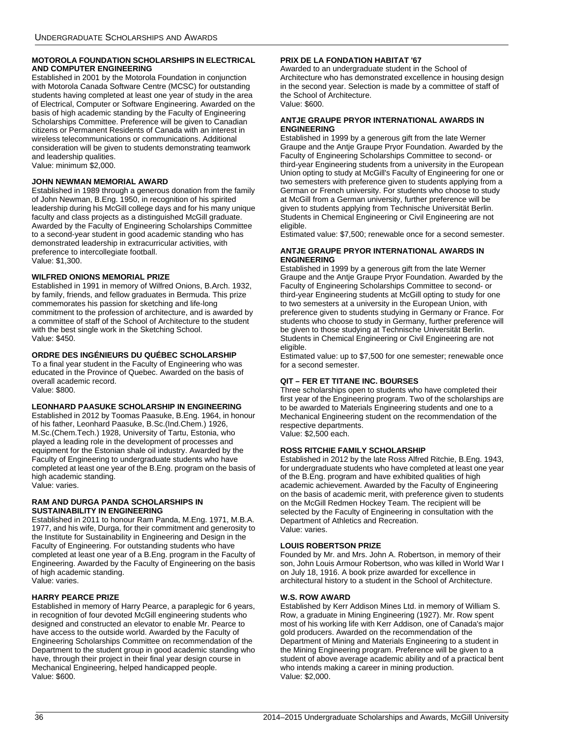### **MOTOROLA FOUNDATION SCHOLARSHIPS IN ELECTRICAL AND COMPUTER ENGINEERING**

Established in 2001 by the Motorola Foundation in conjunction with Motorola Canada Software Centre (MCSC) for outstanding students having completed at least one year of study in the area of Electrical, Computer or Software Engineering. Awarded on the basis of high academic standing by the Faculty of Engineering Scholarships Committee. Preference will be given to Canadian citizens or Permanent Residents of Canada with an interest in wireless telecommunications or communications. Additional consideration will be given to students demonstrating teamwork and leadership qualities. Value: minimum \$2,000.

### **JOHN NEWMAN MEMORIAL AWARD**

Established in 1989 through a generous donation from the family of John Newman, B.Eng. 1950, in recognition of his spirited leadership during his McGill college days and for his many unique faculty and class projects as a distinguished McGill graduate. Awarded by the Faculty of Engineering Scholarships Committee to a second-year student in good academic standing who has demonstrated leadership in extracurricular activities, with preference to intercollegiate football. Value: \$1,300.

### **WILFRED ONIONS MEMORIAL PRIZE**

Established in 1991 in memory of Wilfred Onions, B.Arch. 1932, by family, friends, and fellow graduates in Bermuda. This prize commemorates his passion for sketching and life-long commitment to the profession of architecture, and is awarded by a committee of staff of the School of Architecture to the student with the best single work in the Sketching School. Value: \$450.

### **ORDRE DES INGÉNIEURS DU QUÉBEC SCHOLARSHIP**

To a final year student in the Faculty of Engineering who was educated in the Province of Quebec. Awarded on the basis of overall academic record. Value: \$800.

### **LEONHARD PAASUKE SCHOLARSHIP IN ENGINEERING**

Established in 2012 by Toomas Paasuke, B.Eng. 1964, in honour of his father, Leonhard Paasuke, B.Sc.(Ind.Chem.) 1926, M.Sc.(Chem.Tech.) 1928, University of Tartu, Estonia, who played a leading role in the development of processes and equipment for the Estonian shale oil industry. Awarded by the Faculty of Engineering to undergraduate students who have completed at least one year of the B.Eng. program on the basis of high academic standing. Value: varies.

#### **RAM AND DURGA PANDA SCHOLARSHIPS IN SUSTAINABILITY IN ENGINEERING**

Established in 2011 to honour Ram Panda, M.Eng. 1971, M.B.A. 1977, and his wife, Durga, for their commitment and generosity to the Institute for Sustainability in Engineering and Design in the Faculty of Engineering. For outstanding students who have completed at least one year of a B.Eng. program in the Faculty of Engineering. Awarded by the Faculty of Engineering on the basis of high academic standing. Value: varies.

### **HARRY PEARCE PRIZE**

Established in memory of Harry Pearce, a paraplegic for 6 years, in recognition of four devoted McGill engineering students who designed and constructed an elevator to enable Mr. Pearce to have access to the outside world. Awarded by the Faculty of Engineering Scholarships Committee on recommendation of the Department to the student group in good academic standing who have, through their project in their final year design course in Mechanical Engineering, helped handicapped people. Value: \$600.

### **PRIX DE LA FONDATION HABITAT '67**

Awarded to an undergraduate student in the School of Architecture who has demonstrated excellence in housing design in the second year. Selection is made by a committee of staff of the School of Architecture. Value: \$600.

#### **ANTJE GRAUPE PRYOR INTERNATIONAL AWARDS IN ENGINEERING**

Established in 1999 by a generous gift from the late Werner Graupe and the Antje Graupe Pryor Foundation. Awarded by the Faculty of Engineering Scholarships Committee to second- or third-year Engineering students from a university in the European Union opting to study at McGill's Faculty of Engineering for one or two semesters with preference given to students applying from a German or French university. For students who choose to study at McGill from a German university, further preference will be given to students applying from Technische Universität Berlin. Students in Chemical Engineering or Civil Engineering are not eligible.

Estimated value: \$7,500; renewable once for a second semester.

### **ANTJE GRAUPE PRYOR INTERNATIONAL AWARDS IN ENGINEERING**

Established in 1999 by a generous gift from the late Werner Graupe and the Antje Graupe Pryor Foundation. Awarded by the Faculty of Engineering Scholarships Committee to second- or third-year Engineering students at McGill opting to study for one to two semesters at a university in the European Union, with preference given to students studying in Germany or France. For students who choose to study in Germany, further preference will be given to those studying at Technische Universität Berlin. Students in Chemical Engineering or Civil Engineering are not eligible.

Estimated value: up to \$7,500 for one semester; renewable once for a second semester.

### **QIT – FER ET TITANE INC. BOURSES**

Three scholarships open to students who have completed their first year of the Engineering program. Two of the scholarships are to be awarded to Materials Engineering students and one to a Mechanical Engineering student on the recommendation of the respective departments.

Value: \$2,500 each.

### **ROSS RITCHIE FAMILY SCHOLARSHIP**

Established in 2012 by the late Ross Alfred Ritchie, B.Eng. 1943, for undergraduate students who have completed at least one year of the B.Eng. program and have exhibited qualities of high academic achievement. Awarded by the Faculty of Engineering on the basis of academic merit, with preference given to students on the McGill Redmen Hockey Team. The recipient will be selected by the Faculty of Engineering in consultation with the Department of Athletics and Recreation. Value: varies.

### **LOUIS ROBERTSON PRIZE**

Founded by Mr. and Mrs. John A. Robertson, in memory of their son, John Louis Armour Robertson, who was killed in World War I on July 18, 1916. A book prize awarded for excellence in architectural history to a student in the School of Architecture.

### **W.S. ROW AWARD**

Established by Kerr Addison Mines Ltd. in memory of William S. Row, a graduate in Mining Engineering (1927). Mr. Row spent most of his working life with Kerr Addison, one of Canada's major gold producers. Awarded on the recommendation of the Department of Mining and Materials Engineering to a student in the Mining Engineering program. Preference will be given to a student of above average academic ability and of a practical bent who intends making a career in mining production. Value: \$2,000.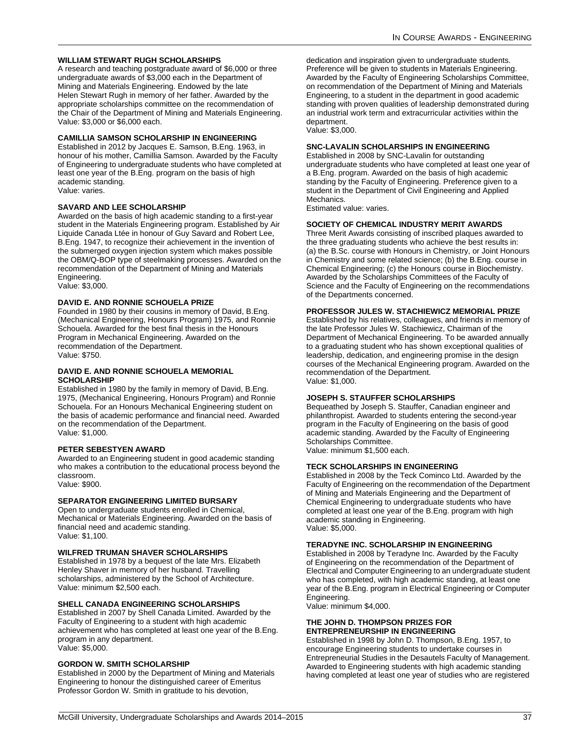### **WILLIAM STEWART RUGH SCHOLARSHIPS**

A research and teaching postgraduate award of \$6,000 or three undergraduate awards of \$3,000 each in the Department of Mining and Materials Engineering. Endowed by the late Helen Stewart Rugh in memory of her father. Awarded by the appropriate scholarships committee on the recommendation of the Chair of the Department of Mining and Materials Engineering. Value: \$3,000 or \$6,000 each.

#### **CAMILLIA SAMSON SCHOLARSHIP IN ENGINEERING**

Established in 2012 by Jacques E. Samson, B.Eng. 1963, in honour of his mother, Camillia Samson. Awarded by the Faculty of Engineering to undergraduate students who have completed at least one year of the B.Eng. program on the basis of high academic standing. Value: varies.

### **SAVARD AND LEE SCHOLARSHIP**

Awarded on the basis of high academic standing to a first-year student in the Materials Engineering program. Established by Air Liquide Canada Ltée in honour of Guy Savard and Robert Lee, B.Eng. 1947, to recognize their achievement in the invention of the submerged oxygen injection system which makes possible the OBM/Q-BOP type of steelmaking processes. Awarded on the recommendation of the Department of Mining and Materials Engineering.

Value: \$3,000.

#### **DAVID E. AND RONNIE SCHOUELA PRIZE**

Founded in 1980 by their cousins in memory of David, B.Eng. (Mechanical Engineering, Honours Program) 1975, and Ronnie Schouela. Awarded for the best final thesis in the Honours Program in Mechanical Engineering. Awarded on the recommendation of the Department. Value: \$750.

#### **DAVID E. AND RONNIE SCHOUELA MEMORIAL SCHOLARSHIP**

Established in 1980 by the family in memory of David, B.Eng. 1975, (Mechanical Engineering, Honours Program) and Ronnie Schouela. For an Honours Mechanical Engineering student on the basis of academic performance and financial need. Awarded on the recommendation of the Department. Value: \$1,000.

#### **PETER SEBESTYEN AWARD**

Awarded to an Engineering student in good academic standing who makes a contribution to the educational process beyond the classroom. Value: \$900.

### **SEPARATOR ENGINEERING LIMITED BURSARY**

Open to undergraduate students enrolled in Chemical, Mechanical or Materials Engineering. Awarded on the basis of financial need and academic standing. Value: \$1,100.

#### **WILFRED TRUMAN SHAVER SCHOLARSHIPS**

Established in 1978 by a bequest of the late Mrs. Elizabeth Henley Shaver in memory of her husband. Travelling scholarships, administered by the School of Architecture. Value: minimum \$2,500 each.

#### **SHELL CANADA ENGINEERING SCHOLARSHIPS**

Established in 2007 by Shell Canada Limited. Awarded by the Faculty of Engineering to a student with high academic achievement who has completed at least one year of the B.Eng. program in any department. Value: \$5,000.

#### **GORDON W. SMITH SCHOLARSHIP**

Established in 2000 by the Department of Mining and Materials Engineering to honour the distinguished career of Emeritus Professor Gordon W. Smith in gratitude to his devotion,

dedication and inspiration given to undergraduate students. Preference will be given to students in Materials Engineering. Awarded by the Faculty of Engineering Scholarships Committee, on recommendation of the Department of Mining and Materials Engineering, to a student in the department in good academic standing with proven qualities of leadership demonstrated during an industrial work term and extracurricular activities within the department. Value: \$3,000.

#### **SNC-LAVALIN SCHOLARSHIPS IN ENGINEERING**

Established in 2008 by SNC-Lavalin for outstanding undergraduate students who have completed at least one year of a B.Eng. program. Awarded on the basis of high academic standing by the Faculty of Engineering. Preference given to a student in the Department of Civil Engineering and Applied Mechanics.

Estimated value: varies.

#### **SOCIETY OF CHEMICAL INDUSTRY MERIT AWARDS**

Three Merit Awards consisting of inscribed plaques awarded to the three graduating students who achieve the best results in: (a) the B.Sc. course with Honours in Chemistry, or Joint Honours in Chemistry and some related science; (b) the B.Eng. course in Chemical Engineering; (c) the Honours course in Biochemistry. Awarded by the Scholarships Committees of the Faculty of Science and the Faculty of Engineering on the recommendations of the Departments concerned.

#### **PROFESSOR JULES W. STACHIEWICZ MEMORIAL PRIZE**

Established by his relatives, colleagues, and friends in memory of the late Professor Jules W. Stachiewicz, Chairman of the Department of Mechanical Engineering. To be awarded annually to a graduating student who has shown exceptional qualities of leadership, dedication, and engineering promise in the design courses of the Mechanical Engineering program. Awarded on the recommendation of the Department. Value: \$1,000.

#### **JOSEPH S. STAUFFER SCHOLARSHIPS**

Bequeathed by Joseph S. Stauffer, Canadian engineer and philanthropist. Awarded to students entering the second-year program in the Faculty of Engineering on the basis of good academic standing. Awarded by the Faculty of Engineering Scholarships Committee. Value: minimum \$1,500 each.

#### **TECK SCHOLARSHIPS IN ENGINEERING**

Established in 2008 by the Teck Cominco Ltd. Awarded by the Faculty of Engineering on the recommendation of the Department of Mining and Materials Engineering and the Department of Chemical Engineering to undergraduate students who have completed at least one year of the B.Eng. program with high academic standing in Engineering. Value: \$5,000.

### **TERADYNE INC. SCHOLARSHIP IN ENGINEERING**

Established in 2008 by Teradyne Inc. Awarded by the Faculty of Engineering on the recommendation of the Department of Electrical and Computer Engineering to an undergraduate student who has completed, with high academic standing, at least one year of the B.Eng. program in Electrical Engineering or Computer Engineering.

Value: minimum \$4,000.

#### **THE JOHN D. THOMPSON PRIZES FOR ENTREPRENEURSHIP IN ENGINEERING**

Established in 1998 by John D. Thompson, B.Eng. 1957, to encourage Engineering students to undertake courses in Entrepreneurial Studies in the Desautels Faculty of Management. Awarded to Engineering students with high academic standing having completed at least one year of studies who are registered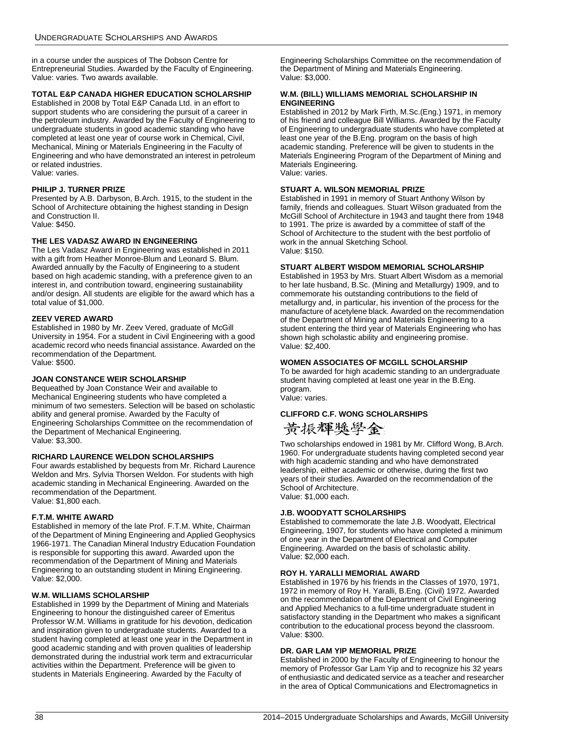in a course under the auspices of The Dobson Centre for Entrepreneurial Studies. Awarded by the Faculty of Engineering. Value: varies. Two awards available.

### **TOTAL E&P CANADA HIGHER EDUCATION SCHOLARSHIP**

Established in 2008 by Total E&P Canada Ltd. in an effort to support students who are considering the pursuit of a career in the petroleum industry. Awarded by the Faculty of Engineering to undergraduate students in good academic standing who have completed at least one year of course work in Chemical, Civil, Mechanical, Mining or Materials Engineering in the Faculty of Engineering and who have demonstrated an interest in petroleum or related industries. Value: varies.

### **PHILIP J. TURNER PRIZE**

Presented by A.B. Darbyson, B.Arch. 1915, to the student in the School of Architecture obtaining the highest standing in Design and Construction II. Value: \$450.

### **THE LES VADASZ AWARD IN ENGINEERING**

The Les Vadasz Award in Engineering was established in 2011 with a gift from Heather Monroe-Blum and Leonard S. Blum. Awarded annually by the Faculty of Engineering to a student based on high academic standing, with a preference given to an interest in, and contribution toward, engineering sustainability and/or design. All students are eligible for the award which has a total value of \$1,000.

### **ZEEV VERED AWARD**

Established in 1980 by Mr. Zeev Vered, graduate of McGill University in 1954. For a student in Civil Engineering with a good academic record who needs financial assistance. Awarded on the recommendation of the Department. Value: \$500.

### **JOAN CONSTANCE WEIR SCHOLARSHIP**

Bequeathed by Joan Constance Weir and available to Mechanical Engineering students who have completed a minimum of two semesters. Selection will be based on scholastic ability and general promise. Awarded by the Faculty of Engineering Scholarships Committee on the recommendation of the Department of Mechanical Engineering. Value: \$3,300.

### **RICHARD LAURENCE WELDON SCHOLARSHIPS**

Four awards established by bequests from Mr. Richard Laurence Weldon and Mrs. Sylvia Thorsen Weldon. For students with high academic standing in Mechanical Engineering. Awarded on the recommendation of the Department. Value: \$1,800 each.

### **F.T.M. WHITE AWARD**

Established in memory of the late Prof. F.T.M. White, Chairman of the Department of Mining Engineering and Applied Geophysics 1966-1971. The Canadian Mineral Industry Education Foundation is responsible for supporting this award. Awarded upon the recommendation of the Department of Mining and Materials Engineering to an outstanding student in Mining Engineering. Value: \$2,000.

### **W.M. WILLIAMS SCHOLARSHIP**

Established in 1999 by the Department of Mining and Materials Engineering to honour the distinguished career of Emeritus Professor W.M. Williams in gratitude for his devotion, dedication and inspiration given to undergraduate students. Awarded to a student having completed at least one year in the Department in good academic standing and with proven qualities of leadership demonstrated during the industrial work term and extracurricular activities within the Department. Preference will be given to students in Materials Engineering. Awarded by the Faculty of

Engineering Scholarships Committee on the recommendation of the Department of Mining and Materials Engineering. Value: \$3,000.

#### **W.M. (BILL) WILLIAMS MEMORIAL SCHOLARSHIP IN ENGINEERING**

Established in 2012 by Mark Firth, M.Sc.(Eng.) 1971, in memory of his friend and colleague Bill Williams. Awarded by the Faculty of Engineering to undergraduate students who have completed at least one year of the B.Eng. program on the basis of high academic standing. Preference will be given to students in the Materials Engineering Program of the Department of Mining and Materials Engineering. Value: varies.

#### **STUART A. WILSON MEMORIAL PRIZE**

Established in 1991 in memory of Stuart Anthony Wilson by family, friends and colleagues. Stuart Wilson graduated from the McGill School of Architecture in 1943 and taught there from 1948 to 1991. The prize is awarded by a committee of staff of the School of Architecture to the student with the best portfolio of work in the annual Sketching School. Value: \$150.

#### **STUART ALBERT WISDOM MEMORIAL SCHOLARSHIP**

Established in 1953 by Mrs. Stuart Albert Wisdom as a memorial to her late husband, B.Sc. (Mining and Metallurgy) 1909, and to commemorate his outstanding contributions to the field of metallurgy and, in particular, his invention of the process for the manufacture of acetylene black. Awarded on the recommendation of the Department of Mining and Materials Engineering to a student entering the third year of Materials Engineering who has shown high scholastic ability and engineering promise. Value: \$2,400.

#### **WOMEN ASSOCIATES OF MCGILL SCHOLARSHIP**

To be awarded for high academic standing to an undergraduate student having completed at least one year in the B.Eng. program. Value: varies.

### **CLIFFORD C.F. WONG SCHOLARSHIPS**

黄振輝獎學金

Two scholarships endowed in 1981 by Mr. Clifford Wong, B.Arch. 1960. For undergraduate students having completed second year with high academic standing and who have demonstrated leadership, either academic or otherwise, during the first two years of their studies. Awarded on the recommendation of the School of Architecture. Value: \$1,000 each.

#### **J.B. WOODYATT SCHOLARSHIPS**

Established to commemorate the late J.B. Woodyatt, Electrical Engineering, 1907, for students who have completed a minimum of one year in the Department of Electrical and Computer Engineering. Awarded on the basis of scholastic ability. Value: \$2,000 each.

#### **ROY H. YARALLI MEMORIAL AWARD**

Established in 1976 by his friends in the Classes of 1970, 1971, 1972 in memory of Roy H. Yaralli, B.Eng. (Civil) 1972. Awarded on the recommendation of the Department of Civil Engineering and Applied Mechanics to a full-time undergraduate student in satisfactory standing in the Department who makes a significant contribution to the educational process beyond the classroom. Value: \$300.

#### **DR. GAR LAM YIP MEMORIAL PRIZE**

Established in 2000 by the Faculty of Engineering to honour the memory of Professor Gar Lam Yip and to recognize his 32 years of enthusiastic and dedicated service as a teacher and researcher in the area of Optical Communications and Electromagnetics in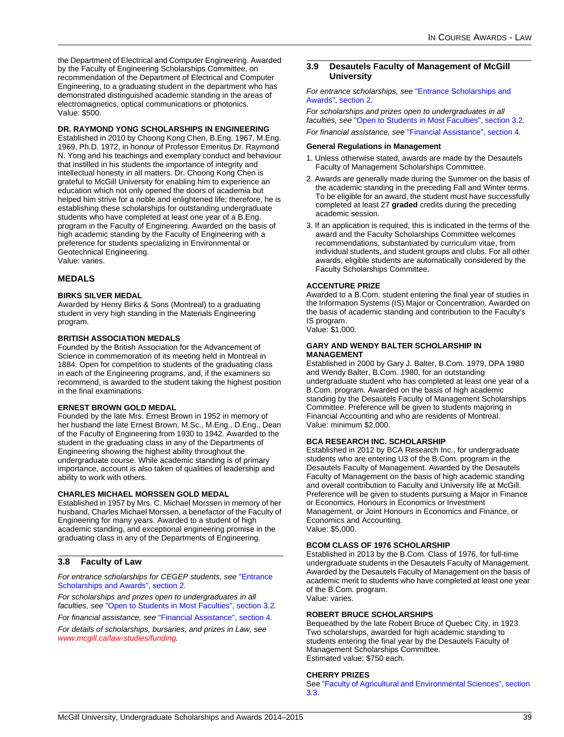the Department of Electrical and Computer Engineering. Awarded by the Faculty of Engineering Scholarships Committee, on recommendation of the Department of Electrical and Computer Engineering, to a graduating student in the department who has demonstrated distinguished academic standing in the areas of electromagnetics, optical communications or photonics. Value: \$500.

#### **DR. RAYMOND YONG SCHOLARSHIPS IN ENGINEERING**

Established in 2010 by Choong Kong Chen, B.Eng. 1967, M.Eng. 1969, Ph.D. 1972, in honour of Professor Emeritus Dr. Raymond N. Yong and his teachings and exemplary conduct and behaviour that instilled in his students the importance of integrity and intellectual honesty in all matters. Dr. Choong Kong Chen is grateful to McGill University for enabling him to experience an education which not only opened the doors of academia but helped him strive for a noble and enlightened life; therefore, he is establishing these scholarships for outstanding undergraduate students who have completed at least one year of a B.Eng. program in the Faculty of Engineering. Awarded on the basis of high academic standing by the Faculty of Engineering with a preference for students specializing in Environmental or Geotechnical Engineering. Value: varies.

### **MEDALS**

#### **BIRKS SILVER MEDAL**

Awarded by Henry Birks & Sons (Montreal) to a graduating student in very high standing in the Materials Engineering program.

#### **BRITISH ASSOCIATION MEDALS**

Founded by the British Association for the Advancement of Science in commemoration of its meeting held in Montreal in 1884. Open for competition to students of the graduating class in each of the Engineering programs, and, if the examiners so recommend, is awarded to the student taking the highest position in the final examinations.

#### **ERNEST BROWN GOLD MEDAL**

Founded by the late Mrs. Ernest Brown in 1952 in memory of her husband the late Ernest Brown, M.Sc., M.Eng., D.Eng., Dean of the Faculty of Engineering from 1930 to 1942. Awarded to the student in the graduating class in any of the Departments of Engineering showing the highest ability throughout the undergraduate course. While academic standing is of primary importance, account is also taken of qualities of leadership and ability to work with others.

#### **CHARLES MICHAEL MORSSEN GOLD MEDAL**

Established in 1957 by Mrs. C. Michael Morssen in memory of her husband, Charles Michael Morssen, a benefactor of the Faculty of Engineering for many years. Awarded to a student of high academic standing, and exceptional engineering promise in the graduating class in any of the Departments of Engineering.

### **3.8 Faculty of Law**

*For entrance scholarships for CEGEP students, see* ["Entrance](#page-4-0)  [Scholarships and Awards", section 2](#page-4-0)*.*

*For scholarships and prizes open to undergraduates in all faculties, see* ["Open to Students in Most Faculties", section 3.2](#page-11-0)*.*

*For financial assistance, see* ["Financial Assistance", section 4](#page-58-0)*.*

*For details of scholarships, bursaries, and prizes in Law, see [www.mcgill.ca/law-studies/funding.](http://www.mcgill.ca/law-studies/funding/)*

### **3.9 Desautels Faculty of Management of McGill University**

*For entrance scholarships, see* ["Entrance Scholarships and](#page-4-0)  [Awards", section 2](#page-4-0)*.*

*For scholarships and prizes open to undergraduates in all faculties, see* ["Open to Students in Most Faculties", section 3.2](#page-11-0)*.*

*For financial assistance, see* ["Financial Assistance", section 4](#page-58-0)*.*

#### **General Regulations in Management**

- 1. Unless otherwise stated, awards are made by the Desautels Faculty of Management Scholarships Committee.
- 2. Awards are generally made during the Summer on the basis of the academic standing in the preceding Fall and Winter terms. To be eligible for an award, the student must have successfully completed at least 27 **graded** credits during the preceding academic session.
- 3. If an application is required, this is indicated in the terms of the award and the Faculty Scholarships Committee welcomes recommendations, substantiated by curriculum vitae, from individual students, and student groups and clubs. For all other awards, eligible students are automatically considered by the Faculty Scholarships Committee.

### **ACCENTURE PRIZE**

Awarded to a B.Com. student entering the final year of studies in the Information Systems (IS) Major or Concentration. Awarded on the basis of academic standing and contribution to the Faculty's IS program. Value: \$1,000.

#### **GARY AND WENDY BALTER SCHOLARSHIP IN MANAGEMENT**

Established in 2000 by Gary J. Balter, B.Com. 1979, DPA 1980 and Wendy Balter, B.Com. 1980, for an outstanding undergraduate student who has completed at least one year of a B.Com. program. Awarded on the basis of high academic standing by the Desautels Faculty of Management Scholarships Committee. Preference will be given to students majoring in Financial Accounting and who are residents of Montreal. Value: minimum \$2,000.

### **BCA RESEARCH INC. SCHOLARSHIP**

Established in 2012 by BCA Research Inc., for undergraduate students who are entering U3 of the B.Com. program in the Desautels Faculty of Management. Awarded by the Desautels Faculty of Management on the basis of high academic standing and overall contribution to Faculty and University life at McGill. Preference will be given to students pursuing a Major in Finance or Economics, Honours in Economics or Investment Management, or Joint Honours in Economics and Finance, or Economics and Accounting. Value: \$5,000.

#### **BCOM CLASS OF 1976 SCHOLARSHIP**

Established in 2013 by the B.Com. Class of 1976, for full-time undergraduate students in the Desautels Faculty of Management. Awarded by the Desautels Faculty of Management on the basis of academic merit to students who have completed at least one year of the B.Com. program. Value: varies.

### **ROBERT BRUCE SCHOLARSHIPS**

Bequeathed by the late Robert Bruce of Quebec City, in 1923. Two scholarships, awarded for high academic standing to students entering the final year by the Desautels Faculty of Management Scholarships Committee. Estimated value: \$750 each.

#### **CHERRY PRIZES**

See ["Faculty of Agricultural and Environmental Sciences", section](#page-12-0)  [3.3](#page-12-0).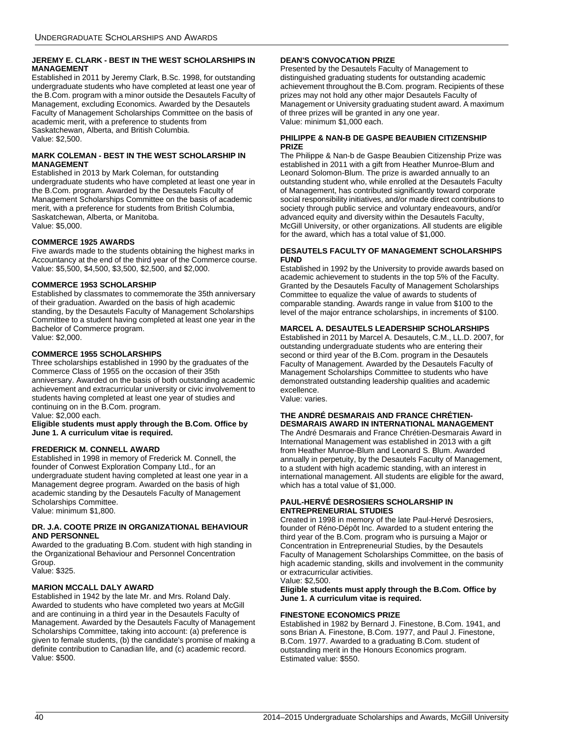### **JEREMY E. CLARK - BEST IN THE WEST SCHOLARSHIPS IN MANAGEMENT**

Established in 2011 by Jeremy Clark, B.Sc. 1998, for outstanding undergraduate students who have completed at least one year of the B.Com. program with a minor outside the Desautels Faculty of Management, excluding Economics. Awarded by the Desautels Faculty of Management Scholarships Committee on the basis of academic merit, with a preference to students from Saskatchewan, Alberta, and British Columbia. Value: \$2,500.

#### **MARK COLEMAN - BEST IN THE WEST SCHOLARSHIP IN MANAGEMENT**

Established in 2013 by Mark Coleman, for outstanding undergraduate students who have completed at least one year in the B.Com. program. Awarded by the Desautels Faculty of Management Scholarships Committee on the basis of academic merit, with a preference for students from British Columbia, Saskatchewan, Alberta, or Manitoba. Value: \$5,000.

### **COMMERCE 1925 AWARDS**

Five awards made to the students obtaining the highest marks in Accountancy at the end of the third year of the Commerce course. Value: \$5,500, \$4,500, \$3,500, \$2,500, and \$2,000.

### **COMMERCE 1953 SCHOLARSHIP**

Established by classmates to commemorate the 35th anniversary of their graduation. Awarded on the basis of high academic standing, by the Desautels Faculty of Management Scholarships Committee to a student having completed at least one year in the Bachelor of Commerce program. Value: \$2,000.

### **COMMERCE 1955 SCHOLARSHIPS**

Three scholarships established in 1990 by the graduates of the Commerce Class of 1955 on the occasion of their 35th anniversary. Awarded on the basis of both outstanding academic achievement and extracurricular university or civic involvement to students having completed at least one year of studies and continuing on in the B.Com. program.

Value: \$2,000 each.

#### **Eligible students must apply through the B.Com. Office by June 1. A curriculum vitae is required.**

### **FREDERICK M. CONNELL AWARD**

Established in 1998 in memory of Frederick M. Connell, the founder of Conwest Exploration Company Ltd., for an undergraduate student having completed at least one year in a Management degree program. Awarded on the basis of high academic standing by the Desautels Faculty of Management Scholarships Committee. Value: minimum \$1,800.

#### **DR. J.A. COOTE PRIZE IN ORGANIZATIONAL BEHAVIOUR AND PERSONNEL**

Awarded to the graduating B.Com. student with high standing in the Organizational Behaviour and Personnel Concentration Group.

Value: \$325.

### **MARION MCCALL DALY AWARD**

Established in 1942 by the late Mr. and Mrs. Roland Daly. Awarded to students who have completed two years at McGill and are continuing in a third year in the Desautels Faculty of Management. Awarded by the Desautels Faculty of Management Scholarships Committee, taking into account: (a) preference is given to female students, (b) the candidate's promise of making a definite contribution to Canadian life, and (c) academic record. Value: \$500.

### **DEAN'S CONVOCATION PRIZE**

Presented by the Desautels Faculty of Management to distinguished graduating students for outstanding academic achievement throughout the B.Com. program. Recipients of these prizes may not hold any other major Desautels Faculty of Management or University graduating student award. A maximum of three prizes will be granted in any one year. Value: minimum \$1,000 each.

#### **PHILIPPE & NAN-B DE GASPE BEAUBIEN CITIZENSHIP PRIZE**

The Philippe & Nan-b de Gaspe Beaubien Citizenship Prize was established in 2011 with a gift from Heather Munroe-Blum and Leonard Solomon-Blum. The prize is awarded annually to an outstanding student who, while enrolled at the Desautels Faculty of Management, has contributed significantly toward corporate social responsibility initiatives, and/or made direct contributions to society through public service and voluntary endeavours, and/or advanced equity and diversity within the Desautels Faculty, McGill University, or other organizations. All students are eligible for the award, which has a total value of \$1,000.

#### **DESAUTELS FACULTY OF MANAGEMENT SCHOLARSHIPS FUND**

Established in 1992 by the University to provide awards based on academic achievement to students in the top 5% of the Faculty. Granted by the Desautels Faculty of Management Scholarships Committee to equalize the value of awards to students of comparable standing. Awards range in value from \$100 to the level of the major entrance scholarships, in increments of \$100.

### **MARCEL A. DESAUTELS LEADERSHIP SCHOLARSHIPS**

Established in 2011 by Marcel A. Desautels, C.M., LL.D. 2007, for outstanding undergraduate students who are entering their second or third year of the B.Com. program in the Desautels Faculty of Management. Awarded by the Desautels Faculty of Management Scholarships Committee to students who have demonstrated outstanding leadership qualities and academic excellence.

Value: varies.

#### **THE ANDRÉ DESMARAIS AND FRANCE CHRÉTIEN-DESMARAIS AWARD IN INTERNATIONAL MANAGEMENT**

The André Desmarais and France Chrétien-Desmarais Award in International Management was established in 2013 with a gift from Heather Munroe-Blum and Leonard S. Blum. Awarded annually in perpetuity, by the Desautels Faculty of Management, to a student with high academic standing, with an interest in international management. All students are eligible for the award, which has a total value of \$1,000.

### **PAUL-HERVÉ DESROSIERS SCHOLARSHIP IN ENTREPRENEURIAL STUDIES**

Created in 1998 in memory of the late Paul-Hervé Desrosiers, founder of Réno-Dépôt Inc. Awarded to a student entering the third year of the B.Com. program who is pursuing a Major or Concentration in Entrepreneurial Studies, by the Desautels Faculty of Management Scholarships Committee, on the basis of high academic standing, skills and involvement in the community or extracurricular activities.

Value: \$2,500.

**Eligible students must apply through the B.Com. Office by June 1. A curriculum vitae is required.**

### **FINESTONE ECONOMICS PRIZE**

Established in 1982 by Bernard J. Finestone, B.Com. 1941, and sons Brian A. Finestone, B.Com. 1977, and Paul J. Finestone, B.Com. 1977. Awarded to a graduating B.Com. student of outstanding merit in the Honours Economics program. Estimated value: \$550.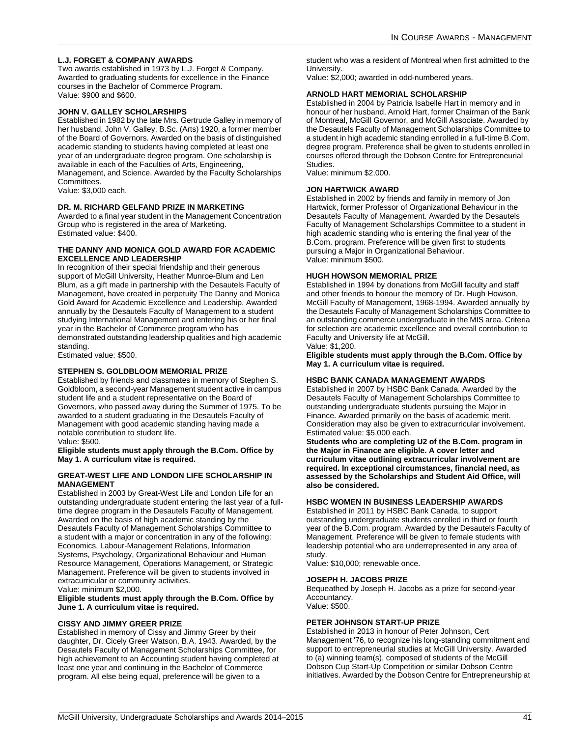### **L.J. FORGET & COMPANY AWARDS**

Two awards established in 1973 by L.J. Forget & Company. Awarded to graduating students for excellence in the Finance courses in the Bachelor of Commerce Program. Value: \$900 and \$600.

### **JOHN V. GALLEY SCHOLARSHIPS**

Established in 1982 by the late Mrs. Gertrude Galley in memory of her husband, John V. Galley, B.Sc. (Arts) 1920, a former member of the Board of Governors. Awarded on the basis of distinguished academic standing to students having completed at least one year of an undergraduate degree program. One scholarship is available in each of the Faculties of Arts, Engineering, Management, and Science. Awarded by the Faculty Scholarships Committees.

Value: \$3,000 each.

### **DR. M. RICHARD GELFAND PRIZE IN MARKETING**

Awarded to a final year student in the Management Concentration Group who is registered in the area of Marketing. Estimated value: \$400.

#### **THE DANNY AND MONICA GOLD AWARD FOR ACADEMIC EXCELLENCE AND LEADERSHIP**

In recognition of their special friendship and their generous support of McGill University, Heather Munroe-Blum and Len Blum, as a gift made in partnership with the Desautels Faculty of Management, have created in perpetuity The Danny and Monica Gold Award for Academic Excellence and Leadership. Awarded annually by the Desautels Faculty of Management to a student studying International Management and entering his or her final year in the Bachelor of Commerce program who has demonstrated outstanding leadership qualities and high academic standing.

Estimated value: \$500.

#### **STEPHEN S. GOLDBLOOM MEMORIAL PRIZE**

Established by friends and classmates in memory of Stephen S. Goldbloom, a second-year Management student active in campus student life and a student representative on the Board of Governors, who passed away during the Summer of 1975. To be awarded to a student graduating in the Desautels Faculty of Management with good academic standing having made a notable contribution to student life. Value: \$500.

**Eligible students must apply through the B.Com. Office by May 1. A curriculum vitae is required.**

#### **GREAT-WEST LIFE AND LONDON LIFE SCHOLARSHIP IN MANAGEMENT**

Established in 2003 by Great-West Life and London Life for an outstanding undergraduate student entering the last year of a fulltime degree program in the Desautels Faculty of Management. Awarded on the basis of high academic standing by the Desautels Faculty of Management Scholarships Committee to a student with a major or concentration in any of the following: Economics, Labour-Management Relations, Information Systems, Psychology, Organizational Behaviour and Human Resource Management, Operations Management, or Strategic Management. Preference will be given to students involved in extracurricular or community activities.

Value: minimum \$2,000.

#### **Eligible students must apply through the B.Com. Office by June 1. A curriculum vitae is required.**

#### **CISSY AND JIMMY GREER PRIZE**

Established in memory of Cissy and Jimmy Greer by their daughter, Dr. Cicely Greer Watson, B.A. 1943. Awarded, by the Desautels Faculty of Management Scholarships Committee, for high achievement to an Accounting student having completed at least one year and continuing in the Bachelor of Commerce program. All else being equal, preference will be given to a

student who was a resident of Montreal when first admitted to the University.

Value: \$2,000; awarded in odd-numbered years.

### **ARNOLD HART MEMORIAL SCHOLARSHIP**

Established in 2004 by Patricia Isabelle Hart in memory and in honour of her husband, Arnold Hart, former Chairman of the Bank of Montreal, McGill Governor, and McGill Associate. Awarded by the Desautels Faculty of Management Scholarships Committee to a student in high academic standing enrolled in a full-time B.Com. degree program. Preference shall be given to students enrolled in courses offered through the Dobson Centre for Entrepreneurial Studies.

Value: minimum \$2,000.

### **JON HARTWICK AWARD**

Established in 2002 by friends and family in memory of Jon Hartwick, former Professor of Organizational Behaviour in the Desautels Faculty of Management. Awarded by the Desautels Faculty of Management Scholarships Committee to a student in high academic standing who is entering the final year of the B.Com. program. Preference will be given first to students pursuing a Major in Organizational Behaviour. Value: minimum \$500.

### **HUGH HOWSON MEMORIAL PRIZE**

Established in 1994 by donations from McGill faculty and staff and other friends to honour the memory of Dr. Hugh Howson, McGill Faculty of Management, 1968-1994. Awarded annually by the Desautels Faculty of Management Scholarships Committee to an outstanding commerce undergraduate in the MIS area. Criteria for selection are academic excellence and overall contribution to Faculty and University life at McGill. Value: \$1,200.

**Eligible students must apply through the B.Com. Office by May 1. A curriculum vitae is required.**

#### **HSBC BANK CANADA MANAGEMENT AWARDS**

Established in 2007 by HSBC Bank Canada. Awarded by the Desautels Faculty of Management Scholarships Committee to outstanding undergraduate students pursuing the Major in Finance. Awarded primarily on the basis of academic merit. Consideration may also be given to extracurricular involvement. Estimated value: \$5,000 each.

**Students who are completing U2 of the B.Com. program in the Major in Finance are eligible. A cover letter and curriculum vitae outlining extracurricular involvement are required. In exceptional circumstances, financial need, as assessed by the Scholarships and Student Aid Office, will also be considered.**

### **HSBC WOMEN IN BUSINESS LEADERSHIP AWARDS**

Established in 2011 by HSBC Bank Canada, to support outstanding undergraduate students enrolled in third or fourth year of the B.Com. program. Awarded by the Desautels Faculty of Management. Preference will be given to female students with leadership potential who are underrepresented in any area of study.

Value: \$10,000; renewable once.

#### **JOSEPH H. JACOBS PRIZE**

Bequeathed by Joseph H. Jacobs as a prize for second-year Accountancy.

Value: \$500.

### **PETER JOHNSON START-UP PRIZE**

Established in 2013 in honour of Peter Johnson, Cert Management '76, to recognize his long-standing commitment and support to entrepreneurial studies at McGill University. Awarded to (a) winning team(s), composed of students of the McGill Dobson Cup Start-Up Competition or similar Dobson Centre initiatives. Awarded by the Dobson Centre for Entrepreneurship at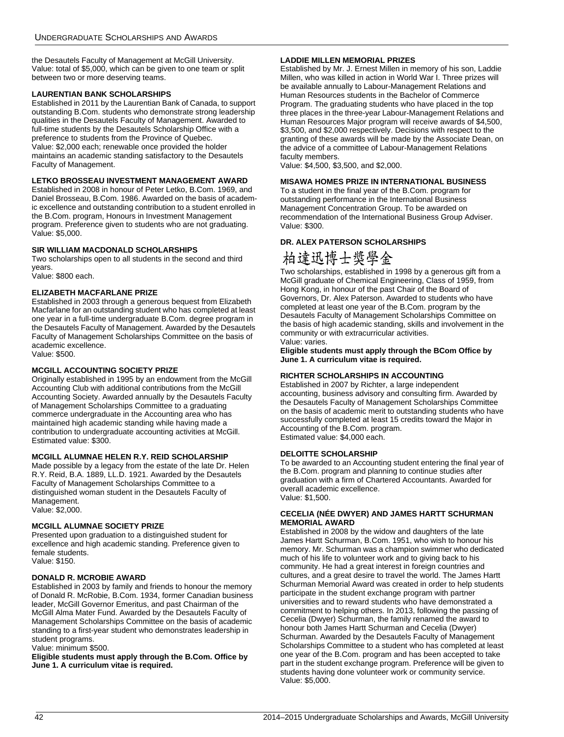the Desautels Faculty of Management at McGill University. Value: total of \$5,000, which can be given to one team or split between two or more deserving teams.

### **LAURENTIAN BANK SCHOLARSHIPS**

Established in 2011 by the Laurentian Bank of Canada, to support outstanding B.Com. students who demonstrate strong leadership qualities in the Desautels Faculty of Management. Awarded to full-time students by the Desautels Scholarship Office with a preference to students from the Province of Quebec. Value: \$2,000 each; renewable once provided the holder maintains an academic standing satisfactory to the Desautels Faculty of Management.

### **LETKO BROSSEAU INVESTMENT MANAGEMENT AWARD**

Established in 2008 in honour of Peter Letko, B.Com. 1969, and Daniel Brosseau, B.Com. 1986. Awarded on the basis of academic excellence and outstanding contribution to a student enrolled in the B.Com. program, Honours in Investment Management program. Preference given to students who are not graduating. Value: \$5,000.

### **SIR WILLIAM MACDONALD SCHOLARSHIPS**

Two scholarships open to all students in the second and third years.

Value: \$800 each.

### **ELIZABETH MACFARLANE PRIZE**

Established in 2003 through a generous bequest from Elizabeth Macfarlane for an outstanding student who has completed at least one year in a full-time undergraduate B.Com. degree program in the Desautels Faculty of Management. Awarded by the Desautels Faculty of Management Scholarships Committee on the basis of academic excellence. Value: \$500.

### **MCGILL ACCOUNTING SOCIETY PRIZE**

Originally established in 1995 by an endowment from the McGill Accounting Club with additional contributions from the McGill Accounting Society. Awarded annually by the Desautels Faculty of Management Scholarships Committee to a graduating commerce undergraduate in the Accounting area who has maintained high academic standing while having made a contribution to undergraduate accounting activities at McGill. Estimated value: \$300.

### <span id="page-42-0"></span>**MCGILL ALUMNAE HELEN R.Y. REID SCHOLARSHIP**

Made possible by a legacy from the estate of the late Dr. Helen R.Y. Reid, B.A. 1889, LL.D. 1921. Awarded by the Desautels Faculty of Management Scholarships Committee to a distinguished woman student in the Desautels Faculty of Management. Value: \$2,000.

### **MCGILL ALUMNAE SOCIETY PRIZE**

Presented upon graduation to a distinguished student for excellence and high academic standing. Preference given to female students. Value: \$150.

### **DONALD R. MCROBIE AWARD**

Established in 2003 by family and friends to honour the memory of Donald R. McRobie, B.Com. 1934, former Canadian business leader, McGill Governor Emeritus, and past Chairman of the McGill Alma Mater Fund. Awarded by the Desautels Faculty of Management Scholarships Committee on the basis of academic standing to a first-year student who demonstrates leadership in student programs.

Value: minimum \$500.

**Eligible students must apply through the B.Com. Office by June 1. A curriculum vitae is required.**

### **LADDIE MILLEN MEMORIAL PRIZES**

Established by Mr. J. Ernest Millen in memory of his son, Laddie Millen, who was killed in action in World War I. Three prizes will be available annually to Labour-Management Relations and Human Resources students in the Bachelor of Commerce Program. The graduating students who have placed in the top three places in the three-year Labour-Management Relations and Human Resources Major program will receive awards of \$4,500, \$3,500, and \$2,000 respectively. Decisions with respect to the granting of these awards will be made by the Associate Dean, on the advice of a committee of Labour-Management Relations faculty members.

Value: \$4,500, \$3,500, and \$2,000.

### **MISAWA HOMES PRIZE IN INTERNATIONAL BUSINESS**

To a student in the final year of the B.Com. program for outstanding performance in the International Business Management Concentration Group. To be awarded on recommendation of the International Business Group Adviser. Value: \$300.

### **DR. ALEX PATERSON SCHOLARSHIPS**

# 柏達迅博士獎學金

Two scholarships, established in 1998 by a generous gift from a McGill graduate of Chemical Engineering, Class of 1959, from Hong Kong, in honour of the past Chair of the Board of Governors, Dr. Alex Paterson. Awarded to students who have completed at least one year of the B.Com. program by the Desautels Faculty of Management Scholarships Committee on the basis of high academic standing, skills and involvement in the community or with extracurricular activities. Value: varies.

**Eligible students must apply through the BCom Office by June 1. A curriculum vitae is required.**

### **RICHTER SCHOLARSHIPS IN ACCOUNTING**

Established in 2007 by Richter, a large independent accounting, business advisory and consulting firm. Awarded by the Desautels Faculty of Management Scholarships Committee on the basis of academic merit to outstanding students who have successfully completed at least 15 credits toward the Major in Accounting of the B.Com. program. Estimated value: \$4,000 each.

### **DELOITTE SCHOLARSHIP**

To be awarded to an Accounting student entering the final year of the B.Com. program and planning to continue studies after graduation with a firm of Chartered Accountants. Awarded for overall academic excellence. Value: \$1,500.

#### **CECELIA (NÉE DWYER) AND JAMES HARTT SCHURMAN MEMORIAL AWARD**

Established in 2008 by the widow and daughters of the late James Hartt Schurman, B.Com. 1951, who wish to honour his memory. Mr. Schurman was a champion swimmer who dedicated much of his life to volunteer work and to giving back to his community. He had a great interest in foreign countries and cultures, and a great desire to travel the world. The James Hartt Schurman Memorial Award was created in order to help students participate in the student exchange program with partner universities and to reward students who have demonstrated a commitment to helping others. In 2013, following the passing of Cecelia (Dwyer) Schurman, the family renamed the award to honour both James Hartt Schurman and Cecelia (Dwyer) Schurman. Awarded by the Desautels Faculty of Management Scholarships Committee to a student who has completed at least one year of the B.Com. program and has been accepted to take part in the student exchange program. Preference will be given to students having done volunteer work or community service. Value: \$5,000.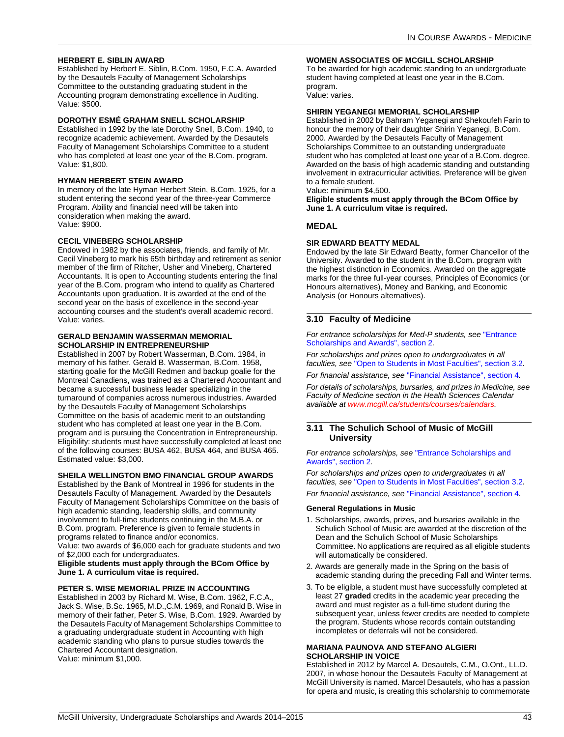### **HERBERT E. SIBLIN AWARD**

Established by Herbert E. Siblin, B.Com. 1950, F.C.A. Awarded by the Desautels Faculty of Management Scholarships Committee to the outstanding graduating student in the Accounting program demonstrating excellence in Auditing. Value: \$500.

#### **DOROTHY ESMÉ GRAHAM SNELL SCHOLARSHIP**

Established in 1992 by the late Dorothy Snell, B.Com. 1940, to recognize academic achievement. Awarded by the Desautels Faculty of Management Scholarships Committee to a student who has completed at least one year of the B.Com. program. Value: \$1,800.

### **HYMAN HERBERT STEIN AWARD**

In memory of the late Hyman Herbert Stein, B.Com. 1925, for a student entering the second year of the three-year Commerce Program. Ability and financial need will be taken into consideration when making the award. Value: \$900.

#### **CECIL VINEBERG SCHOLARSHIP**

Endowed in 1982 by the associates, friends, and family of Mr. Cecil Vineberg to mark his 65th birthday and retirement as senior member of the firm of Ritcher, Usher and Vineberg, Chartered Accountants. It is open to Accounting students entering the final year of the B.Com. program who intend to qualify as Chartered Accountants upon graduation. It is awarded at the end of the second year on the basis of excellence in the second-year accounting courses and the student's overall academic record. Value: varies.

#### **GERALD BENJAMIN WASSERMAN MEMORIAL SCHOLARSHIP IN ENTREPRENEURSHIP**

Established in 2007 by Robert Wasserman, B.Com. 1984, in memory of his father. Gerald B. Wasserman, B.Com. 1958, starting goalie for the McGill Redmen and backup goalie for the Montreal Canadiens, was trained as a Chartered Accountant and became a successful business leader specializing in the turnaround of companies across numerous industries. Awarded by the Desautels Faculty of Management Scholarships Committee on the basis of academic merit to an outstanding student who has completed at least one year in the B.Com. program and is pursuing the Concentration in Entrepreneurship. Eligibility: students must have successfully completed at least one of the following courses: BUSA 462, BUSA 464, and BUSA 465. Estimated value: \$3,000.

### **SHEILA WELLINGTON BMO FINANCIAL GROUP AWARDS**

Established by the Bank of Montreal in 1996 for students in the Desautels Faculty of Management. Awarded by the Desautels Faculty of Management Scholarships Committee on the basis of high academic standing, leadership skills, and community involvement to full-time students continuing in the M.B.A. or B.Com. program. Preference is given to female students in programs related to finance and/or economics.

Value: two awards of \$6,000 each for graduate students and two of \$2,000 each for undergraduates.

#### **Eligible students must apply through the BCom Office by June 1. A curriculum vitae is required.**

### **PETER S. WISE MEMORIAL PRIZE IN ACCOUNTING**

Established in 2003 by Richard M. Wise, B.Com. 1962, F.C.A., Jack S. Wise, B.Sc. 1965, M.D.,C.M. 1969, and Ronald B. Wise in memory of their father, Peter S. Wise, B.Com. 1929. Awarded by the Desautels Faculty of Management Scholarships Committee to a graduating undergraduate student in Accounting with high academic standing who plans to pursue studies towards the Chartered Accountant designation. Value: minimum \$1,000.

#### **WOMEN ASSOCIATES OF MCGILL SCHOLARSHIP**

To be awarded for high academic standing to an undergraduate student having completed at least one year in the B.Com. program.

Value: varies.

### **SHIRIN YEGANEGI MEMORIAL SCHOLARSHIP**

Established in 2002 by Bahram Yeganegi and Shekoufeh Farin to honour the memory of their daughter Shirin Yeganegi, B.Com. 2000. Awarded by the Desautels Faculty of Management Scholarships Committee to an outstanding undergraduate student who has completed at least one year of a B.Com. degree. Awarded on the basis of high academic standing and outstanding involvement in extracurricular activities. Preference will be given to a female student.

Value: minimum \$4,500.

**Eligible students must apply through the BCom Office by June 1. A curriculum vitae is required.**

### **MEDAL**

#### **SIR EDWARD BEATTY MEDAL**

Endowed by the late Sir Edward Beatty, former Chancellor of the University. Awarded to the student in the B.Com. program with the highest distinction in Economics. Awarded on the aggregate marks for the three full-year courses, Principles of Economics (or Honours alternatives), Money and Banking, and Economic Analysis (or Honours alternatives).

### **3.10 Faculty of Medicine**

*For entrance scholarships for Med-P students, see* ["Entrance](#page-4-0)  [Scholarships and Awards", section 2](#page-4-0)*.*

*For scholarships and prizes open to undergraduates in all faculties, see* ["Open to Students in Most Faculties", section 3.2](#page-11-0)*.*

*For financial assistance, see* ["Financial Assistance", section 4](#page-58-0)*.*

*For details of scholarships, bursaries, and prizes in Medicine, see Faculty of Medicine section in the Health Sciences Calendar available at [www.mcgill.ca/students/courses/calendars](http://www.mcgill.ca/students/courses/calendars/).*

#### **3.11 The Schulich School of Music of McGill University**

*For entrance scholarships, see* ["Entrance Scholarships and](#page-4-0)  [Awards", section 2](#page-4-0)*.*

*For scholarships and prizes open to undergraduates in all faculties, see* ["Open to Students in Most Faculties", section 3.2](#page-11-0)*. For financial assistance, see* ["Financial Assistance", section 4](#page-58-0)*.*

#### **General Regulations in Music**

- 1. Scholarships, awards, prizes, and bursaries available in the Schulich School of Music are awarded at the discretion of the Dean and the Schulich School of Music Scholarships Committee. No applications are required as all eligible students will automatically be considered.
- 2. Awards are generally made in the Spring on the basis of academic standing during the preceding Fall and Winter terms.
- 3. To be eligible, a student must have successfully completed at least 27 **graded** credits in the academic year preceding the award and must register as a full-time student during the subsequent year, unless fewer credits are needed to complete the program. Students whose records contain outstanding incompletes or deferrals will not be considered.

#### **MARIANA PAUNOVA AND STEFANO ALGIERI SCHOLARSHIP IN VOICE**

Established in 2012 by Marcel A. Desautels, C.M., O.Ont., LL.D. 2007, in whose honour the Desautels Faculty of Management at McGill University is named. Marcel Desautels, who has a passion for opera and music, is creating this scholarship to commemorate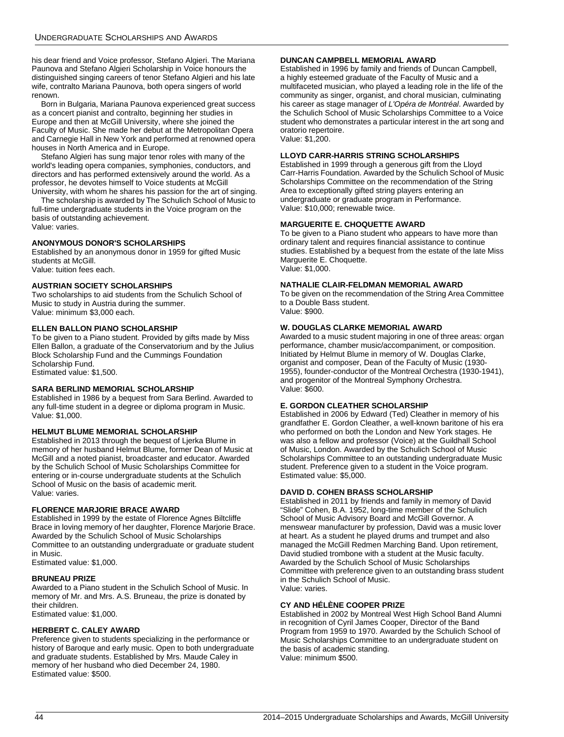his dear friend and Voice professor, Stefano Algieri. The Mariana Paunova and Stefano Algieri Scholarship in Voice honours the distinguished singing careers of tenor Stefano Algieri and his late wife, contralto Mariana Paunova, both opera singers of world renown.

Born in Bulgaria, Mariana Paunova experienced great success as a concert pianist and contralto, beginning her studies in Europe and then at McGill University, where she joined the Faculty of Music. She made her debut at the Metropolitan Opera and Carnegie Hall in New York and performed at renowned opera houses in North America and in Europe.

Stefano Algieri has sung major tenor roles with many of the world's leading opera companies, symphonies, conductors, and directors and has performed extensively around the world. As a professor, he devotes himself to Voice students at McGill University, with whom he shares his passion for the art of singing.

The scholarship is awarded by The Schulich School of Music to full-time undergraduate students in the Voice program on the basis of outstanding achievement. Value: varies.

### **ANONYMOUS DONOR'S SCHOLARSHIPS**

Established by an anonymous donor in 1959 for gifted Music students at McGill. Value: tuition fees each.

#### **AUSTRIAN SOCIETY SCHOLARSHIPS**

Two scholarships to aid students from the Schulich School of Music to study in Austria during the summer. Value: minimum \$3,000 each.

### **ELLEN BALLON PIANO SCHOLARSHIP**

To be given to a Piano student. Provided by gifts made by Miss Ellen Ballon, a graduate of the Conservatorium and by the Julius Block Scholarship Fund and the Cummings Foundation Scholarship Fund. Estimated value: \$1,500.

### **SARA BERLIND MEMORIAL SCHOLARSHIP**

Established in 1986 by a bequest from Sara Berlind. Awarded to any full-time student in a degree or diploma program in Music. Value: \$1,000.

### **HELMUT BLUME MEMORIAL SCHOLARSHIP**

Established in 2013 through the bequest of Ljerka Blume in memory of her husband Helmut Blume, former Dean of Music at McGill and a noted pianist, broadcaster and educator. Awarded by the Schulich School of Music Scholarships Committee for entering or in-course undergraduate students at the Schulich School of Music on the basis of academic merit. Value: varies.

### **FLORENCE MARJORIE BRACE AWARD**

Established in 1999 by the estate of Florence Agnes Biltcliffe Brace in loving memory of her daughter, Florence Marjorie Brace. Awarded by the Schulich School of Music Scholarships Committee to an outstanding undergraduate or graduate student in Music.

Estimated value: \$1,000.

#### **BRUNEAU PRIZE**

Awarded to a Piano student in the Schulich School of Music. In memory of Mr. and Mrs. A.S. Bruneau, the prize is donated by their children. Estimated value: \$1,000.

### **HERBERT C. CALEY AWARD**

Preference given to students specializing in the performance or history of Baroque and early music. Open to both undergraduate and graduate students. Established by Mrs. Maude Caley in memory of her husband who died December 24, 1980. Estimated value: \$500.

#### **DUNCAN CAMPBELL MEMORIAL AWARD**

Established in 1996 by family and friends of Duncan Campbell, a highly esteemed graduate of the Faculty of Music and a multifaceted musician, who played a leading role in the life of the community as singer, organist, and choral musician, culminating his career as stage manager of *L'Opéra de Montréal*. Awarded by the Schulich School of Music Scholarships Committee to a Voice student who demonstrates a particular interest in the art song and oratorio repertoire.

Value: \$1,200.

### **LLOYD CARR-HARRIS STRING SCHOLARSHIPS**

Established in 1999 through a generous gift from the Lloyd Carr-Harris Foundation. Awarded by the Schulich School of Music Scholarships Committee on the recommendation of the String Area to exceptionally gifted string players entering an undergraduate or graduate program in Performance. Value: \$10,000; renewable twice.

### **MARGUERITE E. CHOQUETTE AWARD**

To be given to a Piano student who appears to have more than ordinary talent and requires financial assistance to continue studies. Established by a bequest from the estate of the late Miss Marguerite E. Choquette. Value: \$1,000.

#### **NATHALIE CLAIR-FELDMAN MEMORIAL AWARD**

To be given on the recommendation of the String Area Committee to a Double Bass student. Value: \$900.

#### **W. DOUGLAS CLARKE MEMORIAL AWARD**

Awarded to a music student majoring in one of three areas: organ performance, chamber music/accompaniment, or composition. Initiated by Helmut Blume in memory of W. Douglas Clarke, organist and composer, Dean of the Faculty of Music (1930- 1955), founder-conductor of the Montreal Orchestra (1930-1941), and progenitor of the Montreal Symphony Orchestra. Value: \$600.

### **E. GORDON CLEATHER SCHOLARSHIP**

Established in 2006 by Edward (Ted) Cleather in memory of his grandfather E. Gordon Cleather, a well-known baritone of his era who performed on both the London and New York stages. He was also a fellow and professor (Voice) at the Guildhall School of Music, London. Awarded by the Schulich School of Music Scholarships Committee to an outstanding undergraduate Music student. Preference given to a student in the Voice program. Estimated value: \$5,000.

### **DAVID D. COHEN BRASS SCHOLARSHIP**

Established in 2011 by friends and family in memory of David "Slide" Cohen, B.A. 1952, long-time member of the Schulich School of Music Advisory Board and McGill Governor. A menswear manufacturer by profession, David was a music lover at heart. As a student he played drums and trumpet and also managed the McGill Redmen Marching Band. Upon retirement, David studied trombone with a student at the Music faculty. Awarded by the Schulich School of Music Scholarships Committee with preference given to an outstanding brass student in the Schulich School of Music. Value: varies.

### **CY AND HÉLÈNE COOPER PRIZE**

Established in 2002 by Montreal West High School Band Alumni in recognition of Cyril James Cooper, Director of the Band Program from 1959 to 1970. Awarded by the Schulich School of Music Scholarships Committee to an undergraduate student on the basis of academic standing. Value: minimum \$500.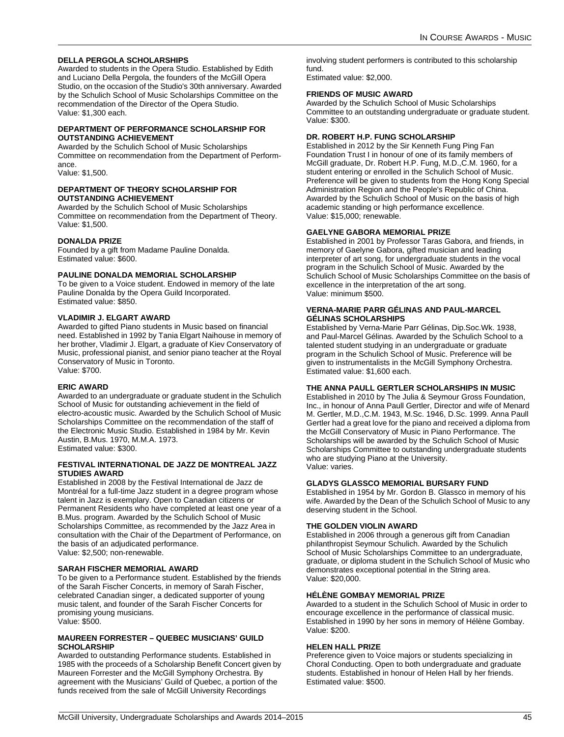### **DELLA PERGOLA SCHOLARSHIPS**

Awarded to students in the Opera Studio. Established by Edith and Luciano Della Pergola, the founders of the McGill Opera Studio, on the occasion of the Studio's 30th anniversary. Awarded by the Schulich School of Music Scholarships Committee on the recommendation of the Director of the Opera Studio. Value: \$1,300 each.

#### **DEPARTMENT OF PERFORMANCE SCHOLARSHIP FOR OUTSTANDING ACHIEVEMENT**

Awarded by the Schulich School of Music Scholarships Committee on recommendation from the Department of Performance.

Value: \$1,500.

#### **DEPARTMENT OF THEORY SCHOLARSHIP FOR OUTSTANDING ACHIEVEMENT**

Awarded by the Schulich School of Music Scholarships Committee on recommendation from the Department of Theory. Value: \$1,500.

### **DONALDA PRIZE**

Founded by a gift from Madame Pauline Donalda. Estimated value: \$600.

#### **PAULINE DONALDA MEMORIAL SCHOLARSHIP**

To be given to a Voice student. Endowed in memory of the late Pauline Donalda by the Opera Guild Incorporated. Estimated value: \$850.

#### **VLADIMIR J. ELGART AWARD**

Awarded to gifted Piano students in Music based on financial need. Established in 1992 by Tania Elgart Naihouse in memory of her brother, Vladimir J. Elgart, a graduate of Kiev Conservatory of Music, professional pianist, and senior piano teacher at the Royal Conservatory of Music in Toronto.

Value: \$700.

#### **ERIC AWARD**

Awarded to an undergraduate or graduate student in the Schulich School of Music for outstanding achievement in the field of electro-acoustic music. Awarded by the Schulich School of Music Scholarships Committee on the recommendation of the staff of the Electronic Music Studio. Established in 1984 by Mr. Kevin Austin, B.Mus. 1970, M.M.A. 1973. Estimated value: \$300.

#### **FESTIVAL INTERNATIONAL DE JAZZ DE MONTREAL JAZZ STUDIES AWARD**

Established in 2008 by the Festival International de Jazz de Montréal for a full-time Jazz student in a degree program whose talent in Jazz is exemplary. Open to Canadian citizens or Permanent Residents who have completed at least one year of a B.Mus. program. Awarded by the Schulich School of Music Scholarships Committee, as recommended by the Jazz Area in consultation with the Chair of the Department of Performance, on the basis of an adjudicated performance. Value: \$2,500; non-renewable.

### **SARAH FISCHER MEMORIAL AWARD**

To be given to a Performance student. Established by the friends of the Sarah Fischer Concerts, in memory of Sarah Fischer, celebrated Canadian singer, a dedicated supporter of young music talent, and founder of the Sarah Fischer Concerts for promising young musicians. Value: \$500.

#### **MAUREEN FORRESTER – QUEBEC MUSICIANS' GUILD SCHOLARSHIP**

Awarded to outstanding Performance students. Established in 1985 with the proceeds of a Scholarship Benefit Concert given by Maureen Forrester and the McGill Symphony Orchestra. By agreement with the Musicians' Guild of Quebec, a portion of the funds received from the sale of McGill University Recordings

involving student performers is contributed to this scholarship fund.

Estimated value: \$2,000.

### **FRIENDS OF MUSIC AWARD**

Awarded by the Schulich School of Music Scholarships Committee to an outstanding undergraduate or graduate student. Value: \$300.

#### **DR. ROBERT H.P. FUNG SCHOLARSHIP**

Established in 2012 by the Sir Kenneth Fung Ping Fan Foundation Trust I in honour of one of its family members of McGill graduate, Dr. Robert H.P. Fung, M.D.,C.M. 1960, for a student entering or enrolled in the Schulich School of Music. Preference will be given to students from the Hong Kong Special Administration Region and the People's Republic of China. Awarded by the Schulich School of Music on the basis of high academic standing or high performance excellence. Value: \$15,000; renewable.

#### **GAELYNE GABORA MEMORIAL PRIZE**

Established in 2001 by Professor Taras Gabora, and friends, in memory of Gaelyne Gabora, gifted musician and leading interpreter of art song, for undergraduate students in the vocal program in the Schulich School of Music. Awarded by the Schulich School of Music Scholarships Committee on the basis of excellence in the interpretation of the art song. Value: minimum \$500.

#### **VERNA-MARIE PARR GÉLINAS AND PAUL-MARCEL GÉLINAS SCHOLARSHIPS**

Established by Verna-Marie Parr Gélinas, Dip.Soc.Wk. 1938, and Paul-Marcel Gélinas. Awarded by the Schulich School to a talented student studying in an undergraduate or graduate program in the Schulich School of Music. Preference will be given to instrumentalists in the McGill Symphony Orchestra. Estimated value: \$1,600 each.

#### **THE ANNA PAULL GERTLER SCHOLARSHIPS IN MUSIC**

Established in 2010 by The Julia & Seymour Gross Foundation, Inc., in honour of Anna Paull Gertler, Director and wife of Menard M. Gertler, M.D.,C.M. 1943, M.Sc. 1946, D.Sc. 1999. Anna Paull Gertler had a great love for the piano and received a diploma from the McGill Conservatory of Music in Piano Performance. The Scholarships will be awarded by the Schulich School of Music Scholarships Committee to outstanding undergraduate students who are studying Piano at the University. Value: varies.

#### **GLADYS GLASSCO MEMORIAL BURSARY FUND**

Established in 1954 by Mr. Gordon B. Glassco in memory of his wife. Awarded by the Dean of the Schulich School of Music to any deserving student in the School.

#### **THE GOLDEN VIOLIN AWARD**

Established in 2006 through a generous gift from Canadian philanthropist Seymour Schulich. Awarded by the Schulich School of Music Scholarships Committee to an undergraduate, graduate, or diploma student in the Schulich School of Music who demonstrates exceptional potential in the String area. Value: \$20,000.

### **HÉLÈNE GOMBAY MEMORIAL PRIZE**

Awarded to a student in the Schulich School of Music in order to encourage excellence in the performance of classical music. Established in 1990 by her sons in memory of Hélène Gombay. Value: \$200.

### **HELEN HALL PRIZE**

Preference given to Voice majors or students specializing in Choral Conducting. Open to both undergraduate and graduate students. Established in honour of Helen Hall by her friends. Estimated value: \$500.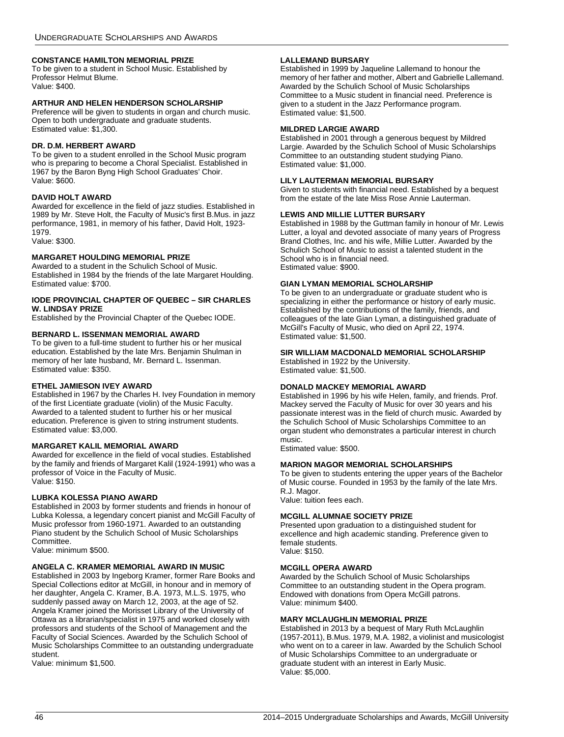### **CONSTANCE HAMILTON MEMORIAL PRIZE**

To be given to a student in School Music. Established by Professor Helmut Blume. Value: \$400.

### **ARTHUR AND HELEN HENDERSON SCHOLARSHIP**

Preference will be given to students in organ and church music. Open to both undergraduate and graduate students. Estimated value: \$1,300.

#### **DR. D.M. HERBERT AWARD**

To be given to a student enrolled in the School Music program who is preparing to become a Choral Specialist. Established in 1967 by the Baron Byng High School Graduates' Choir. Value: \$600.

### **DAVID HOLT AWARD**

Awarded for excellence in the field of jazz studies. Established in 1989 by Mr. Steve Holt, the Faculty of Music's first B.Mus. in jazz performance, 1981, in memory of his father, David Holt, 1923- 1979.

Value: \$300.

#### **MARGARET HOULDING MEMORIAL PRIZE**

Awarded to a student in the Schulich School of Music. Established in 1984 by the friends of the late Margaret Houlding. Estimated value: \$700.

#### **IODE PROVINCIAL CHAPTER OF QUEBEC – SIR CHARLES W. LINDSAY PRIZE**

Established by the Provincial Chapter of the Quebec IODE.

#### **BERNARD L. ISSENMAN MEMORIAL AWARD**

To be given to a full-time student to further his or her musical education. Established by the late Mrs. Benjamin Shulman in memory of her late husband, Mr. Bernard L. Issenman. Estimated value: \$350.

#### **ETHEL JAMIESON IVEY AWARD**

Established in 1967 by the Charles H. Ivey Foundation in memory of the first Licentiate graduate (violin) of the Music Faculty. Awarded to a talented student to further his or her musical education. Preference is given to string instrument students. Estimated value: \$3,000.

#### **MARGARET KALIL MEMORIAL AWARD**

Awarded for excellence in the field of vocal studies. Established by the family and friends of Margaret Kalil (1924-1991) who was a professor of Voice in the Faculty of Music. Value: \$150.

#### **LUBKA KOLESSA PIANO AWARD**

Established in 2003 by former students and friends in honour of Lubka Kolessa, a legendary concert pianist and McGill Faculty of Music professor from 1960-1971. Awarded to an outstanding Piano student by the Schulich School of Music Scholarships Committee.

Value: minimum \$500.

#### **ANGELA C. KRAMER MEMORIAL AWARD IN MUSIC**

Established in 2003 by Ingeborg Kramer, former Rare Books and Special Collections editor at McGill, in honour and in memory of her daughter, Angela C. Kramer, B.A. 1973, M.L.S. 1975, who suddenly passed away on March 12, 2003, at the age of 52. Angela Kramer joined the Morisset Library of the University of Ottawa as a librarian/specialist in 1975 and worked closely with professors and students of the School of Management and the Faculty of Social Sciences. Awarded by the Schulich School of Music Scholarships Committee to an outstanding undergraduate student.

Value: minimum \$1,500.

### **LALLEMAND BURSARY**

Established in 1999 by Jaqueline Lallemand to honour the memory of her father and mother, Albert and Gabrielle Lallemand. Awarded by the Schulich School of Music Scholarships Committee to a Music student in financial need. Preference is given to a student in the Jazz Performance program. Estimated value: \$1,500.

#### **MILDRED LARGIE AWARD**

Established in 2001 through a generous bequest by Mildred Largie. Awarded by the Schulich School of Music Scholarships Committee to an outstanding student studying Piano. Estimated value: \$1,000.

### **LILY LAUTERMAN MEMORIAL BURSARY**

Given to students with financial need. Established by a bequest from the estate of the late Miss Rose Annie Lauterman.

### **LEWIS AND MILLIE LUTTER BURSARY**

Established in 1988 by the Guttman family in honour of Mr. Lewis Lutter, a loyal and devoted associate of many years of Progress Brand Clothes, Inc. and his wife, Millie Lutter. Awarded by the Schulich School of Music to assist a talented student in the School who is in financial need. Estimated value: \$900.

#### **GIAN LYMAN MEMORIAL SCHOLARSHIP**

To be given to an undergraduate or graduate student who is specializing in either the performance or history of early music. Established by the contributions of the family, friends, and colleagues of the late Gian Lyman, a distinguished graduate of McGill's Faculty of Music, who died on April 22, 1974. Estimated value: \$1,500.

#### **SIR WILLIAM MACDONALD MEMORIAL SCHOLARSHIP**

Established in 1922 by the University. Estimated value: \$1,500.

#### **DONALD MACKEY MEMORIAL AWARD**

Established in 1996 by his wife Helen, family, and friends. Prof. Mackey served the Faculty of Music for over 30 years and his passionate interest was in the field of church music. Awarded by the Schulich School of Music Scholarships Committee to an organ student who demonstrates a particular interest in church music.

Estimated value: \$500.

#### **MARION MAGOR MEMORIAL SCHOLARSHIPS**

To be given to students entering the upper years of the Bachelor of Music course. Founded in 1953 by the family of the late Mrs. R.J. Magor.

Value: tuition fees each.

### **MCGILL ALUMNAE SOCIETY PRIZE**

Presented upon graduation to a distinguished student for excellence and high academic standing. Preference given to female students. Value: \$150.

#### **MCGILL OPERA AWARD**

Awarded by the Schulich School of Music Scholarships Committee to an outstanding student in the Opera program. Endowed with donations from Opera McGill patrons. Value: minimum \$400.

### **MARY MCLAUGHLIN MEMORIAL PRIZE**

Established in 2013 by a bequest of Mary Ruth McLaughlin (1957-2011), B.Mus. 1979, M.A. 1982, a violinist and musicologist who went on to a career in law. Awarded by the Schulich School of Music Scholarships Committee to an undergraduate or graduate student with an interest in Early Music. Value: \$5,000.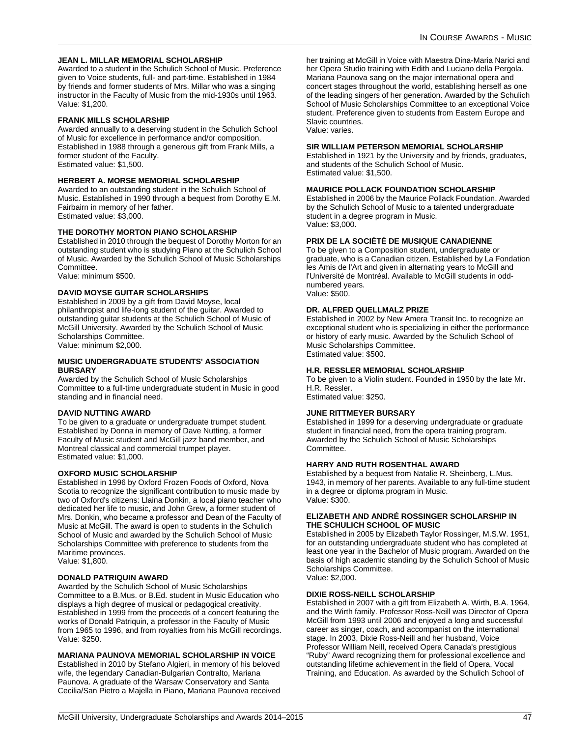### **JEAN L. MILLAR MEMORIAL SCHOLARSHIP**

Awarded to a student in the Schulich School of Music. Preference given to Voice students, full- and part-time. Established in 1984 by friends and former students of Mrs. Millar who was a singing instructor in the Faculty of Music from the mid-1930s until 1963. Value: \$1,200.

#### **FRANK MILLS SCHOLARSHIP**

Awarded annually to a deserving student in the Schulich School of Music for excellence in performance and/or composition. Established in 1988 through a generous gift from Frank Mills, a former student of the Faculty. Estimated value: \$1,500.

### **HERBERT A. MORSE MEMORIAL SCHOLARSHIP**

Awarded to an outstanding student in the Schulich School of Music. Established in 1990 through a bequest from Dorothy E.M. Fairbairn in memory of her father. Estimated value: \$3,000.

#### **THE DOROTHY MORTON PIANO SCHOLARSHIP**

Established in 2010 through the bequest of Dorothy Morton for an outstanding student who is studying Piano at the Schulich School of Music. Awarded by the Schulich School of Music Scholarships Committee.

Value: minimum \$500.

### **DAVID MOYSE GUITAR SCHOLARSHIPS**

Established in 2009 by a gift from David Moyse, local philanthropist and life-long student of the guitar. Awarded to outstanding guitar students at the Schulich School of Music of McGill University. Awarded by the Schulich School of Music Scholarships Committee.

Value: minimum \$2,000.

### **MUSIC UNDERGRADUATE STUDENTS' ASSOCIATION BURSARY**

Awarded by the Schulich School of Music Scholarships Committee to a full-time undergraduate student in Music in good standing and in financial need.

#### **DAVID NUTTING AWARD**

To be given to a graduate or undergraduate trumpet student. Established by Donna in memory of Dave Nutting, a former Faculty of Music student and McGill jazz band member, and Montreal classical and commercial trumpet player. Estimated value: \$1,000.

#### **OXFORD MUSIC SCHOLARSHIP**

Established in 1996 by Oxford Frozen Foods of Oxford, Nova Scotia to recognize the significant contribution to music made by two of Oxford's citizens: Llaina Donkin, a local piano teacher who dedicated her life to music, and John Grew, a former student of Mrs. Donkin, who became a professor and Dean of the Faculty of Music at McGill. The award is open to students in the Schulich School of Music and awarded by the Schulich School of Music Scholarships Committee with preference to students from the Maritime provinces.

Value: \$1,800.

### **DONALD PATRIQUIN AWARD**

Awarded by the Schulich School of Music Scholarships Committee to a B.Mus. or B.Ed. student in Music Education who displays a high degree of musical or pedagogical creativity. Established in 1999 from the proceeds of a concert featuring the works of Donald Patriquin, a professor in the Faculty of Music from 1965 to 1996, and from royalties from his McGill recordings. Value: \$250.

#### **MARIANA PAUNOVA MEMORIAL SCHOLARSHIP IN VOICE**

Established in 2010 by Stefano Algieri, in memory of his beloved wife, the legendary Canadian-Bulgarian Contralto, Mariana Paunova. A graduate of the Warsaw Conservatory and Santa Cecilia/San Pietro a Majella in Piano, Mariana Paunova received

her training at McGill in Voice with Maestra Dina-Maria Narici and her Opera Studio training with Edith and Luciano della Pergola. Mariana Paunova sang on the major international opera and concert stages throughout the world, establishing herself as one of the leading singers of her generation. Awarded by the Schulich School of Music Scholarships Committee to an exceptional Voice student. Preference given to students from Eastern Europe and Slavic countries. Value: varies.

#### **SIR WILLIAM PETERSON MEMORIAL SCHOLARSHIP**

Established in 1921 by the University and by friends, graduates, and students of the Schulich School of Music. Estimated value: \$1,500.

#### **MAURICE POLLACK FOUNDATION SCHOLARSHIP**

Established in 2006 by the Maurice Pollack Foundation. Awarded by the Schulich School of Music to a talented undergraduate student in a degree program in Music. Value: \$3,000.

#### **PRIX DE LA SOCIÉTÉ DE MUSIQUE CANADIENNE**

To be given to a Composition student, undergraduate or graduate, who is a Canadian citizen. Established by La Fondation les Amis de l'Art and given in alternating years to McGill and l'Université de Montréal. Available to McGill students in oddnumbered years. Value: \$500.

#### **DR. ALFRED QUELLMALZ PRIZE**

Established in 2002 by New Amera Transit Inc. to recognize an exceptional student who is specializing in either the performance or history of early music. Awarded by the Schulich School of Music Scholarships Committee. Estimated value: \$500.

#### **H.R. RESSLER MEMORIAL SCHOLARSHIP**

To be given to a Violin student. Founded in 1950 by the late Mr. H.R. Ressler. Estimated value: \$250.

#### **JUNE RITTMEYER BURSARY**

Established in 1999 for a deserving undergraduate or graduate student in financial need, from the opera training program. Awarded by the Schulich School of Music Scholarships Committee.

#### **HARRY AND RUTH ROSENTHAL AWARD**

Established by a bequest from Natalie R. Sheinberg, L.Mus. 1943, in memory of her parents. Available to any full-time student in a degree or diploma program in Music. Value: \$300.

### **ELIZABETH AND ANDRÉ ROSSINGER SCHOLARSHIP IN THE SCHULICH SCHOOL OF MUSIC**

Established in 2005 by Elizabeth Taylor Rossinger, M.S.W. 1951, for an outstanding undergraduate student who has completed at least one year in the Bachelor of Music program. Awarded on the basis of high academic standing by the Schulich School of Music Scholarships Committee. Value: \$2,000.

#### **DIXIE ROSS-NEILL SCHOLARSHIP**

Established in 2007 with a gift from Elizabeth A. Wirth, B.A. 1964, and the Wirth family. Professor Ross-Neill was Director of Opera McGill from 1993 until 2006 and enjoyed a long and successful career as singer, coach, and accompanist on the international stage. In 2003, Dixie Ross-Neill and her husband, Voice Professor William Neill, received Opera Canada's prestigious "Ruby" Award recognizing them for professional excellence and outstanding lifetime achievement in the field of Opera, Vocal Training, and Education. As awarded by the Schulich School of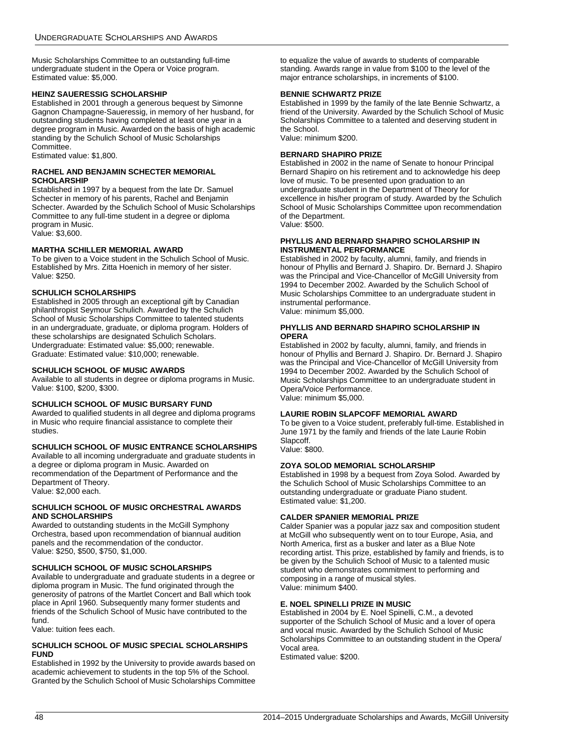Music Scholarships Committee to an outstanding full-time undergraduate student in the Opera or Voice program. Estimated value: \$5,000.

### **HEINZ SAUERESSIG SCHOLARSHIP**

Established in 2001 through a generous bequest by Simonne Gagnon Champagne-Saueressig, in memory of her husband, for outstanding students having completed at least one year in a degree program in Music. Awarded on the basis of high academic standing by the Schulich School of Music Scholarships Committee.

Estimated value: \$1,800.

### **RACHEL AND BENJAMIN SCHECTER MEMORIAL SCHOLARSHIP**

Established in 1997 by a bequest from the late Dr. Samuel Schecter in memory of his parents, Rachel and Benjamin Schecter. Awarded by the Schulich School of Music Scholarships Committee to any full-time student in a degree or diploma program in Music. Value: \$3,600.

### **MARTHA SCHILLER MEMORIAL AWARD**

To be given to a Voice student in the Schulich School of Music. Established by Mrs. Zitta Hoenich in memory of her sister. Value: \$250.

### **SCHULICH SCHOLARSHIPS**

Established in 2005 through an exceptional gift by Canadian philanthropist Seymour Schulich. Awarded by the Schulich School of Music Scholarships Committee to talented students in an undergraduate, graduate, or diploma program. Holders of these scholarships are designated Schulich Scholars. Undergraduate: Estimated value: \$5,000; renewable. Graduate: Estimated value: \$10,000; renewable.

### **SCHULICH SCHOOL OF MUSIC AWARDS**

Available to all students in degree or diploma programs in Music. Value: \$100, \$200, \$300.

### **SCHULICH SCHOOL OF MUSIC BURSARY FUND**

Awarded to qualified students in all degree and diploma programs in Music who require financial assistance to complete their studies.

### **SCHULICH SCHOOL OF MUSIC ENTRANCE SCHOLARSHIPS**

Available to all incoming undergraduate and graduate students in a degree or diploma program in Music. Awarded on recommendation of the Department of Performance and the Department of Theory.

Value: \$2,000 each.

#### **SCHULICH SCHOOL OF MUSIC ORCHESTRAL AWARDS AND SCHOLARSHIPS**

Awarded to outstanding students in the McGill Symphony Orchestra, based upon recommendation of biannual audition panels and the recommendation of the conductor. Value: \$250, \$500, \$750, \$1,000.

### **SCHULICH SCHOOL OF MUSIC SCHOLARSHIPS**

Available to undergraduate and graduate students in a degree or diploma program in Music. The fund originated through the generosity of patrons of the Martlet Concert and Ball which took place in April 1960. Subsequently many former students and friends of the Schulich School of Music have contributed to the fund.

Value: tuition fees each.

#### **SCHULICH SCHOOL OF MUSIC SPECIAL SCHOLARSHIPS FUND**

Established in 1992 by the University to provide awards based on academic achievement to students in the top 5% of the School. Granted by the Schulich School of Music Scholarships Committee to equalize the value of awards to students of comparable standing. Awards range in value from \$100 to the level of the major entrance scholarships, in increments of \$100.

### **BENNIE SCHWARTZ PRIZE**

Established in 1999 by the family of the late Bennie Schwartz, a friend of the University. Awarded by the Schulich School of Music Scholarships Committee to a talented and deserving student in the School.

Value: minimum \$200.

### **BERNARD SHAPIRO PRIZE**

Established in 2002 in the name of Senate to honour Principal Bernard Shapiro on his retirement and to acknowledge his deep love of music. To be presented upon graduation to an undergraduate student in the Department of Theory for excellence in his/her program of study. Awarded by the Schulich School of Music Scholarships Committee upon recommendation of the Department. Value: \$500.

#### **PHYLLIS AND BERNARD SHAPIRO SCHOLARSHIP IN INSTRUMENTAL PERFORMANCE**

Established in 2002 by faculty, alumni, family, and friends in honour of Phyllis and Bernard J. Shapiro. Dr. Bernard J. Shapiro was the Principal and Vice-Chancellor of McGill University from 1994 to December 2002. Awarded by the Schulich School of Music Scholarships Committee to an undergraduate student in instrumental performance.

Value: minimum \$5,000.

### **PHYLLIS AND BERNARD SHAPIRO SCHOLARSHIP IN OPERA**

Established in 2002 by faculty, alumni, family, and friends in honour of Phyllis and Bernard J. Shapiro. Dr. Bernard J. Shapiro was the Principal and Vice-Chancellor of McGill University from 1994 to December 2002. Awarded by the Schulich School of Music Scholarships Committee to an undergraduate student in Opera/Voice Performance. Value: minimum \$5,000.

### **LAURIE ROBIN SLAPCOFF MEMORIAL AWARD**

To be given to a Voice student, preferably full-time. Established in June 1971 by the family and friends of the late Laurie Robin Slapcoff.

Value: \$800.

### **ZOYA SOLOD MEMORIAL SCHOLARSHIP**

Established in 1998 by a bequest from Zoya Solod. Awarded by the Schulich School of Music Scholarships Committee to an outstanding undergraduate or graduate Piano student. Estimated value: \$1,200.

### **CALDER SPANIER MEMORIAL PRIZE**

Calder Spanier was a popular jazz sax and composition student at McGill who subsequently went on to tour Europe, Asia, and North America, first as a busker and later as a Blue Note recording artist. This prize, established by family and friends, is to be given by the Schulich School of Music to a talented music student who demonstrates commitment to performing and composing in a range of musical styles. Value: minimum \$400.

### **E. NOEL SPINELLI PRIZE IN MUSIC**

Established in 2004 by E. Noel Spinelli, C.M., a devoted supporter of the Schulich School of Music and a lover of opera and vocal music. Awarded by the Schulich School of Music Scholarships Committee to an outstanding student in the Opera/ Vocal area.

Estimated value: \$200.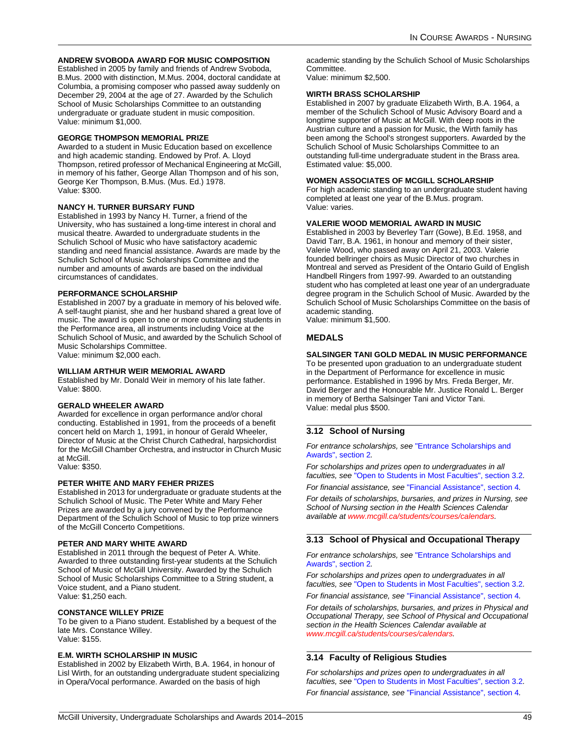### **ANDREW SVOBODA AWARD FOR MUSIC COMPOSITION**

Established in 2005 by family and friends of Andrew Svoboda, B.Mus. 2000 with distinction, M.Mus. 2004, doctoral candidate at Columbia, a promising composer who passed away suddenly on December 29, 2004 at the age of 27. Awarded by the Schulich School of Music Scholarships Committee to an outstanding undergraduate or graduate student in music composition. Value: minimum \$1,000.

### **GEORGE THOMPSON MEMORIAL PRIZE**

Awarded to a student in Music Education based on excellence and high academic standing. Endowed by Prof. A. Lloyd Thompson, retired professor of Mechanical Engineering at McGill, in memory of his father, George Allan Thompson and of his son, George Ker Thompson, B.Mus. (Mus. Ed.) 1978. Value: \$300.

#### **NANCY H. TURNER BURSARY FUND**

Established in 1993 by Nancy H. Turner, a friend of the University, who has sustained a long-time interest in choral and musical theatre. Awarded to undergraduate students in the Schulich School of Music who have satisfactory academic standing and need financial assistance. Awards are made by the Schulich School of Music Scholarships Committee and the number and amounts of awards are based on the individual circumstances of candidates.

#### **PERFORMANCE SCHOLARSHIP**

Established in 2007 by a graduate in memory of his beloved wife. A self-taught pianist, she and her husband shared a great love of music. The award is open to one or more outstanding students in the Performance area, all instruments including Voice at the Schulich School of Music, and awarded by the Schulich School of Music Scholarships Committee. Value: minimum \$2,000 each.

### **WILLIAM ARTHUR WEIR MEMORIAL AWARD**

Established by Mr. Donald Weir in memory of his late father. Value: \$800.

### **GERALD WHEELER AWARD**

Awarded for excellence in organ performance and/or choral conducting. Established in 1991, from the proceeds of a benefit concert held on March 1, 1991, in honour of Gerald Wheeler, Director of Music at the Christ Church Cathedral, harpsichordist for the McGill Chamber Orchestra, and instructor in Church Music at McGill. Value: \$350.

### **PETER WHITE AND MARY FEHER PRIZES**

Established in 2013 for undergraduate or graduate students at the Schulich School of Music. The Peter White and Mary Feher Prizes are awarded by a jury convened by the Performance Department of the Schulich School of Music to top prize winners of the McGill Concerto Competitions.

#### **PETER AND MARY WHITE AWARD**

Established in 2011 through the bequest of Peter A. White. Awarded to three outstanding first-year students at the Schulich School of Music of McGill University. Awarded by the Schulich School of Music Scholarships Committee to a String student, a Voice student, and a Piano student. Value: \$1,250 each.

#### **CONSTANCE WILLEY PRIZE**

To be given to a Piano student. Established by a bequest of the late Mrs. Constance Willey. Value: \$155.

#### **E.M. WIRTH SCHOLARSHIP IN MUSIC**

Established in 2002 by Elizabeth Wirth, B.A. 1964, in honour of Lisl Wirth, for an outstanding undergraduate student specializing in Opera/Vocal performance. Awarded on the basis of high

academic standing by the Schulich School of Music Scholarships Committee.

Value: minimum \$2,500.

### **WIRTH BRASS SCHOLARSHIP**

Established in 2007 by graduate Elizabeth Wirth, B.A. 1964, a member of the Schulich School of Music Advisory Board and a longtime supporter of Music at McGill. With deep roots in the Austrian culture and a passion for Music, the Wirth family has been among the School's strongest supporters. Awarded by the Schulich School of Music Scholarships Committee to an outstanding full-time undergraduate student in the Brass area. Estimated value: \$5,000.

### **WOMEN ASSOCIATES OF MCGILL SCHOLARSHIP**

For high academic standing to an undergraduate student having completed at least one year of the B.Mus. program. Value: varies.

#### **VALERIE WOOD MEMORIAL AWARD IN MUSIC**

Established in 2003 by Beverley Tarr (Gowe), B.Ed. 1958, and David Tarr, B.A. 1961, in honour and memory of their sister, Valerie Wood, who passed away on April 21, 2003. Valerie founded bellringer choirs as Music Director of two churches in Montreal and served as President of the Ontario Guild of English Handbell Ringers from 1997-99. Awarded to an outstanding student who has completed at least one year of an undergraduate degree program in the Schulich School of Music. Awarded by the Schulich School of Music Scholarships Committee on the basis of academic standing.

Value: minimum \$1,500.

### **MEDALS**

#### **SALSINGER TANI GOLD MEDAL IN MUSIC PERFORMANCE**

To be presented upon graduation to an undergraduate student in the Department of Performance for excellence in music performance. Established in 1996 by Mrs. Freda Berger, Mr. David Berger and the Honourable Mr. Justice Ronald L. Berger in memory of Bertha Salsinger Tani and Victor Tani. Value: medal plus \$500.

### **3.12 School of Nursing**

*For entrance scholarships, see* ["Entrance Scholarships and](#page-4-0)  [Awards", section 2](#page-4-0)*.*

*For scholarships and prizes open to undergraduates in all faculties, see* ["Open to Students in Most Faculties", section 3.2](#page-11-0)*.*

*For financial assistance, see* ["Financial Assistance", section 4](#page-58-0)*.*

*For details of scholarships, bursaries, and prizes in Nursing, see School of Nursing section in the Health Sciences Calendar available at [www.mcgill.ca/students/courses/calendars](http://www.mcgill.ca/students/courses/calendars/).*

### **3.13 School of Physical and Occupational Therapy**

*For entrance scholarships, see* ["Entrance Scholarships and](#page-4-0)  [Awards", section 2](#page-4-0)*.*

*For scholarships and prizes open to undergraduates in all faculties, see* ["Open to Students in Most Faculties", section 3.2](#page-11-0)*.*

*For financial assistance, see* ["Financial Assistance", section 4](#page-58-0)*. For details of scholarships, bursaries, and prizes in Physical and Occupational Therapy, see School of Physical and Occupational* 

*section in the Health Sciences Calendar available at [www.mcgill.ca/students/courses/calendars.](http://www.mcgill.ca/students/courses/calendars/)*

### **3.14 Faculty of Religious Studies**

*For scholarships and prizes open to undergraduates in all faculties, see* ["Open to Students in Most Faculties", section 3.2](#page-11-0)*. For financial assistance, see* ["Financial Assistance", section 4](#page-58-0)*.*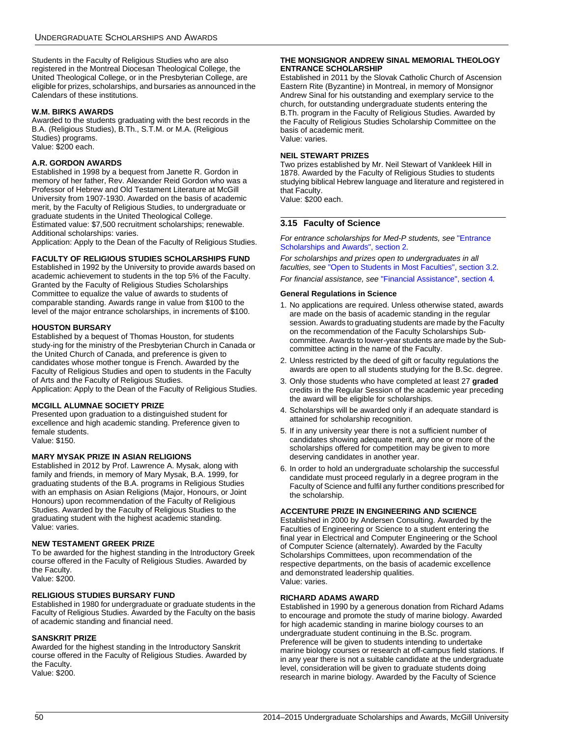Students in the Faculty of Religious Studies who are also registered in the Montreal Diocesan Theological College, the United Theological College, or in the Presbyterian College, are eligible for prizes, scholarships, and bursaries as announced in the Calendars of these institutions.

### **W.M. BIRKS AWARDS**

Awarded to the students graduating with the best records in the B.A. (Religious Studies), B.Th., S.T.M. or M.A. (Religious Studies) programs. Value: \$200 each.

#### **A.R. GORDON AWARDS**

Established in 1998 by a bequest from Janette R. Gordon in memory of her father, Rev. Alexander Reid Gordon who was a Professor of Hebrew and Old Testament Literature at McGill University from 1907-1930. Awarded on the basis of academic merit, by the Faculty of Religious Studies, to undergraduate or graduate students in the United Theological College. Estimated value: \$7,500 recruitment scholarships; renewable. Additional scholarships: varies.

Application: Apply to the Dean of the Faculty of Religious Studies.

### **FACULTY OF RELIGIOUS STUDIES SCHOLARSHIPS FUND**

Established in 1992 by the University to provide awards based on academic achievement to students in the top 5% of the Faculty. Granted by the Faculty of Religious Studies Scholarships Committee to equalize the value of awards to students of comparable standing. Awards range in value from \$100 to the level of the major entrance scholarships, in increments of \$100.

#### **HOUSTON BURSARY**

Established by a bequest of Thomas Houston, for students study-ing for the ministry of the Presbyterian Church in Canada or the United Church of Canada, and preference is given to candidates whose mother tongue is French. Awarded by the Faculty of Religious Studies and open to students in the Faculty of Arts and the Faculty of Religious Studies. Application: Apply to the Dean of the Faculty of Religious Studies.

### **MCGILL ALUMNAE SOCIETY PRIZE**

Presented upon graduation to a distinguished student for excellence and high academic standing. Preference given to female students. Value: \$150.

### **MARY MYSAK PRIZE IN ASIAN RELIGIONS**

Established in 2012 by Prof. Lawrence A. Mysak, along with family and friends, in memory of Mary Mysak, B.A. 1999, for graduating students of the B.A. programs in Religious Studies with an emphasis on Asian Religions (Major, Honours, or Joint Honours) upon recommendation of the Faculty of Religious Studies. Awarded by the Faculty of Religious Studies to the graduating student with the highest academic standing. Value: varies.

#### **NEW TESTAMENT GREEK PRIZE**

To be awarded for the highest standing in the Introductory Greek course offered in the Faculty of Religious Studies. Awarded by the Faculty. Value: \$200.

#### **RELIGIOUS STUDIES BURSARY FUND**

Established in 1980 for undergraduate or graduate students in the Faculty of Religious Studies. Awarded by the Faculty on the basis of academic standing and financial need.

### **SANSKRIT PRIZE**

Awarded for the highest standing in the Introductory Sanskrit course offered in the Faculty of Religious Studies. Awarded by the Faculty. Value: \$200.

#### **THE MONSIGNOR ANDREW SINAL MEMORIAL THEOLOGY ENTRANCE SCHOLARSHIP**

Established in 2011 by the Slovak Catholic Church of Ascension Eastern Rite (Byzantine) in Montreal, in memory of Monsignor Andrew Sinal for his outstanding and exemplary service to the church, for outstanding undergraduate students entering the B.Th. program in the Faculty of Religious Studies. Awarded by the Faculty of Religious Studies Scholarship Committee on the basis of academic merit. Value: varies.

#### **NEIL STEWART PRIZES**

Two prizes established by Mr. Neil Stewart of Vankleek Hill in 1878. Awarded by the Faculty of Religious Studies to students studying biblical Hebrew language and literature and registered in that Faculty.

Value: \$200 each.

### **3.15 Faculty of Science**

*For entrance scholarships for Med-P students, see* ["Entrance](#page-4-0)  [Scholarships and Awards", section 2](#page-4-0)*.*

*For scholarships and prizes open to undergraduates in all faculties, see* ["Open to Students in Most Faculties", section 3.2](#page-11-0)*. For financial assistance, see* ["Financial Assistance", section 4](#page-58-0)*.*

#### **General Regulations in Science**

- 1. No applications are required. Unless otherwise stated, awards are made on the basis of academic standing in the regular session. Awards to graduating students are made by the Faculty on the recommendation of the Faculty Scholarships Subcommittee. Awards to lower-year students are made by the Subcommittee acting in the name of the Faculty.
- 2. Unless restricted by the deed of gift or faculty regulations the awards are open to all students studying for the B.Sc. degree.
- 3. Only those students who have completed at least 27 **graded** credits in the Regular Session of the academic year preceding the award will be eligible for scholarships.
- 4. Scholarships will be awarded only if an adequate standard is attained for scholarship recognition.
- 5. If in any university year there is not a sufficient number of candidates showing adequate merit, any one or more of the scholarships offered for competition may be given to more deserving candidates in another year.
- 6. In order to hold an undergraduate scholarship the successful candidate must proceed regularly in a degree program in the Faculty of Science and fulfil any further conditions prescribed for the scholarship.

#### **ACCENTURE PRIZE IN ENGINEERING AND SCIENCE**

Established in 2000 by Andersen Consulting. Awarded by the Faculties of Engineering or Science to a student entering the final year in Electrical and Computer Engineering or the School of Computer Science (alternately). Awarded by the Faculty Scholarships Committees, upon recommendation of the respective departments, on the basis of academic excellence and demonstrated leadership qualities. Value: varies.

#### **RICHARD ADAMS AWARD**

Established in 1990 by a generous donation from Richard Adams to encourage and promote the study of marine biology. Awarded for high academic standing in marine biology courses to an undergraduate student continuing in the B.Sc. program. Preference will be given to students intending to undertake marine biology courses or research at off-campus field stations. If in any year there is not a suitable candidate at the undergraduate level, consideration will be given to graduate students doing research in marine biology. Awarded by the Faculty of Science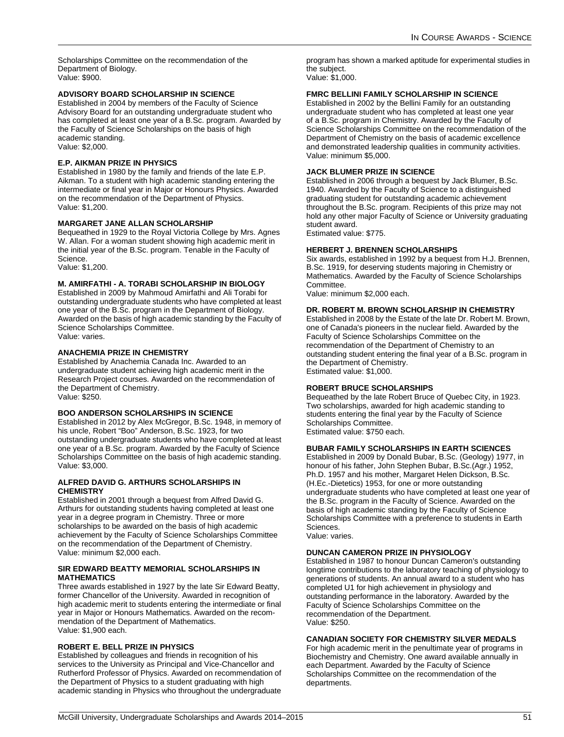Scholarships Committee on the recommendation of the Department of Biology. Value: \$900.

### **ADVISORY BOARD SCHOLARSHIP IN SCIENCE**

Established in 2004 by members of the Faculty of Science Advisory Board for an outstanding undergraduate student who has completed at least one year of a B.Sc. program. Awarded by the Faculty of Science Scholarships on the basis of high academic standing. Value: \$2,000.

### **E.P. AIKMAN PRIZE IN PHYSICS**

Established in 1980 by the family and friends of the late E.P. Aikman. To a student with high academic standing entering the intermediate or final year in Major or Honours Physics. Awarded on the recommendation of the Department of Physics. Value: \$1,200.

#### **MARGARET JANE ALLAN SCHOLARSHIP**

Bequeathed in 1929 to the Royal Victoria College by Mrs. Agnes W. Allan. For a woman student showing high academic merit in the initial year of the B.Sc. program. Tenable in the Faculty of Science.

Value: \$1,200.

### **M. AMIRFATHI - A. TORABI SCHOLARSHIP IN BIOLOGY**

Established in 2009 by Mahmoud Amirfathi and Ali Torabi for outstanding undergraduate students who have completed at least one year of the B.Sc. program in the Department of Biology. Awarded on the basis of high academic standing by the Faculty of Science Scholarships Committee. Value: varies.

### **ANACHEMIA PRIZE IN CHEMISTRY**

Established by Anachemia Canada Inc. Awarded to an undergraduate student achieving high academic merit in the Research Project courses. Awarded on the recommendation of the Department of Chemistry. Value: \$250.

#### **BOO ANDERSON SCHOLARSHIPS IN SCIENCE**

Established in 2012 by Alex McGregor, B.Sc. 1948, in memory of his uncle, Robert "Boo" Anderson, B.Sc. 1923, for two outstanding undergraduate students who have completed at least one year of a B.Sc. program. Awarded by the Faculty of Science Scholarships Committee on the basis of high academic standing. Value: \$3,000.

#### **ALFRED DAVID G. ARTHURS SCHOLARSHIPS IN CHEMISTRY**

Established in 2001 through a bequest from Alfred David G. Arthurs for outstanding students having completed at least one year in a degree program in Chemistry. Three or more scholarships to be awarded on the basis of high academic achievement by the Faculty of Science Scholarships Committee on the recommendation of the Department of Chemistry. Value: minimum \$2,000 each.

#### **SIR EDWARD BEATTY MEMORIAL SCHOLARSHIPS IN MATHEMATICS**

Three awards established in 1927 by the late Sir Edward Beatty, former Chancellor of the University. Awarded in recognition of high academic merit to students entering the intermediate or final year in Major or Honours Mathematics. Awarded on the recommendation of the Department of Mathematics. Value: \$1,900 each.

#### **ROBERT E. BELL PRIZE IN PHYSICS**

Established by colleagues and friends in recognition of his services to the University as Principal and Vice-Chancellor and Rutherford Professor of Physics. Awarded on recommendation of the Department of Physics to a student graduating with high academic standing in Physics who throughout the undergraduate program has shown a marked aptitude for experimental studies in the subject. Value: \$1,000.

#### **FMRC BELLINI FAMILY SCHOLARSHIP IN SCIENCE**

Established in 2002 by the Bellini Family for an outstanding undergraduate student who has completed at least one year of a B.Sc. program in Chemistry. Awarded by the Faculty of Science Scholarships Committee on the recommendation of the Department of Chemistry on the basis of academic excellence and demonstrated leadership qualities in community activities. Value: minimum \$5,000.

### **JACK BLUMER PRIZE IN SCIENCE**

Established in 2006 through a bequest by Jack Blumer, B.Sc. 1940. Awarded by the Faculty of Science to a distinguished graduating student for outstanding academic achievement throughout the B.Sc. program. Recipients of this prize may not hold any other major Faculty of Science or University graduating student award.

Estimated value: \$775.

#### **HERBERT J. BRENNEN SCHOLARSHIPS**

Six awards, established in 1992 by a bequest from H.J. Brennen, B.Sc. 1919, for deserving students majoring in Chemistry or Mathematics. Awarded by the Faculty of Science Scholarships Committee.

Value: minimum \$2,000 each.

#### **DR. ROBERT M. BROWN SCHOLARSHIP IN CHEMISTRY**

Established in 2008 by the Estate of the late Dr. Robert M. Brown, one of Canada's pioneers in the nuclear field. Awarded by the Faculty of Science Scholarships Committee on the recommendation of the Department of Chemistry to an outstanding student entering the final year of a B.Sc. program in the Department of Chemistry. Estimated value: \$1,000.

#### **ROBERT BRUCE SCHOLARSHIPS**

Bequeathed by the late Robert Bruce of Quebec City, in 1923. Two scholarships, awarded for high academic standing to students entering the final year by the Faculty of Science Scholarships Committee. Estimated value: \$750 each.

### **BUBAR FAMILY SCHOLARSHIPS IN EARTH SCIENCES**

Established in 2009 by Donald Bubar, B.Sc. (Geology) 1977, in honour of his father, John Stephen Bubar, B.Sc.(Agr.) 1952, Ph.D. 1957 and his mother, Margaret Helen Dickson, B.Sc. (H.Ec.-Dietetics) 1953, for one or more outstanding undergraduate students who have completed at least one year of the B.Sc. program in the Faculty of Science. Awarded on the basis of high academic standing by the Faculty of Science Scholarships Committee with a preference to students in Earth Sciences.

Value: varies.

#### **DUNCAN CAMERON PRIZE IN PHYSIOLOGY**

Established in 1987 to honour Duncan Cameron's outstanding longtime contributions to the laboratory teaching of physiology to generations of students. An annual award to a student who has completed U1 for high achievement in physiology and outstanding performance in the laboratory. Awarded by the Faculty of Science Scholarships Committee on the recommendation of the Department. Value: \$250.

### **CANADIAN SOCIETY FOR CHEMISTRY SILVER MEDALS**

For high academic merit in the penultimate year of programs in Biochemistry and Chemistry. One award available annually in each Department. Awarded by the Faculty of Science Scholarships Committee on the recommendation of the departments.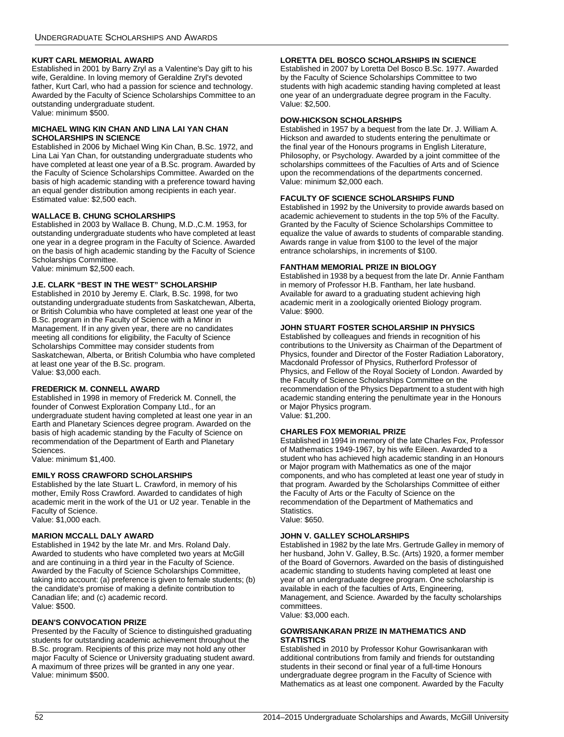### **KURT CARL MEMORIAL AWARD**

Established in 2001 by Barry Zryl as a Valentine's Day gift to his wife, Geraldine. In loving memory of Geraldine Zryl's devoted father, Kurt Carl, who had a passion for science and technology. Awarded by the Faculty of Science Scholarships Committee to an outstanding undergraduate student. Value: minimum \$500.

#### **MICHAEL WING KIN CHAN AND LINA LAI YAN CHAN SCHOLARSHIPS IN SCIENCE**

Established in 2006 by Michael Wing Kin Chan, B.Sc. 1972, and Lina Lai Yan Chan, for outstanding undergraduate students who have completed at least one year of a B.Sc. program. Awarded by the Faculty of Science Scholarships Committee. Awarded on the basis of high academic standing with a preference toward having an equal gender distribution among recipients in each year. Estimated value: \$2,500 each.

### **WALLACE B. CHUNG SCHOLARSHIPS**

Established in 2003 by Wallace B. Chung, M.D.,C.M. 1953, for outstanding undergraduate students who have completed at least one year in a degree program in the Faculty of Science. Awarded on the basis of high academic standing by the Faculty of Science Scholarships Committee.

Value: minimum \$2,500 each.

### **J.E. CLARK "BEST IN THE WEST" SCHOLARSHIP**

Established in 2010 by Jeremy E. Clark, B.Sc. 1998, for two outstanding undergraduate students from Saskatchewan, Alberta, or British Columbia who have completed at least one year of the B.Sc. program in the Faculty of Science with a Minor in Management. If in any given year, there are no candidates meeting all conditions for eligibility, the Faculty of Science Scholarships Committee may consider students from Saskatchewan, Alberta, or British Columbia who have completed at least one year of the B.Sc. program. Value: \$3,000 each.

### **FREDERICK M. CONNELL AWARD**

Established in 1998 in memory of Frederick M. Connell, the founder of Conwest Exploration Company Ltd., for an undergraduate student having completed at least one year in an Earth and Planetary Sciences degree program. Awarded on the basis of high academic standing by the Faculty of Science on recommendation of the Department of Earth and Planetary Sciences.

Value: minimum \$1,400.

### **EMILY ROSS CRAWFORD SCHOLARSHIPS**

Established by the late Stuart L. Crawford, in memory of his mother, Emily Ross Crawford. Awarded to candidates of high academic merit in the work of the U1 or U2 year. Tenable in the Faculty of Science. Value: \$1,000 each.

### **MARION MCCALL DALY AWARD**

Established in 1942 by the late Mr. and Mrs. Roland Daly. Awarded to students who have completed two years at McGill and are continuing in a third year in the Faculty of Science. Awarded by the Faculty of Science Scholarships Committee, taking into account: (a) preference is given to female students; (b) the candidate's promise of making a definite contribution to Canadian life; and (c) academic record. Value: \$500.

### **DEAN'S CONVOCATION PRIZE**

Presented by the Faculty of Science to distinguished graduating students for outstanding academic achievement throughout the B.Sc. program. Recipients of this prize may not hold any other major Faculty of Science or University graduating student award. A maximum of three prizes will be granted in any one year. Value: minimum \$500.

### **LORETTA DEL BOSCO SCHOLARSHIPS IN SCIENCE**

Established in 2007 by Loretta Del Bosco B.Sc. 1977. Awarded by the Faculty of Science Scholarships Committee to two students with high academic standing having completed at least one year of an undergraduate degree program in the Faculty. Value: \$2,500.

### **DOW-HICKSON SCHOLARSHIPS**

Established in 1957 by a bequest from the late Dr. J. William A. Hickson and awarded to students entering the penultimate or the final year of the Honours programs in English Literature, Philosophy, or Psychology. Awarded by a joint committee of the scholarships committees of the Faculties of Arts and of Science upon the recommendations of the departments concerned. Value: minimum \$2,000 each.

### **FACULTY OF SCIENCE SCHOLARSHIPS FUND**

Established in 1992 by the University to provide awards based on academic achievement to students in the top 5% of the Faculty. Granted by the Faculty of Science Scholarships Committee to equalize the value of awards to students of comparable standing. Awards range in value from \$100 to the level of the major entrance scholarships, in increments of \$100.

### **FANTHAM MEMORIAL PRIZE IN BIOLOGY**

Established in 1938 by a bequest from the late Dr. Annie Fantham in memory of Professor H.B. Fantham, her late husband. Available for award to a graduating student achieving high academic merit in a zoologically oriented Biology program. Value: \$900.

### **JOHN STUART FOSTER SCHOLARSHIP IN PHYSICS**

Established by colleagues and friends in recognition of his contributions to the University as Chairman of the Department of Physics, founder and Director of the Foster Radiation Laboratory, Macdonald Professor of Physics, Rutherford Professor of Physics, and Fellow of the Royal Society of London. Awarded by the Faculty of Science Scholarships Committee on the recommendation of the Physics Department to a student with high academic standing entering the penultimate year in the Honours or Major Physics program.

Value: \$1,200.

### **CHARLES FOX MEMORIAL PRIZE**

Established in 1994 in memory of the late Charles Fox, Professor of Mathematics 1949-1967, by his wife Eileen. Awarded to a student who has achieved high academic standing in an Honours or Major program with Mathematics as one of the major components, and who has completed at least one year of study in that program. Awarded by the Scholarships Committee of either the Faculty of Arts or the Faculty of Science on the recommendation of the Department of Mathematics and Statistics.

### Value: \$650.

### **JOHN V. GALLEY SCHOLARSHIPS**

Established in 1982 by the late Mrs. Gertrude Galley in memory of her husband, John V. Galley, B.Sc. (Arts) 1920, a former member of the Board of Governors. Awarded on the basis of distinguished academic standing to students having completed at least one year of an undergraduate degree program. One scholarship is available in each of the faculties of Arts, Engineering, Management, and Science. Awarded by the faculty scholarships committees.

Value: \$3,000 each.

#### **GOWRISANKARAN PRIZE IN MATHEMATICS AND STATISTICS**

Established in 2010 by Professor Kohur Gowrisankaran with additional contributions from family and friends for outstanding students in their second or final year of a full-time Honours undergraduate degree program in the Faculty of Science with Mathematics as at least one component. Awarded by the Faculty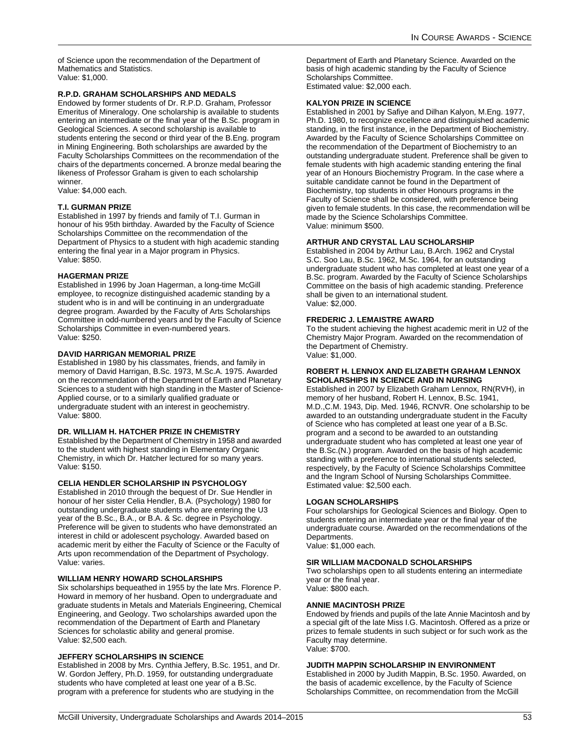of Science upon the recommendation of the Department of Mathematics and Statistics. Value: \$1,000.

### **R.P.D. GRAHAM SCHOLARSHIPS AND MEDALS**

Endowed by former students of Dr. R.P.D. Graham, Professor Emeritus of Mineralogy. One scholarship is available to students entering an intermediate or the final year of the B.Sc. program in Geological Sciences. A second scholarship is available to students entering the second or third year of the B.Eng. program in Mining Engineering. Both scholarships are awarded by the Faculty Scholarships Committees on the recommendation of the chairs of the departments concerned. A bronze medal bearing the likeness of Professor Graham is given to each scholarship winner.

Value: \$4,000 each.

#### **T.I. GURMAN PRIZE**

Established in 1997 by friends and family of T.I. Gurman in honour of his 95th birthday. Awarded by the Faculty of Science Scholarships Committee on the recommendation of the Department of Physics to a student with high academic standing entering the final year in a Major program in Physics. Value: \$850.

#### **HAGERMAN PRIZE**

Established in 1996 by Joan Hagerman, a long-time McGill employee, to recognize distinguished academic standing by a student who is in and will be continuing in an undergraduate degree program. Awarded by the Faculty of Arts Scholarships Committee in odd-numbered years and by the Faculty of Science Scholarships Committee in even-numbered years. Value: \$250.

#### **DAVID HARRIGAN MEMORIAL PRIZE**

Established in 1980 by his classmates, friends, and family in memory of David Harrigan, B.Sc. 1973, M.Sc.A. 1975. Awarded on the recommendation of the Department of Earth and Planetary Sciences to a student with high standing in the Master of Science-Applied course, or to a similarly qualified graduate or undergraduate student with an interest in geochemistry. Value: \$800.

#### **DR. WILLIAM H. HATCHER PRIZE IN CHEMISTRY**

Established by the Department of Chemistry in 1958 and awarded to the student with highest standing in Elementary Organic Chemistry, in which Dr. Hatcher lectured for so many years. Value: \$150.

#### **CELIA HENDLER SCHOLARSHIP IN PSYCHOLOGY**

Established in 2010 through the bequest of Dr. Sue Hendler in honour of her sister Celia Hendler, B.A. (Psychology) 1980 for outstanding undergraduate students who are entering the U3 year of the B.Sc., B.A., or B.A. & Sc. degree in Psychology. Preference will be given to students who have demonstrated an interest in child or adolescent psychology. Awarded based on academic merit by either the Faculty of Science or the Faculty of Arts upon recommendation of the Department of Psychology. Value: varies.

#### **WILLIAM HENRY HOWARD SCHOLARSHIPS**

Six scholarships bequeathed in 1955 by the late Mrs. Florence P. Howard in memory of her husband. Open to undergraduate and graduate students in Metals and Materials Engineering, Chemical Engineering, and Geology. Two scholarships awarded upon the recommendation of the Department of Earth and Planetary Sciences for scholastic ability and general promise. Value: \$2,500 each.

#### **JEFFERY SCHOLARSHIPS IN SCIENCE**

Established in 2008 by Mrs. Cynthia Jeffery, B.Sc. 1951, and Dr. W. Gordon Jeffery, Ph.D. 1959, for outstanding undergraduate students who have completed at least one year of a B.Sc. program with a preference for students who are studying in the

Department of Earth and Planetary Science. Awarded on the basis of high academic standing by the Faculty of Science Scholarships Committee. Estimated value: \$2,000 each.

#### **KALYON PRIZE IN SCIENCE**

Established in 2001 by Safiye and Dilhan Kalyon, M.Eng. 1977, Ph.D. 1980, to recognize excellence and distinguished academic standing, in the first instance, in the Department of Biochemistry. Awarded by the Faculty of Science Scholarships Committee on the recommendation of the Department of Biochemistry to an outstanding undergraduate student. Preference shall be given to female students with high academic standing entering the final year of an Honours Biochemistry Program. In the case where a suitable candidate cannot be found in the Department of Biochemistry, top students in other Honours programs in the Faculty of Science shall be considered, with preference being given to female students. In this case, the recommendation will be made by the Science Scholarships Committee. Value: minimum \$500.

### **ARTHUR AND CRYSTAL LAU SCHOLARSHIP**

Established in 2004 by Arthur Lau, B.Arch. 1962 and Crystal S.C. Soo Lau, B.Sc. 1962, M.Sc. 1964, for an outstanding undergraduate student who has completed at least one year of a B.Sc. program. Awarded by the Faculty of Science Scholarships Committee on the basis of high academic standing. Preference shall be given to an international student. Value: \$2,000.

#### **FREDERIC J. LEMAISTRE AWARD**

To the student achieving the highest academic merit in U2 of the Chemistry Major Program. Awarded on the recommendation of the Department of Chemistry. Value: \$1,000.

#### **ROBERT H. LENNOX AND ELIZABETH GRAHAM LENNOX SCHOLARSHIPS IN SCIENCE AND IN NURSING**

Established in 2007 by Elizabeth Graham Lennox, RN(RVH), in memory of her husband, Robert H. Lennox, B.Sc. 1941, M.D.,C.M. 1943, Dip. Med. 1946, RCNVR. One scholarship to be awarded to an outstanding undergraduate student in the Faculty of Science who has completed at least one year of a B.Sc. program and a second to be awarded to an outstanding undergraduate student who has completed at least one year of the B.Sc.(N.) program. Awarded on the basis of high academic standing with a preference to international students selected, respectively, by the Faculty of Science Scholarships Committee and the Ingram School of Nursing Scholarships Committee. Estimated value: \$2,500 each.

#### **LOGAN SCHOLARSHIPS**

Four scholarships for Geological Sciences and Biology. Open to students entering an intermediate year or the final year of the undergraduate course. Awarded on the recommendations of the Departments. Value: \$1,000 each.

#### **SIR WILLIAM MACDONALD SCHOLARSHIPS**

Two scholarships open to all students entering an intermediate year or the final year. Value: \$800 each.

#### <span id="page-53-0"></span>**ANNIE MACINTOSH PRIZE**

Endowed by friends and pupils of the late Annie Macintosh and by a special gift of the late Miss I.G. Macintosh. Offered as a prize or prizes to female students in such subject or for such work as the Faculty may determine. Value: \$700.

#### **JUDITH MAPPIN SCHOLARSHIP IN ENVIRONMENT**

Established in 2000 by Judith Mappin, B.Sc. 1950. Awarded, on the basis of academic excellence, by the Faculty of Science Scholarships Committee, on recommendation from the McGill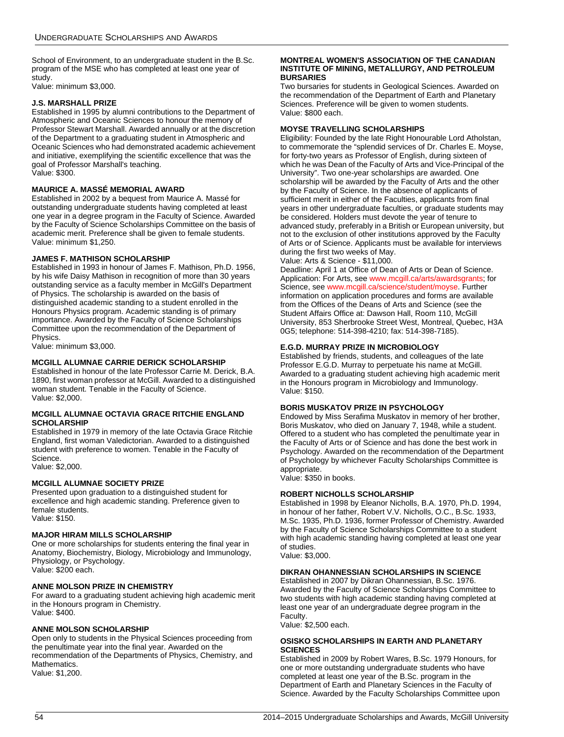School of Environment, to an undergraduate student in the B.Sc. program of the MSE who has completed at least one year of study.

Value: minimum \$3,000.

#### **J.S. MARSHALL PRIZE**

Established in 1995 by alumni contributions to the Department of Atmospheric and Oceanic Sciences to honour the memory of Professor Stewart Marshall. Awarded annually or at the discretion of the Department to a graduating student in Atmospheric and Oceanic Sciences who had demonstrated academic achievement and initiative, exemplifying the scientific excellence that was the goal of Professor Marshall's teaching. Value: \$300.

### **MAURICE A. MASSÉ MEMORIAL AWARD**

Established in 2002 by a bequest from Maurice A. Massé for outstanding undergraduate students having completed at least one year in a degree program in the Faculty of Science. Awarded by the Faculty of Science Scholarships Committee on the basis of academic merit. Preference shall be given to female students. Value: minimum \$1,250.

### **JAMES F. MATHISON SCHOLARSHIP**

Established in 1993 in honour of James F. Mathison, Ph.D. 1956, by his wife Daisy Mathison in recognition of more than 30 years outstanding service as a faculty member in McGill's Department of Physics. The scholarship is awarded on the basis of distinguished academic standing to a student enrolled in the Honours Physics program. Academic standing is of primary importance. Awarded by the Faculty of Science Scholarships Committee upon the recommendation of the Department of Physics.

Value: minimum \$3,000.

### <span id="page-54-0"></span>**MCGILL ALUMNAE CARRIE DERICK SCHOLARSHIP**

Established in honour of the late Professor Carrie M. Derick, B.A. 1890, first woman professor at McGill. Awarded to a distinguished woman student. Tenable in the Faculty of Science. Value: \$2,000.

#### <span id="page-54-1"></span>**MCGILL ALUMNAE OCTAVIA GRACE RITCHIE ENGLAND SCHOLARSHIP**

Established in 1979 in memory of the late Octavia Grace Ritchie England, first woman Valedictorian. Awarded to a distinguished student with preference to women. Tenable in the Faculty of Science.

Value: \$2,000.

#### **MCGILL ALUMNAE SOCIETY PRIZE**

Presented upon graduation to a distinguished student for excellence and high academic standing. Preference given to female students. Value: \$150.

#### **MAJOR HIRAM MILLS SCHOLARSHIP**

One or more scholarships for students entering the final year in Anatomy, Biochemistry, Biology, Microbiology and Immunology, Physiology, or Psychology. Value: \$200 each.

#### **ANNE MOLSON PRIZE IN CHEMISTRY**

For award to a graduating student achieving high academic merit in the Honours program in Chemistry. Value: \$400.

#### **ANNE MOLSON SCHOLARSHIP**

Open only to students in the Physical Sciences proceeding from the penultimate year into the final year. Awarded on the recommendation of the Departments of Physics, Chemistry, and **Mathematics** Value: \$1,200.

#### **MONTREAL WOMEN'S ASSOCIATION OF THE CANADIAN INSTITUTE OF MINING, METALLURGY, AND PETROLEUM BURSARIES**

Two bursaries for students in Geological Sciences. Awarded on the recommendation of the Department of Earth and Planetary Sciences. Preference will be given to women students. Value: \$800 each.

### **MOYSE TRAVELLING SCHOLARSHIPS**

Eligibility: Founded by the late Right Honourable Lord Atholstan, to commemorate the "splendid services of Dr. Charles E. Moyse, for forty-two years as Professor of English, during sixteen of which he was Dean of the Faculty of Arts and Vice-Principal of the University". Two one-year scholarships are awarded. One scholarship will be awarded by the Faculty of Arts and the other by the Faculty of Science. In the absence of applicants of sufficient merit in either of the Faculties, applicants from final years in other undergraduate faculties, or graduate students may be considered. Holders must devote the year of tenure to advanced study, preferably in a British or European university, but not to the exclusion of other institutions approved by the Faculty of Arts or of Science. Applicants must be available for interviews during the first two weeks of May.

#### Value: Arts & Science - \$11,000.

Deadline: April 1 at Office of Dean of Arts or Dean of Science. Application: For Arts, see [www.mcgill.ca/arts/awardsgrants](http://www.mcgill.ca/arts/awardsgrants/); for Science, see [www.mcgill.ca/science/student/moyse](http://www.mcgill.ca/science/student/moyse/). Further information on application procedures and forms are available from the Offices of the Deans of Arts and Science (see the Student Affairs Office at: Dawson Hall, Room 110, McGill University, 853 Sherbrooke Street West, Montreal, Quebec, H3A 0G5; telephone: 514-398-4210; fax: 514-398-7185).

#### **E.G.D. MURRAY PRIZE IN MICROBIOLOGY**

Established by friends, students, and colleagues of the late Professor E.G.D. Murray to perpetuate his name at McGill. Awarded to a graduating student achieving high academic merit in the Honours program in Microbiology and Immunology. Value: \$150.

#### **BORIS MUSKATOV PRIZE IN PSYCHOLOGY**

Endowed by Miss Serafima Muskatov in memory of her brother, Boris Muskatov, who died on January 7, 1948, while a student. Offered to a student who has completed the penultimate year in the Faculty of Arts or of Science and has done the best work in Psychology. Awarded on the recommendation of the Department of Psychology by whichever Faculty Scholarships Committee is appropriate. Value: \$350 in books.

#### **ROBERT NICHOLLS SCHOLARSHIP**

Established in 1998 by Eleanor Nicholls, B.A. 1970, Ph.D. 1994, in honour of her father, Robert V.V. Nicholls, O.C., B.Sc. 1933, M.Sc. 1935, Ph.D. 1936, former Professor of Chemistry. Awarded by the Faculty of Science Scholarships Committee to a student with high academic standing having completed at least one year of studies.

Value: \$3,000.

### **DIKRAN OHANNESSIAN SCHOLARSHIPS IN SCIENCE**

Established in 2007 by Dikran Ohannessian, B.Sc. 1976. Awarded by the Faculty of Science Scholarships Committee to two students with high academic standing having completed at least one year of an undergraduate degree program in the Faculty.

Value: \$2,500 each.

#### **OSISKO SCHOLARSHIPS IN EARTH AND PLANETARY SCIENCES**

Established in 2009 by Robert Wares, B.Sc. 1979 Honours, for one or more outstanding undergraduate students who have completed at least one year of the B.Sc. program in the Department of Earth and Planetary Sciences in the Faculty of Science. Awarded by the Faculty Scholarships Committee upon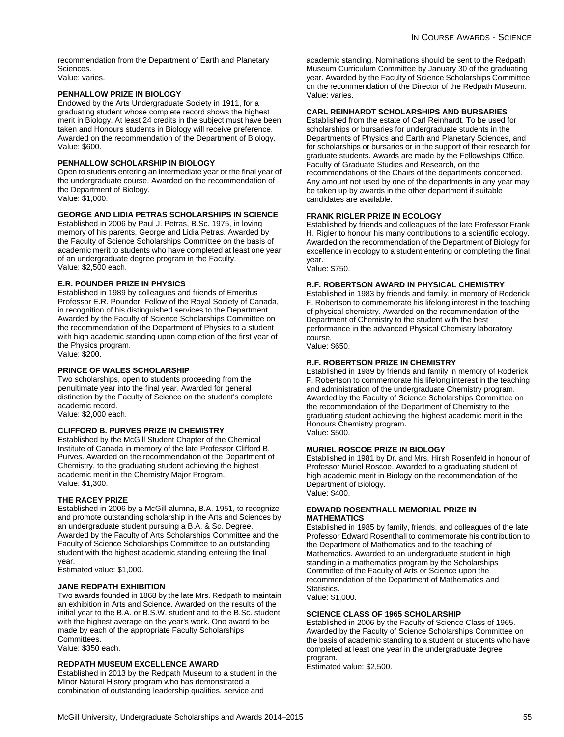recommendation from the Department of Earth and Planetary Sciences. Value: varies.

#### **PENHALLOW PRIZE IN BIOLOGY**

Endowed by the Arts Undergraduate Society in 1911, for a graduating student whose complete record shows the highest merit in Biology. At least 24 credits in the subject must have been taken and Honours students in Biology will receive preference. Awarded on the recommendation of the Department of Biology. Value: \$600.

#### **PENHALLOW SCHOLARSHIP IN BIOLOGY**

Open to students entering an intermediate year or the final year of the undergraduate course. Awarded on the recommendation of the Department of Biology. Value: \$1,000.

#### **GEORGE AND LIDIA PETRAS SCHOLARSHIPS IN SCIENCE**

Established in 2006 by Paul J. Petras, B.Sc. 1975, in loving memory of his parents, George and Lidia Petras. Awarded by the Faculty of Science Scholarships Committee on the basis of academic merit to students who have completed at least one year of an undergraduate degree program in the Faculty. Value: \$2,500 each.

#### **E.R. POUNDER PRIZE IN PHYSICS**

Established in 1989 by colleagues and friends of Emeritus Professor E.R. Pounder, Fellow of the Royal Society of Canada, in recognition of his distinguished services to the Department. Awarded by the Faculty of Science Scholarships Committee on the recommendation of the Department of Physics to a student with high academic standing upon completion of the first year of the Physics program.

Value: \$200.

#### **PRINCE OF WALES SCHOLARSHIP**

Two scholarships, open to students proceeding from the penultimate year into the final year. Awarded for general distinction by the Faculty of Science on the student's complete academic record.

Value: \$2,000 each.

### **CLIFFORD B. PURVES PRIZE IN CHEMISTRY**

Established by the McGill Student Chapter of the Chemical Institute of Canada in memory of the late Professor Clifford B. Purves. Awarded on the recommendation of the Department of Chemistry, to the graduating student achieving the highest academic merit in the Chemistry Major Program. Value: \$1,300.

#### **THE RACEY PRIZE**

Established in 2006 by a McGill alumna, B.A. 1951, to recognize and promote outstanding scholarship in the Arts and Sciences by an undergraduate student pursuing a B.A. & Sc. Degree. Awarded by the Faculty of Arts Scholarships Committee and the Faculty of Science Scholarships Committee to an outstanding student with the highest academic standing entering the final year.

Estimated value: \$1,000.

#### **JANE REDPATH EXHIBITION**

Two awards founded in 1868 by the late Mrs. Redpath to maintain an exhibition in Arts and Science. Awarded on the results of the initial year to the B.A. or B.S.W. student and to the B.Sc. student with the highest average on the year's work. One award to be made by each of the appropriate Faculty Scholarships Committees.

Value: \$350 each.

#### **REDPATH MUSEUM EXCELLENCE AWARD**

Established in 2013 by the Redpath Museum to a student in the Minor Natural History program who has demonstrated a combination of outstanding leadership qualities, service and

academic standing. Nominations should be sent to the Redpath Museum Curriculum Committee by January 30 of the graduating year. Awarded by the Faculty of Science Scholarships Committee on the recommendation of the Director of the Redpath Museum. Value: varies.

### **CARL REINHARDT SCHOLARSHIPS AND BURSARIES**

Established from the estate of Carl Reinhardt. To be used for scholarships or bursaries for undergraduate students in the Departments of Physics and Earth and Planetary Sciences, and for scholarships or bursaries or in the support of their research for graduate students. Awards are made by the Fellowships Office, Faculty of Graduate Studies and Research, on the recommendations of the Chairs of the departments concerned. Any amount not used by one of the departments in any year may be taken up by awards in the other department if suitable candidates are available.

#### **FRANK RIGLER PRIZE IN ECOLOGY**

Established by friends and colleagues of the late Professor Frank H. Rigler to honour his many contributions to a scientific ecology. Awarded on the recommendation of the Department of Biology for excellence in ecology to a student entering or completing the final year.

Value: \$750.

#### **R.F. ROBERTSON AWARD IN PHYSICAL CHEMISTRY**

Established in 1983 by friends and family, in memory of Roderick F. Robertson to commemorate his lifelong interest in the teaching of physical chemistry. Awarded on the recommendation of the Department of Chemistry to the student with the best performance in the advanced Physical Chemistry laboratory course.

Value: \$650.

### **R.F. ROBERTSON PRIZE IN CHEMISTRY**

Established in 1989 by friends and family in memory of Roderick F. Robertson to commemorate his lifelong interest in the teaching and administration of the undergraduate Chemistry program. Awarded by the Faculty of Science Scholarships Committee on the recommendation of the Department of Chemistry to the graduating student achieving the highest academic merit in the Honours Chemistry program. Value: \$500.

#### **MURIEL ROSCOE PRIZE IN BIOLOGY**

Established in 1981 by Dr. and Mrs. Hirsh Rosenfeld in honour of Professor Muriel Roscoe. Awarded to a graduating student of high academic merit in Biology on the recommendation of the Department of Biology. Value: \$400.

#### **EDWARD ROSENTHALL MEMORIAL PRIZE IN MATHEMATICS**

Established in 1985 by family, friends, and colleagues of the late Professor Edward Rosenthall to commemorate his contribution to the Department of Mathematics and to the teaching of Mathematics. Awarded to an undergraduate student in high standing in a mathematics program by the Scholarships Committee of the Faculty of Arts or Science upon the recommendation of the Department of Mathematics and Statistics.

Value: \$1,000.

#### **SCIENCE CLASS OF 1965 SCHOLARSHIP**

Established in 2006 by the Faculty of Science Class of 1965. Awarded by the Faculty of Science Scholarships Committee on the basis of academic standing to a student or students who have completed at least one year in the undergraduate degree program.

Estimated value: \$2,500.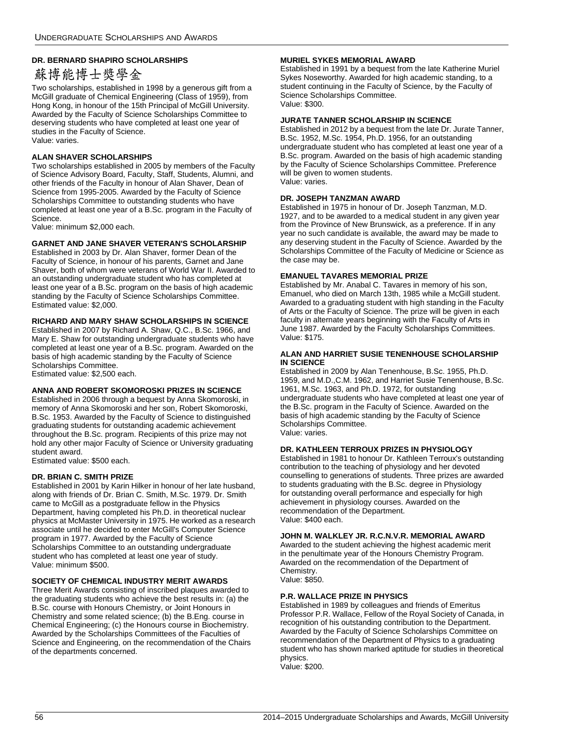### **DR. BERNARD SHAPIRO SCHOLARSHIPS**

## 蘇博能博士獎學金

Two scholarships, established in 1998 by a generous gift from a McGill graduate of Chemical Engineering (Class of 1959), from Hong Kong, in honour of the 15th Principal of McGill University. Awarded by the Faculty of Science Scholarships Committee to deserving students who have completed at least one year of studies in the Faculty of Science. Value: varies.

### **ALAN SHAVER SCHOLARSHIPS**

Two scholarships established in 2005 by members of the Faculty of Science Advisory Board, Faculty, Staff, Students, Alumni, and other friends of the Faculty in honour of Alan Shaver, Dean of Science from 1995-2005. Awarded by the Faculty of Science Scholarships Committee to outstanding students who have completed at least one year of a B.Sc. program in the Faculty of Science.

Value: minimum \$2,000 each.

#### **GARNET AND JANE SHAVER VETERAN'S SCHOLARSHIP**

Established in 2003 by Dr. Alan Shaver, former Dean of the Faculty of Science, in honour of his parents, Garnet and Jane Shaver, both of whom were veterans of World War II. Awarded to an outstanding undergraduate student who has completed at least one year of a B.Sc. program on the basis of high academic standing by the Faculty of Science Scholarships Committee. Estimated value: \$2,000.

#### **RICHARD AND MARY SHAW SCHOLARSHIPS IN SCIENCE**

Established in 2007 by Richard A. Shaw, Q.C., B.Sc. 1966, and Mary E. Shaw for outstanding undergraduate students who have completed at least one year of a B.Sc. program. Awarded on the basis of high academic standing by the Faculty of Science Scholarships Committee. Estimated value: \$2,500 each.

### **ANNA AND ROBERT SKOMOROSKI PRIZES IN SCIENCE**

Established in 2006 through a bequest by Anna Skomoroski, in memory of Anna Skomoroski and her son, Robert Skomoroski, B.Sc. 1953. Awarded by the Faculty of Science to distinguished graduating students for outstanding academic achievement throughout the B.Sc. program. Recipients of this prize may not hold any other major Faculty of Science or University graduating student award.

Estimated value: \$500 each.

#### **DR. BRIAN C. SMITH PRIZE**

Established in 2001 by Karin Hilker in honour of her late husband, along with friends of Dr. Brian C. Smith, M.Sc. 1979. Dr. Smith came to McGill as a postgraduate fellow in the Physics Department, having completed his Ph.D. in theoretical nuclear physics at McMaster University in 1975. He worked as a research associate until he decided to enter McGill's Computer Science program in 1977. Awarded by the Faculty of Science Scholarships Committee to an outstanding undergraduate student who has completed at least one year of study. Value: minimum \$500.

#### **SOCIETY OF CHEMICAL INDUSTRY MERIT AWARDS**

Three Merit Awards consisting of inscribed plaques awarded to the graduating students who achieve the best results in: (a) the B.Sc. course with Honours Chemistry, or Joint Honours in Chemistry and some related science; (b) the B.Eng. course in Chemical Engineering; (c) the Honours course in Biochemistry. Awarded by the Scholarships Committees of the Faculties of Science and Engineering, on the recommendation of the Chairs of the departments concerned.

#### **MURIEL SYKES MEMORIAL AWARD**

Established in 1991 by a bequest from the late Katherine Muriel Sykes Noseworthy. Awarded for high academic standing, to a student continuing in the Faculty of Science, by the Faculty of Science Scholarships Committee. Value: \$300.

#### **JURATE TANNER SCHOLARSHIP IN SCIENCE**

Established in 2012 by a bequest from the late Dr. Jurate Tanner, B.Sc. 1952, M.Sc. 1954, Ph.D. 1956, for an outstanding undergraduate student who has completed at least one year of a B.Sc. program. Awarded on the basis of high academic standing by the Faculty of Science Scholarships Committee. Preference will be given to women students. Value: varies.

### **DR. JOSEPH TANZMAN AWARD**

Established in 1975 in honour of Dr. Joseph Tanzman, M.D. 1927, and to be awarded to a medical student in any given year from the Province of New Brunswick, as a preference. If in any year no such candidate is available, the award may be made to any deserving student in the Faculty of Science. Awarded by the Scholarships Committee of the Faculty of Medicine or Science as the case may be.

#### **EMANUEL TAVARES MEMORIAL PRIZE**

Established by Mr. Anabal C. Tavares in memory of his son, Emanuel, who died on March 13th, 1985 while a McGill student. Awarded to a graduating student with high standing in the Faculty of Arts or the Faculty of Science. The prize will be given in each faculty in alternate years beginning with the Faculty of Arts in June 1987. Awarded by the Faculty Scholarships Committees. Value: \$175.

#### **ALAN AND HARRIET SUSIE TENENHOUSE SCHOLARSHIP IN SCIENCE**

Established in 2009 by Alan Tenenhouse, B.Sc. 1955, Ph.D. 1959, and M.D.,C.M. 1962, and Harriet Susie Tenenhouse, B.Sc. 1961, M.Sc. 1963, and Ph.D. 1972, for outstanding undergraduate students who have completed at least one year of the B.Sc. program in the Faculty of Science. Awarded on the basis of high academic standing by the Faculty of Science Scholarships Committee. Value: varies.

#### **DR. KATHLEEN TERROUX PRIZES IN PHYSIOLOGY**

Established in 1981 to honour Dr. Kathleen Terroux's outstanding contribution to the teaching of physiology and her devoted counselling to generations of students. Three prizes are awarded to students graduating with the B.Sc. degree in Physiology for outstanding overall performance and especially for high achievement in physiology courses. Awarded on the recommendation of the Department. Value: \$400 each.

#### **JOHN M. WALKLEY JR. R.C.N.V.R. MEMORIAL AWARD**

Awarded to the student achieving the highest academic merit in the penultimate year of the Honours Chemistry Program. Awarded on the recommendation of the Department of Chemistry. Value: \$850.

#### **P.R. WALLACE PRIZE IN PHYSICS**

Established in 1989 by colleagues and friends of Emeritus Professor P.R. Wallace, Fellow of the Royal Society of Canada, in recognition of his outstanding contribution to the Department. Awarded by the Faculty of Science Scholarships Committee on recommendation of the Department of Physics to a graduating student who has shown marked aptitude for studies in theoretical physics.

Value: \$200.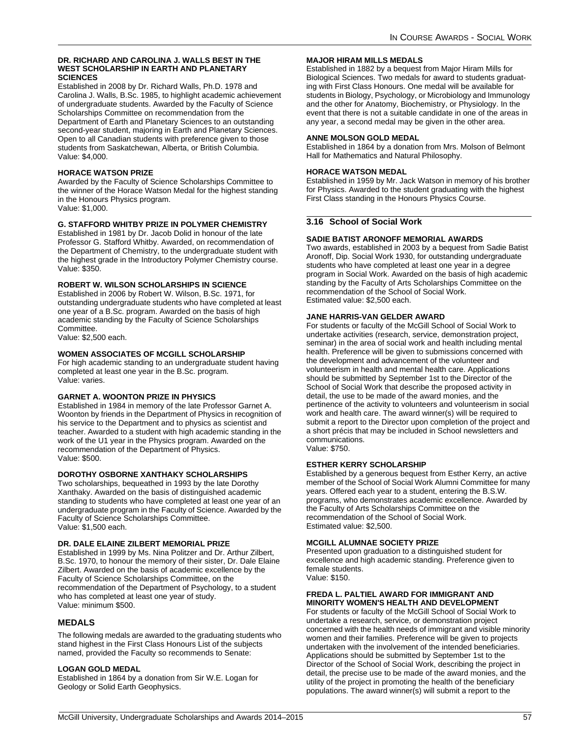#### **DR. RICHARD AND CAROLINA J. WALLS BEST IN THE WEST SCHOLARSHIP IN EARTH AND PLANETARY SCIENCES**

Established in 2008 by Dr. Richard Walls, Ph.D. 1978 and Carolina J. Walls, B.Sc. 1985, to highlight academic achievement of undergraduate students. Awarded by the Faculty of Science Scholarships Committee on recommendation from the Department of Earth and Planetary Sciences to an outstanding second-year student, majoring in Earth and Planetary Sciences. Open to all Canadian students with preference given to those students from Saskatchewan, Alberta, or British Columbia. Value: \$4,000.

### **HORACE WATSON PRIZE**

Awarded by the Faculty of Science Scholarships Committee to the winner of the Horace Watson Medal for the highest standing in the Honours Physics program. Value: \$1,000.

### **G. STAFFORD WHITBY PRIZE IN POLYMER CHEMISTRY**

Established in 1981 by Dr. Jacob Dolid in honour of the late Professor G. Stafford Whitby. Awarded, on recommendation of the Department of Chemistry, to the undergraduate student with the highest grade in the Introductory Polymer Chemistry course. Value: \$350.

### **ROBERT W. WILSON SCHOLARSHIPS IN SCIENCE**

Established in 2006 by Robert W. Wilson, B.Sc. 1971, for outstanding undergraduate students who have completed at least one year of a B.Sc. program. Awarded on the basis of high academic standing by the Faculty of Science Scholarships Committee.

Value: \$2,500 each.

### **WOMEN ASSOCIATES OF MCGILL SCHOLARSHIP**

For high academic standing to an undergraduate student having completed at least one year in the B.Sc. program. Value: varies.

### **GARNET A. WOONTON PRIZE IN PHYSICS**

Established in 1984 in memory of the late Professor Garnet A. Woonton by friends in the Department of Physics in recognition of his service to the Department and to physics as scientist and teacher. Awarded to a student with high academic standing in the work of the U1 year in the Physics program. Awarded on the recommendation of the Department of Physics. Value: \$500.

### **DOROTHY OSBORNE XANTHAKY SCHOLARSHIPS**

Two scholarships, bequeathed in 1993 by the late Dorothy Xanthaky. Awarded on the basis of distinguished academic standing to students who have completed at least one year of an undergraduate program in the Faculty of Science. Awarded by the Faculty of Science Scholarships Committee. Value: \$1,500 each.

### **DR. DALE ELAINE ZILBERT MEMORIAL PRIZE**

Established in 1999 by Ms. Nina Politzer and Dr. Arthur Zilbert, B.Sc. 1970, to honour the memory of their sister, Dr. Dale Elaine Zilbert. Awarded on the basis of academic excellence by the Faculty of Science Scholarships Committee, on the recommendation of the Department of Psychology, to a student who has completed at least one year of study. Value: minimum \$500.

### **MEDALS**

The following medals are awarded to the graduating students who stand highest in the First Class Honours List of the subjects named, provided the Faculty so recommends to Senate:

### **LOGAN GOLD MEDAL**

Established in 1864 by a donation from Sir W.E. Logan for Geology or Solid Earth Geophysics.

### **MAJOR HIRAM MILLS MEDALS**

Established in 1882 by a bequest from Major Hiram Mills for Biological Sciences. Two medals for award to students graduating with First Class Honours. One medal will be available for students in Biology, Psychology, or Microbiology and Immunology and the other for Anatomy, Biochemistry, or Physiology. In the event that there is not a suitable candidate in one of the areas in any year, a second medal may be given in the other area.

### **ANNE MOLSON GOLD MEDAL**

Established in 1864 by a donation from Mrs. Molson of Belmont Hall for Mathematics and Natural Philosophy.

### **HORACE WATSON MEDAL**

Established in 1959 by Mr. Jack Watson in memory of his brother for Physics. Awarded to the student graduating with the highest First Class standing in the Honours Physics Course.

### **3.16 School of Social Work**

### **SADIE BATIST ARONOFF MEMORIAL AWARDS**

Two awards, established in 2003 by a bequest from Sadie Batist Aronoff, Dip. Social Work 1930, for outstanding undergraduate students who have completed at least one year in a degree program in Social Work. Awarded on the basis of high academic standing by the Faculty of Arts Scholarships Committee on the recommendation of the School of Social Work. Estimated value: \$2,500 each.

### **JANE HARRIS-VAN GELDER AWARD**

For students or faculty of the McGill School of Social Work to undertake activities (research, service, demonstration project, seminar) in the area of social work and health including mental health. Preference will be given to submissions concerned with the development and advancement of the volunteer and volunteerism in health and mental health care. Applications should be submitted by September 1st to the Director of the School of Social Work that describe the proposed activity in detail, the use to be made of the award monies, and the pertinence of the activity to volunteers and volunteerism in social work and health care. The award winner(s) will be required to submit a report to the Director upon completion of the project and a short précis that may be included in School newsletters and communications. Value: \$750.

### **ESTHER KERRY SCHOLARSHIP**

Established by a generous bequest from Esther Kerry, an active member of the School of Social Work Alumni Committee for many years. Offered each year to a student, entering the B.S.W. programs, who demonstrates academic excellence. Awarded by the Faculty of Arts Scholarships Committee on the recommendation of the School of Social Work. Estimated value: \$2,500.

### **MCGILL ALUMNAE SOCIETY PRIZE**

Presented upon graduation to a distinguished student for excellence and high academic standing. Preference given to female students. Value: \$150.

### **FREDA L. PALTIEL AWARD FOR IMMIGRANT AND MINORITY WOMEN'S HEALTH AND DEVELOPMENT**

For students or faculty of the McGill School of Social Work to undertake a research, service, or demonstration project concerned with the health needs of immigrant and visible minority women and their families. Preference will be given to projects undertaken with the involvement of the intended beneficiaries. Applications should be submitted by September 1st to the Director of the School of Social Work, describing the project in detail, the precise use to be made of the award monies, and the utility of the project in promoting the health of the beneficiary populations. The award winner(s) will submit a report to the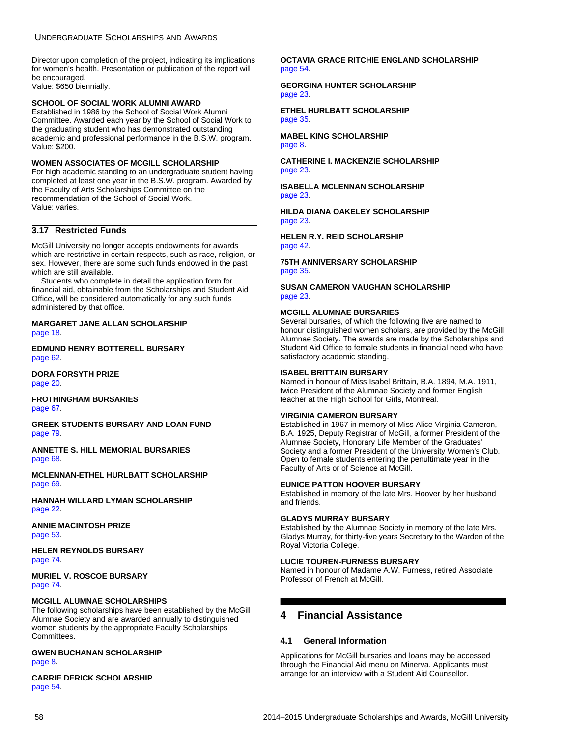Director upon completion of the project, indicating its implications for women's health. Presentation or publication of the report will be encouraged. Value: \$650 biennially.

#### **SCHOOL OF SOCIAL WORK ALUMNI AWARD**

Established in 1986 by the School of Social Work Alumni Committee. Awarded each year by the School of Social Work to the graduating student who has demonstrated outstanding academic and professional performance in the B.S.W. program. Value: \$200.

#### **WOMEN ASSOCIATES OF MCGILL SCHOLARSHIP**

For high academic standing to an undergraduate student having completed at least one year in the B.S.W. program. Awarded by the Faculty of Arts Scholarships Committee on the recommendation of the School of Social Work. Value: varies.

### <span id="page-58-1"></span>**3.17 Restricted Funds**

McGill University no longer accepts endowments for awards which are restrictive in certain respects, such as race, religion, or sex. However, there are some such funds endowed in the past which are still available.

Students who complete in detail the application form for financial aid, obtainable from the Scholarships and Student Aid Office, will be considered automatically for any such funds administered by that office.

**MARGARET JANE ALLAN SCHOLARSHIP** [page 18](#page-18-0).

**EDMUND HENRY BOTTERELL BURSARY** [page 62](#page-62-0).

**DORA FORSYTH PRIZE** [page 20](#page-20-0).

**FROTHINGHAM BURSARIES** [page 67](#page-67-0).

**GREEK STUDENTS BURSARY AND LOAN FUND** [page 79](#page-79-0).

**ANNETTE S. HILL MEMORIAL BURSARIES** [page 68](#page-68-0).

**MCLENNAN-ETHEL HURLBATT SCHOLARSHIP** [page 69](#page-69-0).

**HANNAH WILLARD LYMAN SCHOLARSHIP** [page 22](#page-22-0).

**ANNIE MACINTOSH PRIZE** [page 53](#page-53-0).

**HELEN REYNOLDS BURSARY** [page 74](#page-74-0).

**MURIEL V. ROSCOE BURSARY** [page 74](#page-74-1).

#### **MCGILL ALUMNAE SCHOLARSHIPS**

The following scholarships have been established by the McGill Alumnae Society and are awarded annually to distinguished women students by the appropriate Faculty Scholarships Committees.

#### **GWEN BUCHANAN SCHOLARSHIP** [page 8.](#page-8-0)

**CARRIE DERICK SCHOLARSHIP** [page 54](#page-54-0).

**OCTAVIA GRACE RITCHIE ENGLAND SCHOLARSHIP** [page 54](#page-54-1).

**GEORGINA HUNTER SCHOLARSHIP** [page 23](#page-23-1).

**ETHEL HURLBATT SCHOLARSHIP** [page 35](#page-35-0).

**MABEL KING SCHOLARSHIP** [page 8.](#page-8-1)

**CATHERINE I. MACKENZIE SCHOLARSHIP** [page 23](#page-23-2).

**ISABELLA MCLENNAN SCHOLARSHIP** [page 23](#page-23-3).

**HILDA DIANA OAKELEY SCHOLARSHIP** [page 23](#page-23-4).

**HELEN R.Y. REID SCHOLARSHIP** [page 42](#page-42-0).

**75TH ANNIVERSARY SCHOLARSHIP** [page 35](#page-35-1).

**SUSAN CAMERON VAUGHAN SCHOLARSHIP** [page 23](#page-23-0).

#### **MCGILL ALUMNAE BURSARIES**

Several bursaries, of which the following five are named to honour distinguished women scholars, are provided by the McGill Alumnae Society. The awards are made by the Scholarships and Student Aid Office to female students in financial need who have satisfactory academic standing.

### **ISABEL BRITTAIN BURSARY**

Named in honour of Miss Isabel Brittain, B.A. 1894, M.A. 1911, twice President of the Alumnae Society and former English teacher at the High School for Girls, Montreal.

#### **VIRGINIA CAMERON BURSARY**

Established in 1967 in memory of Miss Alice Virginia Cameron, B.A. 1925, Deputy Registrar of McGill, a former President of the Alumnae Society, Honorary Life Member of the Graduates' Society and a former President of the University Women's Club. Open to female students entering the penultimate year in the Faculty of Arts or of Science at McGill.

#### **EUNICE PATTON HOOVER BURSARY**

Established in memory of the late Mrs. Hoover by her husband and friends.

### **GLADYS MURRAY BURSARY**

Established by the Alumnae Society in memory of the late Mrs. Gladys Murray, for thirty-five years Secretary to the Warden of the Royal Victoria College.

#### **LUCIE TOUREN-FURNESS BURSARY**

Named in honour of Madame A.W. Furness, retired Associate Professor of French at McGill.

### <span id="page-58-0"></span>**4 Financial Assistance**

#### **4.1 General Information**

Applications for McGill bursaries and loans may be accessed through the Financial Aid menu on Minerva. Applicants must arrange for an interview with a Student Aid Counsellor.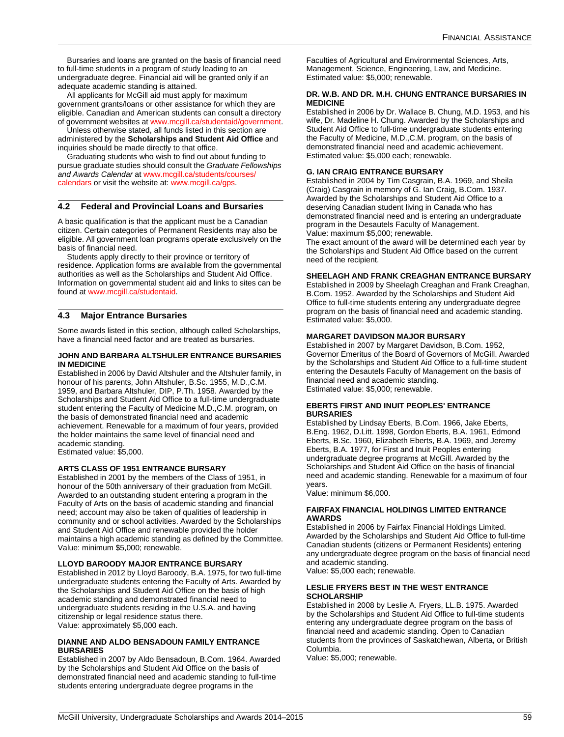Bursaries and loans are granted on the basis of financial need to full-time students in a program of study leading to an undergraduate degree. Financial aid will be granted only if an adequate academic standing is attained.

All applicants for McGill aid must apply for maximum government grants/loans or other assistance for which they are eligible. Canadian and American students can consult a directory of government websites at [www.mcgill.ca/studentaid/government.](http://www.mcgill.ca/studentaid/government/)

Unless otherwise stated, all funds listed in this section are administered by the **Scholarships and Student Aid Office** and inquiries should be made directly to that office.

Graduating students who wish to find out about funding to pursue graduate studies should consult the *Graduate Fellowships and Awards Calendar* at [www.mcgill.ca/students/courses/](http://www.mcgill.ca/students/courses/calendars/) [calendars](http://www.mcgill.ca/students/courses/calendars/) or visit the website at: [www.mcgill.ca/gps.](http://www.mcgill.ca/gps/)

#### **4.2 Federal and Provincial Loans and Bursaries**

A basic qualification is that the applicant must be a Canadian citizen. Certain categories of Permanent Residents may also be eligible. All government loan programs operate exclusively on the basis of financial need.

Students apply directly to their province or territory of residence. Application forms are available from the governmental authorities as well as the Scholarships and Student Aid Office. Information on governmental student aid and links to sites can be found at [www.mcgill.ca/studentaid](http://www.mcgill.ca/studentaid).

### **4.3 Major Entrance Bursaries**

Some awards listed in this section, although called Scholarships, have a financial need factor and are treated as bursaries.

#### **JOHN AND BARBARA ALTSHULER ENTRANCE BURSARIES IN MEDICINE**

Established in 2006 by David Altshuler and the Altshuler family, in honour of his parents, John Altshuler, B.Sc. 1955, M.D.,C.M. 1959, and Barbara Altshuler, DIP, P.Th. 1958. Awarded by the Scholarships and Student Aid Office to a full-time undergraduate student entering the Faculty of Medicine M.D.,C.M. program, on the basis of demonstrated financial need and academic achievement. Renewable for a maximum of four years, provided the holder maintains the same level of financial need and academic standing.

Estimated value: \$5,000.

#### **ARTS CLASS OF 1951 ENTRANCE BURSARY**

Established in 2001 by the members of the Class of 1951, in honour of the 50th anniversary of their graduation from McGill. Awarded to an outstanding student entering a program in the Faculty of Arts on the basis of academic standing and financial need; account may also be taken of qualities of leadership in community and or school activities. Awarded by the Scholarships and Student Aid Office and renewable provided the holder maintains a high academic standing as defined by the Committee. Value: minimum \$5,000; renewable.

#### **LLOYD BAROODY MAJOR ENTRANCE BURSARY**

Established in 2012 by Lloyd Baroody, B.A. 1975, for two full-time undergraduate students entering the Faculty of Arts. Awarded by the Scholarships and Student Aid Office on the basis of high academic standing and demonstrated financial need to undergraduate students residing in the U.S.A. and having citizenship or legal residence status there. Value: approximately \$5,000 each.

#### **DIANNE AND ALDO BENSADOUN FAMILY ENTRANCE BURSARIES**

Established in 2007 by Aldo Bensadoun, B.Com. 1964. Awarded by the Scholarships and Student Aid Office on the basis of demonstrated financial need and academic standing to full-time students entering undergraduate degree programs in the

Faculties of Agricultural and Environmental Sciences, Arts, Management, Science, Engineering, Law, and Medicine. Estimated value: \$5,000; renewable.

#### **DR. W.B. AND DR. M.H. CHUNG ENTRANCE BURSARIES IN MEDICINE**

Established in 2006 by Dr. Wallace B. Chung, M.D. 1953, and his wife, Dr. Madeline H. Chung. Awarded by the Scholarships and Student Aid Office to full-time undergraduate students entering the Faculty of Medicine, M.D.,C.M. program, on the basis of demonstrated financial need and academic achievement. Estimated value: \$5,000 each; renewable.

#### **G. IAN CRAIG ENTRANCE BURSARY**

Established in 2004 by Tim Casgrain, B.A. 1969, and Sheila (Craig) Casgrain in memory of G. Ian Craig, B.Com. 1937. Awarded by the Scholarships and Student Aid Office to a deserving Canadian student living in Canada who has demonstrated financial need and is entering an undergraduate program in the Desautels Faculty of Management. Value: maximum \$5,000; renewable.

The exact amount of the award will be determined each year by the Scholarships and Student Aid Office based on the current need of the recipient.

#### **SHEELAGH AND FRANK CREAGHAN ENTRANCE BURSARY**

Established in 2009 by Sheelagh Creaghan and Frank Creaghan, B.Com. 1952. Awarded by the Scholarships and Student Aid Office to full-time students entering any undergraduate degree program on the basis of financial need and academic standing. Estimated value: \$5,000.

#### **MARGARET DAVIDSON MAJOR BURSARY**

Established in 2007 by Margaret Davidson, B.Com. 1952, Governor Emeritus of the Board of Governors of McGill. Awarded by the Scholarships and Student Aid Office to a full-time student entering the Desautels Faculty of Management on the basis of financial need and academic standing. Estimated value: \$5,000; renewable.

#### **EBERTS FIRST AND INUIT PEOPLES' ENTRANCE BURSARIES**

Established by Lindsay Eberts, B.Com. 1966, Jake Eberts, B.Eng. 1962, D.Litt. 1998, Gordon Eberts, B.A. 1961, Edmond Eberts, B.Sc. 1960, Elizabeth Eberts, B.A. 1969, and Jeremy Eberts, B.A. 1977, for First and Inuit Peoples entering undergraduate degree programs at McGill. Awarded by the Scholarships and Student Aid Office on the basis of financial need and academic standing. Renewable for a maximum of four years.

Value: minimum \$6,000.

#### **FAIRFAX FINANCIAL HOLDINGS LIMITED ENTRANCE AWARDS**

Established in 2006 by Fairfax Financial Holdings Limited. Awarded by the Scholarships and Student Aid Office to full-time Canadian students (citizens or Permanent Residents) entering any undergraduate degree program on the basis of financial need and academic standing.

Value: \$5,000 each; renewable.

#### **LESLIE FRYERS BEST IN THE WEST ENTRANCE SCHOLARSHIP**

Established in 2008 by Leslie A. Fryers, LL.B. 1975. Awarded by the Scholarships and Student Aid Office to full-time students entering any undergraduate degree program on the basis of financial need and academic standing. Open to Canadian students from the provinces of Saskatchewan, Alberta, or British Columbia.

Value: \$5,000; renewable.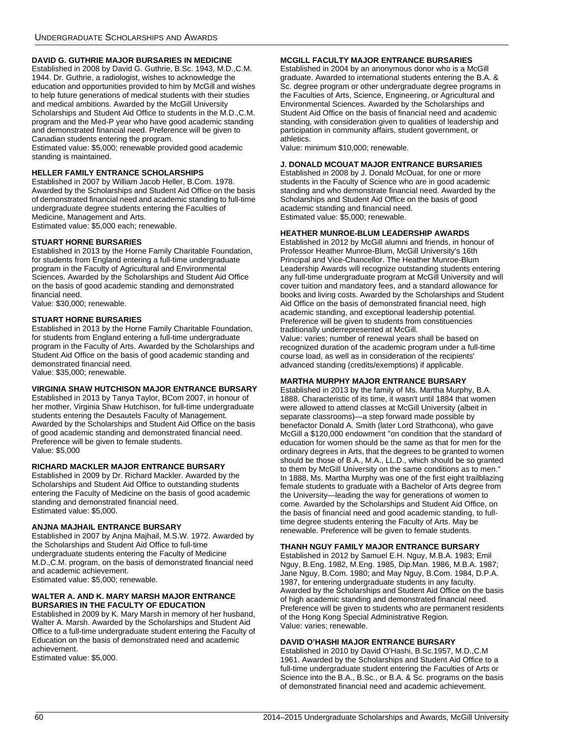### **DAVID G. GUTHRIE MAJOR BURSARIES IN MEDICINE**

Established in 2008 by David G. Guthrie, B.Sc. 1943, M.D.,C.M. 1944. Dr. Guthrie, a radiologist, wishes to acknowledge the education and opportunities provided to him by McGill and wishes to help future generations of medical students with their studies and medical ambitions. Awarded by the McGill University Scholarships and Student Aid Office to students in the M.D.,C.M. program and the Med-P year who have good academic standing and demonstrated financial need. Preference will be given to Canadian students entering the program.

Estimated value: \$5,000; renewable provided good academic standing is maintained.

### **HELLER FAMILY ENTRANCE SCHOLARSHIPS**

Established in 2007 by William Jacob Heller, B.Com. 1978. Awarded by the Scholarships and Student Aid Office on the basis of demonstrated financial need and academic standing to full-time undergraduate degree students entering the Faculties of Medicine, Management and Arts.

Estimated value: \$5,000 each; renewable.

### **STUART HORNE BURSARIES**

Established in 2013 by the Horne Family Charitable Foundation, for students from England entering a full-time undergraduate program in the Faculty of Agricultural and Environmental Sciences. Awarded by the Scholarships and Student Aid Office on the basis of good academic standing and demonstrated financial need.

Value: \$30,000; renewable.

### **STUART HORNE BURSARIES**

Established in 2013 by the Horne Family Charitable Foundation, for students from England entering a full-time undergraduate program in the Faculty of Arts. Awarded by the Scholarships and Student Aid Office on the basis of good academic standing and demonstrated financial need. Value: \$35,000; renewable.

### **VIRGINIA SHAW HUTCHISON MAJOR ENTRANCE BURSARY**

Established in 2013 by Tanya Taylor, BCom 2007, in honour of her mother, Virginia Shaw Hutchison, for full-time undergraduate students entering the Desautels Faculty of Management. Awarded by the Scholarships and Student Aid Office on the basis of good academic standing and demonstrated financial need. Preference will be given to female students. Value: \$5,000

#### **RICHARD MACKLER MAJOR ENTRANCE BURSARY**

Established in 2009 by Dr. Richard Mackler. Awarded by the Scholarships and Student Aid Office to outstanding students entering the Faculty of Medicine on the basis of good academic standing and demonstrated financial need. Estimated value: \$5,000.

#### **ANJNA MAJHAIL ENTRANCE BURSARY**

Established in 2007 by Anjna Majhail, M.S.W. 1972. Awarded by the Scholarships and Student Aid Office to full-time undergraduate students entering the Faculty of Medicine M.D.,C.M. program, on the basis of demonstrated financial need and academic achievement.

Estimated value: \$5,000; renewable.

#### **WALTER A. AND K. MARY MARSH MAJOR ENTRANCE BURSARIES IN THE FACULTY OF EDUCATION**

Established in 2009 by K. Mary Marsh in memory of her husband, Walter A. Marsh. Awarded by the Scholarships and Student Aid Office to a full-time undergraduate student entering the Faculty of Education on the basis of demonstrated need and academic achievement.

Estimated value: \$5,000.

### **MCGILL FACULTY MAJOR ENTRANCE BURSARIES**

Established in 2004 by an anonymous donor who is a McGill graduate. Awarded to international students entering the B.A. & Sc. degree program or other undergraduate degree programs in the Faculties of Arts, Science, Engineering, or Agricultural and Environmental Sciences. Awarded by the Scholarships and Student Aid Office on the basis of financial need and academic standing, with consideration given to qualities of leadership and participation in community affairs, student government, or athletics.

Value: minimum \$10,000; renewable.

### **J. DONALD MCOUAT MAJOR ENTRANCE BURSARIES**

Established in 2008 by J. Donald McOuat, for one or more students in the Faculty of Science who are in good academic standing and who demonstrate financial need. Awarded by the Scholarships and Student Aid Office on the basis of good academic standing and financial need. Estimated value: \$5,000; renewable.

#### **HEATHER MUNROE-BLUM LEADERSHIP AWARDS**

Established in 2012 by McGill alumni and friends, in honour of Professor Heather Munroe-Blum, McGill University's 16th Principal and Vice-Chancellor. The Heather Munroe-Blum Leadership Awards will recognize outstanding students entering any full-time undergraduate program at McGill University and will cover tuition and mandatory fees, and a standard allowance for books and living costs. Awarded by the Scholarships and Student Aid Office on the basis of demonstrated financial need, high academic standing, and exceptional leadership potential. Preference will be given to students from constituencies traditionally underrepresented at McGill.

Value: varies; number of renewal years shall be based on recognized duration of the academic program under a full-time course load, as well as in consideration of the recipients' advanced standing (credits/exemptions) if applicable.

### **MARTHA MURPHY MAJOR ENTRANCE BURSARY**

Established in 2013 by the family of Ms. Martha Murphy, B.A. 1888. Characteristic of its time, it wasn't until 1884 that women were allowed to attend classes at McGill University (albeit in separate classrooms)—a step forward made possible by benefactor Donald A. Smith (later Lord Strathcona), who gave McGill a \$120,000 endowment "on condition that the standard of education for women should be the same as that for men for the ordinary degrees in Arts, that the degrees to be granted to women should be those of B.A., M.A., LL.D., which should be so granted to them by McGill University on the same conditions as to men." In 1888, Ms. Martha Murphy was one of the first eight trailblazing female students to graduate with a Bachelor of Arts degree from the University—leading the way for generations of women to come. Awarded by the Scholarships and Student Aid Office, on the basis of financial need and good academic standing, to fulltime degree students entering the Faculty of Arts. May be renewable. Preference will be given to female students.

### **THANH NGUY FAMILY MAJOR ENTRANCE BURSARY**

Established in 2012 by Samuel E.H. Nguy, M.B.A. 1983; Emil Nguy, B.Eng. 1982, M.Eng. 1985, Dip.Man. 1986, M.B.A. 1987; Jane Nguy, B.Com. 1980; and May Nguy, B.Com. 1984, D.P.A. 1987, for entering undergraduate students in any faculty. Awarded by the Scholarships and Student Aid Office on the basis of high academic standing and demonstrated financial need. Preference will be given to students who are permanent residents of the Hong Kong Special Administrative Region. Value: varies; renewable.

### **DAVID O'HASHI MAJOR ENTRANCE BURSARY**

Established in 2010 by David O'Hashi, B.Sc.1957, M.D.,C.M 1961. Awarded by the Scholarships and Student Aid Office to a full-time undergraduate student entering the Faculties of Arts or Science into the B.A., B.Sc., or B.A. & Sc. programs on the basis of demonstrated financial need and academic achievement.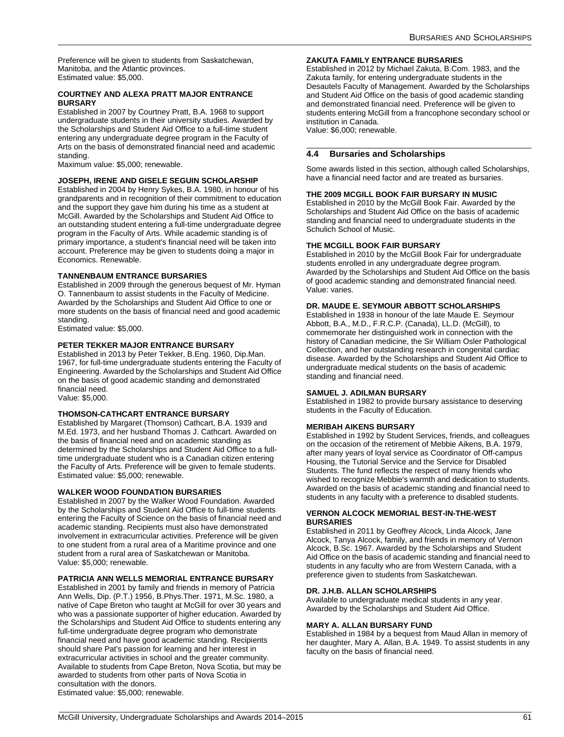Preference will be given to students from Saskatchewan, Manitoba, and the Atlantic provinces. Estimated value: \$5,000.

#### **COURTNEY AND ALEXA PRATT MAJOR ENTRANCE BURSARY**

Established in 2007 by Courtney Pratt, B.A. 1968 to support undergraduate students in their university studies. Awarded by the Scholarships and Student Aid Office to a full-time student entering any undergraduate degree program in the Faculty of Arts on the basis of demonstrated financial need and academic standing.

Maximum value: \$5,000; renewable.

### **JOSEPH, IRENE AND GISELE SEGUIN SCHOLARSHIP**

Established in 2004 by Henry Sykes, B.A. 1980, in honour of his grandparents and in recognition of their commitment to education and the support they gave him during his time as a student at McGill. Awarded by the Scholarships and Student Aid Office to an outstanding student entering a full-time undergraduate degree program in the Faculty of Arts. While academic standing is of primary importance, a student's financial need will be taken into account. Preference may be given to students doing a major in Economics. Renewable.

#### **TANNENBAUM ENTRANCE BURSARIES**

Established in 2009 through the generous bequest of Mr. Hyman O. Tannenbaum to assist students in the Faculty of Medicine. Awarded by the Scholarships and Student Aid Office to one or more students on the basis of financial need and good academic standing.

Estimated value: \$5,000.

#### **PETER TEKKER MAJOR ENTRANCE BURSARY**

Established in 2013 by Peter Tekker, B.Eng. 1960, Dip.Man. 1967, for full-time undergraduate students entering the Faculty of Engineering. Awarded by the Scholarships and Student Aid Office on the basis of good academic standing and demonstrated financial need. Value: \$5,000.

### **THOMSON-CATHCART ENTRANCE BURSARY**

Established by Margaret (Thomson) Cathcart, B.A. 1939 and M.Ed. 1973, and her husband Thomas J. Cathcart. Awarded on the basis of financial need and on academic standing as determined by the Scholarships and Student Aid Office to a fulltime undergraduate student who is a Canadian citizen entering the Faculty of Arts. Preference will be given to female students. Estimated value: \$5,000; renewable.

#### **WALKER WOOD FOUNDATION BURSARIES**

Established in 2007 by the Walker Wood Foundation. Awarded by the Scholarships and Student Aid Office to full-time students entering the Faculty of Science on the basis of financial need and academic standing. Recipients must also have demonstrated involvement in extracurricular activities. Preference will be given to one student from a rural area of a Maritime province and one student from a rural area of Saskatchewan or Manitoba. Value: \$5,000; renewable.

#### **PATRICIA ANN WELLS MEMORIAL ENTRANCE BURSARY**

Established in 2001 by family and friends in memory of Patricia Ann Wells, Dip. (P.T.) 1956, B.Phys.Ther. 1971, M.Sc. 1980, a native of Cape Breton who taught at McGill for over 30 years and who was a passionate supporter of higher education. Awarded by the Scholarships and Student Aid Office to students entering any full-time undergraduate degree program who demonstrate financial need and have good academic standing. Recipients should share Pat's passion for learning and her interest in extracurricular activities in school and the greater community. Available to students from Cape Breton, Nova Scotia, but may be awarded to students from other parts of Nova Scotia in consultation with the donors. Estimated value: \$5,000; renewable.

#### **ZAKUTA FAMILY ENTRANCE BURSARIES**

Established in 2012 by Michael Zakuta, B.Com. 1983, and the Zakuta family, for entering undergraduate students in the Desautels Faculty of Management. Awarded by the Scholarships and Student Aid Office on the basis of good academic standing and demonstrated financial need. Preference will be given to students entering McGill from a francophone secondary school or institution in Canada. Value: \$6,000; renewable.

**4.4 Bursaries and Scholarships**

Some awards listed in this section, although called Scholarships, have a financial need factor and are treated as bursaries.

#### **THE 2009 MCGILL BOOK FAIR BURSARY IN MUSIC**

Established in 2010 by the McGill Book Fair. Awarded by the Scholarships and Student Aid Office on the basis of academic standing and financial need to undergraduate students in the Schulich School of Music.

#### **THE MCGILL BOOK FAIR BURSARY**

Established in 2010 by the McGill Book Fair for undergraduate students enrolled in any undergraduate degree program. Awarded by the Scholarships and Student Aid Office on the basis of good academic standing and demonstrated financial need. Value: varies.

#### **DR. MAUDE E. SEYMOUR ABBOTT SCHOLARSHIPS**

Established in 1938 in honour of the late Maude E. Seymour Abbott, B.A., M.D., F.R.C.P. (Canada), LL.D. (McGill), to commemorate her distinguished work in connection with the history of Canadian medicine, the Sir William Osler Pathological Collection, and her outstanding research in congenital cardiac disease. Awarded by the Scholarships and Student Aid Office to undergraduate medical students on the basis of academic standing and financial need.

#### **SAMUEL J. ADILMAN BURSARY**

Established in 1982 to provide bursary assistance to deserving students in the Faculty of Education.

#### **MERIBAH AIKENS BURSARY**

Established in 1992 by Student Services, friends, and colleagues on the occasion of the retirement of Mebbie Aikens, B.A. 1979, after many years of loyal service as Coordinator of Off-campus Housing, the Tutorial Service and the Service for Disabled Students. The fund reflects the respect of many friends who wished to recognize Mebbie's warmth and dedication to students. Awarded on the basis of academic standing and financial need to students in any faculty with a preference to disabled students.

#### **VERNON ALCOCK MEMORIAL BEST-IN-THE-WEST BURSARIES**

Established in 2011 by Geoffrey Alcock, Linda Alcock, Jane Alcock, Tanya Alcock, family, and friends in memory of Vernon Alcock, B.Sc. 1967. Awarded by the Scholarships and Student Aid Office on the basis of academic standing and financial need to students in any faculty who are from Western Canada, with a preference given to students from Saskatchewan.

#### **DR. J.H.B. ALLAN SCHOLARSHIPS**

Available to undergraduate medical students in any year. Awarded by the Scholarships and Student Aid Office.

#### **MARY A. ALLAN BURSARY FUND**

Established in 1984 by a bequest from Maud Allan in memory of her daughter, Mary A. Allan, B.A. 1949. To assist students in any faculty on the basis of financial need.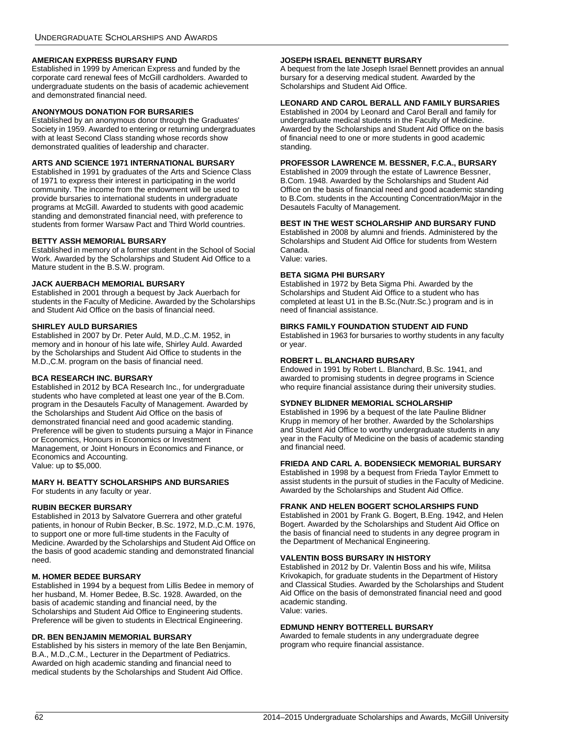### **AMERICAN EXPRESS BURSARY FUND**

Established in 1999 by American Express and funded by the corporate card renewal fees of McGill cardholders. Awarded to undergraduate students on the basis of academic achievement and demonstrated financial need.

### **ANONYMOUS DONATION FOR BURSARIES**

Established by an anonymous donor through the Graduates' Society in 1959. Awarded to entering or returning undergraduates with at least Second Class standing whose records show demonstrated qualities of leadership and character.

#### **ARTS AND SCIENCE 1971 INTERNATIONAL BURSARY**

Established in 1991 by graduates of the Arts and Science Class of 1971 to express their interest in participating in the world community. The income from the endowment will be used to provide bursaries to international students in undergraduate programs at McGill. Awarded to students with good academic standing and demonstrated financial need, with preference to students from former Warsaw Pact and Third World countries.

#### **BETTY ASSH MEMORIAL BURSARY**

Established in memory of a former student in the School of Social Work. Awarded by the Scholarships and Student Aid Office to a Mature student in the B.S.W. program.

#### **JACK AUERBACH MEMORIAL BURSARY**

Established in 2001 through a bequest by Jack Auerbach for students in the Faculty of Medicine. Awarded by the Scholarships and Student Aid Office on the basis of financial need.

#### **SHIRLEY AULD BURSARIES**

Established in 2007 by Dr. Peter Auld, M.D.,C.M. 1952, in memory and in honour of his late wife, Shirley Auld. Awarded by the Scholarships and Student Aid Office to students in the M.D.,C.M. program on the basis of financial need.

#### **BCA RESEARCH INC. BURSARY**

Established in 2012 by BCA Research Inc., for undergraduate students who have completed at least one year of the B.Com. program in the Desautels Faculty of Management. Awarded by the Scholarships and Student Aid Office on the basis of demonstrated financial need and good academic standing. Preference will be given to students pursuing a Major in Finance or Economics, Honours in Economics or Investment Management, or Joint Honours in Economics and Finance, or Economics and Accounting. Value: up to \$5,000.

### **MARY H. BEATTY SCHOLARSHIPS AND BURSARIES**

For students in any faculty or year.

### **RUBIN BECKER BURSARY**

Established in 2013 by Salvatore Guerrera and other grateful patients, in honour of Rubin Becker, B.Sc. 1972, M.D.,C.M. 1976, to support one or more full-time students in the Faculty of Medicine. Awarded by the Scholarships and Student Aid Office on the basis of good academic standing and demonstrated financial need.

#### **M. HOMER BEDEE BURSARY**

Established in 1994 by a bequest from Lillis Bedee in memory of her husband, M. Homer Bedee, B.Sc. 1928. Awarded, on the basis of academic standing and financial need, by the Scholarships and Student Aid Office to Engineering students. Preference will be given to students in Electrical Engineering.

#### **DR. BEN BENJAMIN MEMORIAL BURSARY**

Established by his sisters in memory of the late Ben Benjamin, B.A., M.D.,C.M., Lecturer in the Department of Pediatrics. Awarded on high academic standing and financial need to medical students by the Scholarships and Student Aid Office.

#### **JOSEPH ISRAEL BENNETT BURSARY**

A bequest from the late Joseph Israel Bennett provides an annual bursary for a deserving medical student. Awarded by the Scholarships and Student Aid Office.

### **LEONARD AND CAROL BERALL AND FAMILY BURSARIES**

Established in 2004 by Leonard and Carol Berall and family for undergraduate medical students in the Faculty of Medicine. Awarded by the Scholarships and Student Aid Office on the basis of financial need to one or more students in good academic standing.

#### **PROFESSOR LAWRENCE M. BESSNER, F.C.A., BURSARY**

Established in 2009 through the estate of Lawrence Bessner, B.Com. 1948. Awarded by the Scholarships and Student Aid Office on the basis of financial need and good academic standing to B.Com. students in the Accounting Concentration/Major in the Desautels Faculty of Management.

#### **BEST IN THE WEST SCHOLARSHIP AND BURSARY FUND**

Established in 2008 by alumni and friends. Administered by the Scholarships and Student Aid Office for students from Western Canada. Value: varies.

### **BETA SIGMA PHI BURSARY**

Established in 1972 by Beta Sigma Phi. Awarded by the Scholarships and Student Aid Office to a student who has completed at least U1 in the B.Sc.(Nutr.Sc.) program and is in need of financial assistance.

#### **BIRKS FAMILY FOUNDATION STUDENT AID FUND**

Established in 1963 for bursaries to worthy students in any faculty or year.

#### **ROBERT L. BLANCHARD BURSARY**

Endowed in 1991 by Robert L. Blanchard, B.Sc. 1941, and awarded to promising students in degree programs in Science who require financial assistance during their university studies.

### **SYDNEY BLIDNER MEMORIAL SCHOLARSHIP**

Established in 1996 by a bequest of the late Pauline Blidner Krupp in memory of her brother. Awarded by the Scholarships and Student Aid Office to worthy undergraduate students in any year in the Faculty of Medicine on the basis of academic standing and financial need.

#### **FRIEDA AND CARL A. BODENSIECK MEMORIAL BURSARY**

Established in 1998 by a bequest from Frieda Taylor Emmett to assist students in the pursuit of studies in the Faculty of Medicine. Awarded by the Scholarships and Student Aid Office.

#### **FRANK AND HELEN BOGERT SCHOLARSHIPS FUND**

Established in 2001 by Frank G. Bogert, B.Eng. 1942, and Helen Bogert. Awarded by the Scholarships and Student Aid Office on the basis of financial need to students in any degree program in the Department of Mechanical Engineering.

#### **VALENTIN BOSS BURSARY IN HISTORY**

Established in 2012 by Dr. Valentin Boss and his wife, Militsa Krivokapich, for graduate students in the Department of History and Classical Studies. Awarded by the Scholarships and Student Aid Office on the basis of demonstrated financial need and good academic standing. Value: varies.

#### <span id="page-62-0"></span>**EDMUND HENRY BOTTERELL BURSARY**

Awarded to female students in any undergraduate degree program who require financial assistance.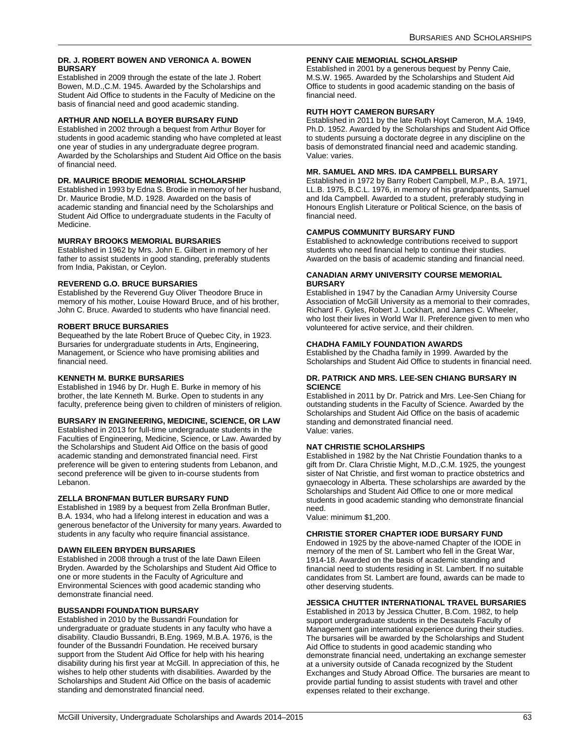### **DR. J. ROBERT BOWEN AND VERONICA A. BOWEN BURSARY**

Established in 2009 through the estate of the late J. Robert Bowen, M.D.,C.M. 1945. Awarded by the Scholarships and Student Aid Office to students in the Faculty of Medicine on the basis of financial need and good academic standing.

### **ARTHUR AND NOELLA BOYER BURSARY FUND**

Established in 2002 through a bequest from Arthur Boyer for students in good academic standing who have completed at least one year of studies in any undergraduate degree program. Awarded by the Scholarships and Student Aid Office on the basis of financial need.

### **DR. MAURICE BRODIE MEMORIAL SCHOLARSHIP**

Established in 1993 by Edna S. Brodie in memory of her husband, Dr. Maurice Brodie, M.D. 1928. Awarded on the basis of academic standing and financial need by the Scholarships and Student Aid Office to undergraduate students in the Faculty of Medicine.

### **MURRAY BROOKS MEMORIAL BURSARIES**

Established in 1962 by Mrs. John E. Gilbert in memory of her father to assist students in good standing, preferably students from India, Pakistan, or Ceylon.

### **REVEREND G.O. BRUCE BURSARIES**

Established by the Reverend Guy Oliver Theodore Bruce in memory of his mother, Louise Howard Bruce, and of his brother, John C. Bruce. Awarded to students who have financial need.

### **ROBERT BRUCE BURSARIES**

Bequeathed by the late Robert Bruce of Quebec City, in 1923. Bursaries for undergraduate students in Arts, Engineering, Management, or Science who have promising abilities and financial need.

### **KENNETH M. BURKE BURSARIES**

Established in 1946 by Dr. Hugh E. Burke in memory of his brother, the late Kenneth M. Burke. Open to students in any faculty, preference being given to children of ministers of religion.

### **BURSARY IN ENGINEERING, MEDICINE, SCIENCE, OR LAW**

Established in 2013 for full-time undergraduate students in the Faculties of Engineering, Medicine, Science, or Law. Awarded by the Scholarships and Student Aid Office on the basis of good academic standing and demonstrated financial need. First preference will be given to entering students from Lebanon, and second preference will be given to in-course students from Lebanon.

### **ZELLA BRONFMAN BUTLER BURSARY FUND**

Established in 1989 by a bequest from Zella Bronfman Butler, B.A. 1934, who had a lifelong interest in education and was a generous benefactor of the University for many years. Awarded to students in any faculty who require financial assistance.

### **DAWN EILEEN BRYDEN BURSARIES**

Established in 2008 through a trust of the late Dawn Eileen Bryden. Awarded by the Scholarships and Student Aid Office to one or more students in the Faculty of Agriculture and Environmental Sciences with good academic standing who demonstrate financial need.

### **BUSSANDRI FOUNDATION BURSARY**

Established in 2010 by the Bussandri Foundation for undergraduate or graduate students in any faculty who have a disability. Claudio Bussandri, B.Eng. 1969, M.B.A. 1976, is the founder of the Bussandri Foundation. He received bursary support from the Student Aid Office for help with his hearing disability during his first year at McGill. In appreciation of this, he wishes to help other students with disabilities. Awarded by the Scholarships and Student Aid Office on the basis of academic standing and demonstrated financial need.

### **PENNY CAIE MEMORIAL SCHOLARSHIP**

Established in 2001 by a generous bequest by Penny Caie, M.S.W. 1965. Awarded by the Scholarships and Student Aid Office to students in good academic standing on the basis of financial need.

### **RUTH HOYT CAMERON BURSARY**

Established in 2011 by the late Ruth Hoyt Cameron, M.A. 1949, Ph.D. 1952. Awarded by the Scholarships and Student Aid Office to students pursuing a doctorate degree in any discipline on the basis of demonstrated financial need and academic standing. Value: varies.

### **MR. SAMUEL AND MRS. IDA CAMPBELL BURSARY**

Established in 1972 by Barry Robert Campbell, M.P., B.A. 1971, LL.B. 1975, B.C.L. 1976, in memory of his grandparents, Samuel and Ida Campbell. Awarded to a student, preferably studying in Honours English Literature or Political Science, on the basis of financial need.

### **CAMPUS COMMUNITY BURSARY FUND**

Established to acknowledge contributions received to support students who need financial help to continue their studies. Awarded on the basis of academic standing and financial need.

#### **CANADIAN ARMY UNIVERSITY COURSE MEMORIAL BURSARY**

Established in 1947 by the Canadian Army University Course Association of McGill University as a memorial to their comrades, Richard F. Gyles, Robert J. Lockhart, and James C. Wheeler, who lost their lives in World War II. Preference given to men who volunteered for active service, and their children.

### **CHADHA FAMILY FOUNDATION AWARDS**

Established by the Chadha family in 1999. Awarded by the Scholarships and Student Aid Office to students in financial need.

#### **DR. PATRICK AND MRS. LEE-SEN CHIANG BURSARY IN SCIENCE**

Established in 2011 by Dr. Patrick and Mrs. Lee-Sen Chiang for outstanding students in the Faculty of Science. Awarded by the Scholarships and Student Aid Office on the basis of academic standing and demonstrated financial need. Value: varies.

### **NAT CHRISTIE SCHOLARSHIPS**

Established in 1982 by the Nat Christie Foundation thanks to a gift from Dr. Clara Christie Might, M.D.,C.M. 1925, the youngest sister of Nat Christie, and first woman to practice obstetrics and gynaecology in Alberta. These scholarships are awarded by the Scholarships and Student Aid Office to one or more medical students in good academic standing who demonstrate financial need.

Value: minimum \$1,200.

### **CHRISTIE STORER CHAPTER IODE BURSARY FUND**

Endowed in 1925 by the above-named Chapter of the IODE in memory of the men of St. Lambert who fell in the Great War, 1914-18. Awarded on the basis of academic standing and financial need to students residing in St. Lambert. If no suitable candidates from St. Lambert are found, awards can be made to other deserving students.

### **JESSICA CHUTTER INTERNATIONAL TRAVEL BURSARIES**

Established in 2013 by Jessica Chutter, B.Com. 1982, to help support undergraduate students in the Desautels Faculty of Management gain international experience during their studies. The bursaries will be awarded by the Scholarships and Student Aid Office to students in good academic standing who demonstrate financial need, undertaking an exchange semester at a university outside of Canada recognized by the Student Exchanges and Study Abroad Office. The bursaries are meant to provide partial funding to assist students with travel and other expenses related to their exchange.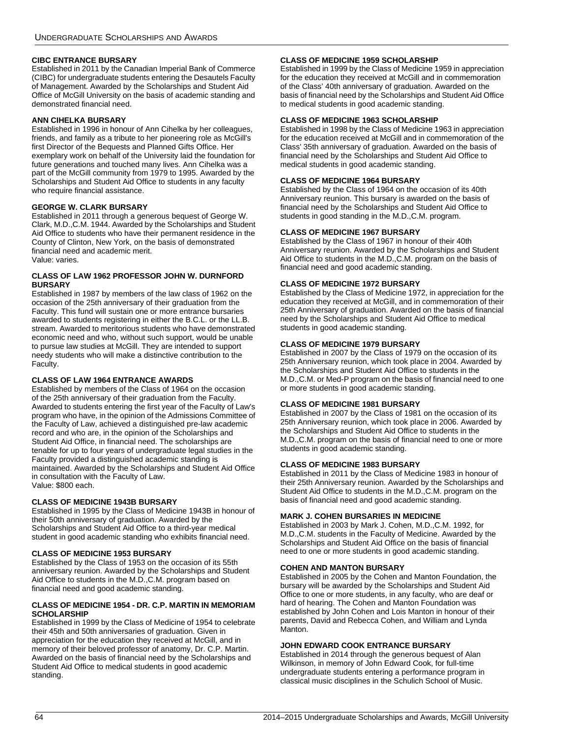### **CIBC ENTRANCE BURSARY**

Established in 2011 by the Canadian Imperial Bank of Commerce (CIBC) for undergraduate students entering the Desautels Faculty of Management. Awarded by the Scholarships and Student Aid Office of McGill University on the basis of academic standing and demonstrated financial need.

### **ANN CIHELKA BURSARY**

Established in 1996 in honour of Ann Cihelka by her colleagues, friends, and family as a tribute to her pioneering role as McGill's first Director of the Bequests and Planned Gifts Office. Her exemplary work on behalf of the University laid the foundation for future generations and touched many lives. Ann Cihelka was a part of the McGill community from 1979 to 1995. Awarded by the Scholarships and Student Aid Office to students in any faculty who require financial assistance.

### **GEORGE W. CLARK BURSARY**

Established in 2011 through a generous bequest of George W. Clark, M.D.,C.M. 1944. Awarded by the Scholarships and Student Aid Office to students who have their permanent residence in the County of Clinton, New York, on the basis of demonstrated financial need and academic merit. Value: varies.

#### **CLASS OF LAW 1962 PROFESSOR JOHN W. DURNFORD BURSARY**

Established in 1987 by members of the law class of 1962 on the occasion of the 25th anniversary of their graduation from the Faculty. This fund will sustain one or more entrance bursaries awarded to students registering in either the B.C.L. or the LL.B. stream. Awarded to meritorious students who have demonstrated economic need and who, without such support, would be unable to pursue law studies at McGill. They are intended to support needy students who will make a distinctive contribution to the Faculty.

### **CLASS OF LAW 1964 ENTRANCE AWARDS**

Established by members of the Class of 1964 on the occasion of the 25th anniversary of their graduation from the Faculty. Awarded to students entering the first year of the Faculty of Law's program who have, in the opinion of the Admissions Committee of the Faculty of Law, achieved a distinguished pre-law academic record and who are, in the opinion of the Scholarships and Student Aid Office, in financial need. The scholarships are tenable for up to four years of undergraduate legal studies in the Faculty provided a distinguished academic standing is maintained. Awarded by the Scholarships and Student Aid Office in consultation with the Faculty of Law. Value: \$800 each.

### **CLASS OF MEDICINE 1943B BURSARY**

Established in 1995 by the Class of Medicine 1943B in honour of their 50th anniversary of graduation. Awarded by the Scholarships and Student Aid Office to a third-year medical student in good academic standing who exhibits financial need.

### **CLASS OF MEDICINE 1953 BURSARY**

Established by the Class of 1953 on the occasion of its 55th anniversary reunion. Awarded by the Scholarships and Student Aid Office to students in the M.D.,C.M. program based on financial need and good academic standing.

#### **CLASS OF MEDICINE 1954 - DR. C.P. MARTIN IN MEMORIAM SCHOLARSHIP**

Established in 1999 by the Class of Medicine of 1954 to celebrate their 45th and 50th anniversaries of graduation. Given in appreciation for the education they received at McGill, and in memory of their beloved professor of anatomy, Dr. C.P. Martin. Awarded on the basis of financial need by the Scholarships and Student Aid Office to medical students in good academic standing.

### **CLASS OF MEDICINE 1959 SCHOLARSHIP**

Established in 1999 by the Class of Medicine 1959 in appreciation for the education they received at McGill and in commemoration of the Class' 40th anniversary of graduation. Awarded on the basis of financial need by the Scholarships and Student Aid Office to medical students in good academic standing.

### **CLASS OF MEDICINE 1963 SCHOLARSHIP**

Established in 1998 by the Class of Medicine 1963 in appreciation for the education received at McGill and in commemoration of the Class' 35th anniversary of graduation. Awarded on the basis of financial need by the Scholarships and Student Aid Office to medical students in good academic standing.

### **CLASS OF MEDICINE 1964 BURSARY**

Established by the Class of 1964 on the occasion of its 40th Anniversary reunion. This bursary is awarded on the basis of financial need by the Scholarships and Student Aid Office to students in good standing in the M.D.,C.M. program.

### **CLASS OF MEDICINE 1967 BURSARY**

Established by the Class of 1967 in honour of their 40th Anniversary reunion. Awarded by the Scholarships and Student Aid Office to students in the M.D.,C.M. program on the basis of financial need and good academic standing.

### **CLASS OF MEDICINE 1972 BURSARY**

Established by the Class of Medicine 1972, in appreciation for the education they received at McGill, and in commemoration of their 25th Anniversary of graduation. Awarded on the basis of financial need by the Scholarships and Student Aid Office to medical students in good academic standing.

### **CLASS OF MEDICINE 1979 BURSARY**

Established in 2007 by the Class of 1979 on the occasion of its 25th Anniversary reunion, which took place in 2004. Awarded by the Scholarships and Student Aid Office to students in the M.D.,C.M. or Med-P program on the basis of financial need to one or more students in good academic standing.

### **CLASS OF MEDICINE 1981 BURSARY**

Established in 2007 by the Class of 1981 on the occasion of its 25th Anniversary reunion, which took place in 2006. Awarded by the Scholarships and Student Aid Office to students in the M.D.,C.M. program on the basis of financial need to one or more students in good academic standing.

### **CLASS OF MEDICINE 1983 BURSARY**

Established in 2011 by the Class of Medicine 1983 in honour of their 25th Anniversary reunion. Awarded by the Scholarships and Student Aid Office to students in the M.D.,C.M. program on the basis of financial need and good academic standing.

### **MARK J. COHEN BURSARIES IN MEDICINE**

Established in 2003 by Mark J. Cohen, M.D.,C.M. 1992, for M.D.,C.M. students in the Faculty of Medicine. Awarded by the Scholarships and Student Aid Office on the basis of financial need to one or more students in good academic standing.

### **COHEN AND MANTON BURSARY**

Established in 2005 by the Cohen and Manton Foundation, the bursary will be awarded by the Scholarships and Student Aid Office to one or more students, in any faculty, who are deaf or hard of hearing. The Cohen and Manton Foundation was established by John Cohen and Lois Manton in honour of their parents, David and Rebecca Cohen, and William and Lynda Manton.

### **JOHN EDWARD COOK ENTRANCE BURSARY**

Established in 2014 through the generous bequest of Alan Wilkinson, in memory of John Edward Cook, for full-time undergraduate students entering a performance program in classical music disciplines in the Schulich School of Music.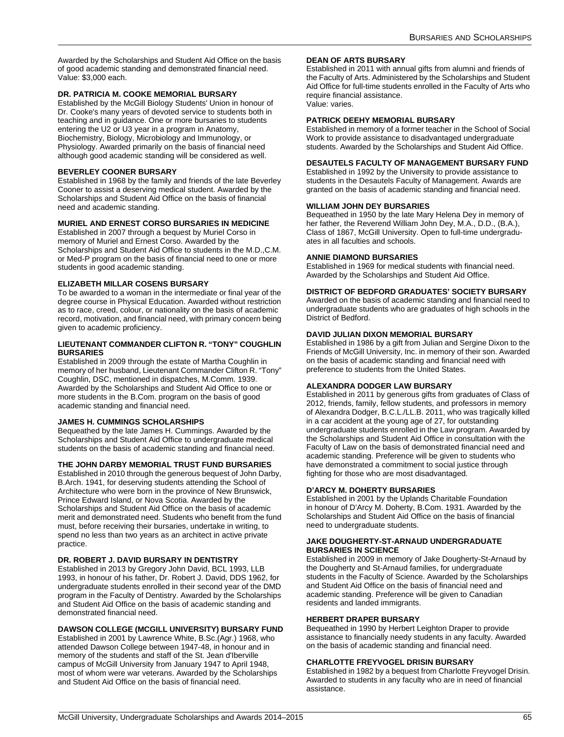Awarded by the Scholarships and Student Aid Office on the basis of good academic standing and demonstrated financial need. Value: \$3,000 each.

### **DR. PATRICIA M. COOKE MEMORIAL BURSARY**

Established by the McGill Biology Students' Union in honour of Dr. Cooke's many years of devoted service to students both in teaching and in guidance. One or more bursaries to students entering the U2 or U3 year in a program in Anatomy, Biochemistry, Biology, Microbiology and Immunology, or Physiology. Awarded primarily on the basis of financial need although good academic standing will be considered as well.

### **BEVERLEY COONER BURSARY**

Established in 1968 by the family and friends of the late Beverley Cooner to assist a deserving medical student. Awarded by the Scholarships and Student Aid Office on the basis of financial need and academic standing.

#### **MURIEL AND ERNEST CORSO BURSARIES IN MEDICINE**

Established in 2007 through a bequest by Muriel Corso in memory of Muriel and Ernest Corso. Awarded by the Scholarships and Student Aid Office to students in the M.D.,C.M. or Med-P program on the basis of financial need to one or more students in good academic standing.

#### **ELIZABETH MILLAR COSENS BURSARY**

To be awarded to a woman in the intermediate or final year of the degree course in Physical Education. Awarded without restriction as to race, creed, colour, or nationality on the basis of academic record, motivation, and financial need, with primary concern being given to academic proficiency.

#### **LIEUTENANT COMMANDER CLIFTON R. "TONY" COUGHLIN BURSARIES**

Established in 2009 through the estate of Martha Coughlin in memory of her husband, Lieutenant Commander Clifton R. "Tony" Coughlin, DSC, mentioned in dispatches, M.Comm. 1939. Awarded by the Scholarships and Student Aid Office to one or more students in the B.Com. program on the basis of good academic standing and financial need.

#### **JAMES H. CUMMINGS SCHOLARSHIPS**

Bequeathed by the late James H. Cummings. Awarded by the Scholarships and Student Aid Office to undergraduate medical students on the basis of academic standing and financial need.

#### **THE JOHN DARBY MEMORIAL TRUST FUND BURSARIES**

Established in 2010 through the generous bequest of John Darby, B.Arch. 1941, for deserving students attending the School of Architecture who were born in the province of New Brunswick, Prince Edward Island, or Nova Scotia. Awarded by the Scholarships and Student Aid Office on the basis of academic merit and demonstrated need. Students who benefit from the fund must, before receiving their bursaries, undertake in writing, to spend no less than two years as an architect in active private practice.

#### **DR. ROBERT J. DAVID BURSARY IN DENTISTRY**

Established in 2013 by Gregory John David, BCL 1993, LLB 1993, in honour of his father, Dr. Robert J. David, DDS 1962, for undergraduate students enrolled in their second year of the DMD program in the Faculty of Dentistry. Awarded by the Scholarships and Student Aid Office on the basis of academic standing and demonstrated financial need.

#### **DAWSON COLLEGE (MCGILL UNIVERSITY) BURSARY FUND**

Established in 2001 by Lawrence White, B.Sc.(Agr.) 1968, who attended Dawson College between 1947-48, in honour and in memory of the students and staff of the St. Jean d'Iberville campus of McGill University from January 1947 to April 1948, most of whom were war veterans. Awarded by the Scholarships and Student Aid Office on the basis of financial need.

#### **DEAN OF ARTS BURSARY**

Established in 2011 with annual gifts from alumni and friends of the Faculty of Arts. Administered by the Scholarships and Student Aid Office for full-time students enrolled in the Faculty of Arts who require financial assistance. Value: varies.

### **PATRICK DEEHY MEMORIAL BURSARY**

Established in memory of a former teacher in the School of Social Work to provide assistance to disadvantaged undergraduate students. Awarded by the Scholarships and Student Aid Office.

#### **DESAUTELS FACULTY OF MANAGEMENT BURSARY FUND**

Established in 1992 by the University to provide assistance to students in the Desautels Faculty of Management. Awards are granted on the basis of academic standing and financial need.

#### **WILLIAM JOHN DEY BURSARIES**

Bequeathed in 1950 by the late Mary Helena Dey in memory of her father, the Reverend William John Dey, M.A., D.D., (B.A.), Class of 1867, McGill University. Open to full-time undergraduates in all faculties and schools.

#### **ANNIE DIAMOND BURSARIES**

Established in 1969 for medical students with financial need. Awarded by the Scholarships and Student Aid Office.

#### **DISTRICT OF BEDFORD GRADUATES' SOCIETY BURSARY**

Awarded on the basis of academic standing and financial need to undergraduate students who are graduates of high schools in the District of Bedford.

#### **DAVID JULIAN DIXON MEMORIAL BURSARY**

Established in 1986 by a gift from Julian and Sergine Dixon to the Friends of McGill University, Inc. in memory of their son. Awarded on the basis of academic standing and financial need with preference to students from the United States.

#### **ALEXANDRA DODGER LAW BURSARY**

Established in 2011 by generous gifts from graduates of Class of 2012, friends, family, fellow students, and professors in memory of Alexandra Dodger, B.C.L./LL.B. 2011, who was tragically killed in a car accident at the young age of 27, for outstanding undergraduate students enrolled in the Law program. Awarded by the Scholarships and Student Aid Office in consultation with the Faculty of Law on the basis of demonstrated financial need and academic standing. Preference will be given to students who have demonstrated a commitment to social justice through fighting for those who are most disadvantaged.

### **D'ARCY M. DOHERTY BURSARIES**

Established in 2001 by the Uplands Charitable Foundation in honour of D'Arcy M. Doherty, B.Com. 1931. Awarded by the Scholarships and Student Aid Office on the basis of financial need to undergraduate students.

#### **JAKE DOUGHERTY-ST-ARNAUD UNDERGRADUATE BURSARIES IN SCIENCE**

Established in 2009 in memory of Jake Dougherty-St-Arnaud by the Dougherty and St-Arnaud families, for undergraduate students in the Faculty of Science. Awarded by the Scholarships and Student Aid Office on the basis of financial need and academic standing. Preference will be given to Canadian residents and landed immigrants.

#### **HERBERT DRAPER BURSARY**

Bequeathed in 1990 by Herbert Leighton Draper to provide assistance to financially needy students in any faculty. Awarded on the basis of academic standing and financial need.

#### **CHARLOTTE FREYVOGEL DRISIN BURSARY**

Established in 1982 by a bequest from Charlotte Freyvogel Drisin. Awarded to students in any faculty who are in need of financial assistance.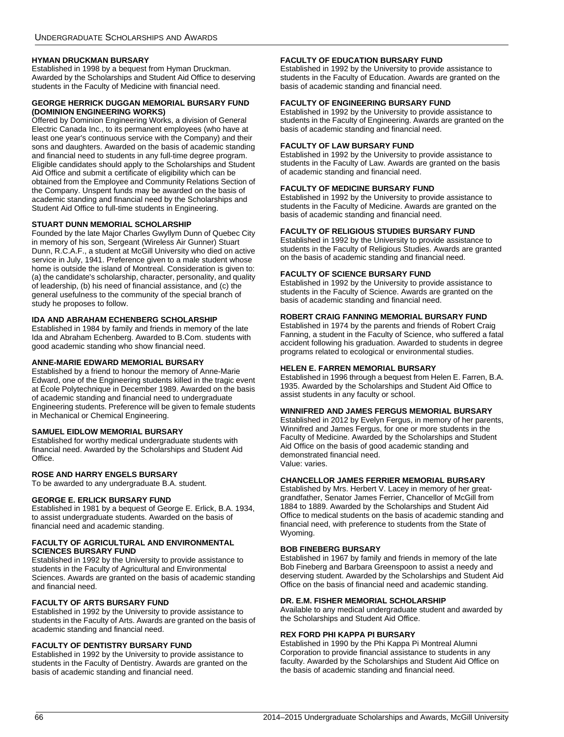#### **HYMAN DRUCKMAN BURSARY**

Established in 1998 by a bequest from Hyman Druckman. Awarded by the Scholarships and Student Aid Office to deserving students in the Faculty of Medicine with financial need.

#### **GEORGE HERRICK DUGGAN MEMORIAL BURSARY FUND (DOMINION ENGINEERING WORKS)**

Offered by Dominion Engineering Works, a division of General Electric Canada Inc., to its permanent employees (who have at least one year's continuous service with the Company) and their sons and daughters. Awarded on the basis of academic standing and financial need to students in any full-time degree program. Eligible candidates should apply to the Scholarships and Student Aid Office and submit a certificate of eligibility which can be obtained from the Employee and Community Relations Section of the Company. Unspent funds may be awarded on the basis of academic standing and financial need by the Scholarships and Student Aid Office to full-time students in Engineering.

#### **STUART DUNN MEMORIAL SCHOLARSHIP**

Founded by the late Major Charles Gwyllym Dunn of Quebec City in memory of his son, Sergeant (Wireless Air Gunner) Stuart Dunn, R.C.A.F., a student at McGill University who died on active service in July, 1941. Preference given to a male student whose home is outside the island of Montreal. Consideration is given to: (a) the candidate's scholarship, character, personality, and quality of leadership, (b) his need of financial assistance, and (c) the general usefulness to the community of the special branch of study he proposes to follow.

### **IDA AND ABRAHAM ECHENBERG SCHOLARSHIP**

Established in 1984 by family and friends in memory of the late Ida and Abraham Echenberg. Awarded to B.Com. students with good academic standing who show financial need.

#### **ANNE-MARIE EDWARD MEMORIAL BURSARY**

Established by a friend to honour the memory of Anne-Marie Edward, one of the Engineering students killed in the tragic event at École Polytechnique in December 1989. Awarded on the basis of academic standing and financial need to undergraduate Engineering students. Preference will be given to female students in Mechanical or Chemical Engineering.

### **SAMUEL EIDLOW MEMORIAL BURSARY**

Established for worthy medical undergraduate students with financial need. Awarded by the Scholarships and Student Aid Office.

#### **ROSE AND HARRY ENGELS BURSARY**

To be awarded to any undergraduate B.A. student.

### **GEORGE E. ERLICK BURSARY FUND**

Established in 1981 by a bequest of George E. Erlick, B.A. 1934, to assist undergraduate students. Awarded on the basis of financial need and academic standing.

#### **FACULTY OF AGRICULTURAL AND ENVIRONMENTAL SCIENCES BURSARY FUND**

Established in 1992 by the University to provide assistance to students in the Faculty of Agricultural and Environmental Sciences. Awards are granted on the basis of academic standing and financial need.

### **FACULTY OF ARTS BURSARY FUND**

Established in 1992 by the University to provide assistance to students in the Faculty of Arts. Awards are granted on the basis of academic standing and financial need.

#### **FACULTY OF DENTISTRY BURSARY FUND**

Established in 1992 by the University to provide assistance to students in the Faculty of Dentistry. Awards are granted on the basis of academic standing and financial need.

#### **FACULTY OF EDUCATION BURSARY FUND**

Established in 1992 by the University to provide assistance to students in the Faculty of Education. Awards are granted on the basis of academic standing and financial need.

#### **FACULTY OF ENGINEERING BURSARY FUND**

Established in 1992 by the University to provide assistance to students in the Faculty of Engineering. Awards are granted on the basis of academic standing and financial need.

#### **FACULTY OF LAW BURSARY FUND**

Established in 1992 by the University to provide assistance to students in the Faculty of Law. Awards are granted on the basis of academic standing and financial need.

#### **FACULTY OF MEDICINE BURSARY FUND**

Established in 1992 by the University to provide assistance to students in the Faculty of Medicine. Awards are granted on the basis of academic standing and financial need.

#### **FACULTY OF RELIGIOUS STUDIES BURSARY FUND**

Established in 1992 by the University to provide assistance to students in the Faculty of Religious Studies. Awards are granted on the basis of academic standing and financial need.

#### **FACULTY OF SCIENCE BURSARY FUND**

Established in 1992 by the University to provide assistance to students in the Faculty of Science. Awards are granted on the basis of academic standing and financial need.

### **ROBERT CRAIG FANNING MEMORIAL BURSARY FUND**

Established in 1974 by the parents and friends of Robert Craig Fanning, a student in the Faculty of Science, who suffered a fatal accident following his graduation. Awarded to students in degree programs related to ecological or environmental studies.

### **HELEN E. FARREN MEMORIAL BURSARY**

Established in 1996 through a bequest from Helen E. Farren, B.A. 1935. Awarded by the Scholarships and Student Aid Office to assist students in any faculty or school.

#### **WINNIFRED AND JAMES FERGUS MEMORIAL BURSARY**

Established in 2012 by Evelyn Fergus, in memory of her parents, Winnifred and James Fergus, for one or more students in the Faculty of Medicine. Awarded by the Scholarships and Student Aid Office on the basis of good academic standing and demonstrated financial need. Value: varies.

#### **CHANCELLOR JAMES FERRIER MEMORIAL BURSARY**

Established by Mrs. Herbert V. Lacey in memory of her greatgrandfather, Senator James Ferrier, Chancellor of McGill from 1884 to 1889. Awarded by the Scholarships and Student Aid Office to medical students on the basis of academic standing and financial need, with preference to students from the State of Wyoming.

#### **BOB FINEBERG BURSARY**

Established in 1967 by family and friends in memory of the late Bob Fineberg and Barbara Greenspoon to assist a needy and deserving student. Awarded by the Scholarships and Student Aid Office on the basis of financial need and academic standing.

#### **DR. E.M. FISHER MEMORIAL SCHOLARSHIP**

Available to any medical undergraduate student and awarded by the Scholarships and Student Aid Office.

### **REX FORD PHI KAPPA PI BURSARY**

Established in 1990 by the Phi Kappa Pi Montreal Alumni Corporation to provide financial assistance to students in any faculty. Awarded by the Scholarships and Student Aid Office on the basis of academic standing and financial need.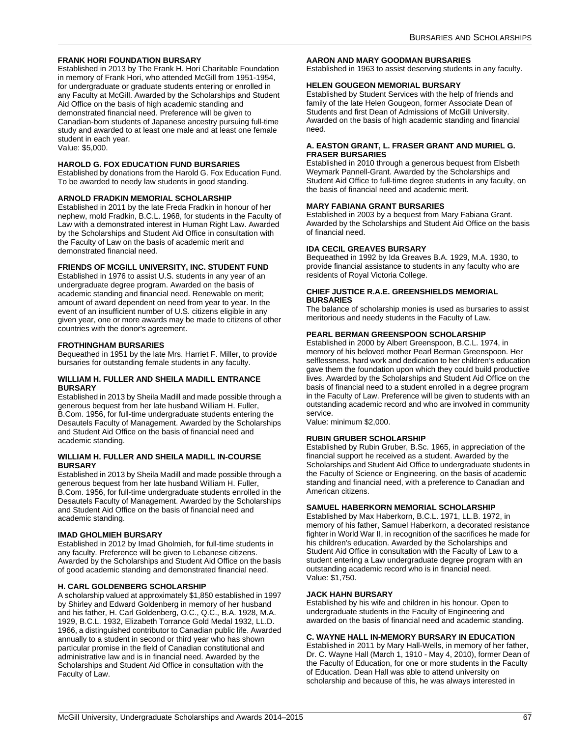### **FRANK HORI FOUNDATION BURSARY**

Established in 2013 by The Frank H. Hori Charitable Foundation in memory of Frank Hori, who attended McGill from 1951-1954, for undergraduate or graduate students entering or enrolled in any Faculty at McGill. Awarded by the Scholarships and Student Aid Office on the basis of high academic standing and demonstrated financial need. Preference will be given to Canadian-born students of Japanese ancestry pursuing full-time study and awarded to at least one male and at least one female student in each year. Value: \$5,000.

#### **HAROLD G. FOX EDUCATION FUND BURSARIES**

Established by donations from the Harold G. Fox Education Fund. To be awarded to needy law students in good standing.

#### **ARNOLD FRADKIN MEMORIAL SCHOLARSHIP**

Established in 2011 by the late Freda Fradkin in honour of her nephew, rnold Fradkin, B.C.L. 1968, for students in the Faculty of Law with a demonstrated interest in Human Right Law. Awarded by the Scholarships and Student Aid Office in consultation with the Faculty of Law on the basis of academic merit and demonstrated financial need.

#### **FRIENDS OF MCGILL UNIVERSITY, INC. STUDENT FUND**

Established in 1976 to assist U.S. students in any year of an undergraduate degree program. Awarded on the basis of academic standing and financial need. Renewable on merit; amount of award dependent on need from year to year. In the event of an insufficient number of U.S. citizens eligible in any given year, one or more awards may be made to citizens of other countries with the donor's agreement.

#### <span id="page-67-0"></span>**FROTHINGHAM BURSARIES**

Bequeathed in 1951 by the late Mrs. Harriet F. Miller, to provide bursaries for outstanding female students in any faculty.

#### **WILLIAM H. FULLER AND SHEILA MADILL ENTRANCE BURSARY**

Established in 2013 by Sheila Madill and made possible through a generous bequest from her late husband William H. Fuller, B.Com. 1956, for full-time undergraduate students entering the Desautels Faculty of Management. Awarded by the Scholarships and Student Aid Office on the basis of financial need and academic standing.

#### **WILLIAM H. FULLER AND SHEILA MADILL IN-COURSE BURSARY**

Established in 2013 by Sheila Madill and made possible through a generous bequest from her late husband William H. Fuller, B.Com. 1956, for full-time undergraduate students enrolled in the Desautels Faculty of Management. Awarded by the Scholarships and Student Aid Office on the basis of financial need and academic standing.

#### **IMAD GHOLMIEH BURSARY**

Established in 2012 by Imad Gholmieh, for full-time students in any faculty. Preference will be given to Lebanese citizens. Awarded by the Scholarships and Student Aid Office on the basis of good academic standing and demonstrated financial need.

#### **H. CARL GOLDENBERG SCHOLARSHIP**

A scholarship valued at approximately \$1,850 established in 1997 by Shirley and Edward Goldenberg in memory of her husband and his father, H. Carl Goldenberg, O.C., Q.C., B.A. 1928, M.A. 1929, B.C.L. 1932, Elizabeth Torrance Gold Medal 1932, LL.D. 1966, a distinguished contributor to Canadian public life. Awarded annually to a student in second or third year who has shown particular promise in the field of Canadian constitutional and administrative law and is in financial need. Awarded by the Scholarships and Student Aid Office in consultation with the Faculty of Law.

#### **AARON AND MARY GOODMAN BURSARIES**

Established in 1963 to assist deserving students in any faculty.

#### **HELEN GOUGEON MEMORIAL BURSARY**

Established by Student Services with the help of friends and family of the late Helen Gougeon, former Associate Dean of Students and first Dean of Admissions of McGill University. Awarded on the basis of high academic standing and financial need.

#### **A. EASTON GRANT, L. FRASER GRANT AND MURIEL G. FRASER BURSARIES**

Established in 2010 through a generous bequest from Elsbeth Weymark Pannell-Grant. Awarded by the Scholarships and Student Aid Office to full-time degree students in any faculty, on the basis of financial need and academic merit.

#### **MARY FABIANA GRANT BURSARIES**

Established in 2003 by a bequest from Mary Fabiana Grant. Awarded by the Scholarships and Student Aid Office on the basis of financial need.

#### **IDA CECIL GREAVES BURSARY**

Bequeathed in 1992 by Ida Greaves B.A. 1929, M.A. 1930, to provide financial assistance to students in any faculty who are residents of Royal Victoria College.

#### **CHIEF JUSTICE R.A.E. GREENSHIELDS MEMORIAL BURSARIES**

The balance of scholarship monies is used as bursaries to assist meritorious and needy students in the Faculty of Law.

#### **PEARL BERMAN GREENSPOON SCHOLARSHIP**

Established in 2000 by Albert Greenspoon, B.C.L. 1974, in memory of his beloved mother Pearl Berman Greenspoon. Her selflessness, hard work and dedication to her children's education gave them the foundation upon which they could build productive lives. Awarded by the Scholarships and Student Aid Office on the basis of financial need to a student enrolled in a degree program in the Faculty of Law. Preference will be given to students with an outstanding academic record and who are involved in community service.

Value: minimum \$2,000.

#### **RUBIN GRUBER SCHOLARSHIP**

Established by Rubin Gruber, B.Sc. 1965, in appreciation of the financial support he received as a student. Awarded by the Scholarships and Student Aid Office to undergraduate students in the Faculty of Science or Engineering, on the basis of academic standing and financial need, with a preference to Canadian and American citizens.

#### **SAMUEL HABERKORN MEMORIAL SCHOLARSHIP**

Established by Max Haberkorn, B.C.L. 1971, LL.B. 1972, in memory of his father, Samuel Haberkorn, a decorated resistance fighter in World War II, in recognition of the sacrifices he made for his children's education. Awarded by the Scholarships and Student Aid Office in consultation with the Faculty of Law to a student entering a Law undergraduate degree program with an outstanding academic record who is in financial need. Value: \$1,750.

#### **JACK HAHN BURSARY**

Established by his wife and children in his honour. Open to undergraduate students in the Faculty of Engineering and awarded on the basis of financial need and academic standing.

### **C. WAYNE HALL IN-MEMORY BURSARY IN EDUCATION**

Established in 2011 by Mary Hall-Wells, in memory of her father, Dr. C. Wayne Hall (March 1, 1910 - May 4, 2010), former Dean of the Faculty of Education, for one or more students in the Faculty of Education. Dean Hall was able to attend university on scholarship and because of this, he was always interested in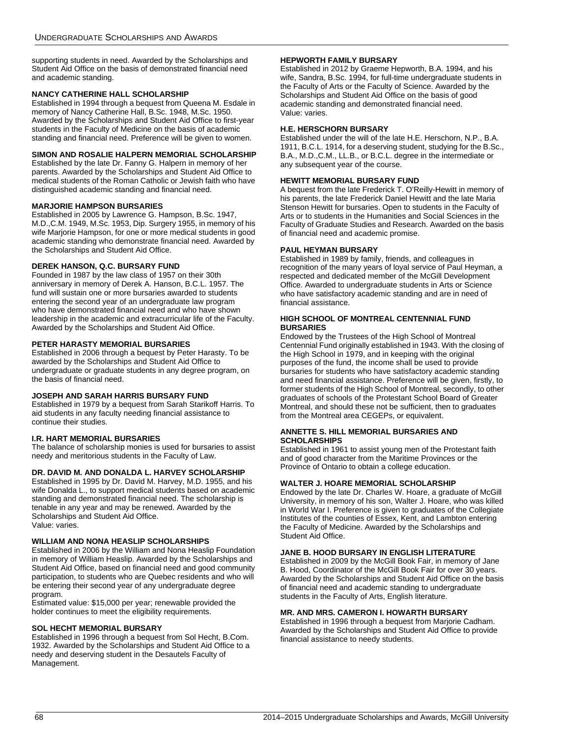supporting students in need. Awarded by the Scholarships and Student Aid Office on the basis of demonstrated financial need and academic standing.

#### **NANCY CATHERINE HALL SCHOLARSHIP**

Established in 1994 through a bequest from Queena M. Esdale in memory of Nancy Catherine Hall, B.Sc. 1948, M.Sc. 1950. Awarded by the Scholarships and Student Aid Office to first-year students in the Faculty of Medicine on the basis of academic standing and financial need. Preference will be given to women.

### **SIMON AND ROSALIE HALPERN MEMORIAL SCHOLARSHIP**

Established by the late Dr. Fanny G. Halpern in memory of her parents. Awarded by the Scholarships and Student Aid Office to medical students of the Roman Catholic or Jewish faith who have distinguished academic standing and financial need.

#### **MARJORIE HAMPSON BURSARIES**

Established in 2005 by Lawrence G. Hampson, B.Sc. 1947, M.D.,C.M. 1949, M.Sc. 1953, Dip. Surgery 1955, in memory of his wife Marjorie Hampson, for one or more medical students in good academic standing who demonstrate financial need. Awarded by the Scholarships and Student Aid Office.

### **DEREK HANSON, Q.C. BURSARY FUND**

Founded in 1987 by the law class of 1957 on their 30th anniversary in memory of Derek A. Hanson, B.C.L. 1957. The fund will sustain one or more bursaries awarded to students entering the second year of an undergraduate law program who have demonstrated financial need and who have shown leadership in the academic and extracurricular life of the Faculty. Awarded by the Scholarships and Student Aid Office.

### **PETER HARASTY MEMORIAL BURSARIES**

Established in 2006 through a bequest by Peter Harasty. To be awarded by the Scholarships and Student Aid Office to undergraduate or graduate students in any degree program, on the basis of financial need.

#### **JOSEPH AND SARAH HARRIS BURSARY FUND**

Established in 1979 by a bequest from Sarah Starikoff Harris. To aid students in any faculty needing financial assistance to continue their studies.

### **I.R. HART MEMORIAL BURSARIES**

The balance of scholarship monies is used for bursaries to assist needy and meritorious students in the Faculty of Law.

### **DR. DAVID M. AND DONALDA L. HARVEY SCHOLARSHIP**

Established in 1995 by Dr. David M. Harvey, M.D. 1955, and his wife Donalda L., to support medical students based on academic standing and demonstrated financial need. The scholarship is tenable in any year and may be renewed. Awarded by the Scholarships and Student Aid Office. Value: varies.

#### **WILLIAM AND NONA HEASLIP SCHOLARSHIPS**

Established in 2006 by the William and Nona Heaslip Foundation in memory of William Heaslip. Awarded by the Scholarships and Student Aid Office, based on financial need and good community participation, to students who are Quebec residents and who will be entering their second year of any undergraduate degree program.

Estimated value: \$15,000 per year; renewable provided the holder continues to meet the eligibility requirements.

#### **SOL HECHT MEMORIAL BURSARY**

Established in 1996 through a bequest from Sol Hecht, B.Com. 1932. Awarded by the Scholarships and Student Aid Office to a needy and deserving student in the Desautels Faculty of Management.

### **HEPWORTH FAMILY BURSARY**

Established in 2012 by Graeme Hepworth, B.A. 1994, and his wife, Sandra, B.Sc. 1994, for full-time undergraduate students in the Faculty of Arts or the Faculty of Science. Awarded by the Scholarships and Student Aid Office on the basis of good academic standing and demonstrated financial need. Value: varies.

#### **H.E. HERSCHORN BURSARY**

Established under the will of the late H.E. Herschorn, N.P., B.A. 1911, B.C.L. 1914, for a deserving student, studying for the B.Sc., B.A., M.D.,C.M., LL.B., or B.C.L. degree in the intermediate or any subsequent year of the course.

### **HEWITT MEMORIAL BURSARY FUND**

A bequest from the late Frederick T. O'Reilly-Hewitt in memory of his parents, the late Frederick Daniel Hewitt and the late Maria Stenson Hewitt for bursaries. Open to students in the Faculty of Arts or to students in the Humanities and Social Sciences in the Faculty of Graduate Studies and Research. Awarded on the basis of financial need and academic promise.

#### **PAUL HEYMAN BURSARY**

Established in 1989 by family, friends, and colleagues in recognition of the many years of loyal service of Paul Heyman, a respected and dedicated member of the McGill Development Office. Awarded to undergraduate students in Arts or Science who have satisfactory academic standing and are in need of financial assistance.

#### **HIGH SCHOOL OF MONTREAL CENTENNIAL FUND BURSARIES**

Endowed by the Trustees of the High School of Montreal Centennial Fund originally established in 1943. With the closing of the High School in 1979, and in keeping with the original purposes of the fund, the income shall be used to provide bursaries for students who have satisfactory academic standing and need financial assistance. Preference will be given, firstly, to former students of the High School of Montreal, secondly, to other graduates of schools of the Protestant School Board of Greater Montreal, and should these not be sufficient, then to graduates from the Montreal area CEGEPs, or equivalent.

#### <span id="page-68-0"></span>**ANNETTE S. HILL MEMORIAL BURSARIES AND SCHOLARSHIPS**

Established in 1961 to assist young men of the Protestant faith and of good character from the Maritime Provinces or the Province of Ontario to obtain a college education.

#### **WALTER J. HOARE MEMORIAL SCHOLARSHIP**

Endowed by the late Dr. Charles W. Hoare, a graduate of McGill University, in memory of his son, Walter J. Hoare, who was killed in World War I. Preference is given to graduates of the Collegiate Institutes of the counties of Essex, Kent, and Lambton entering the Faculty of Medicine. Awarded by the Scholarships and Student Aid Office.

### **JANE B. HOOD BURSARY IN ENGLISH LITERATURE**

Established in 2009 by the McGill Book Fair, in memory of Jane B. Hood, Coordinator of the McGill Book Fair for over 30 years. Awarded by the Scholarships and Student Aid Office on the basis of financial need and academic standing to undergraduate students in the Faculty of Arts, English literature.

#### **MR. AND MRS. CAMERON I. HOWARTH BURSARY**

Established in 1996 through a bequest from Marjorie Cadham. Awarded by the Scholarships and Student Aid Office to provide financial assistance to needy students.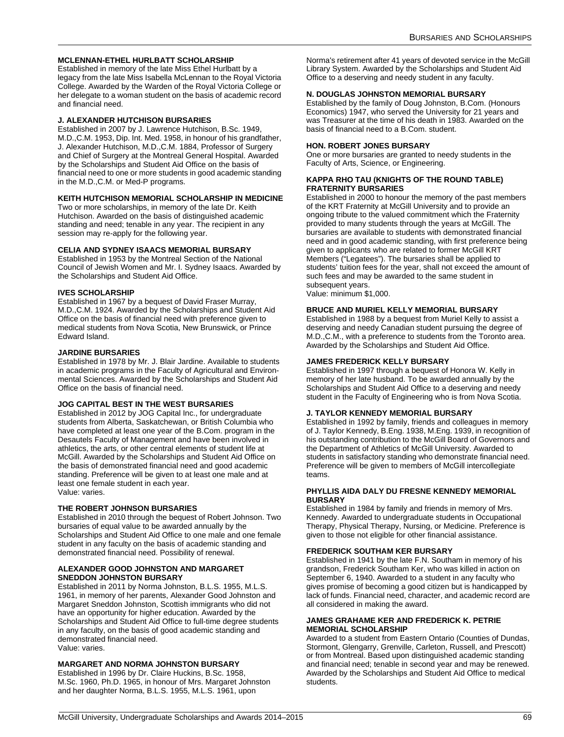#### <span id="page-69-0"></span>**MCLENNAN-ETHEL HURLBATT SCHOLARSHIP**

Established in memory of the late Miss Ethel Hurlbatt by a legacy from the late Miss Isabella McLennan to the Royal Victoria College. Awarded by the Warden of the Royal Victoria College or her delegate to a woman student on the basis of academic record and financial need.

#### **J. ALEXANDER HUTCHISON BURSARIES**

Established in 2007 by J. Lawrence Hutchison, B.Sc. 1949, M.D.,C.M. 1953, Dip. Int. Med. 1958, in honour of his grandfather, J. Alexander Hutchison, M.D.,C.M. 1884, Professor of Surgery and Chief of Surgery at the Montreal General Hospital. Awarded by the Scholarships and Student Aid Office on the basis of financial need to one or more students in good academic standing in the M.D.,C.M. or Med-P programs.

#### **KEITH HUTCHISON MEMORIAL SCHOLARSHIP IN MEDICINE**

Two or more scholarships, in memory of the late Dr. Keith Hutchison. Awarded on the basis of distinguished academic standing and need; tenable in any year. The recipient in any session may re-apply for the following year.

#### **CELIA AND SYDNEY ISAACS MEMORIAL BURSARY**

Established in 1953 by the Montreal Section of the National Council of Jewish Women and Mr. I. Sydney Isaacs. Awarded by the Scholarships and Student Aid Office.

#### **IVES SCHOLARSHIP**

Established in 1967 by a bequest of David Fraser Murray, M.D.,C.M. 1924. Awarded by the Scholarships and Student Aid Office on the basis of financial need with preference given to medical students from Nova Scotia, New Brunswick, or Prince Edward Island.

#### **JARDINE BURSARIES**

Established in 1978 by Mr. J. Blair Jardine. Available to students in academic programs in the Faculty of Agricultural and Environmental Sciences. Awarded by the Scholarships and Student Aid Office on the basis of financial need.

#### **JOG CAPITAL BEST IN THE WEST BURSARIES**

Established in 2012 by JOG Capital Inc., for undergraduate students from Alberta, Saskatchewan, or British Columbia who have completed at least one year of the B.Com. program in the Desautels Faculty of Management and have been involved in athletics, the arts, or other central elements of student life at McGill. Awarded by the Scholarships and Student Aid Office on the basis of demonstrated financial need and good academic standing. Preference will be given to at least one male and at least one female student in each year. Value: varies.

#### **THE ROBERT JOHNSON BURSARIES**

Established in 2010 through the bequest of Robert Johnson. Two bursaries of equal value to be awarded annually by the Scholarships and Student Aid Office to one male and one female student in any faculty on the basis of academic standing and demonstrated financial need. Possibility of renewal.

#### **ALEXANDER GOOD JOHNSTON AND MARGARET SNEDDON JOHNSTON BURSARY**

Established in 2011 by Norma Johnston, B.L.S. 1955, M.L.S. 1961, in memory of her parents, Alexander Good Johnston and Margaret Sneddon Johnston, Scottish immigrants who did not have an opportunity for higher education. Awarded by the Scholarships and Student Aid Office to full-time degree students in any faculty, on the basis of good academic standing and demonstrated financial need. Value: varies.

#### **MARGARET AND NORMA JOHNSTON BURSARY**

Established in 1996 by Dr. Claire Huckins, B.Sc. 1958, M.Sc. 1960, Ph.D. 1965, in honour of Mrs. Margaret Johnston and her daughter Norma, B.L.S. 1955, M.L.S. 1961, upon

Norma's retirement after 41 years of devoted service in the McGill Library System. Awarded by the Scholarships and Student Aid Office to a deserving and needy student in any faculty.

#### **N. DOUGLAS JOHNSTON MEMORIAL BURSARY**

Established by the family of Doug Johnston, B.Com. (Honours Economics) 1947, who served the University for 21 years and was Treasurer at the time of his death in 1983. Awarded on the basis of financial need to a B.Com. student.

#### **HON. ROBERT JONES BURSARY**

One or more bursaries are granted to needy students in the Faculty of Arts, Science, or Engineering.

#### **KAPPA RHO TAU (KNIGHTS OF THE ROUND TABLE) FRATERNITY BURSARIES**

Established in 2000 to honour the memory of the past members of the KRT Fraternity at McGill University and to provide an ongoing tribute to the valued commitment which the Fraternity provided to many students through the years at McGill. The bursaries are available to students with demonstrated financial need and in good academic standing, with first preference being given to applicants who are related to former McGill KRT Members ("Legatees"). The bursaries shall be applied to students' tuition fees for the year, shall not exceed the amount of such fees and may be awarded to the same student in subsequent years.

Value: minimum \$1,000.

#### **BRUCE AND MURIEL KELLY MEMORIAL BURSARY**

Established in 1988 by a bequest from Muriel Kelly to assist a deserving and needy Canadian student pursuing the degree of M.D.,C.M., with a preference to students from the Toronto area. Awarded by the Scholarships and Student Aid Office.

#### **JAMES FREDERICK KELLY BURSARY**

Established in 1997 through a bequest of Honora W. Kelly in memory of her late husband. To be awarded annually by the Scholarships and Student Aid Office to a deserving and needy student in the Faculty of Engineering who is from Nova Scotia.

#### **J. TAYLOR KENNEDY MEMORIAL BURSARY**

Established in 1992 by family, friends and colleagues in memory of J. Taylor Kennedy, B.Eng. 1938, M.Eng. 1939, in recognition of his outstanding contribution to the McGill Board of Governors and the Department of Athletics of McGill University. Awarded to students in satisfactory standing who demonstrate financial need. Preference will be given to members of McGill intercollegiate teams.

#### **PHYLLIS AIDA DALY DU FRESNE KENNEDY MEMORIAL BURSARY**

Established in 1984 by family and friends in memory of Mrs. Kennedy. Awarded to undergraduate students in Occupational Therapy, Physical Therapy, Nursing, or Medicine. Preference is given to those not eligible for other financial assistance.

#### **FREDERICK SOUTHAM KER BURSARY**

Established in 1941 by the late F.N. Southam in memory of his grandson, Frederick Southam Ker, who was killed in action on September 6, 1940. Awarded to a student in any faculty who gives promise of becoming a good citizen but is handicapped by lack of funds. Financial need, character, and academic record are all considered in making the award.

#### **JAMES GRAHAME KER AND FREDERICK K. PETRIE MEMORIAL SCHOLARSHIP**

Awarded to a student from Eastern Ontario (Counties of Dundas, Stormont, Glengarry, Grenville, Carleton, Russell, and Prescott) or from Montreal. Based upon distinguished academic standing and financial need; tenable in second year and may be renewed. Awarded by the Scholarships and Student Aid Office to medical students.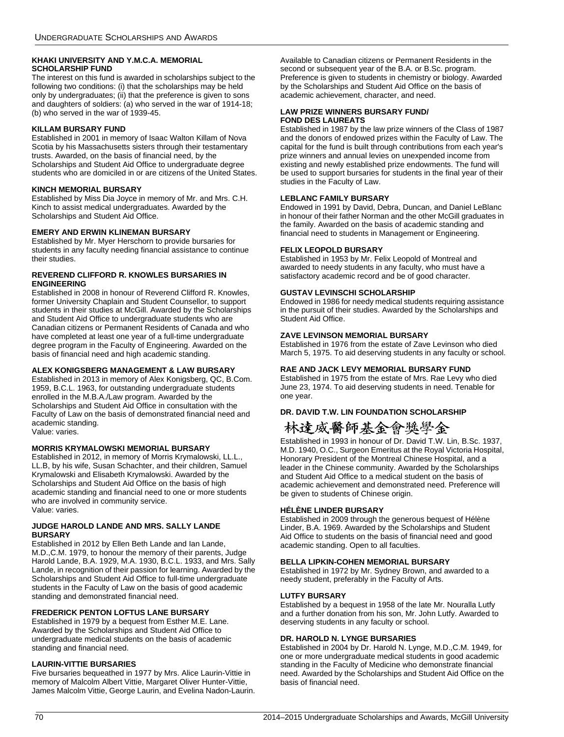### **KHAKI UNIVERSITY AND Y.M.C.A. MEMORIAL SCHOLARSHIP FUND**

The interest on this fund is awarded in scholarships subject to the following two conditions: (i) that the scholarships may be held only by undergraduates; (ii) that the preference is given to sons and daughters of soldiers: (a) who served in the war of 1914-18; (b) who served in the war of 1939-45.

### **KILLAM BURSARY FUND**

Established in 2001 in memory of Isaac Walton Killam of Nova Scotia by his Massachusetts sisters through their testamentary trusts. Awarded, on the basis of financial need, by the Scholarships and Student Aid Office to undergraduate degree students who are domiciled in or are citizens of the United States.

#### **KINCH MEMORIAL BURSARY**

Established by Miss Dia Joyce in memory of Mr. and Mrs. C.H. Kinch to assist medical undergraduates. Awarded by the Scholarships and Student Aid Office.

### **EMERY AND ERWIN KLINEMAN BURSARY**

Established by Mr. Myer Herschorn to provide bursaries for students in any faculty needing financial assistance to continue their studies.

#### **REVEREND CLIFFORD R. KNOWLES BURSARIES IN ENGINEERING**

Established in 2008 in honour of Reverend Clifford R. Knowles, former University Chaplain and Student Counsellor, to support students in their studies at McGill. Awarded by the Scholarships and Student Aid Office to undergraduate students who are Canadian citizens or Permanent Residents of Canada and who have completed at least one year of a full-time undergraduate degree program in the Faculty of Engineering. Awarded on the basis of financial need and high academic standing.

#### **ALEX KONIGSBERG MANAGEMENT & LAW BURSARY**

Established in 2013 in memory of Alex Konigsberg, QC, B.Com. 1959, B.C.L. 1963, for outstanding undergraduate students enrolled in the M.B.A./Law program. Awarded by the Scholarships and Student Aid Office in consultation with the Faculty of Law on the basis of demonstrated financial need and academic standing. Value: varies.

### **MORRIS KRYMALOWSKI MEMORIAL BURSARY**

Established in 2012, in memory of Morris Krymalowski, LL.L., LL.B, by his wife, Susan Schachter, and their children, Samuel Krymalowski and Elisabeth Krymalowski. Awarded by the Scholarships and Student Aid Office on the basis of high academic standing and financial need to one or more students who are involved in community service. Value: varies.

#### **JUDGE HAROLD LANDE AND MRS. SALLY LANDE BURSARY**

Established in 2012 by Ellen Beth Lande and Ian Lande, M.D.,C.M. 1979, to honour the memory of their parents, Judge Harold Lande, B.A. 1929, M.A. 1930, B.C.L. 1933, and Mrs. Sally Lande, in recognition of their passion for learning. Awarded by the Scholarships and Student Aid Office to full-time undergraduate students in the Faculty of Law on the basis of good academic standing and demonstrated financial need.

### **FREDERICK PENTON LOFTUS LANE BURSARY**

Established in 1979 by a bequest from Esther M.E. Lane. Awarded by the Scholarships and Student Aid Office to undergraduate medical students on the basis of academic standing and financial need.

#### **LAURIN-VITTIE BURSARIES**

Five bursaries bequeathed in 1977 by Mrs. Alice Laurin-Vittie in memory of Malcolm Albert Vittie, Margaret Oliver Hunter-Vittie, James Malcolm Vittie, George Laurin, and Evelina Nadon-Laurin. Available to Canadian citizens or Permanent Residents in the second or subsequent year of the B.A. or B.Sc. program. Preference is given to students in chemistry or biology. Awarded by the Scholarships and Student Aid Office on the basis of academic achievement, character, and need.

### **LAW PRIZE WINNERS BURSARY FUND/ FOND DES LAUREATS**

Established in 1987 by the law prize winners of the Class of 1987 and the donors of endowed prizes within the Faculty of Law. The capital for the fund is built through contributions from each year's prize winners and annual levies on unexpended income from existing and newly established prize endowments. The fund will be used to support bursaries for students in the final year of their studies in the Faculty of Law.

#### **LEBLANC FAMILY BURSARY**

Endowed in 1991 by David, Debra, Duncan, and Daniel LeBlanc in honour of their father Norman and the other McGill graduates in the family. Awarded on the basis of academic standing and financial need to students in Management or Engineering.

#### **FELIX LEOPOLD BURSARY**

Established in 1953 by Mr. Felix Leopold of Montreal and awarded to needy students in any faculty, who must have a satisfactory academic record and be of good character.

#### **GUSTAV LEVINSCHI SCHOLARSHIP**

Endowed in 1986 for needy medical students requiring assistance in the pursuit of their studies. Awarded by the Scholarships and Student Aid Office.

### **ZAVE LEVINSON MEMORIAL BURSARY**

Established in 1976 from the estate of Zave Levinson who died March 5, 1975. To aid deserving students in any faculty or school.

### **RAE AND JACK LEVY MEMORIAL BURSARY FUND**

Established in 1975 from the estate of Mrs. Rae Levy who died June 23, 1974. To aid deserving students in need. Tenable for one year.

### **DR. DAVID T.W. LIN FOUNDATION SCHOLARSHIP**

## 林達威醫師基金會獎學金

Established in 1993 in honour of Dr. David T.W. Lin, B.Sc. 1937, M.D. 1940, O.C., Surgeon Emeritus at the Royal Victoria Hospital, Honorary President of the Montreal Chinese Hospital, and a leader in the Chinese community. Awarded by the Scholarships and Student Aid Office to a medical student on the basis of academic achievement and demonstrated need. Preference will be given to students of Chinese origin.

#### **HÉLÈNE LINDER BURSARY**

Established in 2009 through the generous bequest of Hélène Linder, B.A. 1969. Awarded by the Scholarships and Student Aid Office to students on the basis of financial need and good academic standing. Open to all faculties.

#### **BELLA LIPKIN-COHEN MEMORIAL BURSARY**

Established in 1972 by Mr. Sydney Brown, and awarded to a needy student, preferably in the Faculty of Arts.

### **LUTFY BURSARY**

Established by a bequest in 1958 of the late Mr. Nouralla Lutfy and a further donation from his son, Mr. John Lutfy. Awarded to deserving students in any faculty or school.

### **DR. HAROLD N. LYNGE BURSARIES**

Established in 2004 by Dr. Harold N. Lynge, M.D.,C.M. 1949, for one or more undergraduate medical students in good academic standing in the Faculty of Medicine who demonstrate financial need. Awarded by the Scholarships and Student Aid Office on the basis of financial need.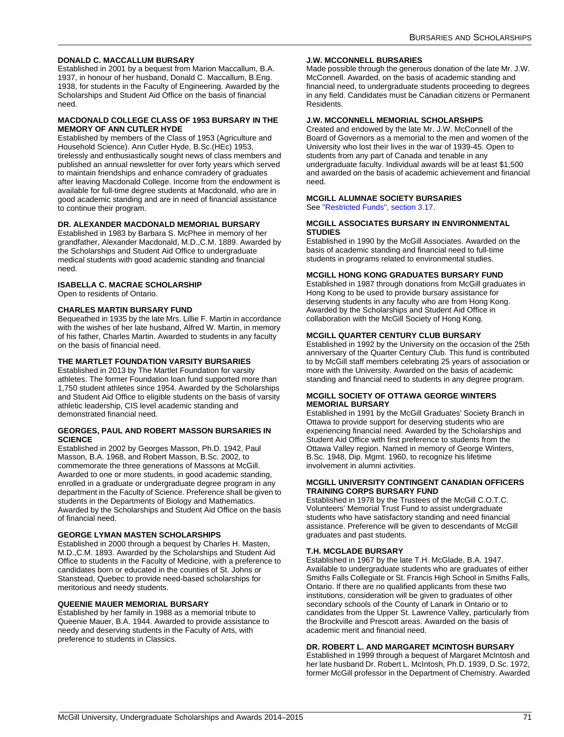### **DONALD C. MACCALLUM BURSARY**

Established in 2001 by a bequest from Marion Maccallum, B.A. 1937, in honour of her husband, Donald C. Maccallum, B.Eng. 1938, for students in the Faculty of Engineering. Awarded by the Scholarships and Student Aid Office on the basis of financial need.

#### **MACDONALD COLLEGE CLASS OF 1953 BURSARY IN THE MEMORY OF ANN CUTLER HYDE**

Established by members of the Class of 1953 (Agriculture and Household Science). Ann Cutler Hyde, B.Sc.(HEc) 1953, tirelessly and enthusiastically sought news of class members and published an annual newsletter for over forty years which served to maintain friendships and enhance comradery of graduates after leaving Macdonald College. Income from the endowment is available for full-time degree students at Macdonald, who are in good academic standing and are in need of financial assistance to continue their program.

#### **DR. ALEXANDER MACDONALD MEMORIAL BURSARY**

Established in 1983 by Barbara S. McPhee in memory of her grandfather, Alexander Macdonald, M.D.,C.M. 1889. Awarded by the Scholarships and Student Aid Office to undergraduate medical students with good academic standing and financial need.

### **ISABELLA C. MACRAE SCHOLARSHIP**

Open to residents of Ontario.

#### **CHARLES MARTIN BURSARY FUND**

Bequeathed in 1935 by the late Mrs. Lillie F. Martin in accordance with the wishes of her late husband, Alfred W. Martin, in memory of his father, Charles Martin. Awarded to students in any faculty on the basis of financial need.

### **THE MARTLET FOUNDATION VARSITY BURSARIES**

Established in 2013 by The Martlet Foundation for varsity athletes. The former Foundation loan fund supported more than 1,750 student athletes since 1954. Awarded by the Scholarships and Student Aid Office to eligible students on the basis of varsity athletic leadership, CIS level academic standing and demonstrated financial need.

#### **GEORGES, PAUL AND ROBERT MASSON BURSARIES IN SCIENCE**

Established in 2002 by Georges Masson, Ph.D. 1942, Paul Masson, B.A. 1968, and Robert Masson, B.Sc. 2002, to commemorate the three generations of Massons at McGill. Awarded to one or more students, in good academic standing, enrolled in a graduate or undergraduate degree program in any department in the Faculty of Science. Preference shall be given to students in the Departments of Biology and Mathematics. Awarded by the Scholarships and Student Aid Office on the basis of financial need.

#### **GEORGE LYMAN MASTEN SCHOLARSHIPS**

Established in 2000 through a bequest by Charles H. Masten, M.D.,C.M. 1893. Awarded by the Scholarships and Student Aid Office to students in the Faculty of Medicine, with a preference to candidates born or educated in the counties of St. Johns or Stanstead, Quebec to provide need-based scholarships for meritorious and needy students.

### **QUEENIE MAUER MEMORIAL BURSARY**

Established by her family in 1988 as a memorial tribute to Queenie Mauer, B.A. 1944. Awarded to provide assistance to needy and deserving students in the Faculty of Arts, with preference to students in Classics.

#### **J.W. MCCONNELL BURSARIES**

Made possible through the generous donation of the late Mr. J.W. McConnell. Awarded, on the basis of academic standing and financial need, to undergraduate students proceeding to degrees in any field. Candidates must be Canadian citizens or Permanent Residents.

### **J.W. MCCONNELL MEMORIAL SCHOLARSHIPS**

Created and endowed by the late Mr. J.W. McConnell of the Board of Governors as a memorial to the men and women of the University who lost their lives in the war of 1939-45. Open to students from any part of Canada and tenable in any undergraduate faculty. Individual awards will be at least \$1,500 and awarded on the basis of academic achievement and financial need.

#### **MCGILL ALUMNAE SOCIETY BURSARIES**

See ["Restricted Funds", section 3.17.](#page-58-1)

#### **MCGILL ASSOCIATES BURSARY IN ENVIRONMENTAL STUDIES**

Established in 1990 by the McGill Associates. Awarded on the basis of academic standing and financial need to full-time students in programs related to environmental studies.

### **MCGILL HONG KONG GRADUATES BURSARY FUND**

Established in 1987 through donations from McGill graduates in Hong Kong to be used to provide bursary assistance for deserving students in any faculty who are from Hong Kong. Awarded by the Scholarships and Student Aid Office in collaboration with the McGill Society of Hong Kong.

### **MCGILL QUARTER CENTURY CLUB BURSARY**

Established in 1992 by the University on the occasion of the 25th anniversary of the Quarter Century Club. This fund is contributed to by McGill staff members celebrating 25 years of association or more with the University. Awarded on the basis of academic standing and financial need to students in any degree program.

#### **MCGILL SOCIETY OF OTTAWA GEORGE WINTERS MEMORIAL BURSARY**

Established in 1991 by the McGill Graduates' Society Branch in Ottawa to provide support for deserving students who are experiencing financial need. Awarded by the Scholarships and Student Aid Office with first preference to students from the Ottawa Valley region. Named in memory of George Winters, B.Sc. 1948, Dip. Mgmt. 1960, to recognize his lifetime involvement in alumni activities.

#### **MCGILL UNIVERSITY CONTINGENT CANADIAN OFFICERS TRAINING CORPS BURSARY FUND**

Established in 1978 by the Trustees of the McGill C.O.T.C. Volunteers' Memorial Trust Fund to assist undergraduate students who have satisfactory standing and need financial assistance. Preference will be given to descendants of McGill graduates and past students.

### **T.H. MCGLADE BURSARY**

Established in 1967 by the late T.H. McGlade, B.A. 1947. Available to undergraduate students who are graduates of either Smiths Falls Collegiate or St. Francis High School in Smiths Falls, Ontario. If there are no qualified applicants from these two institutions, consideration will be given to graduates of other secondary schools of the County of Lanark in Ontario or to candidates from the Upper St. Lawrence Valley, particularly from the Brockville and Prescott areas. Awarded on the basis of academic merit and financial need.

#### **DR. ROBERT L. AND MARGARET MCINTOSH BURSARY**

Established in 1999 through a bequest of Margaret McIntosh and her late husband Dr. Robert L. McIntosh, Ph.D. 1939, D.Sc. 1972, former McGill professor in the Department of Chemistry. Awarded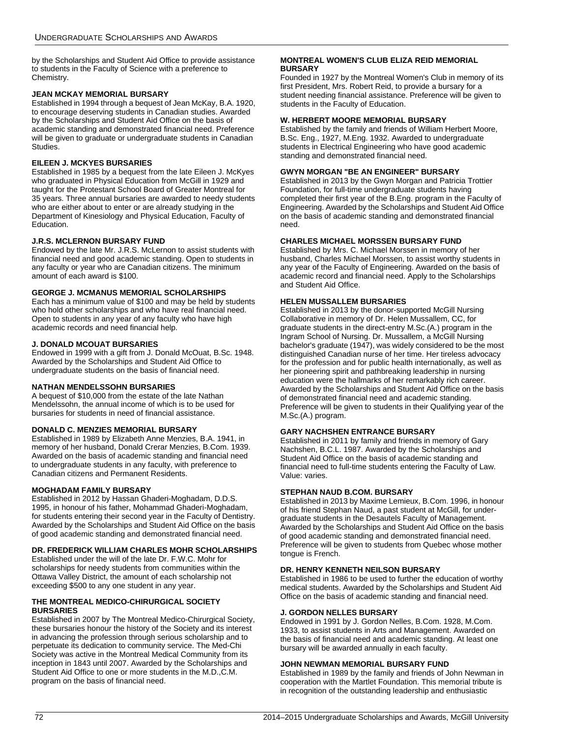by the Scholarships and Student Aid Office to provide assistance to students in the Faculty of Science with a preference to Chemistry.

# <span id="page-72-0"></span>**JEAN MCKAY MEMORIAL BURSARY**

Established in 1994 through a bequest of Jean McKay, B.A. 1920, to encourage deserving students in Canadian studies. Awarded by the Scholarships and Student Aid Office on the basis of academic standing and demonstrated financial need. Preference will be given to graduate or undergraduate students in Canadian Studies.

# <span id="page-72-1"></span>**EILEEN J. MCKYES BURSARIES**

Established in 1985 by a bequest from the late Eileen J. McKyes who graduated in Physical Education from McGill in 1929 and taught for the Protestant School Board of Greater Montreal for 35 years. Three annual bursaries are awarded to needy students who are either about to enter or are already studying in the Department of Kinesiology and Physical Education, Faculty of Education.

# <span id="page-72-2"></span>**J.R.S. MCLERNON BURSARY FUND**

Endowed by the late Mr. J.R.S. McLernon to assist students with financial need and good academic standing. Open to students in any faculty or year who are Canadian citizens. The minimum amount of each award is \$100.

# <span id="page-72-3"></span>**GEORGE J. MCMANUS MEMORIAL SCHOLARSHIPS**

Each has a minimum value of \$100 and may be held by students who hold other scholarships and who have real financial need. Open to students in any year of any faculty who have high academic records and need financial help.

## <span id="page-72-4"></span>**J. DONALD MCOUAT BURSARIES**

Endowed in 1999 with a gift from J. Donald McOuat, B.Sc. 1948. Awarded by the Scholarships and Student Aid Office to undergraduate students on the basis of financial need.

## <span id="page-72-5"></span>**NATHAN MENDELSSOHN BURSARIES**

A bequest of \$10,000 from the estate of the late Nathan Mendelssohn, the annual income of which is to be used for bursaries for students in need of financial assistance.

## <span id="page-72-6"></span>**DONALD C. MENZIES MEMORIAL BURSARY**

Established in 1989 by Elizabeth Anne Menzies, B.A. 1941, in memory of her husband, Donald Crerar Menzies, B.Com. 1939. Awarded on the basis of academic standing and financial need to undergraduate students in any faculty, with preference to Canadian citizens and Permanent Residents.

# <span id="page-72-7"></span>**MOGHADAM FAMILY BURSARY**

Established in 2012 by Hassan Ghaderi-Moghadam, D.D.S. 1995, in honour of his father, Mohammad Ghaderi-Moghadam, for students entering their second year in the Faculty of Dentistry. Awarded by the Scholarships and Student Aid Office on the basis of good academic standing and demonstrated financial need.

## <span id="page-72-8"></span>**DR. FREDERICK WILLIAM CHARLES MOHR SCHOLARSHIPS**

Established under the will of the late Dr. F.W.C. Mohr for scholarships for needy students from communities within the Ottawa Valley District, the amount of each scholarship not exceeding \$500 to any one student in any year.

## <span id="page-72-9"></span>**THE MONTREAL MEDICO-CHIRURGICAL SOCIETY BURSARIES**

Established in 2007 by The Montreal Medico-Chirurgical Society, these bursaries honour the history of the Society and its interest in advancing the profession through serious scholarship and to perpetuate its dedication to community service. The Med-Chi Society was active in the Montreal Medical Community from its inception in 1843 until 2007. Awarded by the Scholarships and Student Aid Office to one or more students in the M.D.,C.M. program on the basis of financial need.

## <span id="page-72-10"></span>**MONTREAL WOMEN'S CLUB ELIZA REID MEMORIAL BURSARY**

Founded in 1927 by the Montreal Women's Club in memory of its first President, Mrs. Robert Reid, to provide a bursary for a student needing financial assistance. Preference will be given to students in the Faculty of Education.

## <span id="page-72-11"></span>**W. HERBERT MOORE MEMORIAL BURSARY**

Established by the family and friends of William Herbert Moore, B.Sc. Eng., 1927, M.Eng. 1932. Awarded to undergraduate students in Electrical Engineering who have good academic standing and demonstrated financial need.

## <span id="page-72-12"></span>**GWYN MORGAN "BE AN ENGINEER" BURSARY**

Established in 2013 by the Gwyn Morgan and Patricia Trottier Foundation, for full-time undergraduate students having completed their first year of the B.Eng. program in the Faculty of Engineering. Awarded by the Scholarships and Student Aid Office on the basis of academic standing and demonstrated financial need.

# <span id="page-72-13"></span>**CHARLES MICHAEL MORSSEN BURSARY FUND**

Established by Mrs. C. Michael Morssen in memory of her husband, Charles Michael Morssen, to assist worthy students in any year of the Faculty of Engineering. Awarded on the basis of academic record and financial need. Apply to the Scholarships and Student Aid Office.

## <span id="page-72-14"></span>**HELEN MUSSALLEM BURSARIES**

Established in 2013 by the donor-supported McGill Nursing Collaborative in memory of Dr. Helen Mussallem, CC, for graduate students in the direct-entry M.Sc.(A.) program in the Ingram School of Nursing. Dr. Mussallem, a McGill Nursing bachelor's graduate (1947), was widely considered to be the most distinguished Canadian nurse of her time. Her tireless advocacy for the profession and for public health internationally, as well as her pioneering spirit and pathbreaking leadership in nursing education were the hallmarks of her remarkably rich career. Awarded by the Scholarships and Student Aid Office on the basis of demonstrated financial need and academic standing. Preference will be given to students in their Qualifying year of the M.Sc.(A.) program.

## <span id="page-72-15"></span>**GARY NACHSHEN ENTRANCE BURSARY**

Established in 2011 by family and friends in memory of Gary Nachshen, B.C.L. 1987. Awarded by the Scholarships and Student Aid Office on the basis of academic standing and financial need to full-time students entering the Faculty of Law. Value: varies.

## <span id="page-72-16"></span>**STEPHAN NAUD B.COM. BURSARY**

Established in 2013 by Maxime Lemieux, B.Com. 1996, in honour of his friend Stephan Naud, a past student at McGill, for undergraduate students in the Desautels Faculty of Management. Awarded by the Scholarships and Student Aid Office on the basis of good academic standing and demonstrated financial need. Preference will be given to students from Quebec whose mother tongue is French.

## <span id="page-72-17"></span>**DR. HENRY KENNETH NEILSON BURSARY**

Established in 1986 to be used to further the education of worthy medical students. Awarded by the Scholarships and Student Aid Office on the basis of academic standing and financial need.

## <span id="page-72-18"></span>**J. GORDON NELLES BURSARY**

Endowed in 1991 by J. Gordon Nelles, B.Com. 1928, M.Com. 1933, to assist students in Arts and Management. Awarded on the basis of financial need and academic standing. At least one bursary will be awarded annually in each faculty.

## <span id="page-72-19"></span>**JOHN NEWMAN MEMORIAL BURSARY FUND**

Established in 1989 by the family and friends of John Newman in cooperation with the Martlet Foundation. This memorial tribute is in recognition of the outstanding leadership and enthusiastic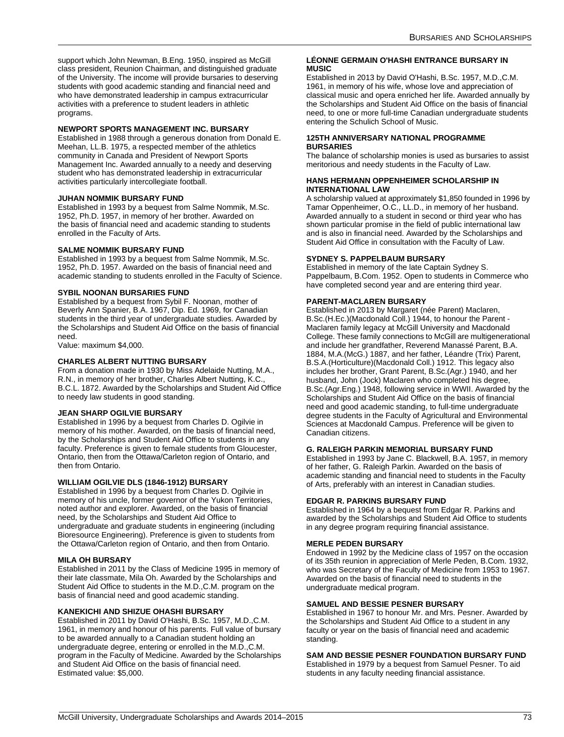support which John Newman, B.Eng. 1950, inspired as McGill class president, Reunion Chairman, and distinguished graduate of the University. The income will provide bursaries to deserving students with good academic standing and financial need and who have demonstrated leadership in campus extracurricular activities with a preference to student leaders in athletic programs.

## <span id="page-73-1"></span>**NEWPORT SPORTS MANAGEMENT INC. BURSARY**

Established in 1988 through a generous donation from Donald E. Meehan, LL.B. 1975, a respected member of the athletics community in Canada and President of Newport Sports Management Inc. Awarded annually to a needy and deserving student who has demonstrated leadership in extracurricular activities particularly intercollegiate football.

## <span id="page-73-2"></span>**JUHAN NOMMIK BURSARY FUND**

Established in 1993 by a bequest from Salme Nommik, M.Sc. 1952, Ph.D. 1957, in memory of her brother. Awarded on the basis of financial need and academic standing to students enrolled in the Faculty of Arts.

## <span id="page-73-3"></span>**SALME NOMMIK BURSARY FUND**

Established in 1993 by a bequest from Salme Nommik, M.Sc. 1952, Ph.D. 1957. Awarded on the basis of financial need and academic standing to students enrolled in the Faculty of Science.

## <span id="page-73-4"></span>**SYBIL NOONAN BURSARIES FUND**

Established by a bequest from Sybil F. Noonan, mother of Beverly Ann Spanier, B.A. 1967, Dip. Ed. 1969, for Canadian students in the third year of undergraduate studies. Awarded by the Scholarships and Student Aid Office on the basis of financial need.

Value: maximum \$4,000.

## <span id="page-73-5"></span>**CHARLES ALBERT NUTTING BURSARY**

From a donation made in 1930 by Miss Adelaide Nutting, M.A., R.N., in memory of her brother, Charles Albert Nutting, K.C., B.C.L. 1872. Awarded by the Scholarships and Student Aid Office to needy law students in good standing.

## <span id="page-73-7"></span>**JEAN SHARP OGILVIE BURSARY**

Established in 1996 by a bequest from Charles D. Ogilvie in memory of his mother. Awarded, on the basis of financial need, by the Scholarships and Student Aid Office to students in any faculty. Preference is given to female students from Gloucester, Ontario, then from the Ottawa/Carleton region of Ontario, and then from Ontario.

## <span id="page-73-8"></span>**WILLIAM OGILVIE DLS (1846-1912) BURSARY**

Established in 1996 by a bequest from Charles D. Ogilvie in memory of his uncle, former governor of the Yukon Territories, noted author and explorer. Awarded, on the basis of financial need, by the Scholarships and Student Aid Office to undergraduate and graduate students in engineering (including Bioresource Engineering). Preference is given to students from the Ottawa/Carleton region of Ontario, and then from Ontario.

## <span id="page-73-9"></span>**MILA OH BURSARY**

Established in 2011 by the Class of Medicine 1995 in memory of their late classmate, Mila Oh. Awarded by the Scholarships and Student Aid Office to students in the M.D.,C.M. program on the basis of financial need and good academic standing.

## <span id="page-73-10"></span>**KANEKICHI AND SHIZUE OHASHI BURSARY**

Established in 2011 by David O'Hashi, B.Sc. 1957, M.D.,C.M. 1961, in memory and honour of his parents. Full value of bursary to be awarded annually to a Canadian student holding an undergraduate degree, entering or enrolled in the M.D.,C.M. program in the Faculty of Medicine. Awarded by the Scholarships and Student Aid Office on the basis of financial need. Estimated value: \$5,000.

#### <span id="page-73-6"></span>**LÉONNE GERMAIN O'HASHI ENTRANCE BURSARY IN MUSIC**

Established in 2013 by David O'Hashi, B.Sc. 1957, M.D.,C.M. 1961, in memory of his wife, whose love and appreciation of classical music and opera enriched her life. Awarded annually by the Scholarships and Student Aid Office on the basis of financial need, to one or more full-time Canadian undergraduate students entering the Schulich School of Music.

#### <span id="page-73-0"></span>**125TH ANNIVERSARY NATIONAL PROGRAMME BURSARIES**

The balance of scholarship monies is used as bursaries to assist meritorious and needy students in the Faculty of Law.

## <span id="page-73-11"></span>**HANS HERMANN OPPENHEIMER SCHOLARSHIP IN INTERNATIONAL LAW**

A scholarship valued at approximately \$1,850 founded in 1996 by Tamar Oppenheimer, O.C., LL.D., in memory of her husband. Awarded annually to a student in second or third year who has shown particular promise in the field of public international law and is also in financial need. Awarded by the Scholarships and Student Aid Office in consultation with the Faculty of Law.

## <span id="page-73-12"></span>**SYDNEY S. PAPPELBAUM BURSARY**

Established in memory of the late Captain Sydney S. Pappelbaum, B.Com. 1952. Open to students in Commerce who have completed second year and are entering third year.

## <span id="page-73-13"></span>**PARENT-MACLAREN BURSARY**

Established in 2013 by Margaret (née Parent) Maclaren, B.Sc.(H.Ec.)(Macdonald Coll.) 1944, to honour the Parent - Maclaren family legacy at McGill University and Macdonald College. These family connections to McGill are multigenerational and include her grandfather, Reverend Manassé Parent, B.A. 1884, M.A.(McG.) 1887, and her father, Léandre (Trix) Parent, B.S.A.(Horticulture)(Macdonald Coll.) 1912. This legacy also includes her brother, Grant Parent, B.Sc.(Agr.) 1940, and her husband, John (Jock) Maclaren who completed his degree, B.Sc.(Agr.Eng.) 1948, following service in WWII. Awarded by the Scholarships and Student Aid Office on the basis of financial need and good academic standing, to full-time undergraduate degree students in the Faculty of Agricultural and Environmental Sciences at Macdonald Campus. Preference will be given to Canadian citizens.

## <span id="page-73-14"></span>**G. RALEIGH PARKIN MEMORIAL BURSARY FUND**

Established in 1993 by Jane C. Blackwell, B.A. 1957, in memory of her father, G. Raleigh Parkin. Awarded on the basis of academic standing and financial need to students in the Faculty of Arts, preferably with an interest in Canadian studies.

## <span id="page-73-15"></span>**EDGAR R. PARKINS BURSARY FUND**

Established in 1964 by a bequest from Edgar R. Parkins and awarded by the Scholarships and Student Aid Office to students in any degree program requiring financial assistance.

## <span id="page-73-16"></span>**MERLE PEDEN BURSARY**

Endowed in 1992 by the Medicine class of 1957 on the occasion of its 35th reunion in appreciation of Merle Peden, B.Com. 1932, who was Secretary of the Faculty of Medicine from 1953 to 1967. Awarded on the basis of financial need to students in the undergraduate medical program.

## <span id="page-73-18"></span>**SAMUEL AND BESSIE PESNER BURSARY**

Established in 1967 to honour Mr. and Mrs. Pesner. Awarded by the Scholarships and Student Aid Office to a student in any faculty or year on the basis of financial need and academic standing.

# <span id="page-73-17"></span>**SAM AND BESSIE PESNER FOUNDATION BURSARY FUND**

Established in 1979 by a bequest from Samuel Pesner. To aid students in any faculty needing financial assistance.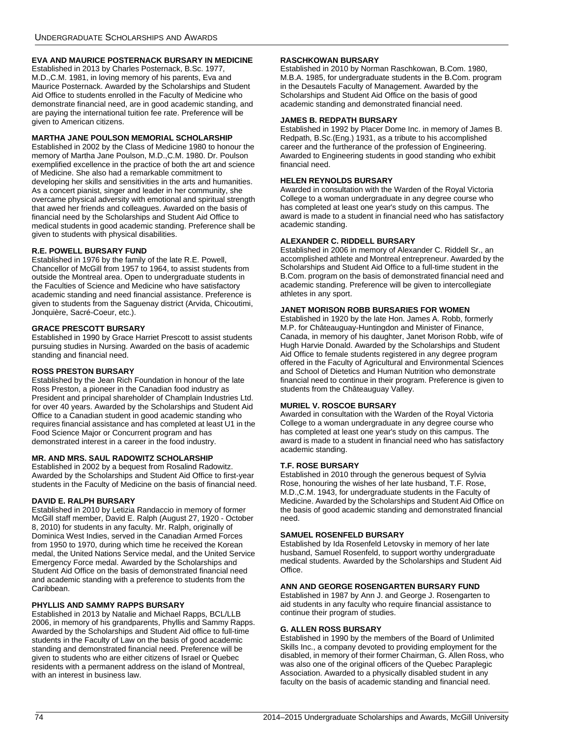# <span id="page-74-0"></span>**EVA AND MAURICE POSTERNACK BURSARY IN MEDICINE**

Established in 2013 by Charles Posternack, B.Sc. 1977, M.D.,C.M. 1981, in loving memory of his parents, Eva and Maurice Posternack. Awarded by the Scholarships and Student Aid Office to students enrolled in the Faculty of Medicine who demonstrate financial need, are in good academic standing, and are paying the international tuition fee rate. Preference will be given to American citizens.

## <span id="page-74-1"></span>**MARTHA JANE POULSON MEMORIAL SCHOLARSHIP**

Established in 2002 by the Class of Medicine 1980 to honour the memory of Martha Jane Poulson, M.D.,C.M. 1980. Dr. Poulson exemplified excellence in the practice of both the art and science of Medicine. She also had a remarkable commitment to developing her skills and sensitivities in the arts and humanities. As a concert pianist, singer and leader in her community, she overcame physical adversity with emotional and spiritual strength that awed her friends and colleagues. Awarded on the basis of financial need by the Scholarships and Student Aid Office to medical students in good academic standing. Preference shall be given to students with physical disabilities.

## <span id="page-74-2"></span>**R.E. POWELL BURSARY FUND**

Established in 1976 by the family of the late R.E. Powell, Chancellor of McGill from 1957 to 1964, to assist students from outside the Montreal area. Open to undergraduate students in the Faculties of Science and Medicine who have satisfactory academic standing and need financial assistance. Preference is given to students from the Saguenay district (Arvida, Chicoutimi, Jonquière, Sacré-Coeur, etc.).

## <span id="page-74-3"></span>**GRACE PRESCOTT BURSARY**

Established in 1990 by Grace Harriet Prescott to assist students pursuing studies in Nursing. Awarded on the basis of academic standing and financial need.

## <span id="page-74-4"></span>**ROSS PRESTON BURSARY**

Established by the Jean Rich Foundation in honour of the late Ross Preston, a pioneer in the Canadian food industry as President and principal shareholder of Champlain Industries Ltd. for over 40 years. Awarded by the Scholarships and Student Aid Office to a Canadian student in good academic standing who requires financial assistance and has completed at least U1 in the Food Science Major or Concurrent program and has demonstrated interest in a career in the food industry.

## <span id="page-74-5"></span>**MR. AND MRS. SAUL RADOWITZ SCHOLARSHIP**

Established in 2002 by a bequest from Rosalind Radowitz. Awarded by the Scholarships and Student Aid Office to first-year students in the Faculty of Medicine on the basis of financial need.

## <span id="page-74-6"></span>**DAVID E. RALPH BURSARY**

Established in 2010 by Letizia Randaccio in memory of former McGill staff member, David E. Ralph (August 27, 1920 - October 8, 2010) for students in any faculty. Mr. Ralph, originally of Dominica West Indies, served in the Canadian Armed Forces from 1950 to 1970, during which time he received the Korean medal, the United Nations Service medal, and the United Service Emergency Force medal. Awarded by the Scholarships and Student Aid Office on the basis of demonstrated financial need and academic standing with a preference to students from the Caribbean.

## <span id="page-74-7"></span>**PHYLLIS AND SAMMY RAPPS BURSARY**

Established in 2013 by Natalie and Michael Rapps, BCL/LLB 2006, in memory of his grandparents, Phyllis and Sammy Rapps. Awarded by the Scholarships and Student Aid office to full-time students in the Faculty of Law on the basis of good academic standing and demonstrated financial need. Preference will be given to students who are either citizens of Israel or Quebec residents with a permanent address on the island of Montreal, with an interest in business law.

## <span id="page-74-8"></span>**RASCHKOWAN BURSARY**

Established in 2010 by Norman Raschkowan, B.Com. 1980, M.B.A. 1985, for undergraduate students in the B.Com. program in the Desautels Faculty of Management. Awarded by the Scholarships and Student Aid Office on the basis of good academic standing and demonstrated financial need.

## <span id="page-74-9"></span>**JAMES B. REDPATH BURSARY**

Established in 1992 by Placer Dome Inc. in memory of James B. Redpath, B.Sc.(Eng.) 1931, as a tribute to his accomplished career and the furtherance of the profession of Engineering. Awarded to Engineering students in good standing who exhibit financial need.

## <span id="page-74-10"></span>**HELEN REYNOLDS BURSARY**

Awarded in consultation with the Warden of the Royal Victoria College to a woman undergraduate in any degree course who has completed at least one year's study on this campus. The award is made to a student in financial need who has satisfactory academic standing.

## <span id="page-74-11"></span>**ALEXANDER C. RIDDELL BURSARY**

Established in 2006 in memory of Alexander C. Riddell Sr., an accomplished athlete and Montreal entrepreneur. Awarded by the Scholarships and Student Aid Office to a full-time student in the B.Com. program on the basis of demonstrated financial need and academic standing. Preference will be given to intercollegiate athletes in any sport.

## <span id="page-74-12"></span>**JANET MORISON ROBB BURSARIES FOR WOMEN**

Established in 1920 by the late Hon. James A. Robb, formerly M.P. for Châteauguay-Huntingdon and Minister of Finance, Canada, in memory of his daughter, Janet Morison Robb, wife of Hugh Harvie Donald. Awarded by the Scholarships and Student Aid Office to female students registered in any degree program offered in the Faculty of Agricultural and Environmental Sciences and School of Dietetics and Human Nutrition who demonstrate financial need to continue in their program. Preference is given to students from the Châteauguay Valley.

## <span id="page-74-13"></span>**MURIEL V. ROSCOE BURSARY**

Awarded in consultation with the Warden of the Royal Victoria College to a woman undergraduate in any degree course who has completed at least one year's study on this campus. The award is made to a student in financial need who has satisfactory academic standing.

## <span id="page-74-14"></span>**T.F. ROSE BURSARY**

Established in 2010 through the generous bequest of Sylvia Rose, honouring the wishes of her late husband, T.F. Rose, M.D.,C.M. 1943, for undergraduate students in the Faculty of Medicine. Awarded by the Scholarships and Student Aid Office on the basis of good academic standing and demonstrated financial need.

## <span id="page-74-15"></span>**SAMUEL ROSENFELD BURSARY**

Established by Ida Rosenfeld Letovsky in memory of her late husband, Samuel Rosenfeld, to support worthy undergraduate medical students. Awarded by the Scholarships and Student Aid Office.

## <span id="page-74-16"></span>**ANN AND GEORGE ROSENGARTEN BURSARY FUND**

Established in 1987 by Ann J. and George J. Rosengarten to aid students in any faculty who require financial assistance to continue their program of studies.

## <span id="page-74-17"></span>**G. ALLEN ROSS BURSARY**

Established in 1990 by the members of the Board of Unlimited Skills Inc., a company devoted to providing employment for the disabled, in memory of their former Chairman, G. Allen Ross, who was also one of the original officers of the Quebec Paraplegic Association. Awarded to a physically disabled student in any faculty on the basis of academic standing and financial need.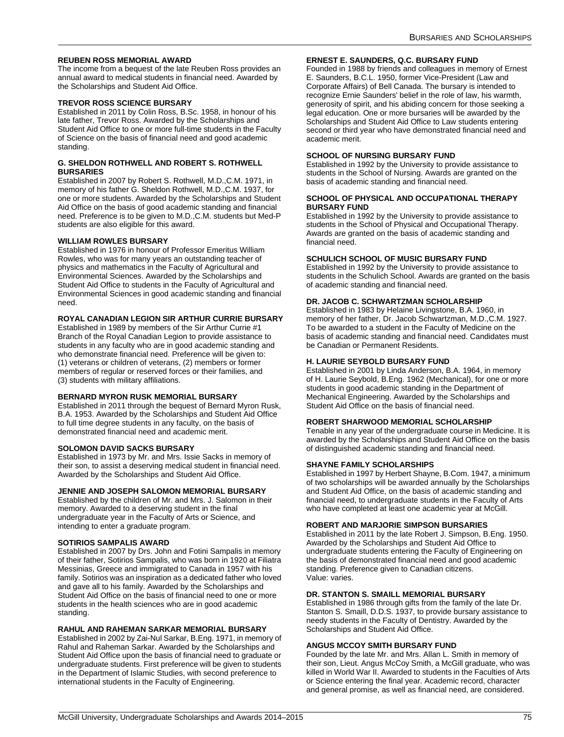## <span id="page-75-0"></span>**REUBEN ROSS MEMORIAL AWARD**

The income from a bequest of the late Reuben Ross provides an annual award to medical students in financial need. Awarded by the Scholarships and Student Aid Office.

## <span id="page-75-1"></span>**TREVOR ROSS SCIENCE BURSARY**

Established in 2011 by Colin Ross, B.Sc. 1958, in honour of his late father, Trevor Ross. Awarded by the Scholarships and Student Aid Office to one or more full-time students in the Faculty of Science on the basis of financial need and good academic standing.

#### <span id="page-75-2"></span>**G. SHELDON ROTHWELL AND ROBERT S. ROTHWELL BURSARIES**

Established in 2007 by Robert S. Rothwell, M.D.,C.M. 1971, in memory of his father G. Sheldon Rothwell, M.D.,C.M. 1937, for one or more students. Awarded by the Scholarships and Student Aid Office on the basis of good academic standing and financial need. Preference is to be given to M.D.,C.M. students but Med-P students are also eligible for this award.

## <span id="page-75-3"></span>**WILLIAM ROWLES BURSARY**

Established in 1976 in honour of Professor Emeritus William Rowles, who was for many years an outstanding teacher of physics and mathematics in the Faculty of Agricultural and Environmental Sciences. Awarded by the Scholarships and Student Aid Office to students in the Faculty of Agricultural and Environmental Sciences in good academic standing and financial need.

## <span id="page-75-4"></span>**ROYAL CANADIAN LEGION SIR ARTHUR CURRIE BURSARY**

Established in 1989 by members of the Sir Arthur Currie #1 Branch of the Royal Canadian Legion to provide assistance to students in any faculty who are in good academic standing and who demonstrate financial need. Preference will be given to: (1) veterans or children of veterans, (2) members or former members of regular or reserved forces or their families, and (3) students with military affiliations.

## <span id="page-75-5"></span>**BERNARD MYRON RUSK MEMORIAL BURSARY**

Established in 2011 through the bequest of Bernard Myron Rusk, B.A. 1953. Awarded by the Scholarships and Student Aid Office to full time degree students in any faculty, on the basis of demonstrated financial need and academic merit.

## <span id="page-75-6"></span>**SOLOMON DAVID SACKS BURSARY**

Established in 1973 by Mr. and Mrs. Issie Sacks in memory of their son, to assist a deserving medical student in financial need. Awarded by the Scholarships and Student Aid Office.

## <span id="page-75-7"></span>**JENNIE AND JOSEPH SALOMON MEMORIAL BURSARY**

Established by the children of Mr. and Mrs. J. Salomon in their memory. Awarded to a deserving student in the final undergraduate year in the Faculty of Arts or Science, and intending to enter a graduate program.

## <span id="page-75-8"></span>**SOTIRIOS SAMPALIS AWARD**

Established in 2007 by Drs. John and Fotini Sampalis in memory of their father, Sotirios Sampalis, who was born in 1920 at Filiatra Messinias, Greece and immigrated to Canada in 1957 with his family. Sotirios was an inspiration as a dedicated father who loved and gave all to his family. Awarded by the Scholarships and Student Aid Office on the basis of financial need to one or more students in the health sciences who are in good academic standing.

#### <span id="page-75-9"></span>**RAHUL AND RAHEMAN SARKAR MEMORIAL BURSARY**

Established in 2002 by Zai-Nul Sarkar, B.Eng. 1971, in memory of Rahul and Raheman Sarkar. Awarded by the Scholarships and Student Aid Office upon the basis of financial need to graduate or undergraduate students. First preference will be given to students in the Department of Islamic Studies, with second preference to international students in the Faculty of Engineering.

#### <span id="page-75-10"></span>**ERNEST E. SAUNDERS, Q.C. BURSARY FUND**

Founded in 1988 by friends and colleagues in memory of Ernest E. Saunders, B.C.L. 1950, former Vice-President (Law and Corporate Affairs) of Bell Canada. The bursary is intended to recognize Ernie Saunders' belief in the role of law, his warmth, generosity of spirit, and his abiding concern for those seeking a legal education. One or more bursaries will be awarded by the Scholarships and Student Aid Office to Law students entering second or third year who have demonstrated financial need and academic merit.

## <span id="page-75-11"></span>**SCHOOL OF NURSING BURSARY FUND**

Established in 1992 by the University to provide assistance to students in the School of Nursing. Awards are granted on the basis of academic standing and financial need.

#### <span id="page-75-12"></span>**SCHOOL OF PHYSICAL AND OCCUPATIONAL THERAPY BURSARY FUND**

Established in 1992 by the University to provide assistance to students in the School of Physical and Occupational Therapy. Awards are granted on the basis of academic standing and financial need.

## <span id="page-75-13"></span>**SCHULICH SCHOOL OF MUSIC BURSARY FUND**

Established in 1992 by the University to provide assistance to students in the Schulich School. Awards are granted on the basis of academic standing and financial need.

## <span id="page-75-14"></span>**DR. JACOB C. SCHWARTZMAN SCHOLARSHIP**

Established in 1983 by Helaine Livingstone, B.A. 1960, in memory of her father, Dr. Jacob Schwartzman, M.D.,C.M. 1927. To be awarded to a student in the Faculty of Medicine on the basis of academic standing and financial need. Candidates must be Canadian or Permanent Residents.

## <span id="page-75-15"></span>**H. LAURIE SEYBOLD BURSARY FUND**

Established in 2001 by Linda Anderson, B.A. 1964, in memory of H. Laurie Seybold, B.Eng. 1962 (Mechanical), for one or more students in good academic standing in the Department of Mechanical Engineering. Awarded by the Scholarships and Student Aid Office on the basis of financial need.

## <span id="page-75-16"></span>**ROBERT SHARWOOD MEMORIAL SCHOLARSHIP**

Tenable in any year of the undergraduate course in Medicine. It is awarded by the Scholarships and Student Aid Office on the basis of distinguished academic standing and financial need.

## <span id="page-75-17"></span>**SHAYNE FAMILY SCHOLARSHIPS**

Established in 1997 by Herbert Shayne, B.Com. 1947, a minimum of two scholarships will be awarded annually by the Scholarships and Student Aid Office, on the basis of academic standing and financial need, to undergraduate students in the Faculty of Arts who have completed at least one academic year at McGill.

#### <span id="page-75-18"></span>**ROBERT AND MARJORIE SIMPSON BURSARIES**

Established in 2011 by the late Robert J. Simpson, B.Eng. 1950. Awarded by the Scholarships and Student Aid Office to undergraduate students entering the Faculty of Engineering on the basis of demonstrated financial need and good academic standing. Preference given to Canadian citizens. Value: varies.

#### <span id="page-75-19"></span>**DR. STANTON S. SMAILL MEMORIAL BURSARY**

Established in 1986 through gifts from the family of the late Dr. Stanton S. Smaill, D.D.S. 1937, to provide bursary assistance to needy students in the Faculty of Dentistry. Awarded by the Scholarships and Student Aid Office.

#### <span id="page-75-20"></span>**ANGUS MCCOY SMITH BURSARY FUND**

Founded by the late Mr. and Mrs. Allan L. Smith in memory of their son, Lieut. Angus McCoy Smith, a McGill graduate, who was killed in World War II. Awarded to students in the Faculties of Arts or Science entering the final year. Academic record, character and general promise, as well as financial need, are considered.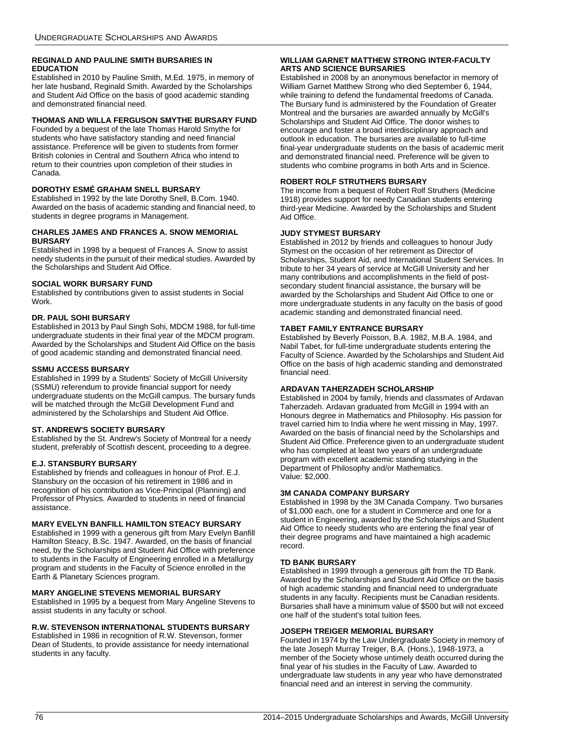## <span id="page-76-1"></span>**REGINALD AND PAULINE SMITH BURSARIES IN EDUCATION**

Established in 2010 by Pauline Smith, M.Ed. 1975, in memory of her late husband, Reginald Smith. Awarded by the Scholarships and Student Aid Office on the basis of good academic standing and demonstrated financial need.

# <span id="page-76-2"></span>**THOMAS AND WILLA FERGUSON SMYTHE BURSARY FUND**

Founded by a bequest of the late Thomas Harold Smythe for students who have satisfactory standing and need financial assistance. Preference will be given to students from former British colonies in Central and Southern Africa who intend to return to their countries upon completion of their studies in Canada.

## <span id="page-76-3"></span>**DOROTHY ESMÉ GRAHAM SNELL BURSARY**

Established in 1992 by the late Dorothy Snell, B.Com. 1940. Awarded on the basis of academic standing and financial need, to students in degree programs in Management.

## <span id="page-76-4"></span>**CHARLES JAMES AND FRANCES A. SNOW MEMORIAL BURSARY**

Established in 1998 by a bequest of Frances A. Snow to assist needy students in the pursuit of their medical studies. Awarded by the Scholarships and Student Aid Office.

## <span id="page-76-5"></span>**SOCIAL WORK BURSARY FUND**

Established by contributions given to assist students in Social Work.

## <span id="page-76-6"></span>**DR. PAUL SOHI BURSARY**

Established in 2013 by Paul Singh Sohi, MDCM 1988, for full-time undergraduate students in their final year of the MDCM program. Awarded by the Scholarships and Student Aid Office on the basis of good academic standing and demonstrated financial need.

## <span id="page-76-7"></span>**SSMU ACCESS BURSARY**

Established in 1999 by a Students' Society of McGill University (SSMU) referendum to provide financial support for needy undergraduate students on the McGill campus. The bursary funds will be matched through the McGill Development Fund and administered by the Scholarships and Student Aid Office.

## <span id="page-76-8"></span>**ST. ANDREW'S SOCIETY BURSARY**

Established by the St. Andrew's Society of Montreal for a needy student, preferably of Scottish descent, proceeding to a degree.

## <span id="page-76-9"></span>**E.J. STANSBURY BURSARY**

Established by friends and colleagues in honour of Prof. E.J. Stansbury on the occasion of his retirement in 1986 and in recognition of his contribution as Vice-Principal (Planning) and Professor of Physics. Awarded to students in need of financial assistance.

## <span id="page-76-10"></span>**MARY EVELYN BANFILL HAMILTON STEACY BURSARY**

Established in 1999 with a generous gift from Mary Evelyn Banfill Hamilton Steacy, B.Sc. 1947. Awarded, on the basis of financial need, by the Scholarships and Student Aid Office with preference to students in the Faculty of Engineering enrolled in a Metallurgy program and students in the Faculty of Science enrolled in the Earth & Planetary Sciences program.

## <span id="page-76-11"></span>**MARY ANGELINE STEVENS MEMORIAL BURSARY**

Established in 1995 by a bequest from Mary Angeline Stevens to assist students in any faculty or school.

## <span id="page-76-12"></span>**R.W. STEVENSON INTERNATIONAL STUDENTS BURSARY**

Established in 1986 in recognition of R.W. Stevenson, former Dean of Students, to provide assistance for needy international students in any faculty.

## <span id="page-76-13"></span>**WILLIAM GARNET MATTHEW STRONG INTER-FACULTY ARTS AND SCIENCE BURSARIES**

Established in 2008 by an anonymous benefactor in memory of William Garnet Matthew Strong who died September 6, 1944, while training to defend the fundamental freedoms of Canada. The Bursary fund is administered by the Foundation of Greater Montreal and the bursaries are awarded annually by McGill's Scholarships and Student Aid Office. The donor wishes to encourage and foster a broad interdisciplinary approach and outlook in education. The bursaries are available to full-time final-year undergraduate students on the basis of academic merit and demonstrated financial need. Preference will be given to students who combine programs in both Arts and in Science.

## <span id="page-76-14"></span>**ROBERT ROLF STRUTHERS BURSARY**

The income from a bequest of Robert Rolf Struthers (Medicine 1918) provides support for needy Canadian students entering third-year Medicine. Awarded by the Scholarships and Student Aid Office.

## <span id="page-76-15"></span>**JUDY STYMEST BURSARY**

Established in 2012 by friends and colleagues to honour Judy Stymest on the occasion of her retirement as Director of Scholarships, Student Aid, and International Student Services. In tribute to her 34 years of service at McGill University and her many contributions and accomplishments in the field of postsecondary student financial assistance, the bursary will be awarded by the Scholarships and Student Aid Office to one or more undergraduate students in any faculty on the basis of good academic standing and demonstrated financial need.

## <span id="page-76-16"></span>**TABET FAMILY ENTRANCE BURSARY**

Established by Beverly Poisson, B.A. 1982, M.B.A. 1984, and Nabil Tabet, for full-time undergraduate students entering the Faculty of Science. Awarded by the Scholarships and Student Aid Office on the basis of high academic standing and demonstrated financial need.

## <span id="page-76-17"></span>**ARDAVAN TAHERZADEH SCHOLARSHIP**

Established in 2004 by family, friends and classmates of Ardavan Taherzadeh. Ardavan graduated from McGill in 1994 with an Honours degree in Mathematics and Philosophy. His passion for travel carried him to India where he went missing in May, 1997. Awarded on the basis of financial need by the Scholarships and Student Aid Office. Preference given to an undergraduate student who has completed at least two years of an undergraduate program with excellent academic standing studying in the Department of Philosophy and/or Mathematics. Value: \$2,000.

## <span id="page-76-0"></span>**3M CANADA COMPANY BURSARY**

Established in 1998 by the 3M Canada Company. Two bursaries of \$1,000 each, one for a student in Commerce and one for a student in Engineering, awarded by the Scholarships and Student Aid Office to needy students who are entering the final year of their degree programs and have maintained a high academic record.

## <span id="page-76-18"></span>**TD BANK BURSARY**

Established in 1999 through a generous gift from the TD Bank. Awarded by the Scholarships and Student Aid Office on the basis of high academic standing and financial need to undergraduate students in any faculty. Recipients must be Canadian residents. Bursaries shall have a minimum value of \$500 but will not exceed one half of the student's total tuition fees.

## <span id="page-76-19"></span>**JOSEPH TREIGER MEMORIAL BURSARY**

Founded in 1974 by the Law Undergraduate Society in memory of the late Joseph Murray Treiger, B.A. (Hons.), 1948-1973, a member of the Society whose untimely death occurred during the final year of his studies in the Faculty of Law. Awarded to undergraduate law students in any year who have demonstrated financial need and an interest in serving the community.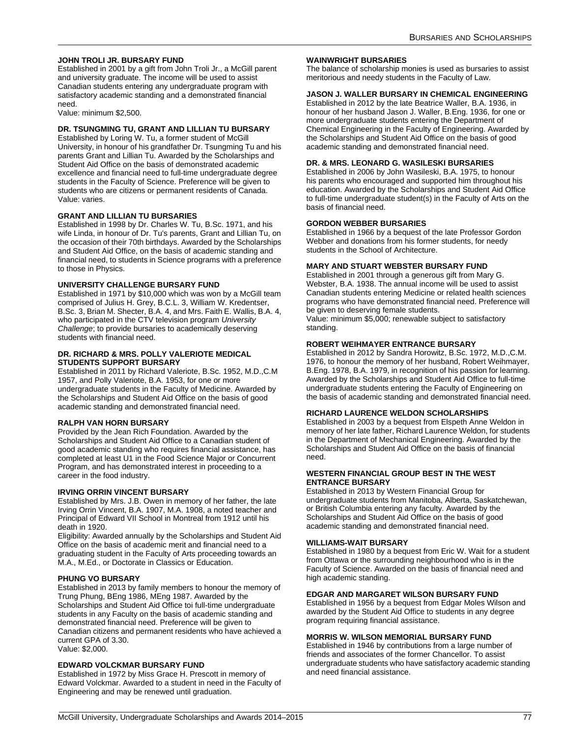## <span id="page-77-0"></span>**JOHN TROLI JR. BURSARY FUND**

Established in 2001 by a gift from John Troli Jr., a McGill parent and university graduate. The income will be used to assist Canadian students entering any undergraduate program with satisfactory academic standing and a demonstrated financial need.

Value: minimum \$2,500.

## <span id="page-77-1"></span>**DR. TSUNGMING TU, GRANT AND LILLIAN TU BURSARY**

Established by Loring W. Tu, a former student of McGill University, in honour of his grandfather Dr. Tsungming Tu and his parents Grant and Lillian Tu. Awarded by the Scholarships and Student Aid Office on the basis of demonstrated academic excellence and financial need to full-time undergraduate degree students in the Faculty of Science. Preference will be given to students who are citizens or permanent residents of Canada. Value: varies.

## <span id="page-77-2"></span>**GRANT AND LILLIAN TU BURSARIES**

Established in 1998 by Dr. Charles W. Tu, B.Sc. 1971, and his wife Linda, in honour of Dr. Tu's parents, Grant and Lillian Tu, on the occasion of their 70th birthdays. Awarded by the Scholarships and Student Aid Office, on the basis of academic standing and financial need, to students in Science programs with a preference to those in Physics.

## <span id="page-77-3"></span>**UNIVERSITY CHALLENGE BURSARY FUND**

Established in 1971 by \$10,000 which was won by a McGill team comprised of Julius H. Grey, B.C.L. 3, William W. Kredentser, B.Sc. 3, Brian M. Shecter, B.A. 4, and Mrs. Faith E. Wallis, B.A. 4, who participated in the CTV television program *University Challenge*; to provide bursaries to academically deserving students with financial need.

## <span id="page-77-4"></span>**DR. RICHARD & MRS. POLLY VALERIOTE MEDICAL STUDENTS SUPPORT BURSARY**

Established in 2011 by Richard Valeriote, B.Sc. 1952, M.D.,C.M 1957, and Polly Valeriote, B.A. 1953, for one or more undergraduate students in the Faculty of Medicine. Awarded by the Scholarships and Student Aid Office on the basis of good academic standing and demonstrated financial need.

## <span id="page-77-5"></span>**RALPH VAN HORN BURSARY**

Provided by the Jean Rich Foundation. Awarded by the Scholarships and Student Aid Office to a Canadian student of good academic standing who requires financial assistance, has completed at least U1 in the Food Science Major or Concurrent Program, and has demonstrated interest in proceeding to a career in the food industry.

## <span id="page-77-6"></span>**IRVING ORRIN VINCENT BURSARY**

Established by Mrs. J.B. Owen in memory of her father, the late Irving Orrin Vincent, B.A. 1907, M.A. 1908, a noted teacher and Principal of Edward VII School in Montreal from 1912 until his death in 1920.

Eligibility: Awarded annually by the Scholarships and Student Aid Office on the basis of academic merit and financial need to a graduating student in the Faculty of Arts proceeding towards an M.A., M.Ed., or Doctorate in Classics or Education.

## <span id="page-77-7"></span>**PHUNG VO BURSARY**

Established in 2013 by family members to honour the memory of Trung Phung, BEng 1986, MEng 1987. Awarded by the Scholarships and Student Aid Office toi full-time undergraduate students in any Faculty on the basis of academic standing and demonstrated financial need. Preference will be given to Canadian citizens and permanent residents who have achieved a current GPA of 3.30. Value: \$2,000.

## <span id="page-77-8"></span>**EDWARD VOLCKMAR BURSARY FUND**

Established in 1972 by Miss Grace H. Prescott in memory of Edward Volckmar. Awarded to a student in need in the Faculty of Engineering and may be renewed until graduation.

#### <span id="page-77-9"></span>**WAINWRIGHT BURSARIES**

The balance of scholarship monies is used as bursaries to assist meritorious and needy students in the Faculty of Law.

## <span id="page-77-10"></span>**JASON J. WALLER BURSARY IN CHEMICAL ENGINEERING**

Established in 2012 by the late Beatrice Waller, B.A. 1936, in honour of her husband Jason J. Waller, B.Eng. 1936, for one or more undergraduate students entering the Department of Chemical Engineering in the Faculty of Engineering. Awarded by the Scholarships and Student Aid Office on the basis of good academic standing and demonstrated financial need.

## <span id="page-77-11"></span>**DR. & MRS. LEONARD G. WASILESKI BURSARIES**

Established in 2006 by John Wasileski, B.A. 1975, to honour his parents who encouraged and supported him throughout his education. Awarded by the Scholarships and Student Aid Office to full-time undergraduate student(s) in the Faculty of Arts on the basis of financial need.

## <span id="page-77-12"></span>**GORDON WEBBER BURSARIES**

Established in 1966 by a bequest of the late Professor Gordon Webber and donations from his former students, for needy students in the School of Architecture.

## <span id="page-77-13"></span>**MARY AND STUART WEBSTER BURSARY FUND**

Established in 2001 through a generous gift from Mary G. Webster, B.A. 1938. The annual income will be used to assist Canadian students entering Medicine or related health sciences programs who have demonstrated financial need. Preference will be given to deserving female students.

Value: minimum \$5,000; renewable subject to satisfactory standing.

## <span id="page-77-14"></span>**ROBERT WEIHMAYER ENTRANCE BURSARY**

Established in 2012 by Sandra Horowitz, B.Sc. 1972, M.D.,C.M. 1976, to honour the memory of her husband, Robert Weihmayer, B.Eng. 1978, B.A. 1979, in recognition of his passion for learning. Awarded by the Scholarships and Student Aid Office to full-time undergraduate students entering the Faculty of Engineering on the basis of academic standing and demonstrated financial need.

## <span id="page-77-15"></span>**RICHARD LAURENCE WELDON SCHOLARSHIPS**

Established in 2003 by a bequest from Elspeth Anne Weldon in memory of her late father, Richard Laurence Weldon, for students in the Department of Mechanical Engineering. Awarded by the Scholarships and Student Aid Office on the basis of financial need.

#### <span id="page-77-16"></span>**WESTERN FINANCIAL GROUP BEST IN THE WEST ENTRANCE BURSARY**

Established in 2013 by Western Financial Group for undergraduate students from Manitoba, Alberta, Saskatchewan, or British Columbia entering any faculty. Awarded by the Scholarships and Student Aid Office on the basis of good academic standing and demonstrated financial need.

## <span id="page-77-17"></span>**WILLIAMS-WAIT BURSARY**

Established in 1980 by a bequest from Eric W. Wait for a student from Ottawa or the surrounding neighbourhood who is in the Faculty of Science. Awarded on the basis of financial need and high academic standing.

## <span id="page-77-18"></span>**EDGAR AND MARGARET WILSON BURSARY FUND**

Established in 1956 by a bequest from Edgar Moles Wilson and awarded by the Student Aid Office to students in any degree program requiring financial assistance.

## <span id="page-77-19"></span>**MORRIS W. WILSON MEMORIAL BURSARY FUND**

Established in 1946 by contributions from a large number of friends and associates of the former Chancellor. To assist undergraduate students who have satisfactory academic standing and need financial assistance.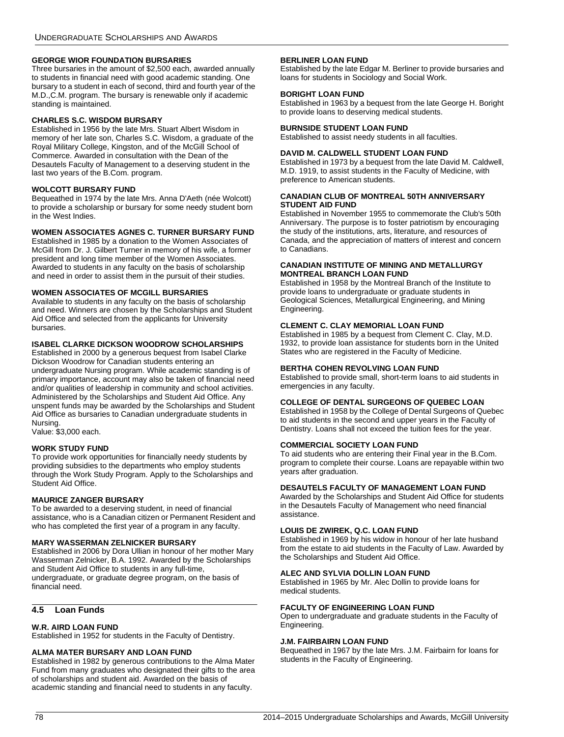# <span id="page-78-18"></span>**GEORGE WIOR FOUNDATION BURSARIES**

Three bursaries in the amount of \$2,500 each, awarded annually to students in financial need with good academic standing. One bursary to a student in each of second, third and fourth year of the M.D.,C.M. program. The bursary is renewable only if academic standing is maintained.

## <span id="page-78-19"></span>**CHARLES S.C. WISDOM BURSARY**

Established in 1956 by the late Mrs. Stuart Albert Wisdom in memory of her late son, Charles S.C. Wisdom, a graduate of the Royal Military College, Kingston, and of the McGill School of Commerce. Awarded in consultation with the Dean of the Desautels Faculty of Management to a deserving student in the last two years of the B.Com. program.

## <span id="page-78-20"></span>**WOLCOTT BURSARY FUND**

Bequeathed in 1974 by the late Mrs. Anna D'Aeth (née Wolcott) to provide a scholarship or bursary for some needy student born in the West Indies.

## <span id="page-78-17"></span>**WOMEN ASSOCIATES AGNES C. TURNER BURSARY FUND**

Established in 1985 by a donation to the Women Associates of McGill from Dr. J. Gilbert Turner in memory of his wife, a former president and long time member of the Women Associates. Awarded to students in any faculty on the basis of scholarship and need in order to assist them in the pursuit of their studies.

## <span id="page-78-21"></span>**WOMEN ASSOCIATES OF MCGILL BURSARIES**

Available to students in any faculty on the basis of scholarship and need. Winners are chosen by the Scholarships and Student Aid Office and selected from the applicants for University bursaries.

## <span id="page-78-22"></span>**ISABEL CLARKE DICKSON WOODROW SCHOLARSHIPS**

Established in 2000 by a generous bequest from Isabel Clarke Dickson Woodrow for Canadian students entering an undergraduate Nursing program. While academic standing is of primary importance, account may also be taken of financial need and/or qualities of leadership in community and school activities. Administered by the Scholarships and Student Aid Office. Any unspent funds may be awarded by the Scholarships and Student Aid Office as bursaries to Canadian undergraduate students in Nursing.

Value: \$3,000 each.

## <span id="page-78-23"></span>**WORK STUDY FUND**

To provide work opportunities for financially needy students by providing subsidies to the departments who employ students through the Work Study Program. Apply to the Scholarships and Student Aid Office.

# <span id="page-78-24"></span>**MAURICE ZANGER BURSARY**

To be awarded to a deserving student, in need of financial assistance, who is a Canadian citizen or Permanent Resident and who has completed the first year of a program in any faculty.

## <span id="page-78-25"></span>**MARY WASSERMAN ZELNICKER BURSARY**

Established in 2006 by Dora Ullian in honour of her mother Mary Wasserman Zelnicker, B.A. 1992. Awarded by the Scholarships and Student Aid Office to students in any full-time, undergraduate, or graduate degree program, on the basis of financial need.

# **4.5 Loan Funds**

## <span id="page-78-0"></span>**W.R. AIRD LOAN FUND**

Established in 1952 for students in the Faculty of Dentistry.

## <span id="page-78-1"></span>**ALMA MATER BURSARY AND LOAN FUND**

Established in 1982 by generous contributions to the Alma Mater Fund from many graduates who designated their gifts to the area of scholarships and student aid. Awarded on the basis of academic standing and financial need to students in any faculty.

## <span id="page-78-2"></span>**BERLINER LOAN FUND**

Established by the late Edgar M. Berliner to provide bursaries and loans for students in Sociology and Social Work.

## <span id="page-78-3"></span>**BORIGHT LOAN FUND**

Established in 1963 by a bequest from the late George H. Boright to provide loans to deserving medical students.

## <span id="page-78-4"></span>**BURNSIDE STUDENT LOAN FUND**

Established to assist needy students in all faculties.

## <span id="page-78-5"></span>**DAVID M. CALDWELL STUDENT LOAN FUND**

Established in 1973 by a bequest from the late David M. Caldwell, M.D. 1919, to assist students in the Faculty of Medicine, with preference to American students.

## <span id="page-78-6"></span>**CANADIAN CLUB OF MONTREAL 50TH ANNIVERSARY STUDENT AID FUND**

Established in November 1955 to commemorate the Club's 50th Anniversary. The purpose is to foster patriotism by encouraging the study of the institutions, arts, literature, and resources of Canada, and the appreciation of matters of interest and concern to Canadians.

#### <span id="page-78-7"></span>**CANADIAN INSTITUTE OF MINING AND METALLURGY MONTREAL BRANCH LOAN FUND**

Established in 1958 by the Montreal Branch of the Institute to provide loans to undergraduate or graduate students in Geological Sciences, Metallurgical Engineering, and Mining Engineering.

## <span id="page-78-8"></span>**CLEMENT C. CLAY MEMORIAL LOAN FUND**

Established in 1985 by a bequest from Clement C. Clay, M.D. 1932, to provide loan assistance for students born in the United States who are registered in the Faculty of Medicine.

## <span id="page-78-9"></span>**BERTHA COHEN REVOLVING LOAN FUND**

Established to provide small, short-term loans to aid students in emergencies in any faculty.

## <span id="page-78-10"></span>**COLLEGE OF DENTAL SURGEONS OF QUEBEC LOAN**

Established in 1958 by the College of Dental Surgeons of Quebec to aid students in the second and upper years in the Faculty of Dentistry. Loans shall not exceed the tuition fees for the year.

## <span id="page-78-11"></span>**COMMERCIAL SOCIETY LOAN FUND**

To aid students who are entering their Final year in the B.Com. program to complete their course. Loans are repayable within two years after graduation.

# <span id="page-78-13"></span>**DESAUTELS FACULTY OF MANAGEMENT LOAN FUND**

Awarded by the Scholarships and Student Aid Office for students in the Desautels Faculty of Management who need financial assistance.

## <span id="page-78-12"></span>**LOUIS DE ZWIREK, Q.C. LOAN FUND**

Established in 1969 by his widow in honour of her late husband from the estate to aid students in the Faculty of Law. Awarded by the Scholarships and Student Aid Office.

## <span id="page-78-14"></span>**ALEC AND SYLVIA DOLLIN LOAN FUND**

Established in 1965 by Mr. Alec Dollin to provide loans for medical students.

## <span id="page-78-15"></span>**FACULTY OF ENGINEERING LOAN FUND**

Open to undergraduate and graduate students in the Faculty of Engineering.

## <span id="page-78-16"></span>**J.M. FAIRBAIRN LOAN FUND**

Bequeathed in 1967 by the late Mrs. J.M. Fairbairn for loans for students in the Faculty of Engineering.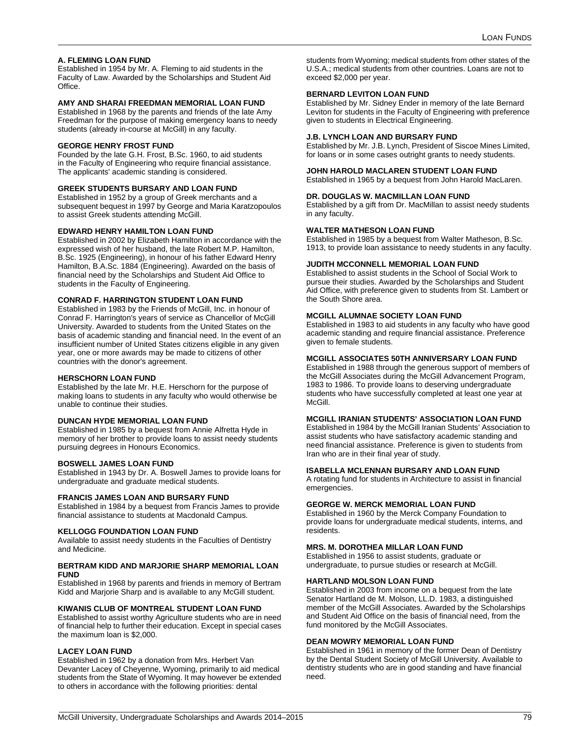## <span id="page-79-0"></span>**A. FLEMING LOAN FUND**

Established in 1954 by Mr. A. Fleming to aid students in the Faculty of Law. Awarded by the Scholarships and Student Aid Office.

## <span id="page-79-1"></span>**AMY AND SHARAI FREEDMAN MEMORIAL LOAN FUND**

Established in 1968 by the parents and friends of the late Amy Freedman for the purpose of making emergency loans to needy students (already in-course at McGill) in any faculty.

## <span id="page-79-2"></span>**GEORGE HENRY FROST FUND**

Founded by the late G.H. Frost, B.Sc. 1960, to aid students in the Faculty of Engineering who require financial assistance. The applicants' academic standing is considered.

## <span id="page-79-3"></span>**GREEK STUDENTS BURSARY AND LOAN FUND**

Established in 1952 by a group of Greek merchants and a subsequent bequest in 1997 by George and Maria Karatzopoulos to assist Greek students attending McGill.

#### <span id="page-79-4"></span>**EDWARD HENRY HAMILTON LOAN FUND**

Established in 2002 by Elizabeth Hamilton in accordance with the expressed wish of her husband, the late Robert M.P. Hamilton, B.Sc. 1925 (Engineering), in honour of his father Edward Henry Hamilton, B.A.Sc. 1884 (Engineering). Awarded on the basis of financial need by the Scholarships and Student Aid Office to students in the Faculty of Engineering.

## <span id="page-79-5"></span>**CONRAD F. HARRINGTON STUDENT LOAN FUND**

Established in 1983 by the Friends of McGill, Inc. in honour of Conrad F. Harrington's years of service as Chancellor of McGill University. Awarded to students from the United States on the basis of academic standing and financial need. In the event of an insufficient number of United States citizens eligible in any given year, one or more awards may be made to citizens of other countries with the donor's agreement.

#### <span id="page-79-6"></span>**HERSCHORN LOAN FUND**

Established by the late Mr. H.E. Herschorn for the purpose of making loans to students in any faculty who would otherwise be unable to continue their studies.

#### <span id="page-79-7"></span>**DUNCAN HYDE MEMORIAL LOAN FUND**

Established in 1985 by a bequest from Annie Alfretta Hyde in memory of her brother to provide loans to assist needy students pursuing degrees in Honours Economics.

#### <span id="page-79-8"></span>**BOSWELL JAMES LOAN FUND**

Established in 1943 by Dr. A. Boswell James to provide loans for undergraduate and graduate medical students.

#### <span id="page-79-9"></span>**FRANCIS JAMES LOAN AND BURSARY FUND**

Established in 1984 by a bequest from Francis James to provide financial assistance to students at Macdonald Campus.

#### <span id="page-79-10"></span>**KELLOGG FOUNDATION LOAN FUND**

Available to assist needy students in the Faculties of Dentistry and Medicine.

## <span id="page-79-11"></span>**BERTRAM KIDD AND MARJORIE SHARP MEMORIAL LOAN FUND**

Established in 1968 by parents and friends in memory of Bertram Kidd and Marjorie Sharp and is available to any McGill student.

#### <span id="page-79-12"></span>**KIWANIS CLUB OF MONTREAL STUDENT LOAN FUND**

Established to assist worthy Agriculture students who are in need of financial help to further their education. Except in special cases the maximum loan is \$2,000.

## <span id="page-79-13"></span>**LACEY LOAN FUND**

Established in 1962 by a donation from Mrs. Herbert Van Devanter Lacey of Cheyenne, Wyoming, primarily to aid medical students from the State of Wyoming. It may however be extended to others in accordance with the following priorities: dental

students from Wyoming; medical students from other states of the U.S.A.; medical students from other countries. Loans are not to exceed \$2,000 per year.

## <span id="page-79-14"></span>**BERNARD LEVITON LOAN FUND**

Established by Mr. Sidney Ender in memory of the late Bernard Leviton for students in the Faculty of Engineering with preference given to students in Electrical Engineering.

#### <span id="page-79-15"></span>**J.B. LYNCH LOAN AND BURSARY FUND**

Established by Mr. J.B. Lynch, President of Siscoe Mines Limited, for loans or in some cases outright grants to needy students.

#### <span id="page-79-16"></span>**JOHN HAROLD MACLAREN STUDENT LOAN FUND**

Established in 1965 by a bequest from John Harold MacLaren.

# <span id="page-79-17"></span>**DR. DOUGLAS W. MACMILLAN LOAN FUND**

Established by a gift from Dr. MacMillan to assist needy students in any faculty.

#### <span id="page-79-18"></span>**WALTER MATHESON LOAN FUND**

Established in 1985 by a bequest from Walter Matheson, B.Sc. 1913, to provide loan assistance to needy students in any faculty.

#### <span id="page-79-19"></span>**JUDITH MCCONNELL MEMORIAL LOAN FUND**

Established to assist students in the School of Social Work to pursue their studies. Awarded by the Scholarships and Student Aid Office, with preference given to students from St. Lambert or the South Shore area.

#### <span id="page-79-20"></span>**MCGILL ALUMNAE SOCIETY LOAN FUND**

Established in 1983 to aid students in any faculty who have good academic standing and require financial assistance. Preference given to female students.

#### <span id="page-79-21"></span>**MCGILL ASSOCIATES 50TH ANNIVERSARY LOAN FUND**

Established in 1988 through the generous support of members of the McGill Associates during the McGill Advancement Program, 1983 to 1986. To provide loans to deserving undergraduate students who have successfully completed at least one year at McGill.

## <span id="page-79-22"></span>**MCGILL IRANIAN STUDENTS' ASSOCIATION LOAN FUND**

Established in 1984 by the McGill Iranian Students' Association to assist students who have satisfactory academic standing and need financial assistance. Preference is given to students from Iran who are in their final year of study.

## <span id="page-79-23"></span>**ISABELLA MCLENNAN BURSARY AND LOAN FUND**

A rotating fund for students in Architecture to assist in financial emergencies.

#### <span id="page-79-24"></span>**GEORGE W. MERCK MEMORIAL LOAN FUND**

Established in 1960 by the Merck Company Foundation to provide loans for undergraduate medical students, interns, and residents.

#### <span id="page-79-25"></span>**MRS. M. DOROTHEA MILLAR LOAN FUND**

Established in 1956 to assist students, graduate or undergraduate, to pursue studies or research at McGill.

## <span id="page-79-26"></span>**HARTLAND MOLSON LOAN FUND**

Established in 2003 from income on a bequest from the late Senator Hartland de M. Molson, LL.D. 1983, a distinguished member of the McGill Associates. Awarded by the Scholarships and Student Aid Office on the basis of financial need, from the fund monitored by the McGill Associates.

## <span id="page-79-27"></span>**DEAN MOWRY MEMORIAL LOAN FUND**

Established in 1961 in memory of the former Dean of Dentistry by the Dental Student Society of McGill University. Available to dentistry students who are in good standing and have financial need.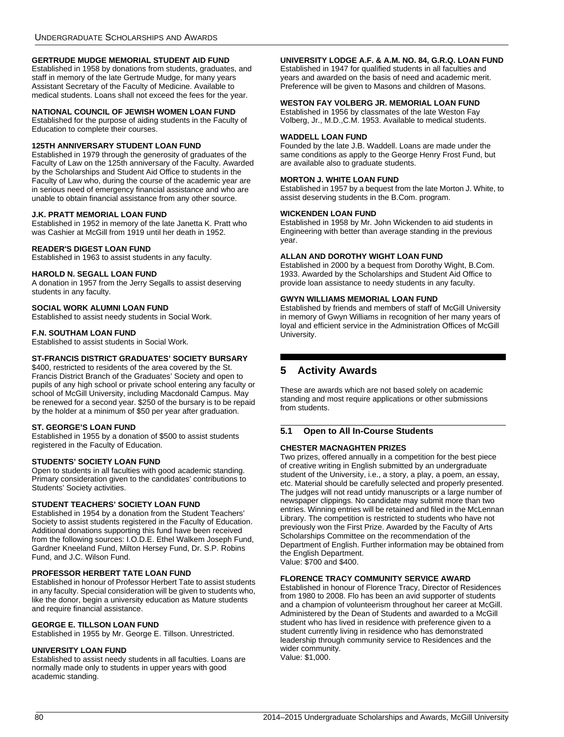## <span id="page-80-3"></span>**GERTRUDE MUDGE MEMORIAL STUDENT AID FUND**

Established in 1958 by donations from students, graduates, and staff in memory of the late Gertrude Mudge, for many years Assistant Secretary of the Faculty of Medicine. Available to medical students. Loans shall not exceed the fees for the year.

## <span id="page-80-4"></span>**NATIONAL COUNCIL OF JEWISH WOMEN LOAN FUND**

Established for the purpose of aiding students in the Faculty of Education to complete their courses.

## <span id="page-80-0"></span>**125TH ANNIVERSARY STUDENT LOAN FUND**

Established in 1979 through the generosity of graduates of the Faculty of Law on the 125th anniversary of the Faculty. Awarded by the Scholarships and Student Aid Office to students in the Faculty of Law who, during the course of the academic year are in serious need of emergency financial assistance and who are unable to obtain financial assistance from any other source.

## <span id="page-80-5"></span>**J.K. PRATT MEMORIAL LOAN FUND**

Established in 1952 in memory of the late Janetta K. Pratt who was Cashier at McGill from 1919 until her death in 1952.

#### <span id="page-80-6"></span>**READER'S DIGEST LOAN FUND**

Established in 1963 to assist students in any faculty.

#### <span id="page-80-7"></span>**HAROLD N. SEGALL LOAN FUND**

A donation in 1957 from the Jerry Segalls to assist deserving students in any faculty.

## <span id="page-80-8"></span>**SOCIAL WORK ALUMNI LOAN FUND**

Established to assist needy students in Social Work.

## <span id="page-80-9"></span>**F.N. SOUTHAM LOAN FUND**

Established to assist students in Social Work.

## <span id="page-80-10"></span>**ST-FRANCIS DISTRICT GRADUATES' SOCIETY BURSARY**

\$400, restricted to residents of the area covered by the St. Francis District Branch of the Graduates' Society and open to pupils of any high school or private school entering any faculty or school of McGill University, including Macdonald Campus. May be renewed for a second year. \$250 of the bursary is to be repaid by the holder at a minimum of \$50 per year after graduation.

## <span id="page-80-11"></span>**ST. GEORGE'S LOAN FUND**

Established in 1955 by a donation of \$500 to assist students registered in the Faculty of Education.

## <span id="page-80-13"></span>**STUDENTS' SOCIETY LOAN FUND**

Open to students in all faculties with good academic standing. Primary consideration given to the candidates' contributions to Students' Society activities.

## <span id="page-80-12"></span>**STUDENT TEACHERS' SOCIETY LOAN FUND**

Established in 1954 by a donation from the Student Teachers' Society to assist students registered in the Faculty of Education. Additional donations supporting this fund have been received from the following sources: I.O.D.E. Ethel Walkem Joseph Fund, Gardner Kneeland Fund, Milton Hersey Fund, Dr. S.P. Robins Fund, and J.C. Wilson Fund.

# <span id="page-80-14"></span>**PROFESSOR HERBERT TATE LOAN FUND**

Established in honour of Professor Herbert Tate to assist students in any faculty. Special consideration will be given to students who, like the donor, begin a university education as Mature students and require financial assistance.

#### <span id="page-80-15"></span>**GEORGE E. TILLSON LOAN FUND**

Established in 1955 by Mr. George E. Tillson. Unrestricted.

#### <span id="page-80-17"></span>**UNIVERSITY LOAN FUND**

Established to assist needy students in all faculties. Loans are normally made only to students in upper years with good academic standing.

#### <span id="page-80-18"></span>**UNIVERSITY LODGE A.F. & A.M. NO. 84, G.R.Q. LOAN FUND**

Established in 1947 for qualified students in all faculties and years and awarded on the basis of need and academic merit. Preference will be given to Masons and children of Masons.

## <span id="page-80-19"></span>**WESTON FAY VOLBERG JR. MEMORIAL LOAN FUND**

Established in 1956 by classmates of the late Weston Fay Volberg, Jr., M.D.,C.M. 1953. Available to medical students.

#### <span id="page-80-20"></span>**WADDELL LOAN FUND**

Founded by the late J.B. Waddell. Loans are made under the same conditions as apply to the George Henry Frost Fund, but are available also to graduate students.

## <span id="page-80-21"></span>**MORTON J. WHITE LOAN FUND**

Established in 1957 by a bequest from the late Morton J. White, to assist deserving students in the B.Com. program.

#### <span id="page-80-22"></span>**WICKENDEN LOAN FUND**

Established in 1958 by Mr. John Wickenden to aid students in Engineering with better than average standing in the previous year.

## <span id="page-80-23"></span>**ALLAN AND DOROTHY WIGHT LOAN FUND**

Established in 2000 by a bequest from Dorothy Wight, B.Com. 1933. Awarded by the Scholarships and Student Aid Office to provide loan assistance to needy students in any faculty.

#### <span id="page-80-24"></span>**GWYN WILLIAMS MEMORIAL LOAN FUND**

Established by friends and members of staff of McGill University in memory of Gwyn Williams in recognition of her many years of loyal and efficient service in the Administration Offices of McGill University.

# <span id="page-80-1"></span>**5 Activity Awards**

These are awards which are not based solely on academic standing and most require applications or other submissions from students.

# **5.1 Open to All In-Course Students**

## <span id="page-80-2"></span>**CHESTER MACNAGHTEN PRIZES**

Two prizes, offered annually in a competition for the best piece of creative writing in English submitted by an undergraduate student of the University, i.e., a story, a play, a poem, an essay, etc. Material should be carefully selected and properly presented. The judges will not read untidy manuscripts or a large number of newspaper clippings. No candidate may submit more than two entries. Winning entries will be retained and filed in the McLennan Library. The competition is restricted to students who have not previously won the First Prize. Awarded by the Faculty of Arts Scholarships Committee on the recommendation of the Department of English. Further information may be obtained from the English Department. Value: \$700 and \$400.

## <span id="page-80-16"></span>**FLORENCE TRACY COMMUNITY SERVICE AWARD**

Established in honour of Florence Tracy, Director of Residences from 1980 to 2008. Flo has been an avid supporter of students and a champion of volunteerism throughout her career at McGill. Administered by the Dean of Students and awarded to a McGill student who has lived in residence with preference given to a student currently living in residence who has demonstrated leadership through community service to Residences and the wider community. Value: \$1,000.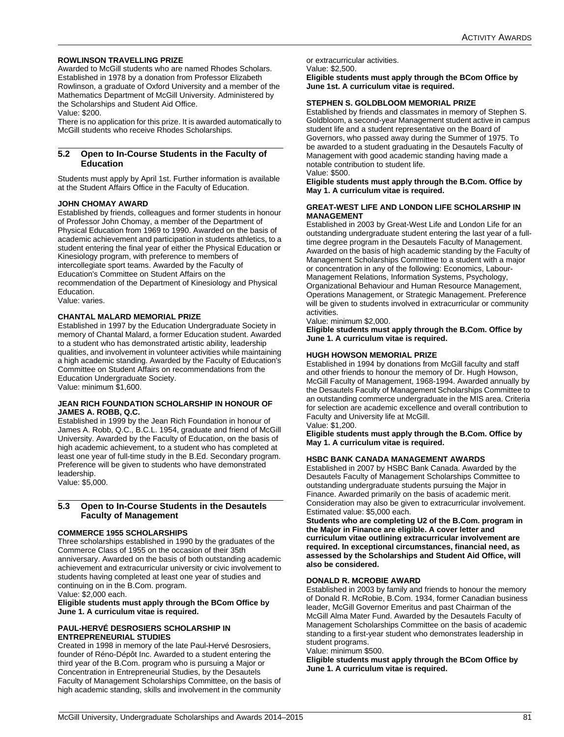## <span id="page-81-10"></span>**ROWLINSON TRAVELLING PRIZE**

Awarded to McGill students who are named Rhodes Scholars. Established in 1978 by a donation from Professor Elizabeth Rowlinson, a graduate of Oxford University and a member of the Mathematics Department of McGill University. Administered by the Scholarships and Student Aid Office.

Value: \$200.

There is no application for this prize. It is awarded automatically to McGill students who receive Rhodes Scholarships.

## **5.2 Open to In-Course Students in the Faculty of Education**

Students must apply by April 1st. Further information is available at the Student Affairs Office in the Faculty of Education.

## <span id="page-81-0"></span>**JOHN CHOMAY AWARD**

Established by friends, colleagues and former students in honour of Professor John Chomay, a member of the Department of Physical Education from 1969 to 1990. Awarded on the basis of academic achievement and participation in students athletics, to a student entering the final year of either the Physical Education or Kinesiology program, with preference to members of intercollegiate sport teams. Awarded by the Faculty of Education's Committee on Student Affairs on the recommendation of the Department of Kinesiology and Physical Education.

Value: varies.

## <span id="page-81-7"></span>**CHANTAL MALARD MEMORIAL PRIZE**

Established in 1997 by the Education Undergraduate Society in memory of Chantal Malard, a former Education student. Awarded to a student who has demonstrated artistic ability, leadership qualities, and involvement in volunteer activities while maintaining a high academic standing. Awarded by the Faculty of Education's Committee on Student Affairs on recommendations from the Education Undergraduate Society.

Value: minimum \$1,600.

## <span id="page-81-9"></span>**JEAN RICH FOUNDATION SCHOLARSHIP IN HONOUR OF JAMES A. ROBB, Q.C.**

Established in 1999 by the Jean Rich Foundation in honour of James A. Robb, Q.C., B.C.L. 1954, graduate and friend of McGill University. Awarded by the Faculty of Education, on the basis of high academic achievement, to a student who has completed at least one year of full-time study in the B.Ed. Secondary program. Preference will be given to students who have demonstrated leadership.

Value: \$5,000.

## **5.3 Open to In-Course Students in the Desautels Faculty of Management**

## <span id="page-81-1"></span>**COMMERCE 1955 SCHOLARSHIPS**

Three scholarships established in 1990 by the graduates of the Commerce Class of 1955 on the occasion of their 35th anniversary. Awarded on the basis of both outstanding academic achievement and extracurricular university or civic involvement to students having completed at least one year of studies and continuing on in the B.Com. program. Value: \$2,000 each.

**Eligible students must apply through the BCom Office by June 1. A curriculum vitae is required.**

## <span id="page-81-2"></span>**PAUL-HERVÉ DESROSIERS SCHOLARSHIP IN ENTREPRENEURIAL STUDIES**

Created in 1998 in memory of the late Paul-Hervé Desrosiers, founder of Réno-Dépôt Inc. Awarded to a student entering the third year of the B.Com. program who is pursuing a Major or Concentration in Entrepreneurial Studies, by the Desautels Faculty of Management Scholarships Committee, on the basis of high academic standing, skills and involvement in the community or extracurricular activities. Value: \$2,500.

**Eligible students must apply through the BCom Office by June 1st. A curriculum vitae is required.**

## <span id="page-81-3"></span>**STEPHEN S. GOLDBLOOM MEMORIAL PRIZE**

Established by friends and classmates in memory of Stephen S. Goldbloom, a second-year Management student active in campus student life and a student representative on the Board of Governors, who passed away during the Summer of 1975. To be awarded to a student graduating in the Desautels Faculty of Management with good academic standing having made a notable contribution to student life. Value: \$500.

**Eligible students must apply through the B.Com. Office by May 1. A curriculum vitae is required.**

## <span id="page-81-4"></span>**GREAT-WEST LIFE AND LONDON LIFE SCHOLARSHIP IN MANAGEMENT**

Established in 2003 by Great-West Life and London Life for an outstanding undergraduate student entering the last year of a fulltime degree program in the Desautels Faculty of Management. Awarded on the basis of high academic standing by the Faculty of Management Scholarships Committee to a student with a major or concentration in any of the following: Economics, Labour-Management Relations, Information Systems, Psychology, Organizational Behaviour and Human Resource Management, Operations Management, or Strategic Management. Preference will be given to students involved in extracurricular or community activities.

Value: minimum \$2,000.

**Eligible students must apply through the B.Com. Office by June 1. A curriculum vitae is required.**

## <span id="page-81-5"></span>**HUGH HOWSON MEMORIAL PRIZE**

Established in 1994 by donations from McGill faculty and staff and other friends to honour the memory of Dr. Hugh Howson, McGill Faculty of Management, 1968-1994. Awarded annually by the Desautels Faculty of Management Scholarships Committee to an outstanding commerce undergraduate in the MIS area. Criteria for selection are academic excellence and overall contribution to Faculty and University life at McGill.

Value: \$1,200.

**Eligible students must apply through the B.Com. Office by May 1. A curriculum vitae is required.**

## <span id="page-81-6"></span>**HSBC BANK CANADA MANAGEMENT AWARDS**

Established in 2007 by HSBC Bank Canada. Awarded by the Desautels Faculty of Management Scholarships Committee to outstanding undergraduate students pursuing the Major in Finance. Awarded primarily on the basis of academic merit. Consideration may also be given to extracurricular involvement. Estimated value: \$5,000 each.

**Students who are completing U2 of the B.Com. program in the Major in Finance are eligible. A cover letter and curriculum vitae outlining extracurricular involvement are required. In exceptional circumstances, financial need, as assessed by the Scholarships and Student Aid Office, will also be considered.**

## <span id="page-81-8"></span>**DONALD R. MCROBIE AWARD**

Established in 2003 by family and friends to honour the memory of Donald R. McRobie, B.Com. 1934, former Canadian business leader, McGill Governor Emeritus and past Chairman of the McGill Alma Mater Fund. Awarded by the Desautels Faculty of Management Scholarships Committee on the basis of academic standing to a first-year student who demonstrates leadership in student programs.

Value: minimum \$500.

**Eligible students must apply through the BCom Office by June 1. A curriculum vitae is required.**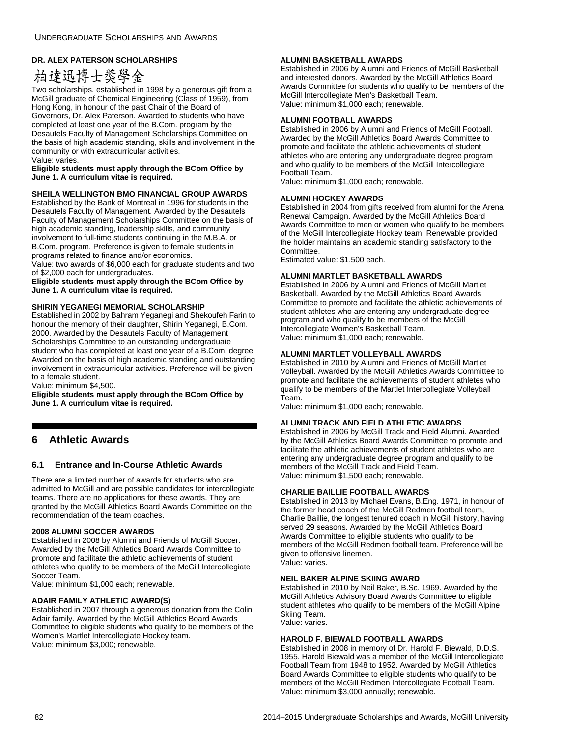# <span id="page-82-12"></span>**DR. ALEX PATERSON SCHOLARSHIPS**

# 柏達迅博士獎學金

Two scholarships, established in 1998 by a generous gift from a McGill graduate of Chemical Engineering (Class of 1959), from Hong Kong, in honour of the past Chair of the Board of Governors, Dr. Alex Paterson. Awarded to students who have completed at least one year of the B.Com. program by the Desautels Faculty of Management Scholarships Committee on the basis of high academic standing, skills and involvement in the community or with extracurricular activities. Value: varies.

## **Eligible students must apply through the BCom Office by June 1. A curriculum vitae is required.**

## <span id="page-82-11"></span>**SHEILA WELLINGTON BMO FINANCIAL GROUP AWARDS**

Established by the Bank of Montreal in 1996 for students in the Desautels Faculty of Management. Awarded by the Desautels Faculty of Management Scholarships Committee on the basis of high academic standing, leadership skills, and community involvement to full-time students continuing in the M.B.A. or B.Com. program. Preference is given to female students in programs related to finance and/or economics.

Value: two awards of \$6,000 each for graduate students and two of \$2,000 each for undergraduates.

**Eligible students must apply through the BCom Office by June 1. A curriculum vitae is required.**

## <span id="page-82-13"></span>**SHIRIN YEGANEGI MEMORIAL SCHOLARSHIP**

Established in 2002 by Bahram Yeganegi and Shekoufeh Farin to honour the memory of their daughter, Shirin Yeganegi, B.Com. 2000. Awarded by the Desautels Faculty of Management Scholarships Committee to an outstanding undergraduate student who has completed at least one year of a B.Com. degree. Awarded on the basis of high academic standing and outstanding involvement in extracurricular activities. Preference will be given to a female student.

Value: minimum \$4,500.

**Eligible students must apply through the BCom Office by June 1. A curriculum vitae is required.**

# **6 Athletic Awards**

## **6.1 Entrance and In-Course Athletic Awards**

There are a limited number of awards for students who are admitted to McGill and are possible candidates for intercollegiate teams. There are no applications for these awards. They are granted by the McGill Athletics Board Awards Committee on the recommendation of the team coaches.

## <span id="page-82-0"></span>**2008 ALUMNI SOCCER AWARDS**

Established in 2008 by Alumni and Friends of McGill Soccer. Awarded by the McGill Athletics Board Awards Committee to promote and facilitate the athletic achievements of student athletes who qualify to be members of the McGill Intercollegiate Soccer Team.

Value: minimum \$1,000 each; renewable.

## <span id="page-82-1"></span>**ADAIR FAMILY ATHLETIC AWARD(S)**

Established in 2007 through a generous donation from the Colin Adair family. Awarded by the McGill Athletics Board Awards Committee to eligible students who qualify to be members of the Women's Martlet Intercollegiate Hockey team. Value: minimum \$3,000; renewable.

## <span id="page-82-2"></span>**ALUMNI BASKETBALL AWARDS**

Established in 2006 by Alumni and Friends of McGill Basketball and interested donors. Awarded by the McGill Athletics Board Awards Committee for students who qualify to be members of the McGill Intercollegiate Men's Basketball Team. Value: minimum \$1,000 each; renewable.

## <span id="page-82-3"></span>**ALUMNI FOOTBALL AWARDS**

Established in 2006 by Alumni and Friends of McGill Football. Awarded by the McGill Athletics Board Awards Committee to promote and facilitate the athletic achievements of student athletes who are entering any undergraduate degree program and who qualify to be members of the McGill Intercollegiate Football Team.

Value: minimum \$1,000 each; renewable.

## <span id="page-82-4"></span>**ALUMNI HOCKEY AWARDS**

Established in 2004 from gifts received from alumni for the Arena Renewal Campaign. Awarded by the McGill Athletics Board Awards Committee to men or women who qualify to be members of the McGill Intercollegiate Hockey team. Renewable provided the holder maintains an academic standing satisfactory to the Committee.

Estimated value: \$1,500 each.

## <span id="page-82-5"></span>**ALUMNI MARTLET BASKETBALL AWARDS**

Established in 2006 by Alumni and Friends of McGill Martlet Basketball. Awarded by the McGill Athletics Board Awards Committee to promote and facilitate the athletic achievements of student athletes who are entering any undergraduate degree program and who qualify to be members of the McGill Intercollegiate Women's Basketball Team. Value: minimum \$1,000 each; renewable.

## <span id="page-82-6"></span>**ALUMNI MARTLET VOLLEYBALL AWARDS**

Established in 2010 by Alumni and Friends of McGill Martlet Volleyball. Awarded by the McGill Athletics Awards Committee to promote and facilitate the achievements of student athletes who qualify to be members of the Martlet Intercollegiate Volleyball Team.

Value: minimum \$1,000 each; renewable.

## <span id="page-82-7"></span>**ALUMNI TRACK AND FIELD ATHLETIC AWARDS**

Established in 2006 by McGill Track and Field Alumni. Awarded by the McGill Athletics Board Awards Committee to promote and facilitate the athletic achievements of student athletes who are entering any undergraduate degree program and qualify to be members of the McGill Track and Field Team. Value: minimum \$1,500 each; renewable.

## <span id="page-82-8"></span>**CHARLIE BAILLIE FOOTBALL AWARDS**

Established in 2013 by Michael Evans, B.Eng. 1971, in honour of the former head coach of the McGill Redmen football team, Charlie Baillie, the longest tenured coach in McGill history, having served 29 seasons. Awarded by the McGill Athletics Board Awards Committee to eligible students who qualify to be members of the McGill Redmen football team. Preference will be given to offensive linemen. Value: varies.

## <span id="page-82-9"></span>**NEIL BAKER ALPINE SKIING AWARD**

Established in 2010 by Neil Baker, B.Sc. 1969. Awarded by the McGill Athletics Advisory Board Awards Committee to eligible student athletes who qualify to be members of the McGill Alpine Skiing Team. Value: varies.

## <span id="page-82-10"></span>**HAROLD F. BIEWALD FOOTBALL AWARDS**

Established in 2008 in memory of Dr. Harold F. Biewald, D.D.S. 1955. Harold Biewald was a member of the McGill Intercollegiate Football Team from 1948 to 1952. Awarded by McGill Athletics Board Awards Committee to eligible students who qualify to be members of the McGill Redmen Intercollegiate Football Team. Value: minimum \$3,000 annually; renewable.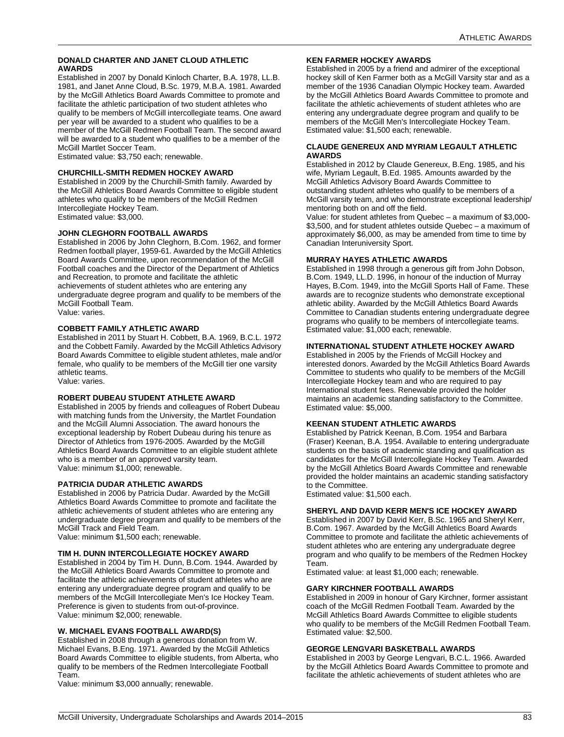## <span id="page-83-0"></span>**DONALD CHARTER AND JANET CLOUD ATHLETIC AWARDS**

Established in 2007 by Donald Kinloch Charter, B.A. 1978, LL.B. 1981, and Janet Anne Cloud, B.Sc. 1979, M.B.A. 1981. Awarded by the McGill Athletics Board Awards Committee to promote and facilitate the athletic participation of two student athletes who qualify to be members of McGill intercollegiate teams. One award per year will be awarded to a student who qualifies to be a member of the McGill Redmen Football Team. The second award will be awarded to a student who qualifies to be a member of the McGill Martlet Soccer Team.

Estimated value: \$3,750 each; renewable.

# <span id="page-83-1"></span>**CHURCHILL-SMITH REDMEN HOCKEY AWARD**

Established in 2009 by the Churchill-Smith family. Awarded by the McGill Athletics Board Awards Committee to eligible student athletes who qualify to be members of the McGill Redmen Intercollegiate Hockey Team. Estimated value: \$3,000.

## <span id="page-83-2"></span>**JOHN CLEGHORN FOOTBALL AWARDS**

Established in 2006 by John Cleghorn, B.Com. 1962, and former Redmen football player, 1959-61. Awarded by the McGill Athletics Board Awards Committee, upon recommendation of the McGill Football coaches and the Director of the Department of Athletics and Recreation, to promote and facilitate the athletic achievements of student athletes who are entering any undergraduate degree program and qualify to be members of the McGill Football Team. Value: varies.

## <span id="page-83-3"></span>**COBBETT FAMILY ATHLETIC AWARD**

Established in 2011 by Stuart H. Cobbett, B.A. 1969, B.C.L. 1972 and the Cobbett Family. Awarded by the McGill Athletics Advisory Board Awards Committee to eligible student athletes, male and/or female, who qualify to be members of the McGill tier one varsity athletic teams. Value: varies.

# <span id="page-83-4"></span>**ROBERT DUBEAU STUDENT ATHLETE AWARD**

Established in 2005 by friends and colleagues of Robert Dubeau with matching funds from the University, the Martlet Foundation and the McGill Alumni Association. The award honours the exceptional leadership by Robert Dubeau during his tenure as Director of Athletics from 1976-2005. Awarded by the McGill Athletics Board Awards Committee to an eligible student athlete who is a member of an approved varsity team. Value: minimum \$1,000; renewable.

## <span id="page-83-5"></span>**PATRICIA DUDAR ATHLETIC AWARDS**

Established in 2006 by Patricia Dudar. Awarded by the McGill Athletics Board Awards Committee to promote and facilitate the athletic achievements of student athletes who are entering any undergraduate degree program and qualify to be members of the McGill Track and Field Team.

Value: minimum \$1,500 each; renewable.

## <span id="page-83-6"></span>**TIM H. DUNN INTERCOLLEGIATE HOCKEY AWARD**

Established in 2004 by Tim H. Dunn, B.Com. 1944. Awarded by the McGill Athletics Board Awards Committee to promote and facilitate the athletic achievements of student athletes who are entering any undergraduate degree program and qualify to be members of the McGill Intercollegiate Men's Ice Hockey Team. Preference is given to students from out-of-province. Value: minimum \$2,000; renewable.

## <span id="page-83-7"></span>**W. MICHAEL EVANS FOOTBALL AWARD(S)**

Established in 2008 through a generous donation from W. Michael Evans, B.Eng. 1971. Awarded by the McGill Athletics Board Awards Committee to eligible students, from Alberta, who qualify to be members of the Redmen Intercollegiate Football Team.

Value: minimum \$3,000 annually; renewable.

## <span id="page-83-8"></span>**KEN FARMER HOCKEY AWARDS**

Established in 2005 by a friend and admirer of the exceptional hockey skill of Ken Farmer both as a McGill Varsity star and as a member of the 1936 Canadian Olympic Hockey team. Awarded by the McGill Athletics Board Awards Committee to promote and facilitate the athletic achievements of student athletes who are entering any undergraduate degree program and qualify to be members of the McGill Men's Intercollegiate Hockey Team. Estimated value: \$1,500 each; renewable.

## <span id="page-83-9"></span>**CLAUDE GENEREUX AND MYRIAM LEGAULT ATHLETIC AWARDS**

Established in 2012 by Claude Genereux, B.Eng. 1985, and his wife, Myriam Legault, B.Ed. 1985. Amounts awarded by the McGill Athletics Advisory Board Awards Committee to outstanding student athletes who qualify to be members of a McGill varsity team, and who demonstrate exceptional leadership/ mentoring both on and off the field.

Value: for student athletes from Quebec – a maximum of \$3,000- \$3,500, and for student athletes outside Quebec – a maximum of approximately \$6,000, as may be amended from time to time by Canadian Interuniversity Sport.

## <span id="page-83-10"></span>**MURRAY HAYES ATHLETIC AWARDS**

Established in 1998 through a generous gift from John Dobson, B.Com. 1949, LL.D. 1996, in honour of the induction of Murray Hayes, B.Com. 1949, into the McGill Sports Hall of Fame. These awards are to recognize students who demonstrate exceptional athletic ability. Awarded by the McGill Athletics Board Awards Committee to Canadian students entering undergraduate degree programs who qualify to be members of intercollegiate teams. Estimated value: \$1,000 each; renewable.

## <span id="page-83-11"></span>**INTERNATIONAL STUDENT ATHLETE HOCKEY AWARD**

Established in 2005 by the Friends of McGill Hockey and interested donors. Awarded by the McGill Athletics Board Awards Committee to students who qualify to be members of the McGill Intercollegiate Hockey team and who are required to pay International student fees. Renewable provided the holder maintains an academic standing satisfactory to the Committee. Estimated value: \$5,000.

## <span id="page-83-12"></span>**KEENAN STUDENT ATHLETIC AWARDS**

Established by Patrick Keenan, B.Com. 1954 and Barbara (Fraser) Keenan, B.A. 1954. Available to entering undergraduate students on the basis of academic standing and qualification as candidates for the McGill Intercollegiate Hockey Team. Awarded by the McGill Athletics Board Awards Committee and renewable provided the holder maintains an academic standing satisfactory to the Committee.

Estimated value: \$1,500 each.

## <span id="page-83-13"></span>**SHERYL AND DAVID KERR MEN'S ICE HOCKEY AWARD**

Established in 2007 by David Kerr, B.Sc. 1965 and Sheryl Kerr, B.Com. 1967. Awarded by the McGill Athletics Board Awards Committee to promote and facilitate the athletic achievements of student athletes who are entering any undergraduate degree program and who qualify to be members of the Redmen Hockey Team.

Estimated value: at least \$1,000 each; renewable.

## <span id="page-83-14"></span>**GARY KIRCHNER FOOTBALL AWARDS**

Established in 2009 in honour of Gary Kirchner, former assistant coach of the McGill Redmen Football Team. Awarded by the McGill Athletics Board Awards Committee to eligible students who qualify to be members of the McGill Redmen Football Team. Estimated value: \$2,500.

## <span id="page-83-15"></span>**GEORGE LENGVARI BASKETBALL AWARDS**

Established in 2003 by George Lengvari, B.C.L. 1966. Awarded by the McGill Athletics Board Awards Committee to promote and facilitate the athletic achievements of student athletes who are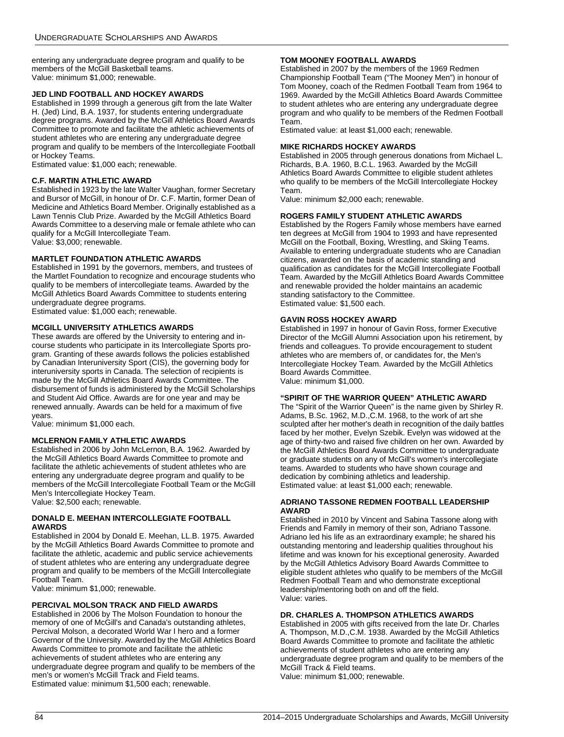entering any undergraduate degree program and qualify to be members of the McGill Basketball teams. Value: minimum \$1,000; renewable.

## <span id="page-84-0"></span>**JED LIND FOOTBALL AND HOCKEY AWARDS**

Established in 1999 through a generous gift from the late Walter H. (Jed) Lind, B.A. 1937, for students entering undergraduate degree programs. Awarded by the McGill Athletics Board Awards Committee to promote and facilitate the athletic achievements of student athletes who are entering any undergraduate degree program and qualify to be members of the Intercollegiate Football or Hockey Teams.

Estimated value: \$1,000 each; renewable.

## <span id="page-84-1"></span>**C.F. MARTIN ATHLETIC AWARD**

Established in 1923 by the late Walter Vaughan, former Secretary and Bursor of McGill, in honour of Dr. C.F. Martin, former Dean of Medicine and Athletics Board Member. Originally established as a Lawn Tennis Club Prize. Awarded by the McGill Athletics Board Awards Committee to a deserving male or female athlete who can qualify for a McGill Intercollegiate Team. Value: \$3,000; renewable.

## <span id="page-84-2"></span>**MARTLET FOUNDATION ATHLETIC AWARDS**

Established in 1991 by the governors, members, and trustees of the Martlet Foundation to recognize and encourage students who qualify to be members of intercollegiate teams. Awarded by the McGill Athletics Board Awards Committee to students entering undergraduate degree programs.

Estimated value: \$1,000 each; renewable.

# <span id="page-84-3"></span>**MCGILL UNIVERSITY ATHLETICS AWARDS**

These awards are offered by the University to entering and incourse students who participate in its Intercollegiate Sports program. Granting of these awards follows the policies established by Canadian Interuniversity Sport (CIS), the governing body for interuniversity sports in Canada. The selection of recipients is made by the McGill Athletics Board Awards Committee. The disbursement of funds is administered by the McGill Scholarships and Student Aid Office. Awards are for one year and may be renewed annually. Awards can be held for a maximum of five years.

Value: minimum \$1,000 each.

## <span id="page-84-4"></span>**MCLERNON FAMILY ATHLETIC AWARDS**

Established in 2006 by John McLernon, B.A. 1962. Awarded by the McGill Athletics Board Awards Committee to promote and facilitate the athletic achievements of student athletes who are entering any undergraduate degree program and qualify to be members of the McGill Intercollegiate Football Team or the McGill Men's Intercollegiate Hockey Team. Value: \$2,500 each; renewable.

## <span id="page-84-5"></span>**DONALD E. MEEHAN INTERCOLLEGIATE FOOTBALL AWARDS**

Established in 2004 by Donald E. Meehan, LL.B. 1975. Awarded by the McGill Athletics Board Awards Committee to promote and facilitate the athletic, academic and public service achievements of student athletes who are entering any undergraduate degree program and qualify to be members of the McGill Intercollegiate Football Team.

Value: minimum \$1,000; renewable.

## <span id="page-84-6"></span>**PERCIVAL MOLSON TRACK AND FIELD AWARDS**

Established in 2006 by The Molson Foundation to honour the memory of one of McGill's and Canada's outstanding athletes, Percival Molson, a decorated World War I hero and a former Governor of the University. Awarded by the McGill Athletics Board Awards Committee to promote and facilitate the athletic achievements of student athletes who are entering any undergraduate degree program and qualify to be members of the men's or women's McGill Track and Field teams. Estimated value: minimum \$1,500 each; renewable.

## <span id="page-84-7"></span>**TOM MOONEY FOOTBALL AWARDS**

Established in 2007 by the members of the 1969 Redmen Championship Football Team ("The Mooney Men") in honour of Tom Mooney, coach of the Redmen Football Team from 1964 to 1969. Awarded by the McGill Athletics Board Awards Committee to student athletes who are entering any undergraduate degree program and who qualify to be members of the Redmen Football Team.

Estimated value: at least \$1,000 each; renewable.

## <span id="page-84-8"></span>**MIKE RICHARDS HOCKEY AWARDS**

Established in 2005 through generous donations from Michael L. Richards, B.A. 1960, B.C.L. 1963. Awarded by the McGill Athletics Board Awards Committee to eligible student athletes who qualify to be members of the McGill Intercollegiate Hockey Team.

Value: minimum \$2,000 each; renewable.

## <span id="page-84-9"></span>**ROGERS FAMILY STUDENT ATHLETIC AWARDS**

Established by the Rogers Family whose members have earned ten degrees at McGill from 1904 to 1993 and have represented McGill on the Football, Boxing, Wrestling, and Skiing Teams. Available to entering undergraduate students who are Canadian citizens, awarded on the basis of academic standing and qualification as candidates for the McGill Intercollegiate Football Team. Awarded by the McGill Athletics Board Awards Committee and renewable provided the holder maintains an academic standing satisfactory to the Committee. Estimated value: \$1,500 each.

## <span id="page-84-10"></span>**GAVIN ROSS HOCKEY AWARD**

Established in 1997 in honour of Gavin Ross, former Executive Director of the McGill Alumni Association upon his retirement, by friends and colleagues. To provide encouragement to student athletes who are members of, or candidates for, the Men's Intercollegiate Hockey Team. Awarded by the McGill Athletics Board Awards Committee. Value: minimum \$1,000.

## <span id="page-84-11"></span>**"SPIRIT OF THE WARRIOR QUEEN" ATHLETIC AWARD**

The "Spirit of the Warrior Queen" is the name given by Shirley R. Adams, B.Sc. 1962, M.D.,C.M. 1968, to the work of art she sculpted after her mother's death in recognition of the daily battles faced by her mother, Evelyn Szebik. Evelyn was widowed at the age of thirty-two and raised five children on her own. Awarded by the McGill Athletics Board Awards Committee to undergraduate or graduate students on any of McGill's women's intercollegiate teams. Awarded to students who have shown courage and dedication by combining athletics and leadership. Estimated value: at least \$1,000 each; renewable.

## <span id="page-84-12"></span>**ADRIANO TASSONE REDMEN FOOTBALL LEADERSHIP AWARD**

Established in 2010 by Vincent and Sabina Tassone along with Friends and Family in memory of their son, Adriano Tassone. Adriano led his life as an extraordinary example; he shared his outstanding mentoring and leadership qualities throughout his lifetime and was known for his exceptional generosity. Awarded by the McGill Athletics Advisory Board Awards Committee to eligible student athletes who qualify to be members of the McGill Redmen Football Team and who demonstrate exceptional leadership/mentoring both on and off the field. Value: varies.

## <span id="page-84-13"></span>**DR. CHARLES A. THOMPSON ATHLETICS AWARDS**

Established in 2005 with gifts received from the late Dr. Charles A. Thompson, M.D.,C.M. 1938. Awarded by the McGill Athletics Board Awards Committee to promote and facilitate the athletic achievements of student athletes who are entering any undergraduate degree program and qualify to be members of the McGill Track & Field teams.

Value: minimum \$1,000; renewable.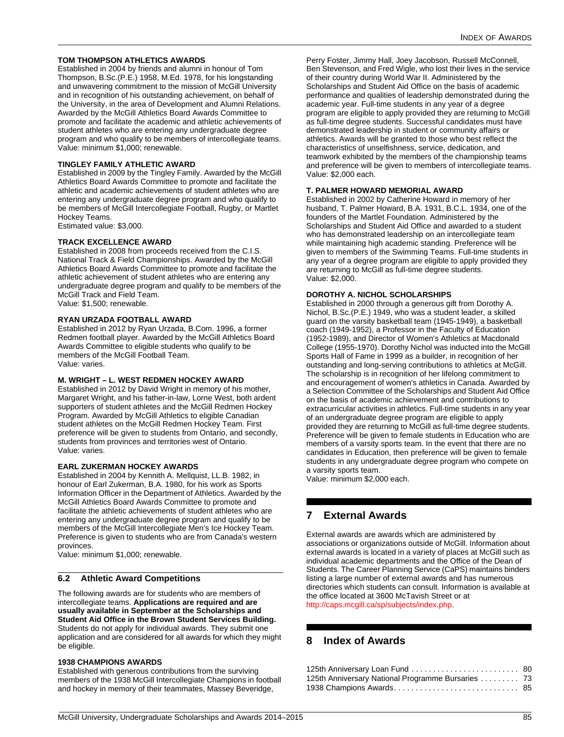## <span id="page-85-4"></span>**TOM THOMPSON ATHLETICS AWARDS**

Established in 2004 by friends and alumni in honour of Tom Thompson, B.Sc.(P.E.) 1958, M.Ed. 1978, for his longstanding and unwavering commitment to the mission of McGill University and in recognition of his outstanding achievement, on behalf of the University, in the area of Development and Alumni Relations. Awarded by the McGill Athletics Board Awards Committee to promote and facilitate the academic and athletic achievements of student athletes who are entering any undergraduate degree program and who qualify to be members of intercollegiate teams. Value: minimum \$1,000; renewable.

## <span id="page-85-5"></span>**TINGLEY FAMILY ATHLETIC AWARD**

Established in 2009 by the Tingley Family. Awarded by the McGill Athletics Board Awards Committee to promote and facilitate the athletic and academic achievements of student athletes who are entering any undergraduate degree program and who qualify to be members of McGill Intercollegiate Football, Rugby, or Martlet Hockey Teams.

Estimated value: \$3,000.

## <span id="page-85-6"></span>**TRACK EXCELLENCE AWARD**

Established in 2008 from proceeds received from the C.I.S. National Track & Field Championships. Awarded by the McGill Athletics Board Awards Committee to promote and facilitate the athletic achievement of student athletes who are entering any undergraduate degree program and qualify to be members of the McGill Track and Field Team. Value: \$1,500; renewable.

## <span id="page-85-7"></span>**RYAN URZADA FOOTBALL AWARD**

Established in 2012 by Ryan Urzada, B.Com. 1996, a former Redmen football player. Awarded by the McGill Athletics Board Awards Committee to eligible students who qualify to be members of the McGill Football Team. Value: varies.

## <span id="page-85-8"></span>**M. WRIGHT – L. WEST REDMEN HOCKEY AWARD**

Established in 2012 by David Wright in memory of his mother, Margaret Wright, and his father-in-law, Lorne West, both ardent supporters of student athletes and the McGill Redmen Hockey Program. Awarded by McGill Athletics to eligible Canadian student athletes on the McGill Redmen Hockey Team. First preference will be given to students from Ontario, and secondly, students from provinces and territories west of Ontario. Value: varies.

## <span id="page-85-9"></span>**EARL ZUKERMAN HOCKEY AWARDS**

Established in 2004 by Kennith A. Mellquist, LL.B. 1982, in honour of Earl Zukerman, B.A. 1980, for his work as Sports Information Officer in the Department of Athletics. Awarded by the McGill Athletics Board Awards Committee to promote and facilitate the athletic achievements of student athletes who are entering any undergraduate degree program and qualify to be members of the McGill Intercollegiate Men's Ice Hockey Team. Preference is given to students who are from Canada's western provinces.

Value: minimum \$1,000; renewable.

## **6.2 Athletic Award Competitions**

The following awards are for students who are members of intercollegiate teams. **Applications are required and are usually available in September at the Scholarships and Student Aid Office in the Brown Student Services Building.**  Students do not apply for individual awards. They submit one application and are considered for all awards for which they might be eligible.

## <span id="page-85-0"></span>**1938 CHAMPIONS AWARDS**

Established with generous contributions from the surviving members of the 1938 McGill Intercollegiate Champions in football and hockey in memory of their teammates, Massey Beveridge,

Perry Foster, Jimmy Hall, Joey Jacobson, Russell McConnell, Ben Stevenson, and Fred Wigle, who lost their lives in the service of their country during World War II. Administered by the Scholarships and Student Aid Office on the basis of academic performance and qualities of leadership demonstrated during the academic year. Full-time students in any year of a degree program are eligible to apply provided they are returning to McGill as full-time degree students. Successful candidates must have demonstrated leadership in student or community affairs or athletics. Awards will be granted to those who best reflect the characteristics of unselfishness, service, dedication, and teamwork exhibited by the members of the championship teams and preference will be given to members of intercollegiate teams. Value: \$2,000 each.

## <span id="page-85-2"></span>**T. PALMER HOWARD MEMORIAL AWARD**

Established in 2002 by Catherine Howard in memory of her husband, T. Palmer Howard, B.A. 1931, B.C.L. 1934, one of the founders of the Martlet Foundation. Administered by the Scholarships and Student Aid Office and awarded to a student who has demonstrated leadership on an intercollegiate team while maintaining high academic standing. Preference will be given to members of the Swimming Teams. Full-time students in any year of a degree program are eligible to apply provided they are returning to McGill as full-time degree students. Value: \$2,000.

## <span id="page-85-3"></span>**DOROTHY A. NICHOL SCHOLARSHIPS**

Established in 2000 through a generous gift from Dorothy A. Nichol, B.Sc.(P.E.) 1949, who was a student leader, a skilled guard on the varsity basketball team (1945-1949), a basketball coach (1949-1952), a Professor in the Faculty of Education (1952-1989), and Director of Women's Athletics at Macdonald College (1955-1970). Dorothy Nichol was inducted into the McGill Sports Hall of Fame in 1999 as a builder, in recognition of her outstanding and long-serving contributions to athletics at McGill. The scholarship is in recognition of her lifelong commitment to and encouragement of women's athletics in Canada. Awarded by a Selection Committee of the Scholarships and Student Aid Office on the basis of academic achievement and contributions to extracurricular activities in athletics. Full-time students in any year of an undergraduate degree program are eligible to apply provided they are returning to McGill as full-time degree students. Preference will be given to female students in Education who are members of a varsity sports team. In the event that there are no candidates in Education, then preference will be given to female students in any undergraduate degree program who compete on a varsity sports team.

Value: minimum \$2,000 each.

# <span id="page-85-1"></span>**7 External Awards**

External awards are awards which are administered by associations or organizations outside of McGill. Information about external awards is located in a variety of places at McGill such as individual academic departments and the Office of the Dean of Students. The Career Planning Service (CaPS) maintains binders listing a large number of external awards and has numerous directories which students can consult. Information is available at the office located at 3600 McTavish Street or at <http://caps.mcgill.ca/sp/subjects/index.php>.

# **8 Index of Awards**

| 125th Anniversary Loan Fund  80                    |  |
|----------------------------------------------------|--|
| 125th Anniversary National Programme Bursaries  73 |  |
|                                                    |  |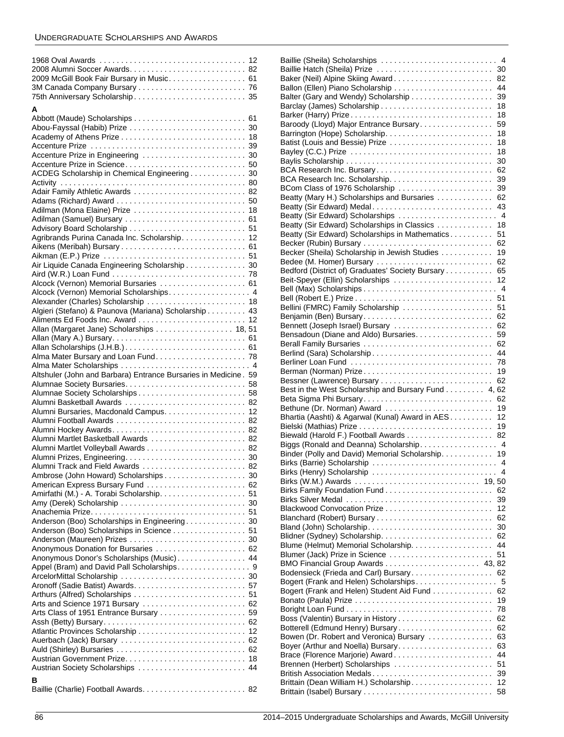| 2009 McGill Book Fair Bursary in Music. 61                                        |  |
|-----------------------------------------------------------------------------------|--|
|                                                                                   |  |
| 75th Anniversary Scholarship 35                                                   |  |
| А                                                                                 |  |
|                                                                                   |  |
|                                                                                   |  |
|                                                                                   |  |
|                                                                                   |  |
|                                                                                   |  |
|                                                                                   |  |
| ACDEG Scholarship in Chemical Engineering 30                                      |  |
|                                                                                   |  |
| Adair Family Athletic Awards  82                                                  |  |
| Adilman (Mona Elaine) Prize  18                                                   |  |
|                                                                                   |  |
|                                                                                   |  |
| Agribrands Purina Canada Inc. Scholarship. 12                                     |  |
|                                                                                   |  |
|                                                                                   |  |
| Air Liquide Canada Engineering Scholarship 30                                     |  |
|                                                                                   |  |
| Alcock (Vernon) Memorial Bursaries  61<br>Alcock (Vernon) Memorial Scholarships 4 |  |
| Alexander (Charles) Scholarship  18                                               |  |
| Algieri (Stefano) & Paunova (Mariana) Scholarship 43                              |  |
|                                                                                   |  |
| Allan (Margaret Jane) Scholarships 18, 51                                         |  |
|                                                                                   |  |
|                                                                                   |  |
|                                                                                   |  |
|                                                                                   |  |
|                                                                                   |  |
| Altshuler (John and Barbara) Entrance Bursaries in Medicine. 59                   |  |
|                                                                                   |  |
|                                                                                   |  |
| Alumni Basketball Awards  82                                                      |  |
| Alumni Bursaries, Macdonald Campus. 12                                            |  |
|                                                                                   |  |
| Alumni Martlet Basketball Awards  82                                              |  |
|                                                                                   |  |
|                                                                                   |  |
| Alumni Track and Field Awards  82                                                 |  |
| Ambrose (John Howard) Scholarships 30                                             |  |
| American Express Bursary Fund  62                                                 |  |
|                                                                                   |  |
|                                                                                   |  |
| Anderson (Boo) Scholarships in Engineering 30                                     |  |
| Anderson (Boo) Scholarships in Science 51                                         |  |
|                                                                                   |  |
|                                                                                   |  |
| Anonymous Donor's Scholarships (Music) 44                                         |  |
|                                                                                   |  |
|                                                                                   |  |
|                                                                                   |  |
| Arts and Science 1971 Bursary  62                                                 |  |
| Arts Class of 1951 Entrance Bursary  59                                           |  |
|                                                                                   |  |
|                                                                                   |  |
|                                                                                   |  |
|                                                                                   |  |
| Austrian Society Scholarships  44                                                 |  |
| в                                                                                 |  |

| Baillie (Sheila) Scholarships                       |                |
|-----------------------------------------------------|----------------|
|                                                     | $\overline{4}$ |
| Baillie Hatch (Sheila) Prize                        | 30             |
|                                                     |                |
| Baker (Neil) Alpine Skiing Award                    | 82             |
|                                                     | 44             |
| Balter (Gary and Wendy) Scholarship                 | 39             |
|                                                     | 18             |
|                                                     | 18             |
|                                                     |                |
| Baroody (Lloyd) Major Entrance Bursary              | 59             |
| Barrington (Hope) Scholarship                       | 18             |
| Batist (Louis and Bessie) Prize                     | 18             |
|                                                     | 18             |
|                                                     |                |
|                                                     | 30             |
| BCA Research Inc. Bursary                           | 62             |
|                                                     | 39             |
| BCom Class of 1976 Scholarship                      | 39             |
|                                                     |                |
| Beatty (Mary H.) Scholarships and Bursaries         | 62             |
| Beatty (Sir Edward) Medal                           | 43             |
| Beatty (Sir Edward) Scholarships  4                 |                |
| Beatty (Sir Edward) Scholarships in Classics        | 18             |
|                                                     |                |
| Beatty (Sir Edward) Scholarships in Mathematics     | 51             |
|                                                     | 62             |
| Becker (Sheila) Scholarship in Jewish Studies       | 19             |
| Bedee (M. Homer) Bursary                            | 62             |
|                                                     |                |
| Bedford (District of) Graduates' Society Bursary    | 65             |
| Beit-Speyer (Ellin) Scholarships                    | 12             |
|                                                     | $\overline{4}$ |
|                                                     | 51             |
| Bellini (FMRC) Family Scholarship                   | 51             |
|                                                     |                |
| Benjamin (Ben) Bursary                              | 62             |
| Bennett (Joseph Israel) Bursary                     | 62             |
| Bensadoun (Diane and Aldo) Bursaries.               | 59             |
| Berall Family Bursaries                             | 62             |
|                                                     |                |
| Berlind (Sara) Scholarship                          | 44             |
| Berliner Loan Fund                                  | 78             |
| Berman (Norman) Prize                               | 19             |
|                                                     | 62             |
|                                                     |                |
| Best in the West Scholarship and Bursary Fund 4, 62 |                |
| Beta Sigma Phi Bursary                              | 62             |
| Bethune (Dr. Norman) Award                          | 19             |
|                                                     |                |
|                                                     | 12             |
| Bhartia (Aashti) & Agarwal (Kunal) Award in AES     |                |
|                                                     | 19             |
|                                                     | 82             |
| Biggs (Ronald and Deanna) Scholarship 4             |                |
| Binder (Polly and David) Memorial Scholarship. 19   |                |
|                                                     |                |
|                                                     |                |
| Birks (Henry) Scholarship                           | 4              |
| Birks (W.M.) Awards                                 | 19, 50         |
|                                                     | 62             |
|                                                     | 39             |
|                                                     |                |
|                                                     | 12             |
|                                                     | 62             |
|                                                     | 30             |
|                                                     | 62             |
|                                                     | 44             |
| Blume (Helmut) Memorial Scholarship.                |                |
| Blumer (Jack) Prize in Science                      | 51             |
| BMO Financial Group Awards  43,82                   |                |
| Bodensieck (Frieda and Carl) Bursary                | 62             |
| Bogert (Frank and Helen) Scholarships               | 5              |
|                                                     |                |
| Bogert (Frank and Helen) Student Aid Fund           | 62             |
|                                                     | 19             |
|                                                     | 78             |
| Boss (Valentin) Bursary in History                  | 62             |
| Botterell (Edmund Henry) Bursary                    | 62             |
|                                                     | 63             |
| Bowen (Dr. Robert and Veronica) Bursary             |                |
| Boyer (Arthur and Noella) Bursary                   | 63             |
| Brace (Florence Marjorie) Award                     | 44             |
| Brennen (Herbert) Scholarships                      | 51             |
| British Association Medals                          | 39             |
|                                                     |                |
| Brittain (Dean William H.) Scholarship.             | 12<br>58       |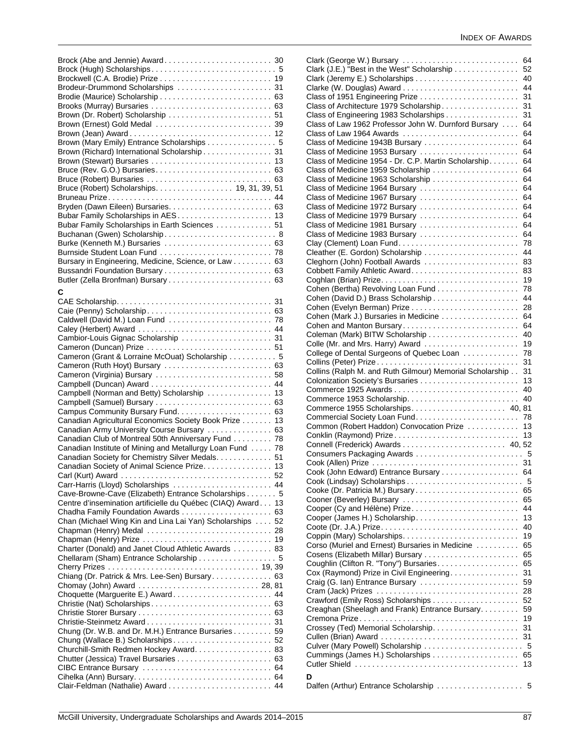| Brodeur-Drummond Scholarships  31                                                                |  |
|--------------------------------------------------------------------------------------------------|--|
|                                                                                                  |  |
|                                                                                                  |  |
| Brown (Dr. Robert) Scholarship  51                                                               |  |
| Brown (Ernest) Gold Medal  39                                                                    |  |
|                                                                                                  |  |
| Brown (Mary Emily) Entrance Scholarships 5                                                       |  |
| Brown (Richard) International Scholarship 31                                                     |  |
|                                                                                                  |  |
|                                                                                                  |  |
|                                                                                                  |  |
| Bruce (Robert) Scholarships. 19, 31, 39, 51                                                      |  |
|                                                                                                  |  |
|                                                                                                  |  |
|                                                                                                  |  |
| Bubar Family Scholarships in Earth Sciences 51                                                   |  |
| Buchanan (Gwen) Scholarship 8                                                                    |  |
| Burke (Kenneth M.) Bursaries  63<br>Burnside Student Loan Fund  78                               |  |
| Bursary in Engineering, Medicine, Science, or Law 63                                             |  |
|                                                                                                  |  |
|                                                                                                  |  |
|                                                                                                  |  |
| С                                                                                                |  |
|                                                                                                  |  |
| Caldwell (David M.) Loan Fund  78                                                                |  |
| Caley (Herbert) Award  44                                                                        |  |
|                                                                                                  |  |
| Cameron (Duncan) Prize  51                                                                       |  |
| Cameron (Grant & Lorraine McOuat) Scholarship 5                                                  |  |
| Cameron (Ruth Hoyt) Bursary  63                                                                  |  |
| Cameron (Virginia) Bursary  58                                                                   |  |
|                                                                                                  |  |
| Campbell (Norman and Betty) Scholarship  13                                                      |  |
| Campbell (Samuel) Bursary  63                                                                    |  |
|                                                                                                  |  |
| Canadian Agricultural Economics Society Book Prize 13                                            |  |
| Canadian Army University Course Bursary  63                                                      |  |
| Canadian Club of Montreal 50th Anniversary Fund 78                                               |  |
| Canadian Institute of Mining and Metallurgy Loan Fund  78                                        |  |
| Canadian Society for Chemistry Silver Medals. 51<br>Canadian Society of Animal Science Prize. 13 |  |
|                                                                                                  |  |
| Carr-Harris (Lloyd) Scholarships  44                                                             |  |
| Cave-Browne-Cave (Elizabeth) Entrance Scholarships 5                                             |  |
| Centre d'insemination artificielle du Québec (CIAQ) Award 13                                     |  |
| Chadha Family Foundation Awards  63                                                              |  |
| Chan (Michael Wing Kin and Lina Lai Yan) Scholarships  52                                        |  |
|                                                                                                  |  |
|                                                                                                  |  |
| Charter (Donald) and Janet Cloud Athletic Awards 83                                              |  |
| Chellaram (Sham) Entrance Scholarship  5                                                         |  |
|                                                                                                  |  |
| Chiang (Dr. Patrick & Mrs. Lee-Sen) Bursary 63                                                   |  |
|                                                                                                  |  |
|                                                                                                  |  |
| Choquette (Marguerite E.) Award 44                                                               |  |
|                                                                                                  |  |
|                                                                                                  |  |
|                                                                                                  |  |
| Chung (Dr. W.B. and Dr. M.H.) Entrance Bursaries 59                                              |  |
| Chung (Wallace B.) Scholarships 52                                                               |  |
| Churchill-Smith Redmen Hockey Award. 83                                                          |  |
|                                                                                                  |  |
|                                                                                                  |  |

| Clark (George W.) Bursary                                | 64 |
|----------------------------------------------------------|----|
|                                                          |    |
| Clark (J.E.) "Best in the West" Scholarship              | 52 |
|                                                          | 40 |
|                                                          | 44 |
|                                                          |    |
|                                                          | 31 |
| Class of Architecture 1979 Scholarship                   | 31 |
| Class of Engineering 1983 Scholarships                   | 31 |
|                                                          |    |
| Class of Law 1962 Professor John W. Durnford Bursary     | 64 |
| Class of Law 1964 Awards                                 | 64 |
| Class of Medicine 1943B Bursary                          | 64 |
|                                                          |    |
| Class of Medicine 1953 Bursary                           | 64 |
| Class of Medicine 1954 - Dr. C.P. Martin Scholarship     | 64 |
| Class of Medicine 1959 Scholarship                       | 64 |
|                                                          |    |
| Class of Medicine 1963 Scholarship                       | 64 |
| Class of Medicine 1964 Bursary                           | 64 |
| Class of Medicine 1967 Bursary                           | 64 |
|                                                          |    |
| Class of Medicine 1972 Bursary                           | 64 |
| Class of Medicine 1979 Bursary                           | 64 |
| Class of Medicine 1981 Bursary                           | 64 |
|                                                          |    |
| Class of Medicine 1983 Bursary                           | 64 |
|                                                          | 78 |
|                                                          | 44 |
|                                                          |    |
| Cleghorn (John) Football Awards                          | 83 |
| Cobbett Family Athletic Award                            | 83 |
|                                                          | 19 |
|                                                          |    |
| Cohen (Bertha) Revolving Loan Fund                       | 78 |
|                                                          | 44 |
|                                                          | 28 |
|                                                          |    |
| Cohen (Mark J.) Bursaries in Medicine                    | 64 |
| Cohen and Manton Bursary                                 | 64 |
|                                                          | 40 |
|                                                          |    |
| Colle (Mr. and Mrs. Harry) Award                         | 19 |
| College of Dental Surgeons of Quebec Loan                | 78 |
|                                                          | 31 |
|                                                          |    |
| Collins (Ralph M. and Ruth Gilmour) Memorial Scholarship | 31 |
|                                                          |    |
|                                                          | 13 |
|                                                          |    |
|                                                          | 40 |
|                                                          | 40 |
| Commerce 1955 Scholarships 40, 81                        |    |
|                                                          | 78 |
|                                                          |    |
| Common (Robert Haddon) Convocation Prize                 | 13 |
| Conklin (Raymond) Prize                                  | 13 |
|                                                          |    |
|                                                          |    |
|                                                          |    |
|                                                          |    |
| Cook (John Edward) Entrance Bursary                      | 64 |
|                                                          |    |
|                                                          |    |
|                                                          | 65 |
| Cooner (Beverley) Bursary                                | 65 |
|                                                          |    |
| Cooper (Cy and Hélène) Prize                             | 44 |
| Cooper (James H.) Scholarship                            | 13 |
|                                                          | 40 |
|                                                          | 19 |
| Coppin (Mary) Scholarships                               |    |
| Corso (Muriel and Ernest) Bursaries in Medicine          | 65 |
| Cosens (Elizabeth Millar) Bursary                        | 65 |
| Coughlin (Clifton R. "Tony") Bursaries                   | 65 |
|                                                          |    |
| Cox (Raymond) Prize in Civil Engineering                 | 31 |
| Craig (G. Ian) Entrance Bursary                          | 59 |
| Cram (Jack) Prizes                                       | 28 |
|                                                          | 52 |
|                                                          |    |
| Creaghan (Sheelagh and Frank) Entrance Bursary.          | 59 |
|                                                          | 19 |
| Crossey (Ted) Memorial Scholarship.                      | 31 |
|                                                          |    |
|                                                          | 31 |
| Culver (Mary Powell) Scholarship                         | 5  |
|                                                          | 65 |
|                                                          | 13 |
|                                                          |    |
| D                                                        |    |
| Dalfen (Arthur) Entrance Scholarship                     | 5  |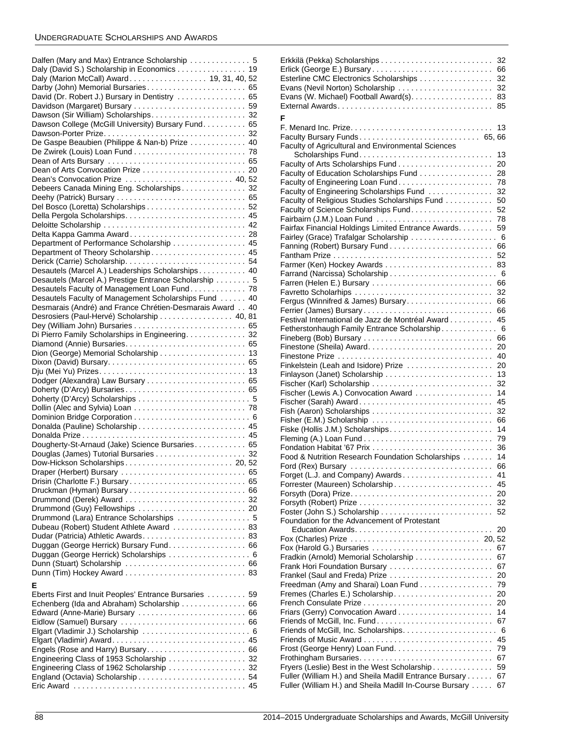| Dalfen (Mary and Max) Entrance Scholarship  5            |  |
|----------------------------------------------------------|--|
| Daly (David S.) Scholarship in Economics 19              |  |
| Daly (Marion McCall) Award 19, 31, 40, 52                |  |
| Darby (John) Memorial Bursaries 65                       |  |
| David (Dr. Robert J.) Bursary in Dentistry  65           |  |
|                                                          |  |
| Dawson (Sir William) Scholarships 32                     |  |
| Dawson College (McGill University) Bursary Fund. 65      |  |
|                                                          |  |
| De Gaspe Beaubien (Philippe & Nan-b) Prize  40           |  |
|                                                          |  |
|                                                          |  |
|                                                          |  |
|                                                          |  |
| Dean's Convocation Prize  40,52                          |  |
| Debeers Canada Mining Eng. Scholarships 32               |  |
|                                                          |  |
|                                                          |  |
|                                                          |  |
|                                                          |  |
| Delta Kappa Gamma Award 28                               |  |
| Department of Performance Scholarship  45                |  |
| Department of Theory Scholarship 45                      |  |
|                                                          |  |
| Desautels (Marcel A.) Leaderships Scholarships 40        |  |
| Desautels (Marcel A.) Prestige Entrance Scholarship 5    |  |
| Desautels Faculty of Management Loan Fund 78             |  |
| Desautels Faculty of Management Scholarships Fund  40    |  |
| Desmarais (André) and France Chrétien-Desmarais Award 40 |  |
| Desrosiers (Paul-Hervé) Scholarship 40, 81               |  |
|                                                          |  |
| Di Pierro Family Scholarships in Engineering. 32         |  |
|                                                          |  |
| Dion (George) Memorial Scholarship 13                    |  |
|                                                          |  |
|                                                          |  |
|                                                          |  |
|                                                          |  |
|                                                          |  |
|                                                          |  |
|                                                          |  |
|                                                          |  |
|                                                          |  |
| Dougherty-St-Arnaud (Jake) Science Bursaries 65          |  |
|                                                          |  |
|                                                          |  |
| Draper (Herbert) Bursary  65                             |  |
|                                                          |  |
| Drisin (Charlotte F.) Bursary 65                         |  |
|                                                          |  |
|                                                          |  |
|                                                          |  |
| Drummond (Lara) Entrance Scholarships  5                 |  |
| Dubeau (Robert) Student Athlete Award  83                |  |
|                                                          |  |
| Duggan (George Herrick) Bursary Fund. 66                 |  |
| Duggan (George Herrick) Scholarships 6                   |  |
|                                                          |  |
|                                                          |  |
|                                                          |  |
| E                                                        |  |
|                                                          |  |
| Eberts First and Inuit Peoples' Entrance Bursaries  59   |  |
| Echenberg (Ida and Abraham) Scholarship  66              |  |
| Edward (Anne-Marie) Bursary  66                          |  |
|                                                          |  |
|                                                          |  |
| Engels (Rose and Harry) Bursary 66                       |  |

Engineering Class of 1962 Scholarship ...................... 32 [England \(Octavia\) Scholarship . . . . . . . . . . . . . . . . . . . . . . . . . 54](#page-54-1) [Eric Award . . . . . . . . . . . . . . . . . . . . . . . . . . . . . . . . . . . . . . . . 45](#page-45-6)

|                                                                                  | 32       |
|----------------------------------------------------------------------------------|----------|
| Erlick (George E.) Bursary                                                       | 66       |
| Esterline CMC Electronics Scholarships                                           | 32       |
|                                                                                  | 32       |
| Evans (W. Michael) Football Award(s).                                            | 83       |
|                                                                                  | 85       |
|                                                                                  |          |
| F                                                                                |          |
|                                                                                  | 13       |
| Faculty Bursary Funds 65,66                                                      |          |
| Faculty of Agricultural and Environmental Sciences                               |          |
|                                                                                  | 13       |
| Faculty of Arts Scholarships Fund                                                | 20       |
| Faculty of Education Scholarships Fund                                           | 28       |
|                                                                                  | 78       |
| Faculty of Engineering Scholarships Fund                                         | 32       |
| Faculty of Religious Studies Scholarships Fund                                   | 50       |
| Faculty of Science Scholarships Fund.                                            | 52       |
| Fairbairn (J.M.) Loan Fund                                                       | 78       |
| Fairfax Financial Holdings Limited Entrance Awards.                              | 59       |
| Fairley (Grace) Trafalgar Scholarship                                            | - 6      |
| Fanning (Robert) Bursary Fund                                                    | 66       |
|                                                                                  | 52       |
| Farmer (Ken) Hockey Awards                                                       | 83       |
|                                                                                  | - 6      |
| Farren (Helen E.) Bursary                                                        | 66       |
| Favretto Scholarhips                                                             | 32       |
| Fergus (Winnifred & James) Bursary                                               | 66       |
|                                                                                  | 66       |
| Festival International de Jazz de Montréal Award                                 | 45       |
| Fetherstonhaugh Family Entrance Scholarship.                                     | - 6      |
| Fineberg (Bob) Bursary                                                           | 66       |
|                                                                                  | 20       |
|                                                                                  | 40       |
| Finkelstein (Leah and Isidore) Prize                                             | 20       |
|                                                                                  | 13       |
|                                                                                  | 32       |
| Fischer (Lewis A.) Convocation Award                                             | 14<br>45 |
| Fischer (Sarah) Award.                                                           | 32       |
| Fisher (E.M.) Scholarship                                                        | 66       |
| Fiske (Hollis J.M.) Scholarships                                                 | 14       |
|                                                                                  | 79       |
|                                                                                  | 36       |
| Food & Nutrition Research Foundation Scholarships                                | 14       |
| Ford (Rex) Bursary                                                               | 66       |
| Forget (L.J. and Company) Awards                                                 | 41       |
|                                                                                  | 45       |
|                                                                                  | 20       |
| Forsyth (Robert) Prize $\ldots \ldots \ldots \ldots \ldots \ldots \ldots \ldots$ | 32       |
|                                                                                  | 52       |
| Foundation for the Advancement of Protestant                                     |          |
|                                                                                  | 20       |
|                                                                                  |          |
| Fox (Harold G.) Bursaries                                                        | 67       |
| Fradkin (Arnold) Memorial Scholarship                                            | 67       |
| Frank Hori Foundation Bursary                                                    | 67       |
| Frankel (Saul and Freda) Prize                                                   | 20       |
| Freedman (Amy and Sharai) Loan Fund                                              | 79       |
|                                                                                  | 20       |
|                                                                                  | 20       |
|                                                                                  | 14       |
| Friends of McGill, Inc. Fund                                                     | 67       |
|                                                                                  | 6        |
|                                                                                  | 45       |
|                                                                                  | 79       |
|                                                                                  | 67       |
| Fryers (Leslie) Best in the West Scholarship                                     | 59       |
| Fuller (William H.) and Sheila Madill Entrance Bursary                           | 67       |
| Fuller (William H.) and Sheila Madill In-Course Bursary                          | 67       |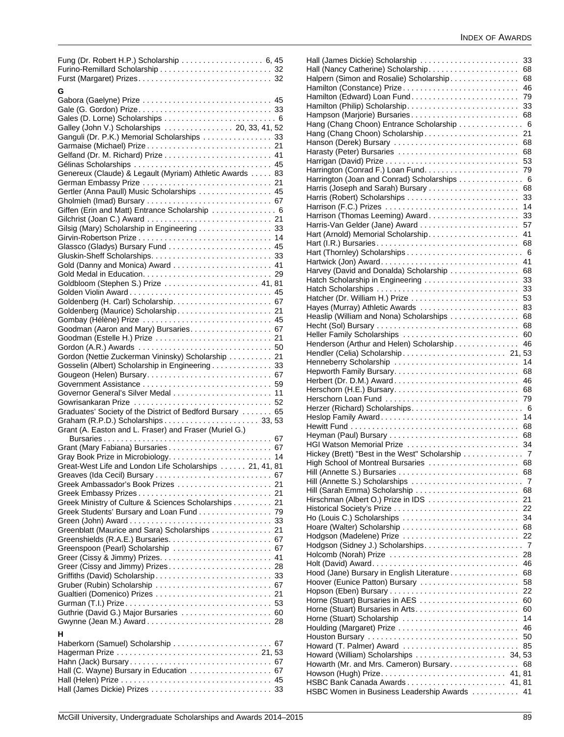| G                                                         |
|-----------------------------------------------------------|
|                                                           |
|                                                           |
| Galley (John V.) Scholarships 20, 33, 41, 52              |
| Ganguli (Dr. P.K.) Memorial Scholarships 33               |
|                                                           |
|                                                           |
|                                                           |
| Genereux (Claude) & Legault (Myriam) Athletic Awards  83  |
|                                                           |
| Gertler (Anna Paull) Music Scholarships  45               |
|                                                           |
| Giffen (Erin and Matt) Entrance Scholarship  6            |
|                                                           |
| Gilsig (Mary) Scholarship in Engineering  33              |
|                                                           |
|                                                           |
|                                                           |
|                                                           |
|                                                           |
|                                                           |
| Goldbloom (Stephen S.) Prize  41, 81                      |
|                                                           |
|                                                           |
| Goldenberg (Maurice) Scholarship 21                       |
| Gombay (Hélène) Prize  45                                 |
| Goodman (Aaron and Mary) Bursaries. 67                    |
| Goodman (Estelle H.) Prize  21                            |
|                                                           |
| Gordon (Nettie Zuckerman Vininsky) Scholarship  21        |
| Gosselin (Albert) Scholarship in Engineering 33           |
|                                                           |
|                                                           |
| Governor General's Silver Medal  11                       |
|                                                           |
|                                                           |
| Graduates' Society of the District of Bedford Bursary  65 |
|                                                           |
| Grant (A. Easton and L. Fraser) and Fraser (Muriel G.)    |
|                                                           |
|                                                           |
|                                                           |
| Great-West Life and London Life Scholarships  21, 41, 81  |
|                                                           |
| Greek Ambassador's Book Prizes<br>21                      |
|                                                           |
| Greek Ministry of Culture & Sciences Scholarships 21      |
| Greek Students' Bursary and Loan Fund 79                  |
|                                                           |
| Greenblatt (Maurice and Sara) Scholarships 21             |
|                                                           |
| Greenspoon (Pearl) Scholarship  67                        |
|                                                           |
| Greer (Cissy and Jimmy) Prizes 28                         |
|                                                           |
|                                                           |
|                                                           |
|                                                           |
| Guthrie (David G.) Major Bursaries  60                    |
|                                                           |
|                                                           |
| н                                                         |
|                                                           |
|                                                           |
|                                                           |
| Hall (C. Wayne) Bursary in Education  67                  |
|                                                           |
|                                                           |

|                                                             | 33        |
|-------------------------------------------------------------|-----------|
| Hall (Nancy Catherine) Scholarship                          | 68        |
| Halpern (Simon and Rosalie) Scholarship                     | 68        |
| Hamilton (Constance) Prize                                  | 46        |
| Hamilton (Edward) Loan Fund                                 | 79        |
| Hamilton (Philip) Scholarship                               | 33        |
| Hampson (Marjorie) Bursaries                                | 68        |
| Hang (Chang Choon) Entrance Scholarship  6                  |           |
|                                                             | 21        |
| Hanson (Derek) Bursary                                      | 68        |
| Harasty (Peter) Bursaries                                   | 68        |
|                                                             | 53        |
| Harrington (Conrad F.) Loan Fund                            | 79<br>- 6 |
| Harrington (Joan and Conrad) Scholarships<br>$\overline{a}$ | 68        |
|                                                             | 33        |
|                                                             | 14        |
| Harrison (Thomas Leeming) Award                             | 33        |
|                                                             | 57        |
| Hart (Arnold) Memorial Scholarship                          | 41        |
| Hart (I.R.) Bursaries                                       | 68        |
|                                                             |           |
|                                                             | 41        |
| Harvey (David and Donalda) Scholarship                      | 68        |
| Hatch Scholarship in Engineering                            | 33        |
| Hatch Scholarships                                          | 33        |
|                                                             | 53        |
| Hayes (Murray) Athletic Awards                              | 83        |
| Heaslip (William and Nona) Scholarships                     | 68        |
|                                                             | 68        |
| Heller Family Scholarships                                  | 60        |
| Henderson (Arthur and Helen) Scholarship                    | 46        |
|                                                             |           |
| Henneberry Scholarship                                      | 14        |
| Hepworth Family Bursary                                     | 68        |
|                                                             | 46        |
|                                                             | 68        |
| Herschorn Loan Fund                                         | 79        |
| Heslop Family Award                                         | 14        |
|                                                             | 68        |
|                                                             | 68        |
| HGI Watson Memorial Prize                                   | 34        |
| Hickey (Brett) "Best in the West" Scholarship  7            |           |
| High School of Montreal Bursaries                           | 68        |
|                                                             | 68        |
| Hill (Annette S.) Scholarships                              | 7         |
| Hill (Sarah Emma) Scholarship                               | 68        |
|                                                             | 21        |
|                                                             | 22        |
|                                                             | 34        |
| Hoare (Walter) Scholarship                                  | 68        |
| Hodgson (Madelene) Prize                                    | 22        |
| Hodgson (Sidney J.) Scholarships                            | 7         |
| Holcomb (Norah) Prize                                       | 28        |
|                                                             | 46        |
| Hood (Jane) Bursary in English Literature                   | 68        |
| Hoover (Eunice Patton) Bursary                              | 58        |
|                                                             | 22        |
| Horne (Stuart) Bursaries in AES                             | 60        |
|                                                             | 60        |
| Horne (Stuart) Scholarship                                  | 14<br>46  |
|                                                             | 50        |
| Howard (T. Palmer) Award                                    | 85        |
| Howard (William) Scholarships  34, 53                       |           |
| Howarth (Mr. and Mrs. Cameron) Bursary                      | 68        |
|                                                             |           |
|                                                             |           |
| HSBC Women in Business Leadership Awards                    | 41        |
|                                                             |           |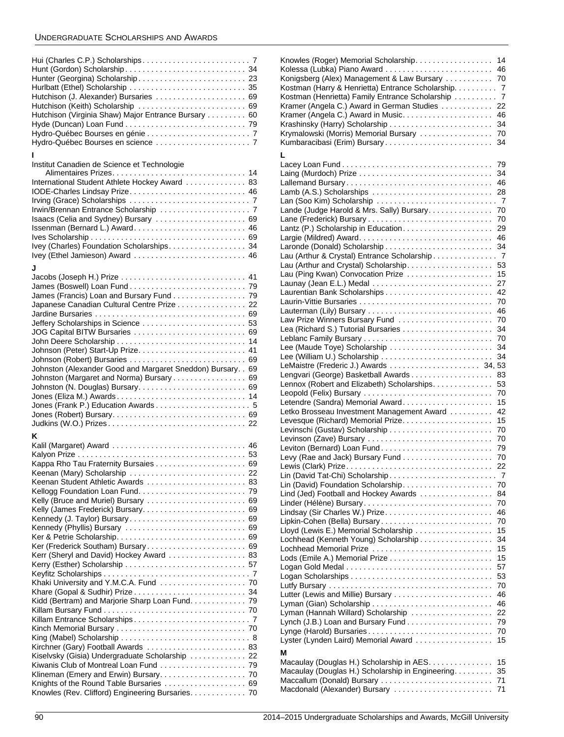# UNDERGRADUATE SCHOLARSHIPS AND AWARDS

| Hurlbatt (Ethel) Scholarship  35                     |  |
|------------------------------------------------------|--|
| Hutchison (J. Alexander) Bursaries  69               |  |
| Hutchison (Keith) Scholarship  69                    |  |
| Hutchison (Virginia Shaw) Major Entrance Bursary  60 |  |
|                                                      |  |
|                                                      |  |
|                                                      |  |

#### **I**

Institut Canadien de Science et Technologie

| International Student Athlete Hockey Award  83 |
|------------------------------------------------|
| IODE-Charles Lindsay Prize 46                  |
|                                                |
|                                                |
| Isaacs (Celia and Sydney) Bursary  69          |
|                                                |
|                                                |
|                                                |
| Ivey (Ethel Jamieson) Award  46                |

# **J**

| James (Francis) Loan and Bursary Fund 79                     |  |
|--------------------------------------------------------------|--|
| Japanese Canadian Cultural Centre Prize 22                   |  |
|                                                              |  |
|                                                              |  |
| JOG Capital BITW Bursaries  69                               |  |
| John Deere Scholarship  14                                   |  |
|                                                              |  |
| Johnson (Robert) Bursaries  69                               |  |
| Johnston (Alexander Good and Margaret Sneddon) Bursary. . 69 |  |
| Johnston (Margaret and Norma) Bursary 69                     |  |
|                                                              |  |
| Jones (Eliza M.) Awards 14                                   |  |
|                                                              |  |
|                                                              |  |
|                                                              |  |
| K                                                            |  |
| Kalil (Margaret) Award  46                                   |  |
|                                                              |  |
|                                                              |  |
| Keenan (Mary) Scholarship  22                                |  |
| Keenan Student Athletic Awards  83                           |  |
|                                                              |  |
| Kelly (Bruce and Muriel) Bursary  69                         |  |
|                                                              |  |
| Kennedy (J. Taylor) Bursary 69                               |  |
| Kennedy (Phyllis) Bursary  69                                |  |
|                                                              |  |
| Ker (Frederick Southam) Bursary 69                           |  |
| Kerr (Sheryl and David) Hockey Award  83                     |  |
|                                                              |  |
|                                                              |  |
|                                                              |  |
|                                                              |  |
| Kidd (Bertram) and Marjorie Sharp Loan Fund. 79              |  |
|                                                              |  |
|                                                              |  |
|                                                              |  |
|                                                              |  |
| Kirchner (Gary) Football Awards  83                          |  |
| Kiselvsky (Gisia) Undergraduate Scholarship  22              |  |
|                                                              |  |
|                                                              |  |
| Knights of the Round Table Bursaries  69                     |  |

[Knowles \(Rev. Clifford\) Engineering Bursaries. . . . . . . . . . . . . 70](#page-70-4)

| Knowles (Roger) Memorial Scholarship.                                                                  | 14             |
|--------------------------------------------------------------------------------------------------------|----------------|
| Kolessa (Lubka) Piano Award                                                                            | 46             |
| Konigsberg (Alex) Management & Law Bursary                                                             | 70             |
| Kostman (Harry & Henrietta) Entrance Scholarship. 7<br>Kostman (Henrietta) Family Entrance Scholarship | $\overline{7}$ |
| Kramer (Angela C.) Award in German Studies                                                             | 22             |
|                                                                                                        | 46             |
|                                                                                                        | 34             |
| Krymalowski (Morris) Memorial Bursary                                                                  | 70             |
| Kumbaracibasi (Erim) Bursary                                                                           | 34             |
| L                                                                                                      |                |
|                                                                                                        | 79             |
|                                                                                                        | 34             |
|                                                                                                        | 46             |
| Lamb (A.S.) Scholarships                                                                               | 28             |
|                                                                                                        |                |
| Lande (Judge Harold & Mrs. Sally) Bursary.                                                             | 70             |
|                                                                                                        | 70             |
|                                                                                                        | 29             |
|                                                                                                        | 46             |
| Laronde (Donald) Scholarship                                                                           | 34             |
| Lau (Arthur & Crystal) Entrance Scholarship<br>Lau (Arthur and Crystal) Scholarship.                   | -7<br>53       |
| Lau (Ping Kwan) Convocation Prize                                                                      | 15             |
|                                                                                                        | 27             |
| Laurentian Bank Scholarships                                                                           | 42             |
|                                                                                                        | 70             |
|                                                                                                        | 46             |
| Law Prize Winners Bursary Fund                                                                         | 70             |
|                                                                                                        | 34             |
|                                                                                                        | 70             |
| Lee (Maude Toye) Scholarship                                                                           | 34             |
| Lee (William U.) Scholarship                                                                           | 34             |
|                                                                                                        |                |
| Lennox (Robert and Elizabeth) Scholarships.                                                            | 83<br>53       |
| Leopold (Felix) Bursary                                                                                | 70             |
|                                                                                                        | 15             |
| Letko Brosseau Investment Management Award                                                             | 42             |
|                                                                                                        | 15             |
|                                                                                                        | 70             |
| Levinson (Zave) Bursary                                                                                | 70             |
|                                                                                                        | 79             |
|                                                                                                        | 70             |
|                                                                                                        | 22             |
|                                                                                                        | 7              |
| Lind (Jed) Football and Hockey Awards                                                                  | 70<br>84       |
| Linder (Hélène) Bursary                                                                                | 70             |
| Lindsay (Sir Charles W.) Prize                                                                         | 46             |
| Lipkin-Cohen (Bella) Bursary                                                                           | 70             |
| Lloyd (Lewis E.) Memorial Scholarship                                                                  | 15             |
| Lochhead (Kenneth Young) Scholarship                                                                   | 34             |
| Lochhead Memorial Prize                                                                                | 15             |
|                                                                                                        | 15             |
|                                                                                                        |                |
|                                                                                                        | 57             |
|                                                                                                        | 53             |
|                                                                                                        | 70             |
|                                                                                                        | 46             |
| Lyman (Gian) Scholarship                                                                               | 46             |
| Lyman (Hannah Willard) Scholarship                                                                     | 22<br>79       |
|                                                                                                        | 70             |
| Lynge (Harold) Bursaries<br>Lyster (Lynden Laird) Memorial Award                                       | 15             |
| М                                                                                                      |                |
| Macaulay (Douglas H.) Scholarship in AES.                                                              | 15             |
| Macaulay (Douglas H.) Scholarship in Engineering.                                                      | 35             |
| Maccallum (Donald) Bursary<br>Macdonald (Alexander) Bursary                                            | 71<br>71       |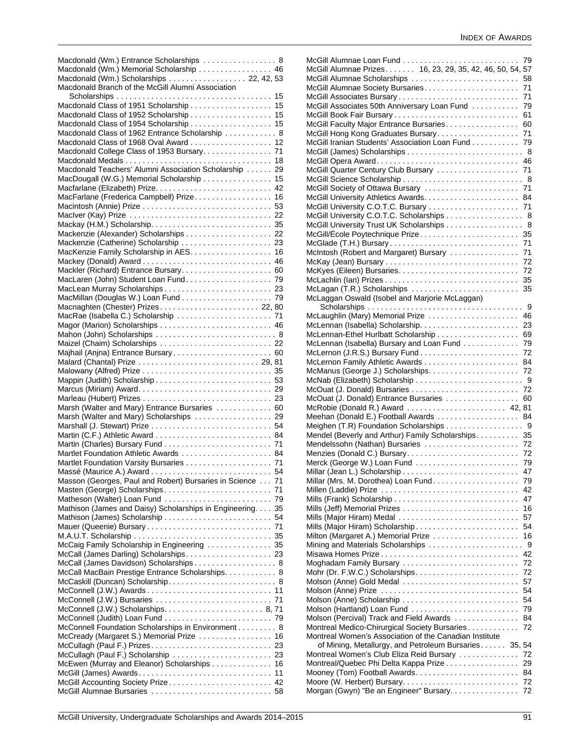| Macdonald (Wm.) Entrance Scholarships  8<br>Macdonald (Wm.) Memorial Scholarship  46<br>Macdonald (Wm.) Scholarships  22, 42, 53 |  |
|----------------------------------------------------------------------------------------------------------------------------------|--|
| Macdonald Branch of the McGill Alumni Association                                                                                |  |
| Macdonald Class of 1951 Scholarship  15                                                                                          |  |
| Macdonald Class of 1952 Scholarship  15                                                                                          |  |
| Macdonald Class of 1954 Scholarship 15                                                                                           |  |
| Macdonald Class of 1962 Entrance Scholarship  8                                                                                  |  |
| Macdonald Class of 1968 Oval Award 12                                                                                            |  |
|                                                                                                                                  |  |
|                                                                                                                                  |  |
| Macdonald Teachers' Alumni Association Scholarship  29                                                                           |  |
| MacDougall (W.G.) Memorial Scholarship 15                                                                                        |  |
|                                                                                                                                  |  |
| MacFarlane (Frederica Campbell) Prize 16                                                                                         |  |
|                                                                                                                                  |  |
|                                                                                                                                  |  |
|                                                                                                                                  |  |
| Mackenzie (Alexander) Scholarships 22                                                                                            |  |
| MacKenzie Family Scholarship in AES. 16                                                                                          |  |
|                                                                                                                                  |  |
| Mackler (Richard) Entrance Bursary 60                                                                                            |  |
|                                                                                                                                  |  |
| MacLaren (John) Student Loan Fund. 79                                                                                            |  |
|                                                                                                                                  |  |
|                                                                                                                                  |  |
| Macnaghten (Chester) Prizes 22, 80                                                                                               |  |
|                                                                                                                                  |  |
|                                                                                                                                  |  |
| Mahon (John) Scholarships  8                                                                                                     |  |
| Maizel (Chaim) Scholarships  22                                                                                                  |  |
| Majhail (Anjna) Entrance Bursary 60                                                                                              |  |
|                                                                                                                                  |  |
|                                                                                                                                  |  |
|                                                                                                                                  |  |
|                                                                                                                                  |  |
| Marsh (Walter and Mary) Entrance Bursaries  60                                                                                   |  |
| Marsh (Walter and Mary) Scholarships  29                                                                                         |  |
|                                                                                                                                  |  |
|                                                                                                                                  |  |
|                                                                                                                                  |  |
| Martlet Foundation Athletic Awards  84                                                                                           |  |
|                                                                                                                                  |  |
|                                                                                                                                  |  |
| Masson (Georges, Paul and Robert) Bursaries in Science  71                                                                       |  |
|                                                                                                                                  |  |
|                                                                                                                                  |  |
| Mathison (James and Daisy) Scholarships in Engineering. 35                                                                       |  |
|                                                                                                                                  |  |
|                                                                                                                                  |  |
|                                                                                                                                  |  |
| McCaig Family Scholarship in Engineering  35                                                                                     |  |
| McCall (James Darling) Scholarships 23                                                                                           |  |
| McCall (James Davidson) Scholarships 8                                                                                           |  |
| McCall MacBain Prestige Entrance Scholarships. 8                                                                                 |  |
| McCaskill (Duncan) Scholarship 8                                                                                                 |  |
|                                                                                                                                  |  |
|                                                                                                                                  |  |
|                                                                                                                                  |  |
|                                                                                                                                  |  |
| McConnell Foundation Scholarships in Environment 8                                                                               |  |
| McCready (Margaret S.) Memorial Prize  16                                                                                        |  |
|                                                                                                                                  |  |
| McCullagh (Paul F.) Scholarship  23                                                                                              |  |
| McEwen (Murray and Eleanor) Scholarships 16                                                                                      |  |
|                                                                                                                                  |  |
| McGill Accounting Society Prize 42                                                                                               |  |
|                                                                                                                                  |  |

|                                                                       | 79       |
|-----------------------------------------------------------------------|----------|
| McGill Alumnae Prizes. 16, 23, 29, 35, 42, 46, 50, 54, 57             |          |
| McGill Alumnae Scholarships                                           | 58       |
|                                                                       |          |
| McGill Alumnae Society Bursaries                                      | 71       |
| McGill Associates Bursary                                             | 71       |
| McGill Associates 50th Anniversary Loan Fund                          | 79       |
|                                                                       | 61       |
| McGill Faculty Major Entrance Bursaries                               | 60       |
| McGill Hong Kong Graduates Bursary                                    | 71       |
| McGill Iranian Students' Association Loan Fund                        | 79       |
|                                                                       |          |
|                                                                       |          |
| McGill Opera Award                                                    | 46       |
| McGill Quarter Century Club Bursary                                   | 71       |
|                                                                       |          |
| McGill Society of Ottawa Bursary                                      | 71       |
|                                                                       | 84       |
|                                                                       |          |
|                                                                       | 71       |
| McGill University C.O.T.C. Scholarships 8                             |          |
| McGill University Trust UK Scholarships  8                            |          |
|                                                                       | 35       |
| McGlade (T.H.) Bursary                                                | 71       |
|                                                                       |          |
| McIntosh (Robert and Margaret) Bursary                                | 71       |
|                                                                       | 72       |
|                                                                       | 72       |
|                                                                       | 35       |
| McLagan (T.R.) Scholarships                                           | 35       |
| McLaggan Oswald (Isobel and Marjorie McLaggan)                        |          |
|                                                                       |          |
|                                                                       |          |
| McLaughlin (Mary) Memorial Prize                                      | 46       |
| McLennan (Isabella) Scholarship                                       | 23       |
|                                                                       | 69       |
| McLennan (Isabella) Bursary and Loan Fund                             | 79       |
|                                                                       | 72       |
|                                                                       | 84       |
|                                                                       |          |
|                                                                       | 72       |
|                                                                       |          |
|                                                                       | 72       |
| McOuat (J. Donald) Entrance Bursaries                                 | 60       |
| McRobie (Donald R.) Award  42, 81                                     |          |
| Meehan (Donald E.) Football Awards  84                                |          |
| Meighen (T.R) Foundation Scholarships 9                               |          |
|                                                                       |          |
| Mendel (Beverly and Arthur) Family Scholarships                       | 35       |
| Mendelssohn (Nathan) Bursaries                                        | 72       |
|                                                                       | 72       |
| Merck (George W.) Loan Fund                                           | 79       |
|                                                                       | 47       |
| Millar (Mrs. M. Dorothea) Loan Fund.                                  | 79       |
| Millen (Laddie) Prize                                                 | 42       |
|                                                                       | 47       |
|                                                                       |          |
|                                                                       | 16       |
| Mills (Major Hiram) Medal                                             | 57       |
| Mills (Major Hiram) Scholarship                                       | 54       |
| Milton (Margaret A.) Memorial Prize                                   | 16       |
| Mining and Materials Scholarships                                     | 9        |
|                                                                       | 42       |
|                                                                       | 72       |
| Moghadam Family Bursary                                               |          |
|                                                                       | 72       |
| Molson (Anne) Gold Medal                                              | 57       |
| Molson (Anne) Prize                                                   | 54       |
| Molson (Anne) Scholarship                                             | 54       |
| Molson (Hartland) Loan Fund                                           | 79       |
| Molson (Percival) Track and Field Awards                              |          |
|                                                                       |          |
|                                                                       | 84       |
| Montreal Medico-Chirurgical Society Bursaries                         | 72       |
| Montreal Women's Association of the Canadian Institute                |          |
| of Mining, Metallurgy, and Petroleum Bursaries 35, 54                 |          |
| Montreal Women's Club Eliza Reid Bursary                              | 72       |
|                                                                       | 29       |
| Montreal/Quebec Phi Delta Kappa Prize                                 |          |
| Mooney (Tom) Football Awards                                          | 84       |
| Moore (W. Herbert) Bursary<br>Morgan (Gwyn) "Be an Engineer" Bursary. | 72<br>72 |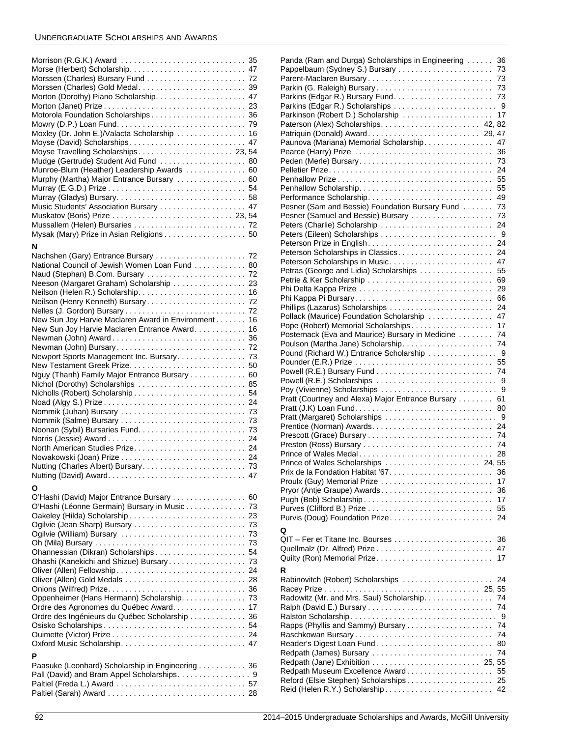# UNDERGRADUATE SCHOLARSHIPS AND AWARDS

| Motorola Foundation Scholarships 36<br>Moxley (Dr. John E.)/Valacta Scholarship  16<br>Moyse (David) Scholarships 47<br>Moyse Travelling Scholarships 23, 54<br>Mudge (Gertrude) Student Aid Fund  80<br>Munroe-Blum (Heather) Leadership Awards  60<br>Murphy (Martha) Major Entrance Bursary  60<br>Music Students' Association Bursary  47<br>Mussallem (Helen) Bursaries  72<br>Mysak (Mary) Prize in Asian Religions 50 |    |
|------------------------------------------------------------------------------------------------------------------------------------------------------------------------------------------------------------------------------------------------------------------------------------------------------------------------------------------------------------------------------------------------------------------------------|----|
| N                                                                                                                                                                                                                                                                                                                                                                                                                            |    |
| Nachshen (Gary) Entrance Bursary  72                                                                                                                                                                                                                                                                                                                                                                                         |    |
| National Council of Jewish Women Loan Fund 80                                                                                                                                                                                                                                                                                                                                                                                |    |
| Neeson (Margaret Graham) Scholarship  23                                                                                                                                                                                                                                                                                                                                                                                     |    |
|                                                                                                                                                                                                                                                                                                                                                                                                                              |    |
|                                                                                                                                                                                                                                                                                                                                                                                                                              |    |
|                                                                                                                                                                                                                                                                                                                                                                                                                              |    |
| New Sun Joy Harvie Maclaren Award in Environment 16                                                                                                                                                                                                                                                                                                                                                                          |    |
| New Sun Joy Harvie Maclaren Entrance Award 16                                                                                                                                                                                                                                                                                                                                                                                |    |
|                                                                                                                                                                                                                                                                                                                                                                                                                              |    |
|                                                                                                                                                                                                                                                                                                                                                                                                                              |    |
|                                                                                                                                                                                                                                                                                                                                                                                                                              |    |
| Nguy (Thanh) Family Major Entrance Bursary 60                                                                                                                                                                                                                                                                                                                                                                                |    |
| Nichol (Dorothy) Scholarships  85                                                                                                                                                                                                                                                                                                                                                                                            |    |
|                                                                                                                                                                                                                                                                                                                                                                                                                              |    |
|                                                                                                                                                                                                                                                                                                                                                                                                                              |    |
|                                                                                                                                                                                                                                                                                                                                                                                                                              |    |
|                                                                                                                                                                                                                                                                                                                                                                                                                              |    |
|                                                                                                                                                                                                                                                                                                                                                                                                                              |    |
|                                                                                                                                                                                                                                                                                                                                                                                                                              |    |
|                                                                                                                                                                                                                                                                                                                                                                                                                              |    |
|                                                                                                                                                                                                                                                                                                                                                                                                                              |    |
|                                                                                                                                                                                                                                                                                                                                                                                                                              |    |
| Ο                                                                                                                                                                                                                                                                                                                                                                                                                            |    |
| O'Hashi (David) Major Entrance Bursary  60                                                                                                                                                                                                                                                                                                                                                                                   |    |
| O'Hashi (Léonne Germain) Bursary in Music 73                                                                                                                                                                                                                                                                                                                                                                                 |    |
|                                                                                                                                                                                                                                                                                                                                                                                                                              |    |
|                                                                                                                                                                                                                                                                                                                                                                                                                              |    |
|                                                                                                                                                                                                                                                                                                                                                                                                                              |    |
|                                                                                                                                                                                                                                                                                                                                                                                                                              |    |
| Ohashi (Kanekichi and Shizue) Bursary 73                                                                                                                                                                                                                                                                                                                                                                                     |    |
|                                                                                                                                                                                                                                                                                                                                                                                                                              |    |
|                                                                                                                                                                                                                                                                                                                                                                                                                              |    |
|                                                                                                                                                                                                                                                                                                                                                                                                                              |    |
| Oppenheimer (Hans Hermann) Scholarship. 73                                                                                                                                                                                                                                                                                                                                                                                   |    |
| Ordre des Agronomes du Québec Award                                                                                                                                                                                                                                                                                                                                                                                          | 17 |
| Ordre des Ingénieurs du Québec Scholarship  36                                                                                                                                                                                                                                                                                                                                                                               |    |
|                                                                                                                                                                                                                                                                                                                                                                                                                              |    |
|                                                                                                                                                                                                                                                                                                                                                                                                                              |    |
| P                                                                                                                                                                                                                                                                                                                                                                                                                            |    |
| Paasuke (Leonhard) Scholarship in Engineering 36                                                                                                                                                                                                                                                                                                                                                                             |    |
|                                                                                                                                                                                                                                                                                                                                                                                                                              |    |
|                                                                                                                                                                                                                                                                                                                                                                                                                              |    |
|                                                                                                                                                                                                                                                                                                                                                                                                                              |    |

| Panda (Ram and Durga) Scholarships in Engineering                                       | 36       |
|-----------------------------------------------------------------------------------------|----------|
|                                                                                         | 73       |
| Parent-Maclaren Bursary                                                                 | 73       |
| Parkin (G. Raleigh) Bursary                                                             | 73<br>73 |
|                                                                                         | - 9      |
| Parkinson (Robert D.) Scholarship                                                       | 17       |
| Paterson (Alex) Scholarships 42, 82                                                     |          |
| Patriquin (Donald) Award 29, 47                                                         |          |
| Paunova (Mariana) Memorial Scholarship                                                  | 47       |
| Pearce (Harry) Prize                                                                    | 36       |
| Peden (Merle) Bursary                                                                   | 73       |
|                                                                                         | 24       |
|                                                                                         | 55       |
|                                                                                         | 55<br>49 |
| Pesner (Sam and Bessie) Foundation Bursary Fund                                         | 73       |
| Pesner (Samuel and Bessie) Bursary                                                      | 73       |
| Peters (Charlie) Scholarship                                                            | 24       |
|                                                                                         |          |
| Peterson Prize in English                                                               | 24       |
| Peterson Scholarships in Classics                                                       | 24       |
| Peterson Scholarships in Music                                                          | 47       |
| Petras (George and Lidia) Scholarships                                                  | 55       |
| Petrie & Ker Scholarship                                                                | 69       |
| Phi Delta Kappa Prize                                                                   | 29       |
| Phi Kappa Pi Bursary                                                                    | 66       |
|                                                                                         | 24       |
| Pollack (Maurice) Foundation Scholarship                                                | 47       |
| Pope (Robert) Memorial Scholarships<br>Posternack (Eva and Maurice) Bursary in Medicine | 17<br>74 |
| Poulson (Martha Jane) Scholarship                                                       | 74       |
|                                                                                         |          |
| Pounder (E.R.) Prize                                                                    | 55       |
|                                                                                         | 74       |
|                                                                                         |          |
| Powell (R.E.) Bursary Fund                                                              | 9        |
| Powell (R.E.) Scholarships                                                              | 9        |
| Poy (Vivienne) Scholarships<br>Pratt (Courtney and Alexa) Major Entrance Bursary        | 61       |
|                                                                                         | 80       |
| Pratt (Margaret) Scholarships                                                           | 9        |
|                                                                                         | 24       |
|                                                                                         | 74       |
| Preston (Ross) Bursary                                                                  | 74       |
|                                                                                         | 28       |
|                                                                                         |          |
|                                                                                         | 36       |
| Proulx (Guy) Memorial Prize                                                             | 17       |
|                                                                                         | 36<br>17 |
|                                                                                         | 55       |
| Purvis (Doug) Foundation Prize                                                          | 24       |
|                                                                                         |          |
| Q                                                                                       |          |
|                                                                                         | 36       |
|                                                                                         | 47<br>17 |
| Quilty (Ron) Memorial Prize                                                             |          |
| R                                                                                       |          |
| Rabinovitch (Robert) Scholarships                                                       | 24       |
|                                                                                         | 74       |
| Radowitz (Mr. and Mrs. Saul) Scholarship.                                               | 74       |
|                                                                                         | 9        |
|                                                                                         | 74       |
| Raschkowan Bursary                                                                      | 74       |
| Reader's Digest Loan Fund                                                               | 80       |
| Redpath (James) Bursary                                                                 | 74       |
|                                                                                         |          |
| Redpath Museum Excellence Award                                                         | 55       |
| Reford (Elsie Stephen) Scholarships<br>Reid (Helen R.Y.) Scholarship                    | 25<br>42 |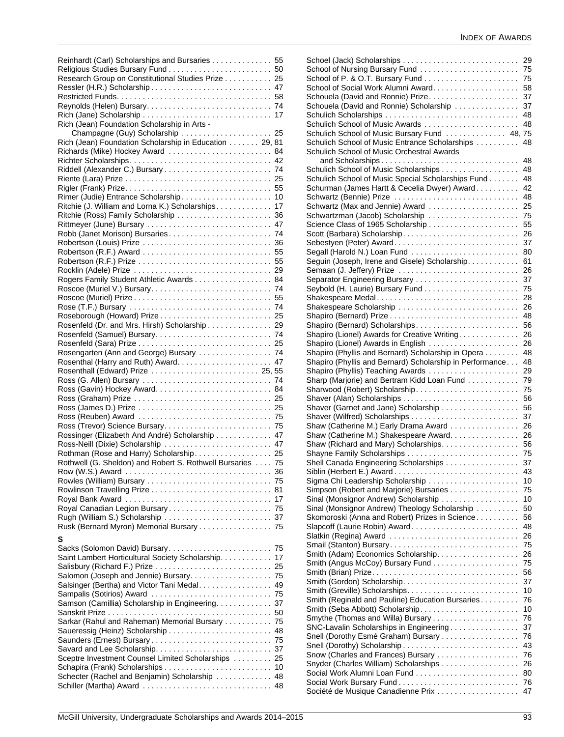| Reinhardt (Carl) Scholarships and Bursaries 55            |    |
|-----------------------------------------------------------|----|
|                                                           |    |
| Research Group on Constitutional Studies Prize 25         |    |
|                                                           |    |
|                                                           |    |
|                                                           |    |
| Rich (Jean) Foundation Scholarship in Arts -              |    |
| Champagne (Guy) Scholarship  25                           |    |
| Rich (Jean) Foundation Scholarship in Education 29, 81    |    |
| Richards (Mike) Hockey Award  84                          |    |
|                                                           |    |
|                                                           |    |
|                                                           |    |
| Rimer (Judie) Entrance Scholarship 10                     |    |
| Ritchie (J. William and Lorna K.) Scholarships. 17        |    |
| Ritchie (Ross) Family Scholarship  36                     |    |
|                                                           |    |
|                                                           |    |
|                                                           |    |
|                                                           |    |
|                                                           |    |
|                                                           |    |
| Rogers Family Student Athletic Awards 84                  |    |
|                                                           |    |
|                                                           |    |
|                                                           |    |
| Rosenfeld (Dr. and Mrs. Hirsh) Scholarship 29             |    |
|                                                           |    |
|                                                           |    |
| Rosengarten (Ann and George) Bursary  74                  |    |
|                                                           |    |
| Rosenthall (Edward) Prize  25, 55                         |    |
|                                                           |    |
|                                                           |    |
|                                                           |    |
|                                                           |    |
|                                                           |    |
| Rossinger (Elizabeth And André) Scholarship 47            |    |
| Ross-Neill (Dixie) Scholarship  47                        |    |
| Rothman (Rose and Harry) Scholarship. 25                  |    |
| Rothwell (G. Sheldon) and Robert S. Rothwell Bursaries 75 |    |
|                                                           |    |
|                                                           |    |
|                                                           | 81 |
|                                                           | 17 |
| Royal Canadian Legion Bursary 75                          |    |
| Rusk (Bernard Myron) Memorial Bursary  75                 |    |
|                                                           |    |
| S                                                         |    |
| Saint Lambert Horticultural Society Scholarship.          | 17 |
| Salisbury (Richard F.) Prize  25                          |    |
| Salomon (Joseph and Jennie) Bursary 75                    |    |
| Salsinger (Bertha) and Victor Tani Medal 49               |    |
|                                                           |    |
| Samson (Camillia) Scholarship in Engineering. 37          |    |
|                                                           |    |
| Sarkar (Rahul and Raheman) Memorial Bursary 75            |    |
| Saueressig (Heinz) Scholarship  48                        |    |
|                                                           |    |
| Sceptre Investment Counsel Limited Scholarships 25        |    |
|                                                           |    |
| Schecter (Rachel and Benjamin) Scholarship  48            |    |
| Schiller (Martha) Award  48                               |    |
|                                                           |    |

| 29<br>School of Nursing Bursary Fund<br>75<br>School of P. & O.T. Bursary Fund<br>75<br>School of Social Work Alumni Award.<br>58<br>Schouela (David and Ronnie) Prize<br>37<br>Schouela (David and Ronnie) Scholarship<br>37<br>Schulich Scholarships<br>48<br>Schulich School of Music Awards<br>48<br>Schulich School of Music Bursary Fund  48, 75<br>Schulich School of Music Entrance Scholarships<br>48 |
|----------------------------------------------------------------------------------------------------------------------------------------------------------------------------------------------------------------------------------------------------------------------------------------------------------------------------------------------------------------------------------------------------------------|
|                                                                                                                                                                                                                                                                                                                                                                                                                |
|                                                                                                                                                                                                                                                                                                                                                                                                                |
|                                                                                                                                                                                                                                                                                                                                                                                                                |
|                                                                                                                                                                                                                                                                                                                                                                                                                |
|                                                                                                                                                                                                                                                                                                                                                                                                                |
|                                                                                                                                                                                                                                                                                                                                                                                                                |
|                                                                                                                                                                                                                                                                                                                                                                                                                |
|                                                                                                                                                                                                                                                                                                                                                                                                                |
|                                                                                                                                                                                                                                                                                                                                                                                                                |
|                                                                                                                                                                                                                                                                                                                                                                                                                |
|                                                                                                                                                                                                                                                                                                                                                                                                                |
|                                                                                                                                                                                                                                                                                                                                                                                                                |
|                                                                                                                                                                                                                                                                                                                                                                                                                |
| Schulich School of Music Orchestral Awards                                                                                                                                                                                                                                                                                                                                                                     |
| and Scholarships<br>48                                                                                                                                                                                                                                                                                                                                                                                         |
| Schulich School of Music Scholarships<br>48                                                                                                                                                                                                                                                                                                                                                                    |
| Schulich School of Music Special Scholarships Fund<br>48                                                                                                                                                                                                                                                                                                                                                       |
|                                                                                                                                                                                                                                                                                                                                                                                                                |
| Schurman (James Hartt & Cecelia Dwyer) Award.<br>42                                                                                                                                                                                                                                                                                                                                                            |
| Schwartz (Bennie) Prize<br>48                                                                                                                                                                                                                                                                                                                                                                                  |
| Schwartz (Max and Jennie) Award<br>25                                                                                                                                                                                                                                                                                                                                                                          |
| Schwartzman (Jacob) Scholarship<br>75                                                                                                                                                                                                                                                                                                                                                                          |
|                                                                                                                                                                                                                                                                                                                                                                                                                |
| Science Class of 1965 Scholarship<br>55                                                                                                                                                                                                                                                                                                                                                                        |
| Scott (Barbara) Scholarship<br>26                                                                                                                                                                                                                                                                                                                                                                              |
| 37                                                                                                                                                                                                                                                                                                                                                                                                             |
| Segall (Harold N.) Loan Fund<br>80                                                                                                                                                                                                                                                                                                                                                                             |
|                                                                                                                                                                                                                                                                                                                                                                                                                |
| Seguin (Joseph, Irene and Gisele) Scholarship.<br>61                                                                                                                                                                                                                                                                                                                                                           |
| 26                                                                                                                                                                                                                                                                                                                                                                                                             |
| 37                                                                                                                                                                                                                                                                                                                                                                                                             |
| 75                                                                                                                                                                                                                                                                                                                                                                                                             |
|                                                                                                                                                                                                                                                                                                                                                                                                                |
| Shakespeare Medal<br>28                                                                                                                                                                                                                                                                                                                                                                                        |
| Shakespeare Scholarship<br>26                                                                                                                                                                                                                                                                                                                                                                                  |
| 48                                                                                                                                                                                                                                                                                                                                                                                                             |
| Shapiro (Bernard) Scholarships<br>56                                                                                                                                                                                                                                                                                                                                                                           |
|                                                                                                                                                                                                                                                                                                                                                                                                                |
| Shapiro (Lionel) Awards for Creative Writing<br>26                                                                                                                                                                                                                                                                                                                                                             |
| Shapiro (Lionel) Awards in English<br>26                                                                                                                                                                                                                                                                                                                                                                       |
| Shapiro (Phyllis and Bernard) Scholarship in Opera<br>48                                                                                                                                                                                                                                                                                                                                                       |
|                                                                                                                                                                                                                                                                                                                                                                                                                |
|                                                                                                                                                                                                                                                                                                                                                                                                                |
| Shapiro (Phyllis and Bernard) Scholarship in Performance<br>48                                                                                                                                                                                                                                                                                                                                                 |
| Shapiro (Phyllis) Teaching Awards<br>29                                                                                                                                                                                                                                                                                                                                                                        |
| Sharp (Marjorie) and Bertram Kidd Loan Fund<br>79                                                                                                                                                                                                                                                                                                                                                              |
| 75                                                                                                                                                                                                                                                                                                                                                                                                             |
|                                                                                                                                                                                                                                                                                                                                                                                                                |
| 56                                                                                                                                                                                                                                                                                                                                                                                                             |
| Shaver (Garnet and Jane) Scholarship<br>56                                                                                                                                                                                                                                                                                                                                                                     |
| 37                                                                                                                                                                                                                                                                                                                                                                                                             |
| Shaw (Catherine M.) Early Drama Award<br>26                                                                                                                                                                                                                                                                                                                                                                    |
| 26                                                                                                                                                                                                                                                                                                                                                                                                             |
| Shaw (Catherine M.) Shakespeare Award.                                                                                                                                                                                                                                                                                                                                                                         |
| Shaw (Richard and Mary) Scholarships.<br>56                                                                                                                                                                                                                                                                                                                                                                    |
| Shayne Family Scholarships<br>75                                                                                                                                                                                                                                                                                                                                                                               |
| Shell Canada Engineering Scholarships<br>37                                                                                                                                                                                                                                                                                                                                                                    |
| 43                                                                                                                                                                                                                                                                                                                                                                                                             |
| 10                                                                                                                                                                                                                                                                                                                                                                                                             |
| Sigma Chi Leadership Scholarship                                                                                                                                                                                                                                                                                                                                                                               |
| Simpson (Robert and Marjorie) Bursaries<br>75                                                                                                                                                                                                                                                                                                                                                                  |
| Sinal (Monsignor Andrew) Scholarship<br>10                                                                                                                                                                                                                                                                                                                                                                     |
| Sinal (Monsignor Andrew) Theology Scholarship<br>50                                                                                                                                                                                                                                                                                                                                                            |
| 56                                                                                                                                                                                                                                                                                                                                                                                                             |
| Skomoroski (Anna and Robert) Prizes in Science                                                                                                                                                                                                                                                                                                                                                                 |
| Slapcoff (Laurie Robin) Award<br>48                                                                                                                                                                                                                                                                                                                                                                            |
| Slatkin (Regina) Award<br>26                                                                                                                                                                                                                                                                                                                                                                                   |
| 75                                                                                                                                                                                                                                                                                                                                                                                                             |
| Smith (Adam) Economics Scholarship<br>26                                                                                                                                                                                                                                                                                                                                                                       |
| 75                                                                                                                                                                                                                                                                                                                                                                                                             |
|                                                                                                                                                                                                                                                                                                                                                                                                                |
| 56                                                                                                                                                                                                                                                                                                                                                                                                             |
| 37                                                                                                                                                                                                                                                                                                                                                                                                             |
| 10                                                                                                                                                                                                                                                                                                                                                                                                             |
| Smith (Reginald and Pauline) Education Bursaries<br>76                                                                                                                                                                                                                                                                                                                                                         |
| 10                                                                                                                                                                                                                                                                                                                                                                                                             |
|                                                                                                                                                                                                                                                                                                                                                                                                                |
| 76                                                                                                                                                                                                                                                                                                                                                                                                             |
| SNC-Lavalin Scholarships in Engineering<br>37                                                                                                                                                                                                                                                                                                                                                                  |
| Snell (Dorothy Esmé Graham) Bursary<br>76                                                                                                                                                                                                                                                                                                                                                                      |
| 43                                                                                                                                                                                                                                                                                                                                                                                                             |
| Snow (Charles and Frances) Bursary<br>76                                                                                                                                                                                                                                                                                                                                                                       |
|                                                                                                                                                                                                                                                                                                                                                                                                                |
| Snyder (Charles William) Scholarships<br>26                                                                                                                                                                                                                                                                                                                                                                    |
| 80                                                                                                                                                                                                                                                                                                                                                                                                             |
| Social Work Bursary Fund<br>76<br>Société de Musique Canadienne Prix<br>47                                                                                                                                                                                                                                                                                                                                     |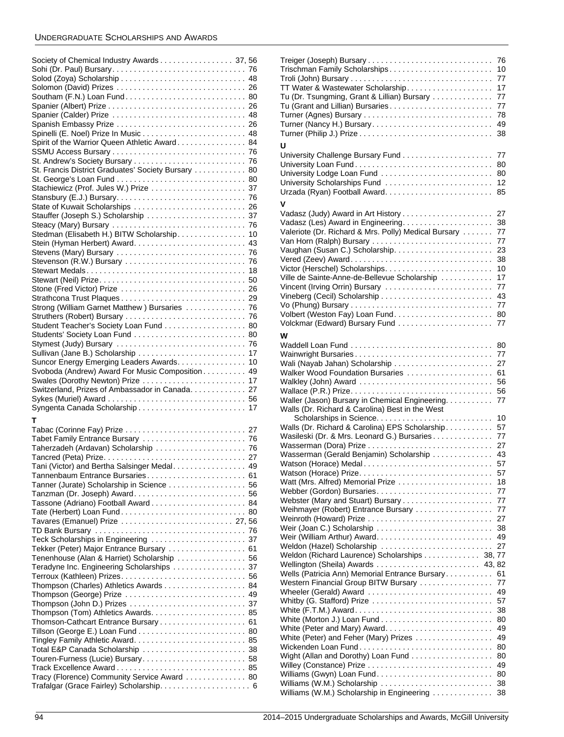# UNDERGRADUATE SCHOLARSHIPS AND AWARDS

| Society of Chemical Industry Awards 37, 56          |
|-----------------------------------------------------|
|                                                     |
|                                                     |
|                                                     |
|                                                     |
|                                                     |
|                                                     |
|                                                     |
| Spanier (Calder) Prize  48                          |
| Spanish Embassy Prize  26                           |
|                                                     |
|                                                     |
| Spirit of the Warrior Queen Athletic Award. 84      |
|                                                     |
|                                                     |
|                                                     |
| St. Francis District Graduates' Society Bursary  80 |
|                                                     |
|                                                     |
| Stachiewicz (Prof. Jules W.) Prize  37              |
|                                                     |
|                                                     |
| State of Kuwait Scholarships  26                    |
|                                                     |
|                                                     |
|                                                     |
| Stedman (Elisabeth H.) BITW Scholarship. 10         |
|                                                     |
|                                                     |
|                                                     |
|                                                     |
|                                                     |
|                                                     |
|                                                     |
|                                                     |
| Stone (Fred Victor) Prize  26                       |
|                                                     |
| Strong (William Garnet Matthew) Bursaries  76       |
|                                                     |
|                                                     |
| Student Teacher's Society Loan Fund 80              |
|                                                     |
|                                                     |
|                                                     |
| Sullivan (Jane B.) Scholarship  17                  |
|                                                     |
|                                                     |
| Suncor Energy Emerging Leaders Awards. 10           |
|                                                     |
| Svoboda (Andrew) Award For Music Composition 49     |
| Swales (Dorothy Newton) Prize  17                   |
| Switzerland, Prizes of Ambassador in Canada 27      |
|                                                     |
|                                                     |
|                                                     |
|                                                     |
| т                                                   |
|                                                     |
|                                                     |
|                                                     |
| Taherzadeh (Ardavan) Scholarship  76                |
|                                                     |
|                                                     |
| Tani (Victor) and Bertha Salsinger Medal. 49        |
| Tannenbaum Entrance Bursaries 61                    |
| 56                                                  |
| Tanner (Jurate) Scholarship in Science              |
|                                                     |
| Tassone (Adriano) Football Award 84                 |
|                                                     |
| Tate (Herbert) Loan Fund 80                         |
| Tavares (Emanuel) Prize  27,56                      |
|                                                     |
|                                                     |
|                                                     |
| Tekker (Peter) Major Entrance Bursary  61           |
|                                                     |
| Tenenhouse (Alan & Harriet) Scholarship  56         |
| Teradyne Inc. Engineering Scholarships  37          |
|                                                     |
|                                                     |
| Thompson (Charles) Athletics Awards 84              |
| Thompson (George) Prize  49                         |
|                                                     |
|                                                     |
|                                                     |
|                                                     |
|                                                     |
|                                                     |
|                                                     |
|                                                     |
|                                                     |
| Touren-Furness (Lucie) Bursary 58                   |
| Track Excellence Award 85                           |
| Tracy (Florence) Community Service Award  80        |
|                                                     |

| Trischman Family Scholarships                                  | 76<br>10 |
|----------------------------------------------------------------|----------|
|                                                                | 77       |
| TT Water & Wastewater Scholarship.                             | 17       |
| Tu (Dr. Tsungming, Grant & Lillian) Bursary                    | 77       |
| Tu (Grant and Lillian) Bursaries                               | 77       |
|                                                                | 78       |
|                                                                | 49       |
|                                                                | 38       |
| U                                                              |          |
|                                                                | 77       |
|                                                                | 80       |
| University Lodge Loan Fund                                     | 80       |
| University Scholarships Fund                                   | 12       |
|                                                                | 85       |
| v                                                              |          |
|                                                                | 27       |
|                                                                | 38       |
| Valeriote (Dr. Richard & Mrs. Polly) Medical Bursary           | 77       |
|                                                                | 77       |
|                                                                | 23       |
|                                                                | 38       |
| Ville de Sainte-Anne-de-Bellevue Scholarship                   | 10<br>17 |
| Vincent (Irving Orrin) Bursary                                 | 77       |
|                                                                | 43       |
|                                                                | 77       |
|                                                                | 80       |
|                                                                | 77       |
| W                                                              |          |
|                                                                | 80       |
| Wainwright Bursaries                                           | 77       |
|                                                                | 27       |
| Walker Wood Foundation Bursaries                               | 61       |
| Walkley (John) Award                                           |          |
|                                                                | 56       |
|                                                                | 56       |
| Waller (Jason) Bursary in Chemical Engineering.                | 77       |
| Walls (Dr. Richard & Carolina) Best in the West                |          |
|                                                                | 10       |
| Walls (Dr. Richard & Carolina) EPS Scholarship                 | 57       |
| Wasileski (Dr. & Mrs. Leonard G.) Bursaries                    | 77       |
|                                                                | 27       |
| Wasserman (Gerald Benjamin) Scholarship                        | 43       |
| Watson (Horace) Medal                                          | 57       |
|                                                                | 57<br>18 |
| Webber (Gordon) Bursaries                                      | 77       |
|                                                                | 77       |
| Weihmayer (Robert) Entrance Bursary                            | 77       |
|                                                                | 27       |
| Weir (Joan C.) Scholarship                                     | 38       |
|                                                                | 49       |
| Weldon (Hazel) Scholarship                                     | 27       |
| Weldon (Richard Laurence) Scholarships 38, 77                  |          |
| Wellington (Sheila) Awards  43, 82                             |          |
| Wells (Patricia Ann) Memorial Entrance Bursary                 | 61<br>77 |
| Western Financial Group BITW Bursary<br>Wheeler (Gerald) Award | 49       |
| Whitby (G. Stafford) Prize                                     | 57       |
| White (F.T.M.) Award                                           | 38       |
|                                                                | 80       |
|                                                                | 49       |
| White (Peter) and Feher (Mary) Prizes                          | 49       |
|                                                                | 80       |
| Wight (Allan and Dorothy) Loan Fund                            | 80       |
|                                                                | 49       |
| Williams (Gwyn) Loan Fund                                      | 80<br>38 |